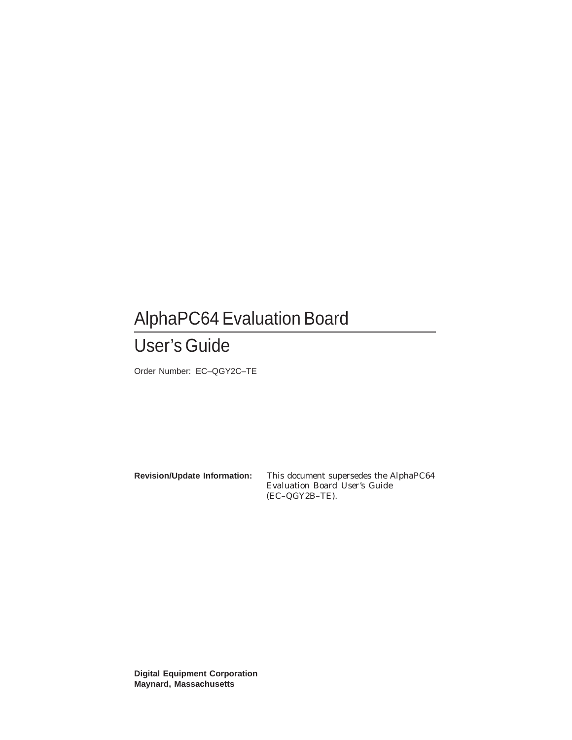# AlphaPC64 Evaluation Board

# User's Guide

Order Number: EC–QGY2C–TE

**Revision/Update Information:** This document supersedes the *AlphaPC64 Evaluation Board User's Guide* (EC–QGY2B–TE).

**Digital Equipment Corporation Maynard, Massachusetts**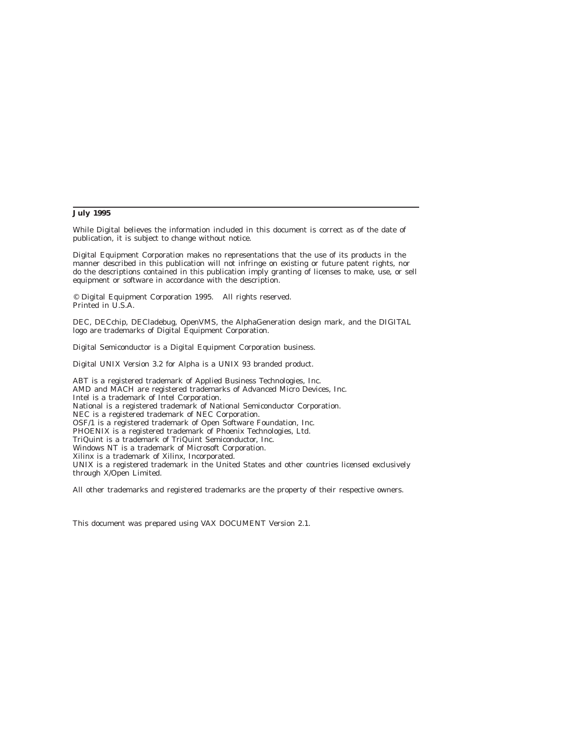#### **July 1995**

While Digital believes the information included in this document is correct as of the date of publication, it is subject to change without notice.

Digital Equipment Corporation makes no representations that the use of its products in the manner described in this publication will not infringe on existing or future patent rights, nor do the descriptions contained in this publication imply granting of licenses to make, use, or sell equipment or software in accordance with the description.

© Digital Equipment Corporation 1995. All rights reserved. Printed in U.S.A.

DEC, DECchip, DECladebug, OpenVMS, the AlphaGeneration design mark, and the DIGITAL logo are trademarks of Digital Equipment Corporation.

Digital Semiconductor is a Digital Equipment Corporation business.

Digital UNIX Version 3.2 for Alpha is a UNIX 93 branded product.

ABT is a registered trademark of Applied Business Technologies, Inc. AMD and MACH are registered trademarks of Advanced Micro Devices, Inc. Intel is a trademark of Intel Corporation. National is a registered trademark of National Semiconductor Corporation. NEC is a registered trademark of NEC Corporation. OSF/1 is a registered trademark of Open Software Foundation, Inc. PHOENIX is a registered trademark of Phoenix Technologies, Ltd. TriQuint is a trademark of TriQuint Semiconductor, Inc. Windows NT is a trademark of Microsoft Corporation. Xilinx is a trademark of Xilinx, Incorporated. UNIX is a registered trademark in the United States and other countries licensed exclusively through X/Open Limited.

All other trademarks and registered trademarks are the property of their respective owners.

This document was prepared using VAX DOCUMENT Version 2.1.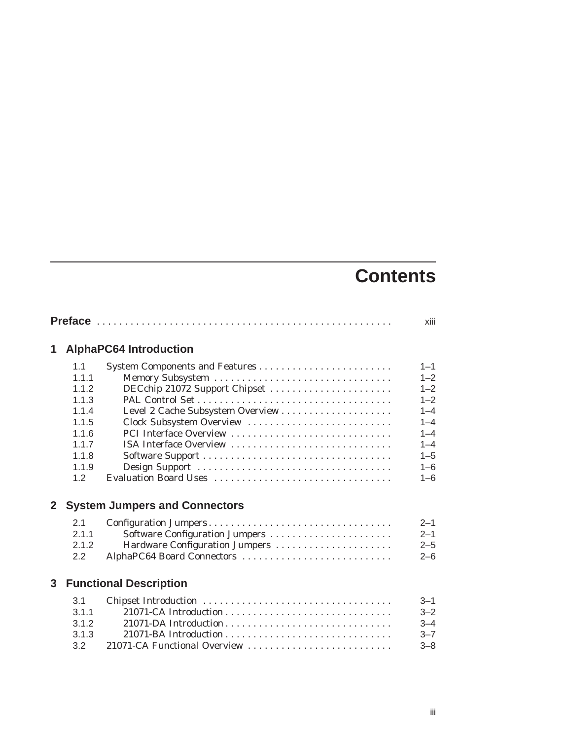# **Contents**

|              |       |                                      | xiii    |
|--------------|-------|--------------------------------------|---------|
| 1            |       | <b>AlphaPC64 Introduction</b>        |         |
|              | 1.1   |                                      | $1 - 1$ |
|              | 1.1.1 |                                      | $1 - 2$ |
|              | 1.1.2 | DECchip 21072 Support Chipset        | $1 - 2$ |
|              | 1.1.3 |                                      | $1 - 2$ |
|              | 1.1.4 |                                      | $1 - 4$ |
|              | 1.1.5 | Clock Subsystem Overview             | $1 - 4$ |
|              | 1.1.6 | PCI Interface Overview               | $1 - 4$ |
|              | 1.1.7 | ISA Interface Overview               | $1 - 4$ |
|              | 1.1.8 |                                      | $1 - 5$ |
|              | 1.1.9 |                                      | $1 - 6$ |
|              | 1.2   |                                      | $1 - 6$ |
| $\mathbf{2}$ |       | <b>System Jumpers and Connectors</b> |         |
|              | 2.1   |                                      | $2 - 1$ |
|              | 2.1.1 | Software Configuration Jumpers       | $2 - 1$ |
|              | 2.1.2 | Hardware Configuration Jumpers       | $2 - 5$ |
|              | 2.2   | AlphaPC64 Board Connectors           | $2 - 6$ |
|              |       |                                      |         |
| 3            |       | <b>Functional Description</b>        |         |
|              | 3.1   |                                      | $3 - 1$ |
|              | 3.1.1 |                                      | $3 - 2$ |
|              | 3.1.2 |                                      | $3 - 4$ |
|              | 3.1.3 |                                      | $3 - 7$ |
|              | 3.2   | 21071-CA Functional Overview         | $3 - 8$ |
|              |       |                                      |         |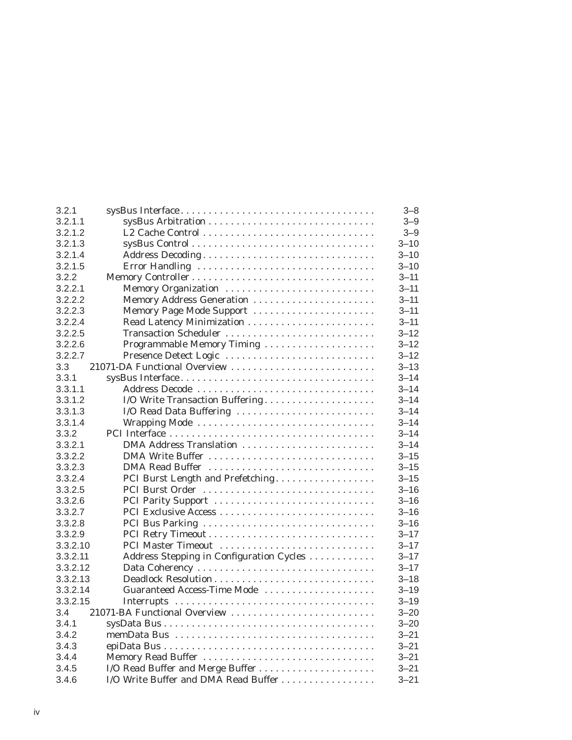| 3.2.1    |                                          | $3 - 8$  |
|----------|------------------------------------------|----------|
| 3.2.1.1  |                                          | $3 - 9$  |
| 3.2.1.2  |                                          | $3 - 9$  |
| 3.2.1.3  |                                          | $3 - 10$ |
| 3.2.1.4  | Address Decoding                         | $3 - 10$ |
| 3.2.1.5  | Error Handling                           | $3 - 10$ |
| 3.2.2    |                                          | $3 - 11$ |
| 3.2.2.1  | Memory Organization                      | $3 - 11$ |
| 3.2.2.2  | Memory Address Generation                | $3 - 11$ |
| 3.2.2.3  | Memory Page Mode Support                 | $3 - 11$ |
| 3.2.2.4  |                                          | $3 - 11$ |
| 3.2.2.5  | Transaction Scheduler                    | $3 - 12$ |
| 3.2.2.6  | Programmable Memory Timing               | $3 - 12$ |
| 3.2.2.7  | Presence Detect Logic                    | $3 - 12$ |
| 3.3      | 21071-DA Functional Overview             | $3 - 13$ |
| 3.3.1    |                                          | $3 - 14$ |
| 3.3.1.1  | Address Decode                           | $3 - 14$ |
| 3.3.1.2  | I/O Write Transaction Buffering          | $3 - 14$ |
| 3.3.1.3  | I/O Read Data Buffering                  | $3 - 14$ |
| 3.3.1.4  |                                          | $3 - 14$ |
| 3.3.2    |                                          | $3 - 14$ |
| 3.3.2.1  | DMA Address Translation                  | $3 - 14$ |
| 3.3.2.2  |                                          | $3 - 15$ |
| 3.3.2.3  | DMA Read Buffer                          | $3 - 15$ |
| 3.3.2.4  | PCI Burst Length and Prefetching         | $3 - 15$ |
| 3.3.2.5  | PCI Burst Order                          | $3 - 16$ |
| 3.3.2.6  | PCI Parity Support                       | $3 - 16$ |
| 3.3.2.7  |                                          | $3 - 16$ |
| 3.3.2.8  | PCI Bus Parking                          | $3 - 16$ |
| 3.3.2.9  |                                          | $3 - 17$ |
| 3.3.2.10 | PCI Master Timeout                       | $3 - 17$ |
| 3.3.2.11 | Address Stepping in Configuration Cycles | $3 - 17$ |
| 3.3.2.12 |                                          | $3 - 17$ |
| 3.3.2.13 |                                          | $3 - 18$ |
| 3.3.2.14 | Guaranteed Access-Time Mode              | $3 - 19$ |
| 3.3.2.15 |                                          | $3 - 19$ |
| 3.4      | 21071-BA Functional Overview             | $3 - 20$ |
| 3.4.1    |                                          | $3 - 20$ |
| 3.4.2    |                                          | $3 - 21$ |
| 3.4.3    |                                          | $3 - 21$ |
| 3.4.4    | Memory Read Buffer                       | $3 - 21$ |
| 3.4.5    |                                          | $3 - 21$ |
| 3.4.6    | I/O Write Buffer and DMA Read Buffer     | $3 - 21$ |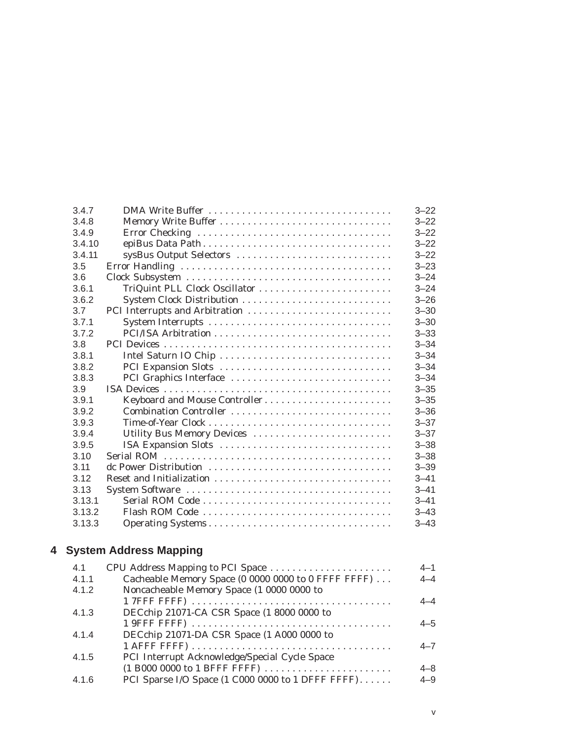|   | 3.4.7  |                                                     | $3 - 22$ |
|---|--------|-----------------------------------------------------|----------|
|   | 3.4.8  |                                                     | $3 - 22$ |
|   | 3.4.9  |                                                     | $3 - 22$ |
|   | 3.4.10 |                                                     | $3 - 22$ |
|   | 3.4.11 | sysBus Output Selectors                             | $3 - 22$ |
|   | 3.5    |                                                     | $3 - 23$ |
|   | 3.6    |                                                     | $3 - 24$ |
|   | 3.6.1  | TriQuint PLL Clock Oscillator                       | $3 - 24$ |
|   | 3.6.2  |                                                     | $3 - 26$ |
|   | 3.7    |                                                     | $3 - 30$ |
|   | 3.7.1  |                                                     | $3 - 30$ |
|   | 3.7.2  |                                                     | $3 - 33$ |
|   | 3.8    |                                                     | $3 - 34$ |
|   | 3.8.1  | Intel Saturn IO Chip                                | $3 - 34$ |
|   | 3.8.2  |                                                     | $3 - 34$ |
|   | 3.8.3  | PCI Graphics Interface                              | $3 - 34$ |
|   | 3.9    |                                                     | $3 - 35$ |
|   | 3.9.1  | Keyboard and Mouse Controller                       | $3 - 35$ |
|   | 3.9.2  | Combination Controller                              | $3 - 36$ |
|   | 3.9.3  |                                                     | $3 - 37$ |
|   | 3.9.4  | Utility Bus Memory Devices                          | $3 - 37$ |
|   | 3.9.5  | ISA Expansion Slots                                 | $3 - 38$ |
|   | 3.10   |                                                     | $3 - 38$ |
|   | 3.11   | dc Power Distribution                               | $3 - 39$ |
|   | 3.12   |                                                     | $3 - 41$ |
|   | 3.13   |                                                     | $3 - 41$ |
|   | 3.13.1 | Serial ROM Code                                     | $3 - 41$ |
|   | 3.13.2 | Flash ROM Code                                      | $3 - 43$ |
|   | 3.13.3 |                                                     | $3 - 43$ |
|   |        |                                                     |          |
| 4 |        | <b>System Address Mapping</b>                       |          |
|   | 4.1    | CPU Address Mapping to PCI Space                    | $4 - 1$  |
|   | 4.1.1  | Cacheable Memory Space (0 0000 0000 to 0 FFFF FFFF) | $4 - 4$  |
|   | 4.1.2  | Noncacheable Memory Space (1 0000 0000 to           |          |
|   |        |                                                     | 4–4      |
|   | 4.1.3  | DECchip 21071-CA CSR Space (1 8000 0000 to          |          |
|   |        |                                                     | $4 - 5$  |
|   | 4.1.4  | DECchip 21071-DA CSR Space (1 A000 0000 to          |          |
|   |        |                                                     | $4 - 7$  |
|   | 4.1.5  | PCI Interrupt Acknowledge/Special Cycle Space       |          |
|   |        | (1 B000 0000 to 1 BFFF FFFF)                        | $4 - 8$  |
|   | 4.1.6  | PCI Sparse I/O Space (1 C000 0000 to 1 DFFF FFFF)   | $4 - 9$  |
|   |        |                                                     |          |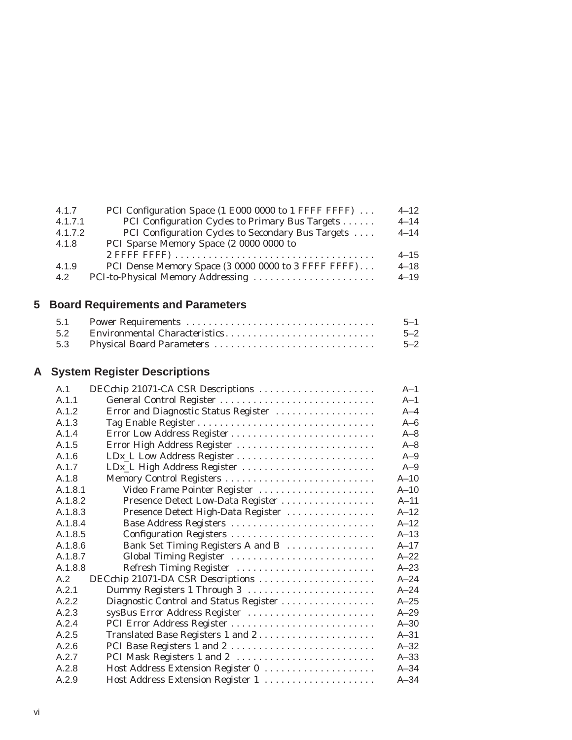| 4.1.7   | PCI Configuration Space (1 E000 0000 to 1 FFFF FFFF) | $4 - 12$ |
|---------|------------------------------------------------------|----------|
| 4.1.7.1 | PCI Configuration Cycles to Primary Bus Targets      | $4 - 14$ |
| 4.1.7.2 | PCI Configuration Cycles to Secondary Bus Targets    | $4 - 14$ |
| 4.1.8   | PCI Sparse Memory Space (2 0000 0000 to              |          |
|         |                                                      | $4 - 15$ |
| 4.1.9   | PCI Dense Memory Space (3 0000 0000 to 3 FFFF FFFF)  | $4 - 18$ |
| 4.2     | PCI-to-Physical Memory Addressing                    | $4 - 19$ |
|         |                                                      |          |

# **5 Board Requirements and Parameters**

|  | $5 - 1$ |
|--|---------|
|  | $5 - 2$ |
|  | $5 - 2$ |

# **A System Register Descriptions**

| A.1     | DECchip 21071-CA CSR Descriptions      | $A-1$    |
|---------|----------------------------------------|----------|
| A.1.1   | General Control Register               | $A-1$    |
| A.1.2   | Error and Diagnostic Status Register   | $A-4$    |
| A.1.3   |                                        | $A - 6$  |
| A.1.4   |                                        | $A - 8$  |
| A.1.5   | Error High Address Register            | $A - 8$  |
| A.1.6   |                                        | $A-9$    |
| A.1.7   | LDx_L High Address Register            | $A-9$    |
| A.1.8   | Memory Control Registers               | $A-10$   |
| A.1.8.1 | Video Frame Pointer Register           | $A-10$   |
| A.1.8.2 | Presence Detect Low-Data Register      | $A - 11$ |
| A.1.8.3 | Presence Detect High-Data Register     | $A-12$   |
| A.1.8.4 | Base Address Registers                 | $A-12$   |
| A.1.8.5 | Configuration Registers                | $A-13$   |
| A.1.8.6 | Bank Set Timing Registers A and B      | $A - 17$ |
| A.1.8.7 | Global Timing Register                 | $A-22$   |
| A.1.8.8 | Refresh Timing Register                | $A - 23$ |
| A.2     | DECchip 21071-DA CSR Descriptions      | $A - 24$ |
| A.2.1   | Dummy Registers 1 Through 3            | $A - 24$ |
| A.2.2   | Diagnostic Control and Status Register | $A-25$   |
| A.2.3   | sysBus Error Address Register          | $A-29$   |
| A.2.4   | PCI Error Address Register             | $A - 30$ |
| A.2.5   |                                        | $A - 31$ |
| A.2.6   | PCI Base Registers 1 and 2             | $A-32$   |
| A.2.7   | PCI Mask Registers 1 and 2             | $A - 33$ |
| A.2.8   | Host Address Extension Register 0      | $A - 34$ |
| A.2.9   | Host Address Extension Register 1      | $A - 34$ |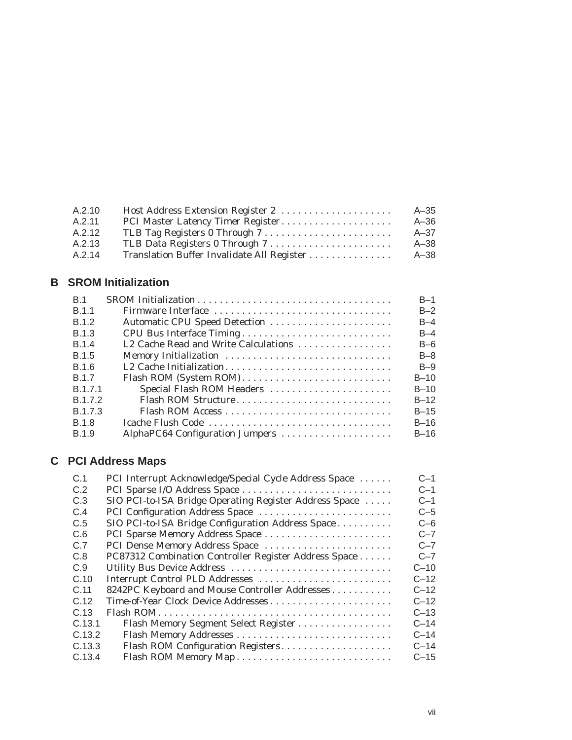| A.2.10 | Host Address Extension Register 2          | $A - 35$ |
|--------|--------------------------------------------|----------|
| A.2.11 | PCI Master Latency Timer Register          | $A - 36$ |
| A.2.12 | TLB Tag Registers 0 Through 7              | $A - 37$ |
| A.2.13 | TLB Data Registers 0 Through 7             | $A - 38$ |
| A 2.14 | Translation Buffer Invalidate All Register | $A - 38$ |

## **B SROM Initialization**

| <b>B</b> 1   |                                      | $B-1$  |
|--------------|--------------------------------------|--------|
| <b>B.1.1</b> | Firmware Interface                   | $B-2$  |
| B.1.2        | Automatic CPU Speed Detection        | $B-4$  |
| B.1.3        |                                      | $B-4$  |
| <b>B.1.4</b> | L2 Cache Read and Write Calculations | $B-6$  |
| B.1.5        | Memory Initialization                | $B-8$  |
| B.1.6        |                                      | $B-9$  |
| <b>B.1.7</b> | Flash ROM (System ROM)               | $B-10$ |
| B.1.7.1      | Special Flash ROM Headers            | $B-10$ |
| B.1.7.2      | Flash ROM Structure                  | $B-12$ |
| B.1.7.3      |                                      | $B-15$ |
| <b>B.1.8</b> | Icache Flush Code                    | $B-16$ |
| B.1.9        | AlphaPC64 Configuration Jumpers      | $B-16$ |
|              |                                      |        |

# **C PCI Address Maps**

| C.1    | PCI Interrupt Acknowledge/Special Cycle Address Space  | $C-1$    |
|--------|--------------------------------------------------------|----------|
| C.2    |                                                        | $C-1$    |
| C.3    | SIO PCI-to-ISA Bridge Operating Register Address Space | $C-1$    |
| C.4    | PCI Configuration Address Space                        | C–5      |
| C.5    | SIO PCI-to-ISA Bridge Configuration Address Space      | $C - 6$  |
| C.6    | PCI Sparse Memory Address Space                        | $C - 7$  |
| C.7    | PCI Dense Memory Address Space                         | $C - 7$  |
| C.8    | PC87312 Combination Controller Register Address Space  | $C - 7$  |
| C.9    | Utility Bus Device Address                             | $C-10$   |
| C.10   | Interrupt Control PLD Addresses                        | $C - 12$ |
| C.11   | 8242PC Keyboard and Mouse Controller Addresses         | $C-12$   |
| C.12   |                                                        | $C-12$   |
| C.13   |                                                        | $C-13$   |
| C.13.1 | Flash Memory Segment Select Register                   | $C-14$   |
| C.13.2 |                                                        | $C-14$   |
| C.13.3 | Flash ROM Configuration Registers                      | $C-14$   |
| C.13.4 |                                                        | $C-15$   |
|        |                                                        |          |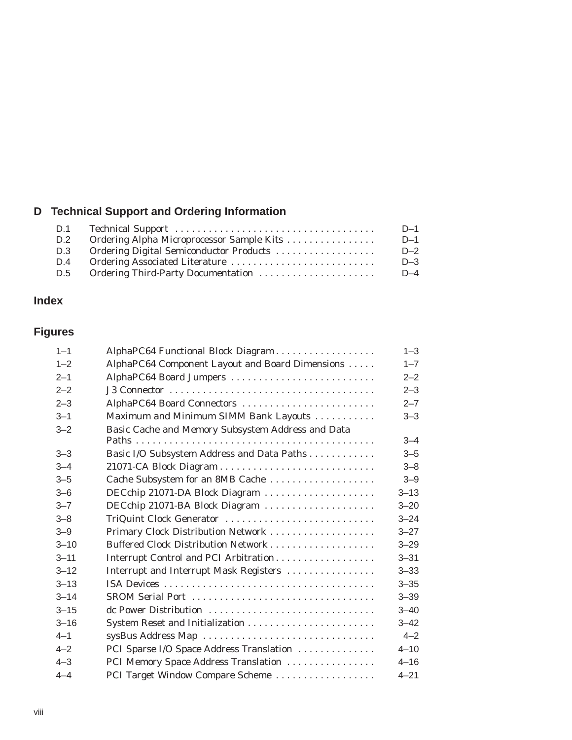# **D Technical Support and Ordering Information**

| D.1 |                                           | $D-1$ |
|-----|-------------------------------------------|-------|
| D.2 | Ordering Alpha Microprocessor Sample Kits | $D-1$ |
| D.3 | Ordering Digital Semiconductor Products   | $D-2$ |
| D.4 | Ordering Associated Literature            | $D-3$ |
| D.5 | Ordering Third-Party Documentation        | $D-4$ |

# **Index**

# **Figures**

| $1 - 1$  | AlphaPC64 Functional Block Diagram                | $1 - 3$  |
|----------|---------------------------------------------------|----------|
| $1 - 2$  | AlphaPC64 Component Layout and Board Dimensions   | $1 - 7$  |
| $2 - 1$  | AlphaPC64 Board Jumpers                           | $2 - 2$  |
| $2 - 2$  |                                                   | $2 - 3$  |
| $2 - 3$  | AlphaPC64 Board Connectors                        | $2 - 7$  |
| $3 - 1$  | Maximum and Minimum SIMM Bank Layouts             | $3 - 3$  |
| $3 - 2$  | Basic Cache and Memory Subsystem Address and Data |          |
|          |                                                   | $3 - 4$  |
| $3 - 3$  | Basic I/O Subsystem Address and Data Paths        | $3 - 5$  |
| $3 - 4$  |                                                   | $3 - 8$  |
| $3 - 5$  | Cache Subsystem for an 8MB Cache                  | $3 - 9$  |
| $3 - 6$  | DECchip 21071-DA Block Diagram                    | $3 - 13$ |
| $3 - 7$  | DECchip 21071-BA Block Diagram                    | $3 - 20$ |
| $3 - 8$  | TriQuint Clock Generator                          | $3 - 24$ |
| $3 - 9$  | Primary Clock Distribution Network                | $3 - 27$ |
| $3 - 10$ | Buffered Clock Distribution Network               | $3 - 29$ |
| $3 - 11$ | Interrupt Control and PCI Arbitration             | $3 - 31$ |
| $3 - 12$ | Interrupt and Interrupt Mask Registers            | $3 - 33$ |
| $3 - 13$ |                                                   | $3 - 35$ |
| $3 - 14$ | SROM Serial Port                                  | $3 - 39$ |
| $3 - 15$ | de Power Distribution                             | $3 - 40$ |
| $3 - 16$ |                                                   | $3 - 42$ |
| $4 - 1$  | sysBus Address Map                                | $4 - 2$  |
| $4 - 2$  | PCI Sparse I/O Space Address Translation          | $4 - 10$ |
| $4 - 3$  | PCI Memory Space Address Translation              | $4 - 16$ |
| $4 - 4$  | PCI Target Window Compare Scheme                  | $4 - 21$ |
|          |                                                   |          |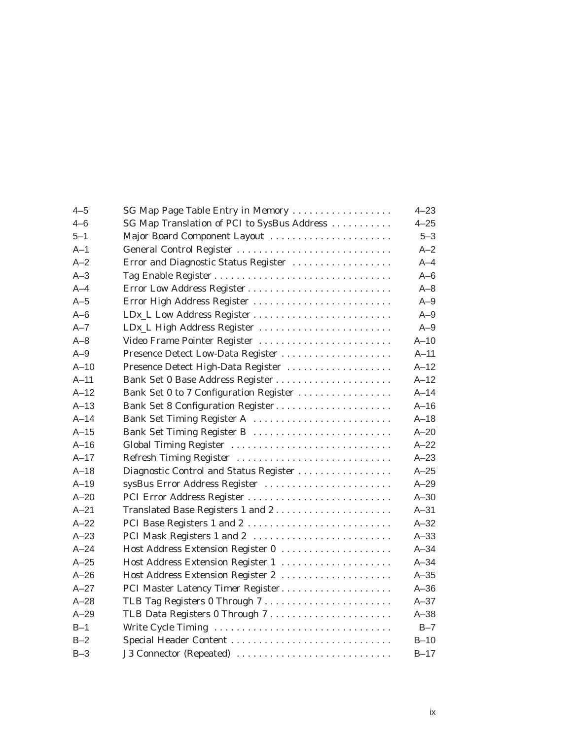| $4 - 5$  | SG Map Page Table Entry in Memory           | $4 - 23$ |
|----------|---------------------------------------------|----------|
| $4 - 6$  | SG Map Translation of PCI to SysBus Address | $4 - 25$ |
| $5 - 1$  | Major Board Component Layout                | $5 - 3$  |
| $A-1$    | General Control Register                    | $A - 2$  |
| $A-2$    | Error and Diagnostic Status Register        | $A - 4$  |
| $A-3$    |                                             | $A-6$    |
| $A - 4$  |                                             | $A - 8$  |
| $A-5$    | Error High Address Register                 | $A-9$    |
| $A - 6$  |                                             | $A-9$    |
| $A - 7$  | LDx_L High Address Register                 | $A-9$    |
| $A - 8$  | Video Frame Pointer Register                | $A-10$   |
| $A-9$    | Presence Detect Low-Data Register           | $A-11$   |
| $A-10$   | Presence Detect High-Data Register          | $A-12$   |
| $A-11$   |                                             | $A-12$   |
| $A-12$   | Bank Set 0 to 7 Configuration Register      | $A-14$   |
| $A-13$   | Bank Set 8 Configuration Register           | $A-16$   |
| $A-14$   | Bank Set Timing Register A                  | $A-18$   |
| $A-15$   | Bank Set Timing Register B                  | $A - 20$ |
| $A-16$   | Global Timing Register                      | $A-22$   |
| $A-17$   | Refresh Timing Register                     | $A - 23$ |
| $A-18$   | Diagnostic Control and Status Register      | $A-25$   |
| $A-19$   | sysBus Error Address Register               | $A-29$   |
| $A - 20$ | PCI Error Address Register                  | $A - 30$ |
| $A-21$   | Translated Base Registers 1 and 2           | $A - 31$ |
| $A-22$   |                                             | $A-32$   |
| $A-23$   | PCI Mask Registers 1 and 2                  | $A-33$   |
| $A - 24$ | Host Address Extension Register 0           | $A-34$   |
| $A-25$   | Host Address Extension Register 1           | $A-34$   |
| $A-26$   | Host Address Extension Register 2           | $A-35$   |
| $A-27$   | PCI Master Latency Timer Register           | $A - 36$ |
| $A-28$   | TLB Tag Registers 0 Through 7               | $A-37$   |
| $A-29$   | TLB Data Registers 0 Through 7              | $A - 38$ |
| $B-1$    | Write Cycle Timing                          | $B-7$    |
| $B-2$    | Special Header Content                      | $B-10$   |
| $B-3$    | J3 Connector (Repeated)                     | $B-17$   |
|          |                                             |          |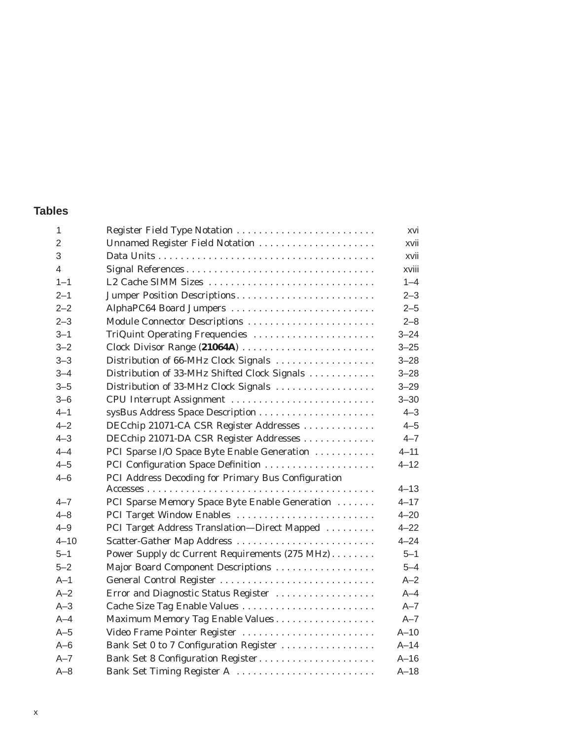## **Tables**

| 1              | Register Field Type Notation                       | xvi      |
|----------------|----------------------------------------------------|----------|
| $\overline{2}$ | Unnamed Register Field Notation                    | xvii     |
| 3              |                                                    | xvii     |
| $\overline{4}$ |                                                    | xviii    |
| $1 - 1$        | L2 Cache SIMM Sizes                                | $1 - 4$  |
| $2 - 1$        | Jumper Position Descriptions                       | $2 - 3$  |
| $2 - 2$        | AlphaPC64 Board Jumpers                            | $2 - 5$  |
| $2 - 3$        | Module Connector Descriptions                      | $2 - 8$  |
| $3 - 1$        | TriQuint Operating Frequencies                     | $3 - 24$ |
| $3 - 2$        | Clock Divisor Range (21064A)                       | $3 - 25$ |
| $3 - 3$        | Distribution of 66-MHz Clock Signals               | $3 - 28$ |
| $3 - 4$        | Distribution of 33-MHz Shifted Clock Signals       | $3 - 28$ |
| $3 - 5$        | Distribution of 33-MHz Clock Signals               | $3 - 29$ |
| $3 - 6$        | CPU Interrupt Assignment                           | $3 - 30$ |
| $4 - 1$        |                                                    | $4 - 3$  |
| $4 - 2$        | DECchip 21071-CA CSR Register Addresses            | $4 - 5$  |
| $4 - 3$        | DECchip 21071-DA CSR Register Addresses            | $4 - 7$  |
| $4 - 4$        | PCI Sparse I/O Space Byte Enable Generation        | $4 - 11$ |
| $4 - 5$        |                                                    | $4 - 12$ |
| $4 - 6$        | PCI Address Decoding for Primary Bus Configuration |          |
|                |                                                    | $4 - 13$ |
| $4 - 7$        | PCI Sparse Memory Space Byte Enable Generation     | $4 - 17$ |
| $4 - 8$        | PCI Target Window Enables                          | $4 - 20$ |
| $4 - 9$        | PCI Target Address Translation-Direct Mapped       | $4 - 22$ |
| $4 - 10$       | Scatter-Gather Map Address                         | $4 - 24$ |
| $5 - 1$        | Power Supply dc Current Requirements (275 MHz)     | $5 - 1$  |
| $5 - 2$        | Major Board Component Descriptions                 | $5 - 4$  |
| $A-1$          | General Control Register                           | $A-2$    |
| $A - 2$        | Error and Diagnostic Status Register               | $A-4$    |
| $A-3$          | Cache Size Tag Enable Values                       | $A - 7$  |
| $A - 4$        | Maximum Memory Tag Enable Values                   | $A - 7$  |
| $A-5$          | Video Frame Pointer Register                       | $A-10$   |
| $A-6$          | Bank Set 0 to 7 Configuration Register             | $A-14$   |
| $A - 7$        | Bank Set 8 Configuration Register                  | $A-16$   |
| $A - 8$        | Bank Set Timing Register A                         | $A-18$   |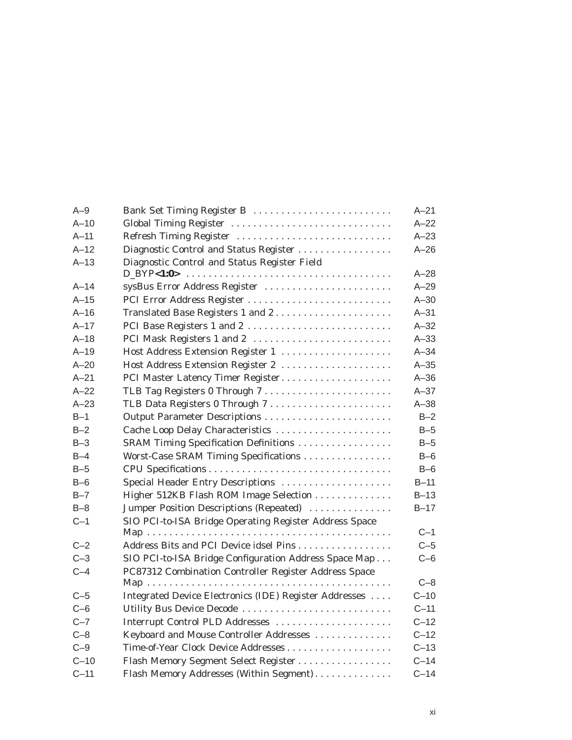| $A-9$    | Bank Set Timing Register B                             | $A - 21$ |
|----------|--------------------------------------------------------|----------|
| $A-10$   | Global Timing Register                                 | $A-22$   |
| $A-11$   | Refresh Timing Register                                | $A - 23$ |
| $A-12$   | Diagnostic Control and Status Register                 | $A - 26$ |
| $A - 13$ | Diagnostic Control and Status Register Field           | $A-28$   |
| $A - 14$ | sysBus Error Address Register                          | $A - 29$ |
| $A-15$   | PCI Error Address Register                             | $A - 30$ |
| $A-16$   | Translated Base Registers 1 and 2                      | $A - 31$ |
| $A - 17$ | PCI Base Registers 1 and 2                             | $A-32$   |
| A-18     | PCI Mask Registers 1 and 2                             | $A-33$   |
| $A-19$   | Host Address Extension Register 1                      | $A - 34$ |
| $A - 20$ | Host Address Extension Register 2                      | $A - 35$ |
| $A-21$   | PCI Master Latency Timer Register                      | $A - 36$ |
| $A - 22$ |                                                        | $A-37$   |
| $A - 23$ |                                                        | $A - 38$ |
| $B-1$    |                                                        | $B-2$    |
| $B-2$    | Cache Loop Delay Characteristics                       | $B-5$    |
| $B-3$    | SRAM Timing Specification Definitions                  | $B-5$    |
| $B-4$    | Worst-Case SRAM Timing Specifications                  | $B-6$    |
| $B-5$    |                                                        | $B-6$    |
| $B-6$    | Special Header Entry Descriptions                      | $B-11$   |
| $B-7$    | Higher 512KB Flash ROM Image Selection                 | $B-13$   |
| $B-8$    | Jumper Position Descriptions (Repeated)                | $B-17$   |
| $C-1$    | SIO PCI-to-ISA Bridge Operating Register Address Space |          |
|          |                                                        | $C-1$    |
| $C-2$    | Address Bits and PCI Device idsel Pins                 | $C-5$    |
| $C-3$    | SIO PCI-to-ISA Bridge Configuration Address Space Map  | $C-6$    |
| $C-4$    | PC87312 Combination Controller Register Address Space  |          |
|          |                                                        | $C-8$    |
| $C-5$    | Integrated Device Electronics (IDE) Register Addresses | $C-10$   |
| $C-6$    | Utility Bus Device Decode                              | $C-11$   |
| $C-7$    | Interrupt Control PLD Addresses                        | $C-12$   |
| $C-8$    | Keyboard and Mouse Controller Addresses                | $C-12$   |
| $C-9$    |                                                        | $C-13$   |
| $C-10$   | Flash Memory Segment Select Register                   | $C-14$   |
| $C-11$   | Flash Memory Addresses (Within Segment)                | $C-14$   |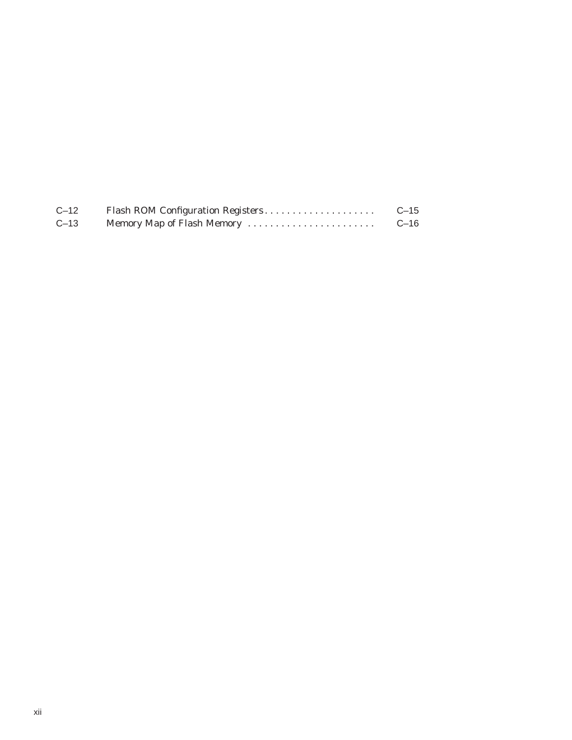| $C-12$ | Flash ROM Configuration Registers | $C - 15$ |
|--------|-----------------------------------|----------|
| $C-13$ | Memory Map of Flash Memory        | $C-16$   |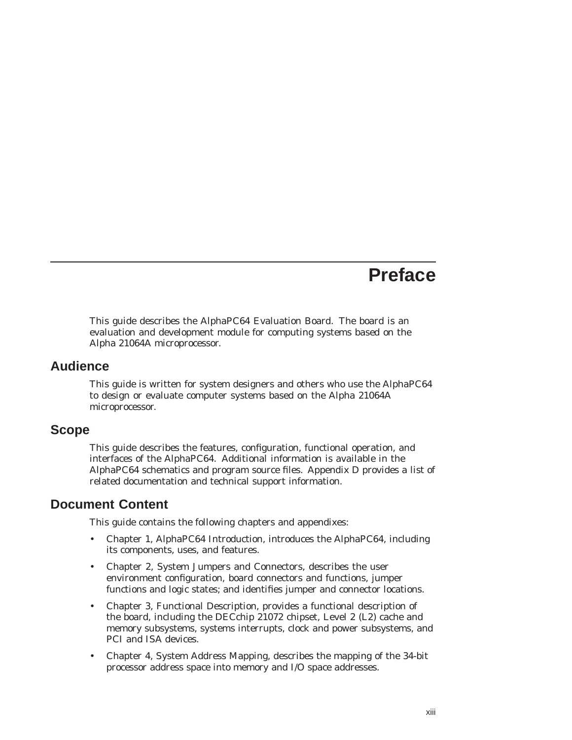# **Preface**

This guide describes the AlphaPC64 Evaluation Board. The board is an evaluation and development module for computing systems based on the Alpha 21064A microprocessor.

#### **Audience**

This guide is written for system designers and others who use the AlphaPC64 to design or evaluate computer systems based on the Alpha 21064A microprocessor.

#### **Scope**

This guide describes the features, configuration, functional operation, and interfaces of the AlphaPC64. Additional information is available in the AlphaPC64 schematics and program source files. Appendix D provides a list of related documentation and technical support information.

## **Document Content**

This guide contains the following chapters and appendixes:

- Chapter 1, AlphaPC64 Introduction, introduces the AlphaPC64, including its components, uses, and features.
- Chapter 2, System Jumpers and Connectors, describes the user environment configuration, board connectors and functions, jumper functions and logic states; and identifies jumper and connector locations.
- Chapter 3, Functional Description, provides a functional description of the board, including the DECchip 21072 chipset, Level 2 (L2) cache and memory subsystems, systems interrupts, clock and power subsystems, and PCI and ISA devices.
- Chapter 4, System Address Mapping, describes the mapping of the 34-bit processor address space into memory and I/O space addresses.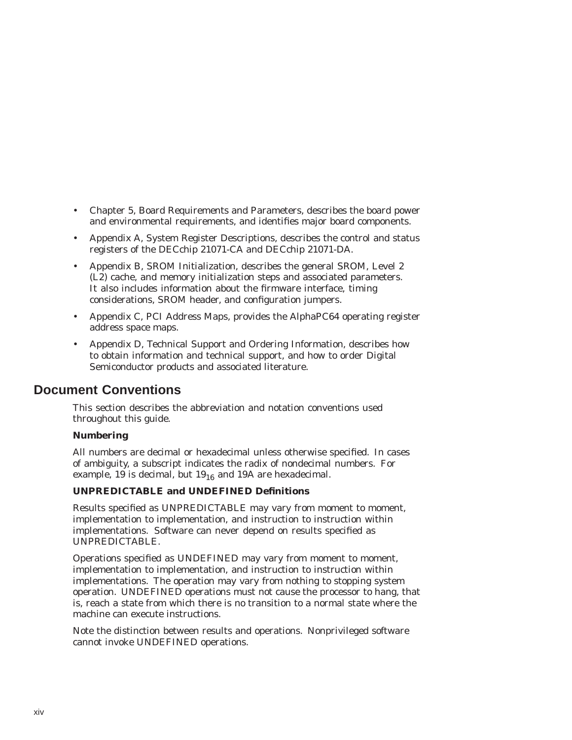- Chapter 5, Board Requirements and Parameters, describes the board power and environmental requirements, and identifies major board components.
- Appendix A, System Register Descriptions, describes the control and status registers of the DECchip 21071-CA and DECchip 21071-DA.
- Appendix B, SROM Initialization, describes the general SROM, Level 2 (L2) cache, and memory initialization steps and associated parameters. It also includes information about the firmware interface, timing considerations, SROM header, and configuration jumpers.
- Appendix C, PCI Address Maps, provides the AlphaPC64 operating register address space maps.
- Appendix D, Technical Support and Ordering Information, describes how to obtain information and technical support, and how to order Digital Semiconductor products and associated literature.

## **Document Conventions**

This section describes the abbreviation and notation conventions used throughout this guide.

#### **Numbering**

All numbers are decimal or hexadecimal unless otherwise specified. In cases of ambiguity, a subscript indicates the radix of nondecimal numbers. For example, 19 is decimal, but  $19_{16}$  and 19A are hexadecimal.

#### **UNPREDICTABLE and UNDEFINED Definitions**

Results specified as UNPREDICTABLE may vary from moment to moment, implementation to implementation, and instruction to instruction within implementations. Software can never depend on results specified as UNPREDICTABLE.

Operations specified as UNDEFINED may vary from moment to moment, implementation to implementation, and instruction to instruction within implementations. The operation may vary from nothing to stopping system operation. UNDEFINED operations must not cause the processor to hang, that is, reach a state from which there is no transition to a normal state where the machine can execute instructions.

Note the distinction between results and operations. Nonprivileged software cannot invoke UNDEFINED operations.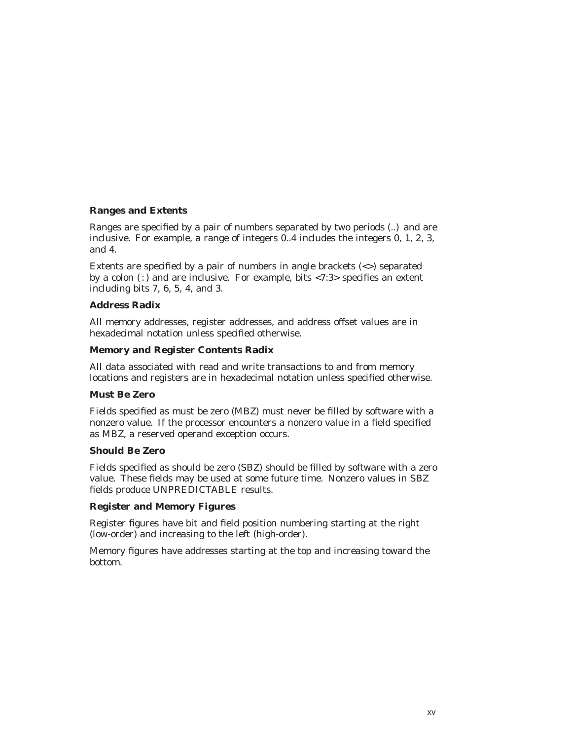#### **Ranges and Extents**

Ranges are specified by a pair of numbers separated by two periods (..) and are inclusive. For example, a range of integers 0..4 includes the integers 0, 1, 2, 3, and 4.

Extents are specified by a pair of numbers in angle brackets (<>) separated by a colon  $(:)$  and are inclusive. For example, bits <7:3> specifies an extent including bits 7, 6, 5, 4, and 3.

#### **Address Radix**

All memory addresses, register addresses, and address offset values are in hexadecimal notation unless specified otherwise.

#### **Memory and Register Contents Radix**

All data associated with read and write transactions to and from memory locations and registers are in hexadecimal notation unless specified otherwise.

#### **Must Be Zero**

Fields specified as must be zero (MBZ) must never be filled by software with a nonzero value. If the processor encounters a nonzero value in a field specified as MBZ, a reserved operand exception occurs.

#### **Should Be Zero**

Fields specified as should be zero (SBZ) should be filled by software with a zero value. These fields may be used at some future time. Nonzero values in SBZ fields produce UNPREDICTABLE results.

#### **Register and Memory Figures**

Register figures have bit and field position numbering starting at the right (low-order) and increasing to the left (high-order).

Memory figures have addresses starting at the top and increasing toward the bottom.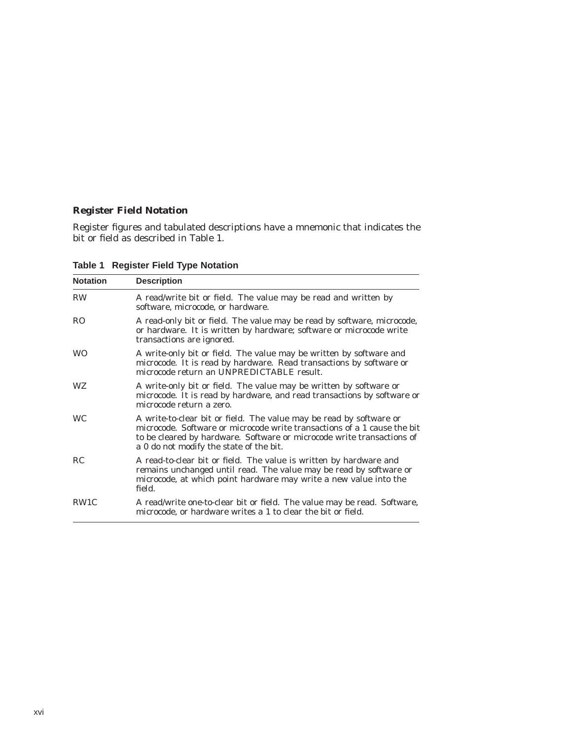#### **Register Field Notation**

Register figures and tabulated descriptions have a mnemonic that indicates the bit or field as described in Table 1.

| <b>Notation</b> | <b>Description</b>                                                                                                                                                                                                                                                   |
|-----------------|----------------------------------------------------------------------------------------------------------------------------------------------------------------------------------------------------------------------------------------------------------------------|
| <b>RW</b>       | A read/write bit or field. The value may be read and written by<br>software, microcode, or hardware.                                                                                                                                                                 |
| R <sub>O</sub>  | A read-only bit or field. The value may be read by software, microcode,<br>or hardware. It is written by hardware; software or microcode write<br>transactions are ignored.                                                                                          |
| <b>WO</b>       | A write-only bit or field. The value may be written by software and<br>microcode. It is read by hardware. Read transactions by software or<br>microcode return an UNPREDICTABLE result.                                                                              |
| WZ.             | A write-only bit or field. The value may be written by software or<br>microcode. It is read by hardware, and read transactions by software or<br>microcode return a zero.                                                                                            |
| <b>WC</b>       | A write-to-clear bit or field. The value may be read by software or<br>microcode. Software or microcode write transactions of a 1 cause the bit<br>to be cleared by hardware. Software or microcode write transactions of<br>a 0 do not modify the state of the bit. |
| <b>RC</b>       | A read-to-clear bit or field. The value is written by hardware and<br>remains unchanged until read. The value may be read by software or<br>microcode, at which point hardware may write a new value into the<br>field.                                              |
| RW1C            | A read/write one-to-clear bit or field. The value may be read. Software,<br>microcode, or hardware writes a 1 to clear the bit or field.                                                                                                                             |

**Table 1 Register Field Type Notation**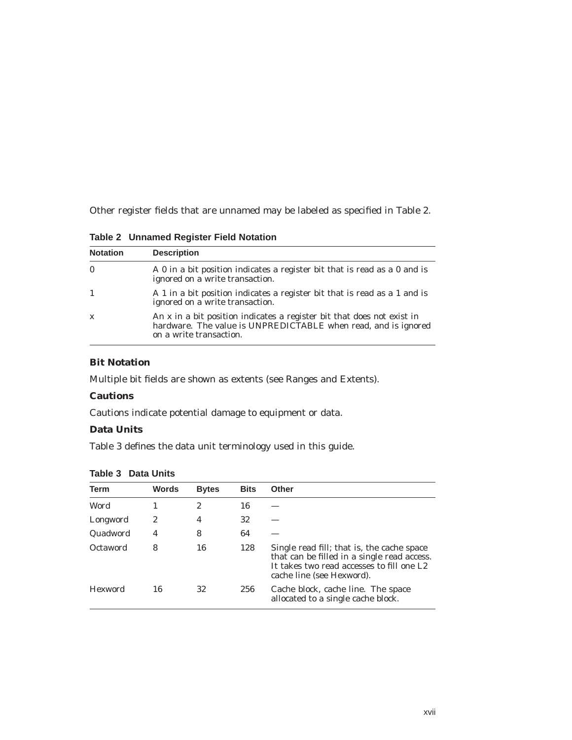Other register fields that are unnamed may be labeled as specified in Table 2.

**Table 2 Unnamed Register Field Notation**

| <b>Notation</b> | <b>Description</b>                                                                                                                                                  |
|-----------------|---------------------------------------------------------------------------------------------------------------------------------------------------------------------|
| $\mathbf{0}$    | A 0 in a bit position indicates a register bit that is read as a 0 and is<br>ignored on a write transaction.                                                        |
| $\mathbf{1}$    | A 1 in a bit position indicates a register bit that is read as a 1 and is<br>ignored on a write transaction.                                                        |
| $\mathbf{x}$    | An x in a bit position indicates a register bit that does not exist in<br>hardware. The value is UNPREDICTABLE when read, and is ignored<br>on a write transaction. |

#### **Bit Notation**

Multiple bit fields are shown as extents (see Ranges and Extents).

#### **Cautions**

Cautions indicate potential damage to equipment or data.

#### **Data Units**

Table 3 defines the data unit terminology used in this guide.

| Term           | Words | <b>Bytes</b> | <b>Bits</b> | <b>Other</b>                                                                                                                                                        |
|----------------|-------|--------------|-------------|---------------------------------------------------------------------------------------------------------------------------------------------------------------------|
| Word           |       | 2            | 16          |                                                                                                                                                                     |
| Longword       | 2     | 4            | 32          |                                                                                                                                                                     |
| Quadword       | 4     | 8            | 64          |                                                                                                                                                                     |
| Octaword       | 8     | 16           | 128         | Single read fill; that is, the cache space<br>that can be filled in a single read access.<br>It takes two read accesses to fill one L2<br>cache line (see Hexword). |
| <b>Hexword</b> | 16    | 32           | 256         | Cache block, cache line. The space<br>allocated to a single cache block.                                                                                            |

**Table 3 Data Units**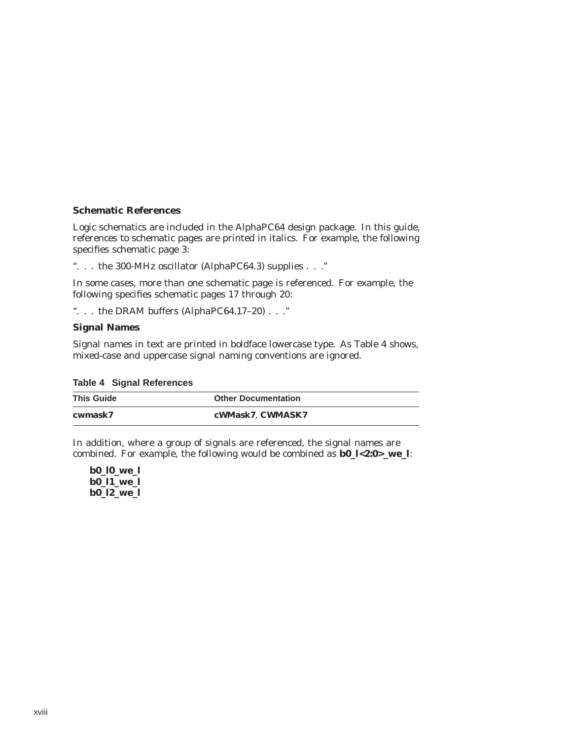#### **Schematic References**

Logic schematics are included in the AlphaPC64 design package. In this guide, references to schematic pages are printed in italics. For example, the following specifies schematic page 3:

''. . . the 300-MHz oscillator (*AlphaPC64.3*) supplies . . .''

In some cases, more than one schematic page is referenced. For example, the following specifies schematic pages 17 through 20:

''. . . the DRAM buffers (*AlphaPC64.17–20*) . . .''

#### **Signal Names**

Signal names in text are printed in boldface lowercase type. As Table 4 shows, mixed-case and uppercase signal naming conventions are ignored.

|  | <b>Table 4 Signal References</b> |  |
|--|----------------------------------|--|
|  |                                  |  |

| <b>This Guide</b> | <b>Other Documentation</b> |
|-------------------|----------------------------|
| cwmask7           | cWMask7, CWMASK7           |

In addition, where a group of signals are referenced, the signal names are combined. For example, the following would be combined as **b0\_l<2:0>\_we\_l**:

**b0\_l0\_we\_l b0\_l1\_we\_l b0\_l2\_we\_l**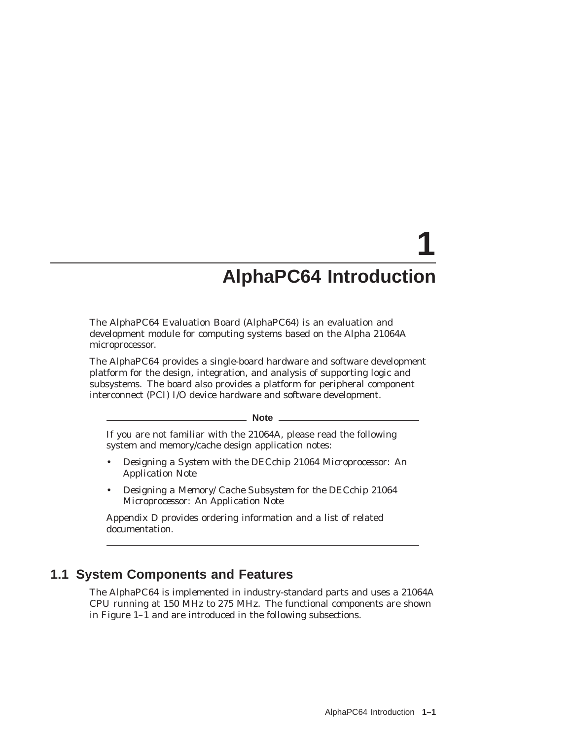# **1**

# **AlphaPC64 Introduction**

The AlphaPC64 Evaluation Board (AlphaPC64) is an evaluation and development module for computing systems based on the Alpha 21064A microprocessor.

The AlphaPC64 provides a single-board hardware and software development platform for the design, integration, and analysis of supporting logic and subsystems. The board also provides a platform for peripheral component interconnect (PCI) I/O device hardware and software development.

**Note**

If you are not familiar with the 21064A, please read the following system and memory/cache design application notes:

- *Designing a System with the DECchip 21064 Microprocessor: An Application Note*
- *Designing a Memory/Cache Subsystem for the DECchip 21064 Microprocessor: An Application Note*

Appendix D provides ordering information and a list of related documentation.

## **1.1 System Components and Features**

The AlphaPC64 is implemented in industry-standard parts and uses a 21064A CPU running at 150 MHz to 275 MHz. The functional components are shown in Figure 1–1 and are introduced in the following subsections.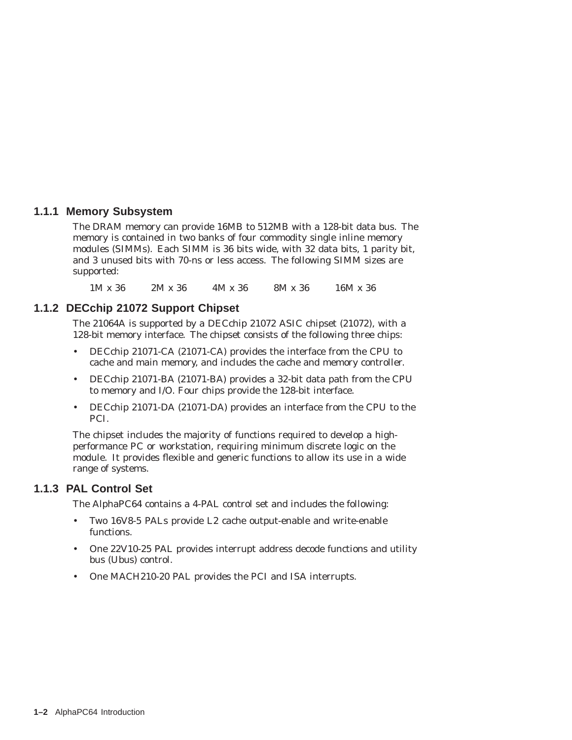#### **1.1.1 Memory Subsystem**

The DRAM memory can provide 16MB to 512MB with a 128-bit data bus. The memory is contained in two banks of four commodity single inline memory modules (SIMMs). Each SIMM is 36 bits wide, with 32 data bits, 1 parity bit, and 3 unused bits with 70-ns or less access. The following SIMM sizes are supported:

1M x 36 2M x 36 4M x 36 8M x 36 16M x 36

#### **1.1.2 DECchip 21072 Support Chipset**

The 21064A is supported by a DECchip 21072 ASIC chipset (21072), with a 128-bit memory interface. The chipset consists of the following three chips:

- DECchip 21071-CA (21071-CA) provides the interface from the CPU to cache and main memory, and includes the cache and memory controller.
- DECchip 21071-BA (21071-BA) provides a 32-bit data path from the CPU to memory and I/O. Four chips provide the 128-bit interface.
- DECchip 21071-DA (21071-DA) provides an interface from the CPU to the PCI.

The chipset includes the majority of functions required to develop a highperformance PC or workstation, requiring minimum discrete logic on the module. It provides flexible and generic functions to allow its use in a wide range of systems.

#### **1.1.3 PAL Control Set**

The AlphaPC64 contains a 4-PAL control set and includes the following:

- Two 16V8-5 PALs provide L2 cache output-enable and write-enable functions.
- One 22V10-25 PAL provides interrupt address decode functions and utility bus (Ubus) control.
- One MACH210-20 PAL provides the PCI and ISA interrupts.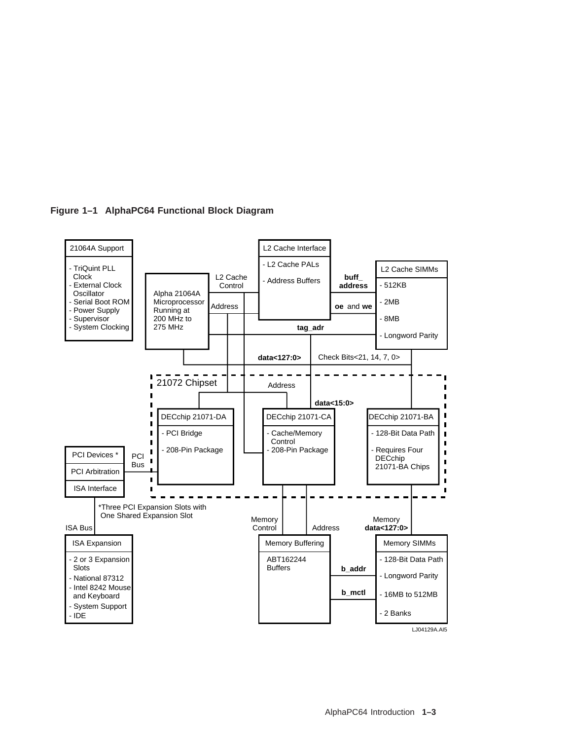

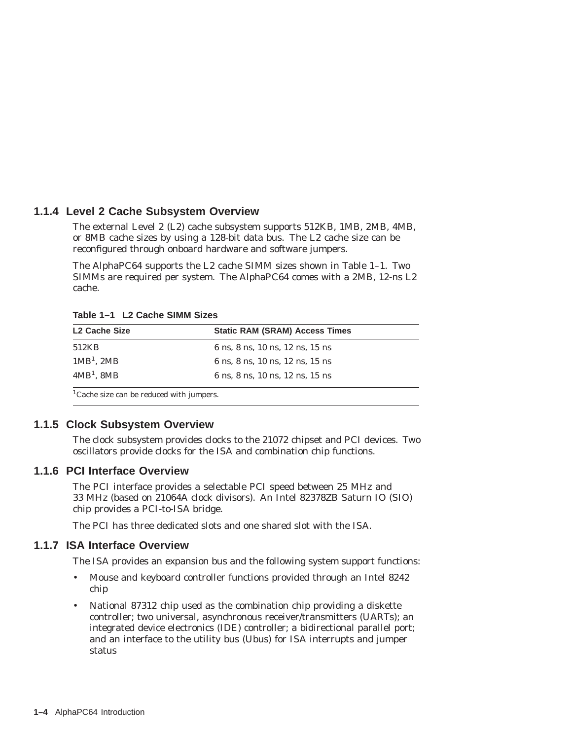#### **1.1.4 Level 2 Cache Subsystem Overview**

The external Level 2 (L2) cache subsystem supports 512KB, 1MB, 2MB, 4MB, or 8MB cache sizes by using a 128-bit data bus. The L2 cache size can be reconfigured through onboard hardware and software jumpers.

The AlphaPC64 supports the L2 cache SIMM sizes shown in Table 1–1. Two SIMMs are required per system. The AlphaPC64 comes with a 2MB, 12-ns L2 cache.

| L <sub>2</sub> Cache Size | <b>Static RAM (SRAM) Access Times</b> |
|---------------------------|---------------------------------------|
| 512KB                     | 6 ns, 8 ns, 10 ns, 12 ns, 15 ns       |
| $1MB1$ , $2MB$            | 6 ns, 8 ns, 10 ns, 12 ns, 15 ns       |
| $4MB1$ , $8MB$            | 6 ns, 8 ns, 10 ns, 12 ns, 15 ns       |

**Table 1–1 L2 Cache SIMM Sizes**

Cache size can be reduced with jumpers.

#### **1.1.5 Clock Subsystem Overview**

The clock subsystem provides clocks to the 21072 chipset and PCI devices. Two oscillators provide clocks for the ISA and combination chip functions.

#### **1.1.6 PCI Interface Overview**

The PCI interface provides a selectable PCI speed between 25 MHz and 33 MHz (based on 21064A clock divisors). An Intel 82378ZB Saturn IO (SIO) chip provides a PCI-to-ISA bridge.

The PCI has three dedicated slots and one shared slot with the ISA.

#### **1.1.7 ISA Interface Overview**

The ISA provides an expansion bus and the following system support functions:

- Mouse and keyboard controller functions provided through an Intel 8242 chip
- National 87312 chip used as the combination chip providing a diskette controller; two universal, asynchronous receiver/transmitters (UARTs); an integrated device electronics (IDE) controller; a bidirectional parallel port; and an interface to the utility bus (Ubus) for ISA interrupts and jumper status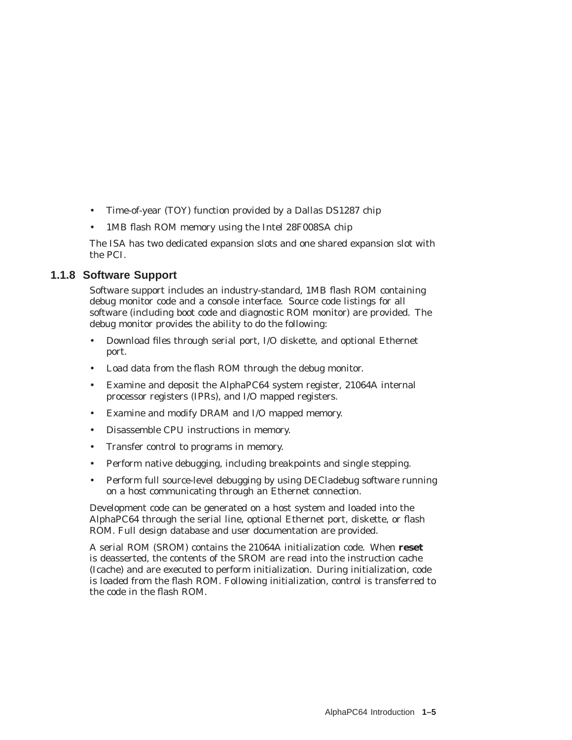- Time-of-year (TOY) function provided by a Dallas DS1287 chip
- 1MB flash ROM memory using the Intel 28F008SA chip

The ISA has two dedicated expansion slots and one shared expansion slot with the PCI.

#### **1.1.8 Software Support**

Software support includes an industry-standard, 1MB flash ROM containing debug monitor code and a console interface. Source code listings for all software (including boot code and diagnostic ROM monitor) are provided. The debug monitor provides the ability to do the following:

- Download files through serial port, I/O diskette, and optional Ethernet port.
- Load data from the flash ROM through the debug monitor.
- Examine and deposit the AlphaPC64 system register, 21064A internal processor registers (IPRs), and I/O mapped registers.
- Examine and modify DRAM and I/O mapped memory.
- Disassemble CPU instructions in memory.
- Transfer control to programs in memory.
- Perform native debugging, including breakpoints and single stepping.
- Perform full source-level debugging by using DECladebug software running on a host communicating through an Ethernet connection.

Development code can be generated on a host system and loaded into the AlphaPC64 through the serial line, optional Ethernet port, diskette, or flash ROM. Full design database and user documentation are provided.

A serial ROM (SROM) contains the 21064A initialization code. When **reset** is deasserted, the contents of the SROM are read into the instruction cache (Icache) and are executed to perform initialization. During initialization, code is loaded from the flash ROM. Following initialization, control is transferred to the code in the flash ROM.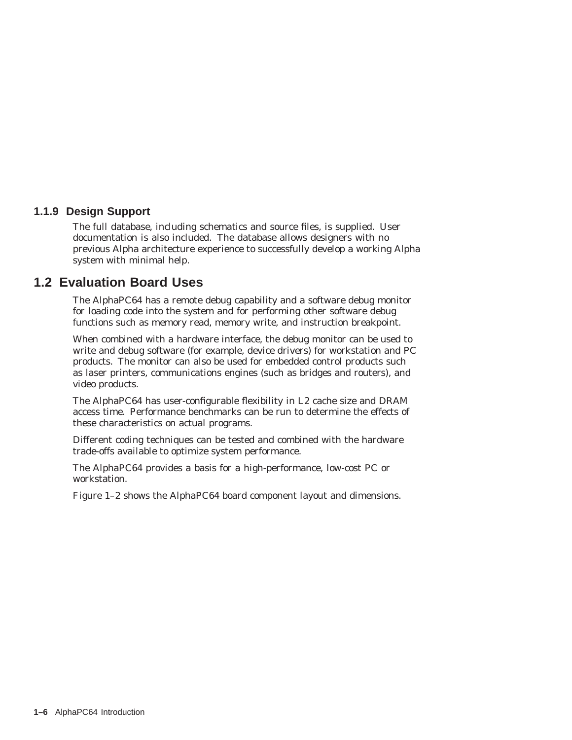#### **1.1.9 Design Support**

The full database, including schematics and source files, is supplied. User documentation is also included. The database allows designers with no previous Alpha architecture experience to successfully develop a working Alpha system with minimal help.

## **1.2 Evaluation Board Uses**

The AlphaPC64 has a remote debug capability and a software debug monitor for loading code into the system and for performing other software debug functions such as memory read, memory write, and instruction breakpoint.

When combined with a hardware interface, the debug monitor can be used to write and debug software (for example, device drivers) for workstation and PC products. The monitor can also be used for embedded control products such as laser printers, communications engines (such as bridges and routers), and video products.

The AlphaPC64 has user-configurable flexibility in L2 cache size and DRAM access time. Performance benchmarks can be run to determine the effects of these characteristics on actual programs.

Different coding techniques can be tested and combined with the hardware trade-offs available to optimize system performance.

The AlphaPC64 provides a basis for a high-performance, low-cost PC or workstation.

Figure 1–2 shows the AlphaPC64 board component layout and dimensions.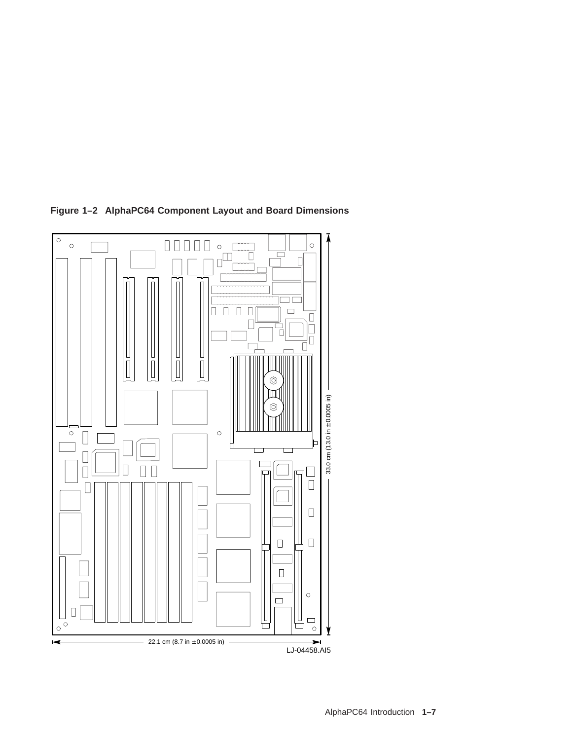

**Figure 1–2 AlphaPC64 Component Layout and Board Dimensions**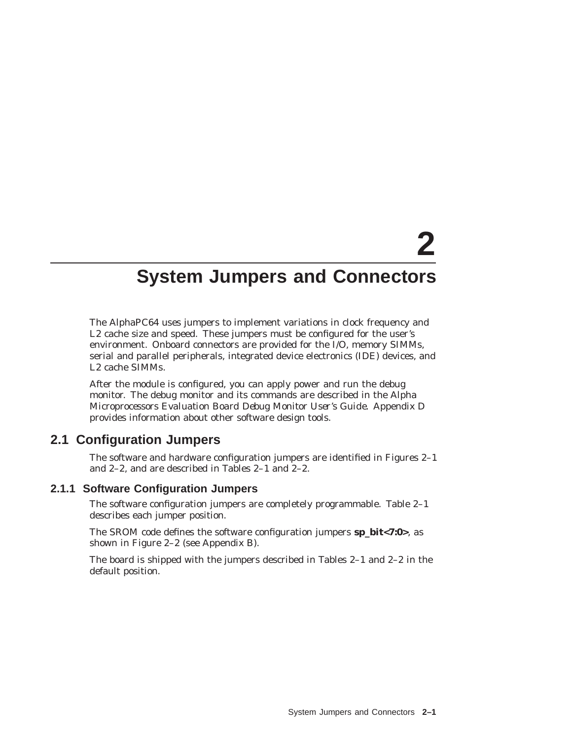# **2**

# **System Jumpers and Connectors**

The AlphaPC64 uses jumpers to implement variations in clock frequency and L2 cache size and speed. These jumpers must be configured for the user's environment. Onboard connectors are provided for the I/O, memory SIMMs, serial and parallel peripherals, integrated device electronics (IDE) devices, and L2 cache SIMMs.

After the module is configured, you can apply power and run the debug monitor. The debug monitor and its commands are described in the *Alpha Microprocessors Evaluation Board Debug Monitor User's Guide*. Appendix D provides information about other software design tools.

## **2.1 Configuration Jumpers**

The software and hardware configuration jumpers are identified in Figures 2–1 and 2–2, and are described in Tables 2–1 and 2–2.

#### **2.1.1 Software Configuration Jumpers**

The software configuration jumpers are completely programmable. Table 2–1 describes each jumper position.

The SROM code defines the software configuration jumpers **sp\_bit<7:0>**, as shown in Figure 2–2 (see Appendix B).

The board is shipped with the jumpers described in Tables 2–1 and 2–2 in the default position.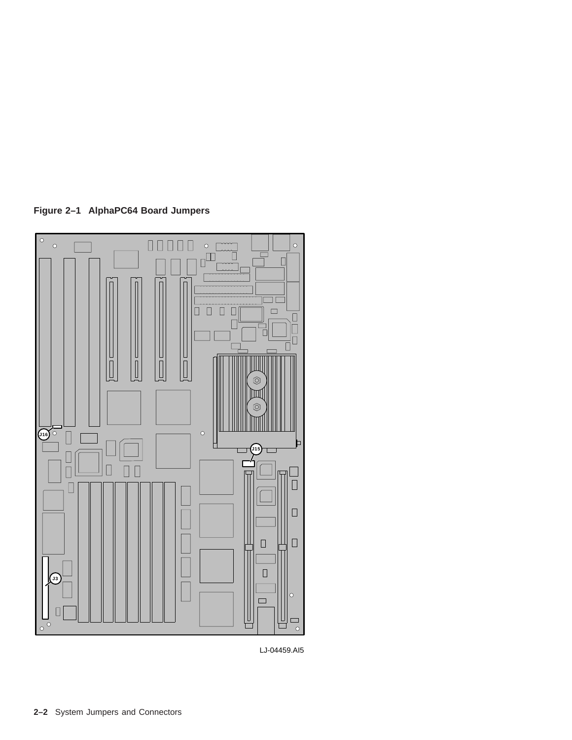



LJ-04459.AI5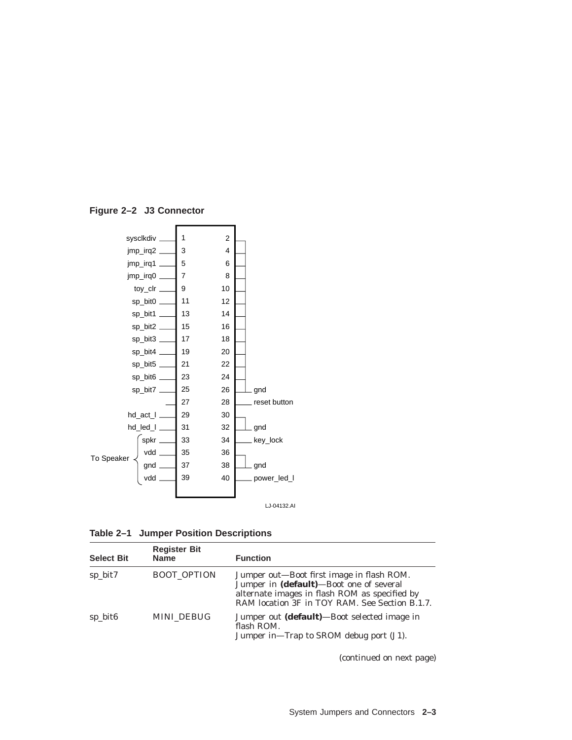



**Table 2–1 Jumper Position Descriptions**

| <b>Select Bit</b>   | <b>Register Bit</b><br><b>Name</b> | <b>Function</b>                                                                                                                                                                         |  |  |  |
|---------------------|------------------------------------|-----------------------------------------------------------------------------------------------------------------------------------------------------------------------------------------|--|--|--|
| sp_bit7             | <b>BOOT OPTION</b>                 | Jumper out—Boot first image in flash ROM.<br>Jumper in (default)-Boot one of several<br>alternate images in flash ROM as specified by<br>RAM location 3F in TOY RAM. See Section B.1.7. |  |  |  |
| sp_bit <sub>6</sub> | <b>MINI DEBUG</b>                  | Jumper out (default)—Boot selected image in<br>flash ROM.<br>Jumper in-Trap to SROM debug port (J1).                                                                                    |  |  |  |

(continued on next page)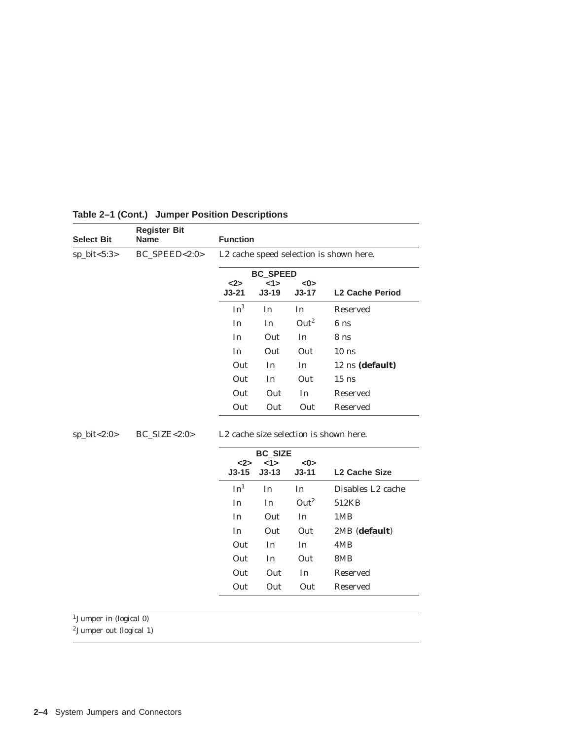| <b>Select Bit</b> | <b>Register Bit</b><br><b>Name</b> | <b>Function</b>                         |                                |                  |                        |  |  |
|-------------------|------------------------------------|-----------------------------------------|--------------------------------|------------------|------------------------|--|--|
| sp_bit<5:3>       | BC_SPEED<2:0>                      | L2 cache speed selection is shown here. |                                |                  |                        |  |  |
|                   |                                    |                                         | <b>BC_SPEED</b>                |                  |                        |  |  |
|                   |                                    | <2><br>$J3-21$                          | 1><br>$J3-19$                  | < 0<br>$J3-17$   | <b>L2 Cache Period</b> |  |  |
|                   |                                    | In <sup>1</sup>                         | In                             | In               | Reserved               |  |  |
|                   |                                    | In                                      | In                             | Out <sup>2</sup> | 6 <sub>ns</sub>        |  |  |
|                   |                                    | In                                      | Out                            | In               | 8 <sub>ns</sub>        |  |  |
|                   |                                    | In                                      | Out                            | Out              | $10$ ns                |  |  |
|                   |                                    | Out                                     | In                             | In               | 12 ns (default)        |  |  |
|                   |                                    | Out                                     | In                             | Out              | $15$ ns                |  |  |
|                   |                                    | Out                                     | Out                            | In               | Reserved               |  |  |
|                   |                                    | Out                                     | Out                            | Out              | Reserved               |  |  |
|                   |                                    | L2 cache size selection is shown here.  |                                |                  |                        |  |  |
|                   | BC_SIZE<2:0>                       |                                         |                                |                  |                        |  |  |
|                   |                                    | <2><br>$J3-15$                          | <b>BC_SIZE</b><br>1<br>$J3-13$ | < 0<br>$J3-11$   | <b>L2 Cache Size</b>   |  |  |
|                   |                                    | In <sup>1</sup>                         | In                             | In               | Disables L2 cache      |  |  |
|                   |                                    | In                                      | In                             | Out <sup>2</sup> | 512KB                  |  |  |
|                   |                                    | In                                      | Out                            | In               | 1MB                    |  |  |
|                   |                                    | In                                      | Out                            | Out              | 2MB (default)          |  |  |
|                   |                                    | Out                                     | In                             | In               | 4MB                    |  |  |
|                   |                                    | Out                                     | In                             | Out              | 8MB                    |  |  |
| $sp\_bit < 2:0 >$ |                                    | Out                                     | Out                            | In               | Reserved               |  |  |

### **Table 2–1 (Cont.) Jumper Position Descriptions**

 $1$ Jumper in (logical 0)

 $^2\rm{Jummer}$  out (logical 1)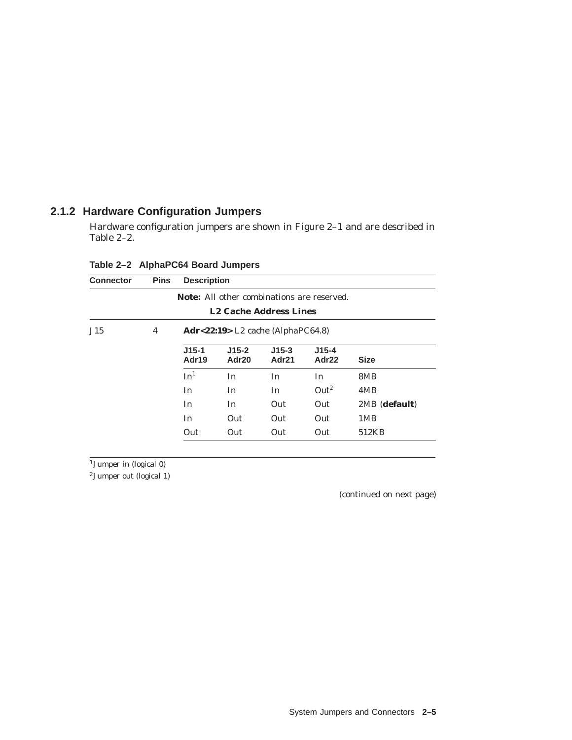## **2.1.2 Hardware Configuration Jumpers**

Hardware configuration jumpers are shown in Figure 2–1 and are described in Table 2–2.

| <b>Connector</b> | <b>Pins</b>                                                                        | <b>Description</b>                |                  |                  |                    |               |  |  |
|------------------|------------------------------------------------------------------------------------|-----------------------------------|------------------|------------------|--------------------|---------------|--|--|
|                  | <b>Note:</b> All other combinations are reserved.<br><b>L2 Cache Address Lines</b> |                                   |                  |                  |                    |               |  |  |
| J15              | 4                                                                                  | Adr<22:19> L2 cache (AlphaPC64.8) |                  |                  |                    |               |  |  |
|                  |                                                                                    | $J15-1$<br>Adr19                  | $J15-2$<br>Adr20 | $J15-3$<br>Adr21 | $J15 - 4$<br>Adr22 | <b>Size</b>   |  |  |
|                  |                                                                                    | In <sup>1</sup>                   | In               | In               | In.                | 8MB           |  |  |
|                  |                                                                                    | In.                               | In               | In               | Out <sup>2</sup>   | 4MB           |  |  |
|                  |                                                                                    | In.                               | In               | Out              | Out                | 2MB (default) |  |  |
|                  |                                                                                    | In                                | Out              | Out              | Out                | 1MB           |  |  |
|                  |                                                                                    | Out                               | Out              | Out              | Out                | 512KB         |  |  |

**Table 2–2 AlphaPC64 Board Jumpers**

 $1$ Jumper in (logical 0)

2Jumper out (logical 1)

(continued on next page)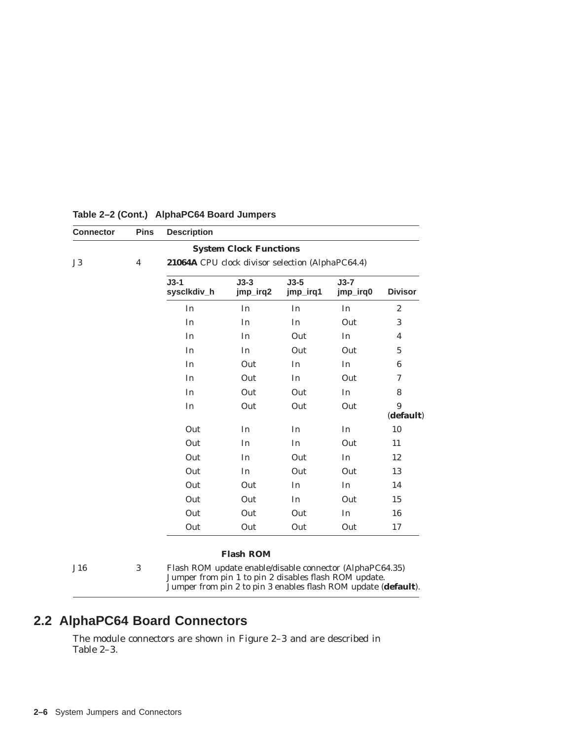| <b>Connector</b> | <b>Pins</b>    | <b>Description</b>                                                                                                                                                                  |                               |                    |                    |                  |  |
|------------------|----------------|-------------------------------------------------------------------------------------------------------------------------------------------------------------------------------------|-------------------------------|--------------------|--------------------|------------------|--|
|                  |                |                                                                                                                                                                                     | <b>System Clock Functions</b> |                    |                    |                  |  |
| J3               | $\overline{4}$ | 21064A CPU clock divisor selection (AlphaPC64.4)                                                                                                                                    |                               |                    |                    |                  |  |
|                  |                | $J3-1$<br>syscikdiv_h                                                                                                                                                               | $J3-3$<br>jmp_irq2            | $J3-5$<br>jmp_irq1 | $J3-7$<br>jmp_irq0 | <b>Divisor</b>   |  |
|                  |                | In                                                                                                                                                                                  | In                            | In                 | In                 | $\boldsymbol{2}$ |  |
|                  |                | In                                                                                                                                                                                  | In                            | In                 | Out                | 3                |  |
|                  |                | In                                                                                                                                                                                  | In                            | Out                | In                 | 4                |  |
|                  |                | In                                                                                                                                                                                  | In                            | Out                | Out                | $\overline{5}$   |  |
|                  |                | In                                                                                                                                                                                  | Out                           | In                 | In                 | 6                |  |
|                  |                | In                                                                                                                                                                                  | Out                           | In                 | Out                | 7                |  |
|                  |                | In                                                                                                                                                                                  | Out                           | Out                | In                 | 8                |  |
|                  |                | In                                                                                                                                                                                  | Out                           | Out                | Out                | 9<br>(default)   |  |
|                  |                | Out                                                                                                                                                                                 | In                            | In                 | In                 | 10               |  |
|                  |                | Out                                                                                                                                                                                 | In                            | In                 | Out                | 11               |  |
|                  |                | Out                                                                                                                                                                                 | In                            | Out                | In                 | 12               |  |
|                  |                | Out                                                                                                                                                                                 | In                            | Out                | Out                | 13               |  |
|                  |                | Out                                                                                                                                                                                 | Out                           | In                 | In                 | 14               |  |
|                  |                | Out                                                                                                                                                                                 | Out                           | In                 | Out                | 15               |  |
|                  |                | Out                                                                                                                                                                                 | Out                           | Out                | In                 | 16               |  |
|                  |                | Out                                                                                                                                                                                 | Out                           | Out                | Out                | 17               |  |
|                  |                |                                                                                                                                                                                     | <b>Flash ROM</b>              |                    |                    |                  |  |
| J16              | $\sqrt{3}$     | Flash ROM update enable/disable connector (AlphaPC64.35)<br>Jumper from pin 1 to pin 2 disables flash ROM update.<br>Jumper from pin 2 to pin 3 enables flash ROM update (default). |                               |                    |                    |                  |  |

#### **Table 2–2 (Cont.) AlphaPC64 Board Jumpers**

# **2.2 AlphaPC64 Board Connectors**

The module connectors are shown in Figure 2–3 and are described in Table 2–3.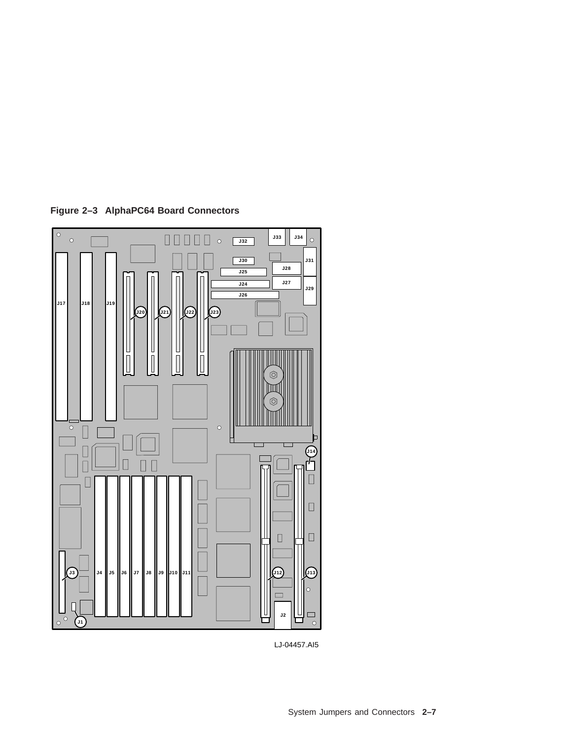

**Figure 2–3 AlphaPC64 Board Connectors**

LJ-04457.AI5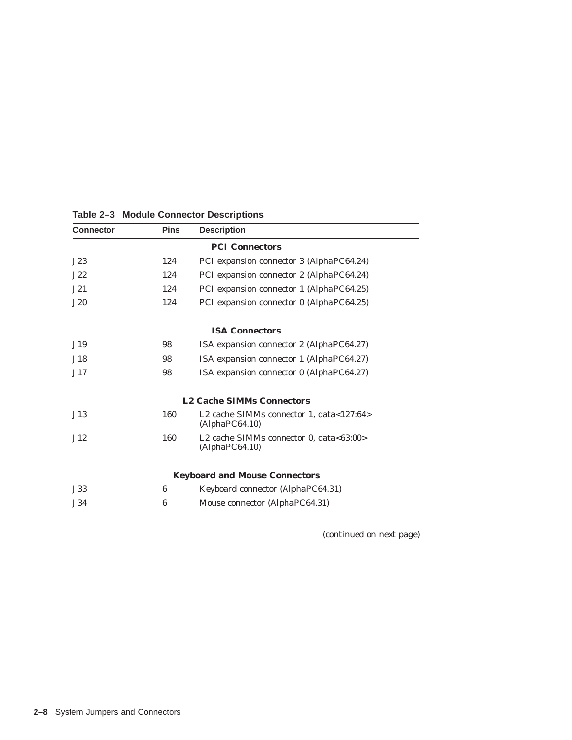| <b>Connector</b> | <b>Pins</b> | <b>Description</b>                                                     |  |
|------------------|-------------|------------------------------------------------------------------------|--|
|                  |             | <b>PCI Connectors</b>                                                  |  |
| J23              | 124         | PCI expansion connector 3 (AlphaPC64.24)                               |  |
| J22              | 124         | PCI expansion connector 2 (AlphaPC64.24)                               |  |
| J21              | 124         | PCI expansion connector 1 (AlphaPC64.25)                               |  |
| J20              | 124         | PCI expansion connector 0 (AlphaPC64.25)                               |  |
|                  |             | <b>ISA Connectors</b>                                                  |  |
| J19              | 98          | ISA expansion connector 2 (AlphaPC64.27)                               |  |
| J18              | 98          | ISA expansion connector 1 (AlphaPC64.27)                               |  |
| J17              | 98          | ISA expansion connector 0 (AlphaPC64.27)                               |  |
|                  |             | <b>L2 Cache SIMMs Connectors</b>                                       |  |
| J13              | 160         | L2 cache SIMMs connector 1, data<127:64><br>(AIphaPC64.10)             |  |
| J12              | 160         | L2 cache SIMMs connector 0, data<63:00><br>(A <sub>1</sub> phaPC64.10) |  |
|                  |             | <b>Keyboard and Mouse Connectors</b>                                   |  |
| J33              | 6           | Keyboard connector (AlphaPC64.31)                                      |  |
| J34              | 6           | Mouse connector (AlphaPC64.31)                                         |  |
|                  |             |                                                                        |  |

#### **Table 2–3 Module Connector Descriptions**

(continued on next page)

 $\overline{\phantom{a}}$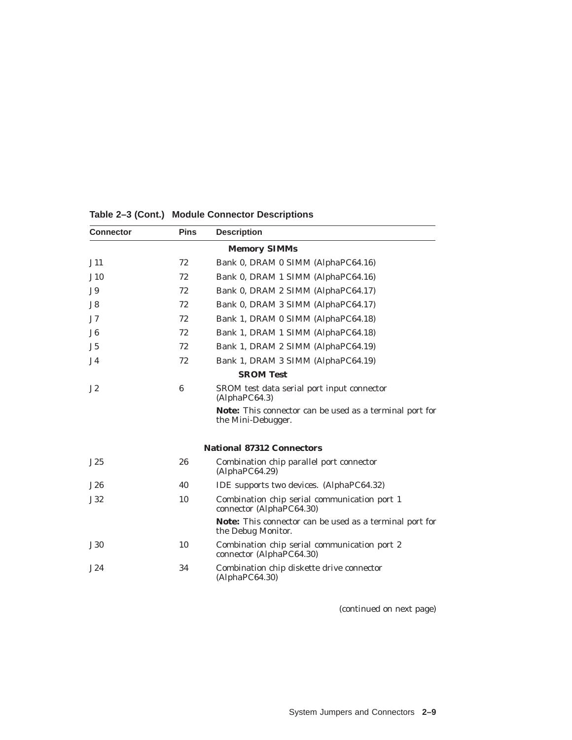| <b>Pins</b> | <b>Description</b>                                                                   |  |
|-------------|--------------------------------------------------------------------------------------|--|
|             | <b>Memory SIMMs</b>                                                                  |  |
| 72          | Bank 0, DRAM 0 SIMM (AlphaPC64.16)                                                   |  |
| 72          | Bank 0, DRAM 1 SIMM (AlphaPC64.16)                                                   |  |
| 72          | Bank 0, DRAM 2 SIMM (AlphaPC64.17)                                                   |  |
| 72          | Bank 0, DRAM 3 SIMM (AlphaPC64.17)                                                   |  |
| 72          | Bank 1, DRAM 0 SIMM (AlphaPC64.18)                                                   |  |
| 72          | Bank 1, DRAM 1 SIMM (AlphaPC64.18)                                                   |  |
| 72          | Bank 1, DRAM 2 SIMM (AlphaPC64.19)                                                   |  |
| 72          | Bank 1, DRAM 3 SIMM (AlphaPC64.19)                                                   |  |
|             | <b>SROM Test</b>                                                                     |  |
| 6           | SROM test data serial port input connector<br>(AIphaPC64.3)                          |  |
|             | <b>Note:</b> This connector can be used as a terminal port for<br>the Mini-Debugger. |  |
|             | <b>National 87312 Connectors</b>                                                     |  |
| 26          | Combination chip parallel port connector<br>(AlphaPC64.29)                           |  |
| 40          | IDE supports two devices. (AlphaPC64.32)                                             |  |
| 10          | Combination chip serial communication port 1<br>connector (AlphaPC64.30)             |  |
|             | Note: This connector can be used as a terminal port for<br>the Debug Monitor.        |  |
| 10          | Combination chip serial communication port 2<br>connector (AlphaPC64.30)             |  |
| 34          | Combination chip diskette drive connector<br>(AIphaPC64.30)                          |  |
|             |                                                                                      |  |

**Table 2–3 (Cont.) Module Connector Descriptions**

(continued on next page)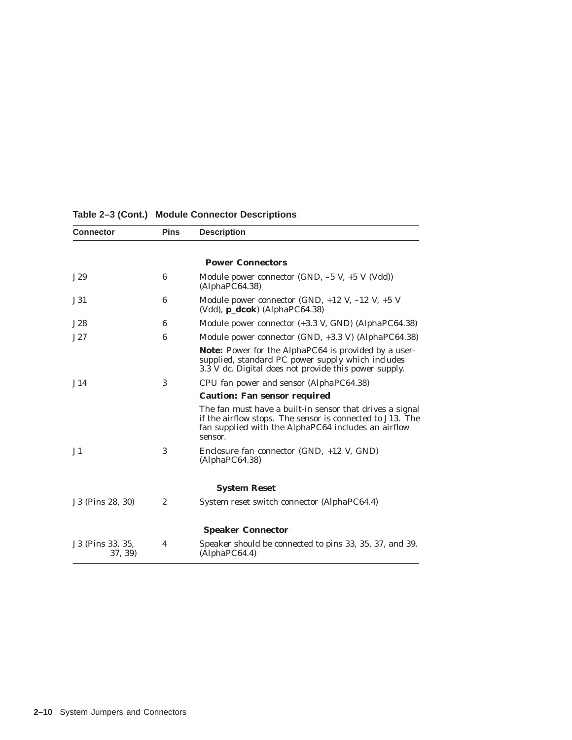| <b>Connector</b>            | <b>Pins</b>    | <b>Description</b>                                                                                                                                                                             |  |
|-----------------------------|----------------|------------------------------------------------------------------------------------------------------------------------------------------------------------------------------------------------|--|
|                             |                |                                                                                                                                                                                                |  |
|                             |                | <b>Power Connectors</b>                                                                                                                                                                        |  |
| J29                         | 6              | Module power connector (GND, $-5$ V, $+5$ V (Vdd))<br>(AIphaPC64.38)                                                                                                                           |  |
| J31                         | 6              | Module power connector (GND, $+12$ V, $-12$ V, $+5$ V<br>(Vdd), p_dcok) (AlphaPC64.38)                                                                                                         |  |
| J28                         | 6              | Module power connector (+3.3 V, GND) (AlphaPC64.38)                                                                                                                                            |  |
| J27                         | 6              | Module power connector (GND, +3.3 V) (AlphaPC64.38)                                                                                                                                            |  |
|                             |                | Note: Power for the AlphaPC64 is provided by a user-<br>supplied, standard PC power supply which includes<br>3.3 V dc. Digital does not provide this power supply.                             |  |
| J14                         | 3              | CPU fan power and sensor (AlphaPC64.38)                                                                                                                                                        |  |
|                             |                | <b>Caution: Fan sensor required</b>                                                                                                                                                            |  |
|                             |                | The fan <i>must</i> have a built-in sensor that drives a signal<br>if the airflow stops. The sensor is connected to J13. The<br>fan supplied with the AlphaPC64 includes an airflow<br>sensor. |  |
| J <sub>1</sub>              | 3              | Enclosure fan connector $(GND, +12, V, GND)$<br>(AIphaPC64.38)                                                                                                                                 |  |
|                             |                | <b>System Reset</b>                                                                                                                                                                            |  |
| J3 (Pins 28, 30)            | $\overline{2}$ | System reset switch connector (AlphaPC64.4)                                                                                                                                                    |  |
|                             |                | <b>Speaker Connector</b>                                                                                                                                                                       |  |
| J3 (Pins 33, 35,<br>37, 39) | 4              | Speaker should be connected to pins 33, 35, 37, and 39.<br>(AIphaPC64.4)                                                                                                                       |  |

#### **Table 2–3 (Cont.) Module Connector Descriptions**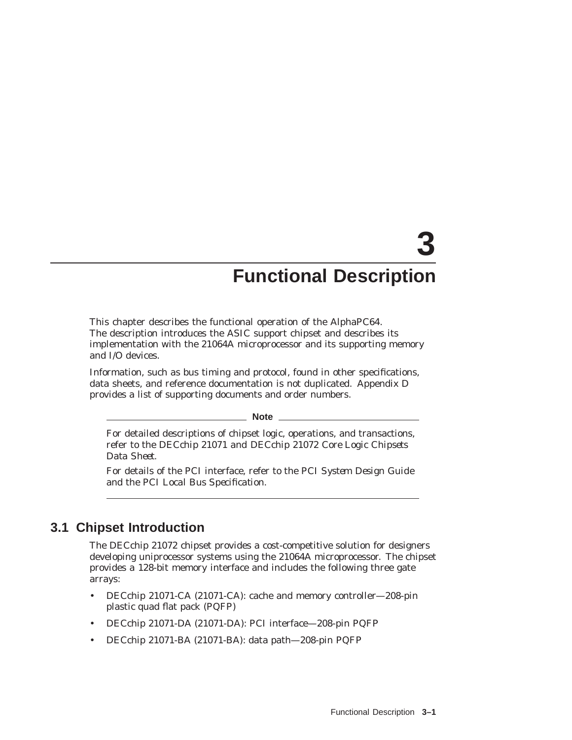# **3 Functional Description**

This chapter describes the functional operation of the AlphaPC64. The description introduces the ASIC support chipset and describes its implementation with the 21064A microprocessor and its supporting memory and I/O devices.

Information, such as bus timing and protocol, found in other specifications, data sheets, and reference documentation is not duplicated. Appendix D provides a list of supporting documents and order numbers.

**Note**

For detailed descriptions of chipset logic, operations, and transactions, refer to the *DECchip 21071 and DECchip 21072 Core Logic Chipsets Data Sheet*.

For details of the PCI interface, refer to the *PCI System Design Guide* and the *PCI Local Bus Specification*.

# **3.1 Chipset Introduction**

The DECchip 21072 chipset provides a cost-competitive solution for designers developing uniprocessor systems using the 21064A microprocessor. The chipset provides a 128-bit memory interface and includes the following three gate arrays:

- DECchip 21071-CA (21071-CA): cache and memory controller—208-pin plastic quad flat pack (PQFP)
- DECchip 21071-DA (21071-DA): PCI interface—208-pin PQFP
- DECchip 21071-BA (21071-BA): data path—208-pin PQFP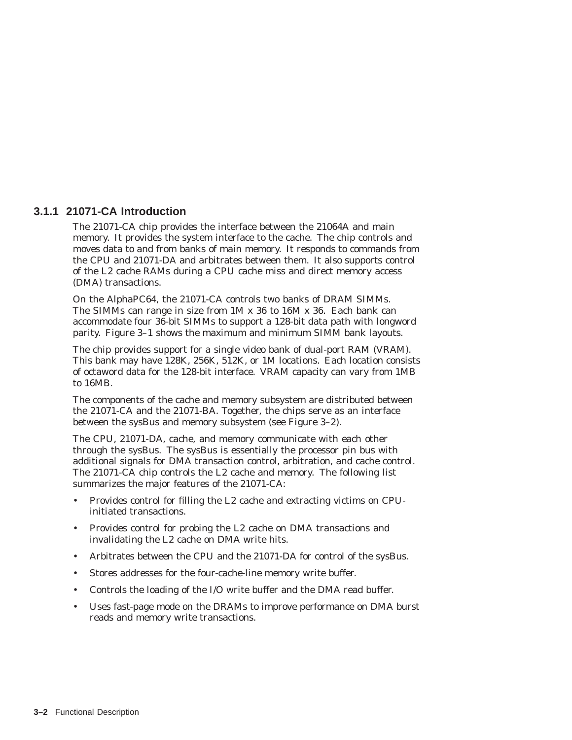# **3.1.1 21071-CA Introduction**

The 21071-CA chip provides the interface between the 21064A and main memory. It provides the system interface to the cache. The chip controls and moves data to and from banks of main memory. It responds to commands from the CPU and 21071-DA and arbitrates between them. It also supports control of the L2 cache RAMs during a CPU cache miss and direct memory access (DMA) transactions.

On the AlphaPC64, the 21071-CA controls two banks of DRAM SIMMs. The SIMMs can range in size from 1M x 36 to 16M x 36. Each bank can accommodate four 36-bit SIMMs to support a 128-bit data path with longword parity. Figure 3–1 shows the maximum and minimum SIMM bank layouts.

The chip provides support for a single video bank of dual-port RAM (VRAM). This bank may have 128K, 256K, 512K, or 1M locations. Each location consists of octaword data for the 128-bit interface. VRAM capacity can vary from 1MB to 16MB.

The components of the cache and memory subsystem are distributed between the 21071-CA and the 21071-BA. Together, the chips serve as an interface between the sysBus and memory subsystem (see Figure 3–2).

The CPU, 21071-DA, cache, and memory communicate with each other through the sysBus. The sysBus is essentially the processor pin bus with additional signals for DMA transaction control, arbitration, and cache control. The 21071-CA chip controls the L2 cache and memory. The following list summarizes the major features of the 21071-CA:

- Provides control for filling the L2 cache and extracting victims on CPUinitiated transactions.
- Provides control for probing the L2 cache on DMA transactions and invalidating the L2 cache on DMA write hits.
- Arbitrates between the CPU and the 21071-DA for control of the sysBus.
- Stores addresses for the four-cache-line memory write buffer.
- Controls the loading of the I/O write buffer and the DMA read buffer.
- Uses fast-page mode on the DRAMs to improve performance on DMA burst reads and memory write transactions.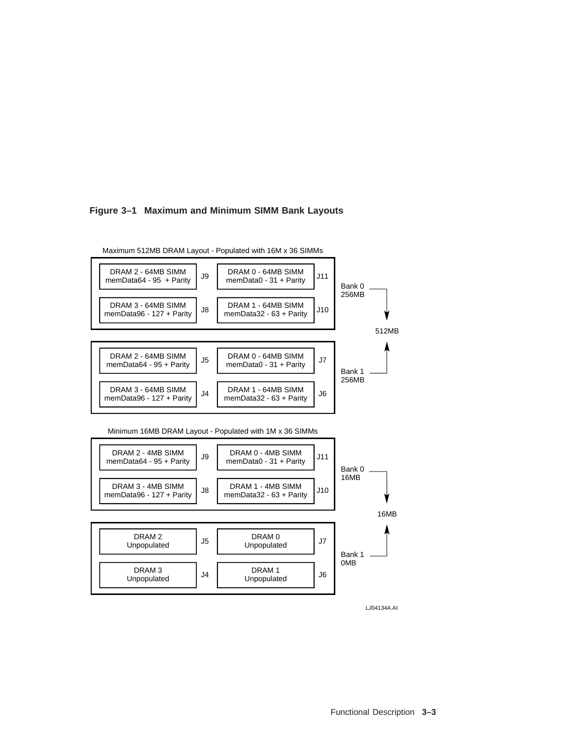#### **Figure 3–1 Maximum and Minimum SIMM Bank Layouts**

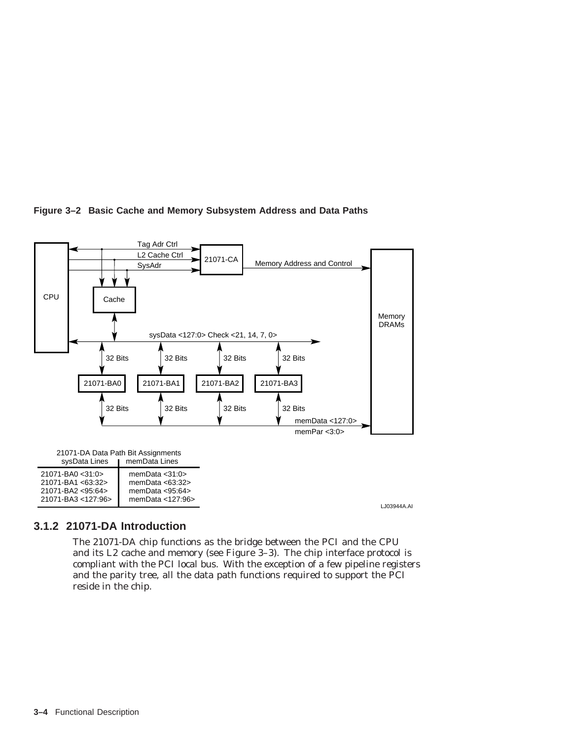

#### **Figure 3–2 Basic Cache and Memory Subsystem Address and Data Paths**

21071-BA0 <31:0> memData <31:0> 21071-BA1 <63:32> memData <63:32> 21071-BA2 <95:64> memData <95:64> 21071-BA3 <127:96>

LJ03944A.AI

# **3.1.2 21071-DA Introduction**

The 21071-DA chip functions as the bridge between the PCI and the CPU and its L2 cache and memory (see Figure 3–3). The chip interface protocol is compliant with the PCI local bus. With the exception of a few pipeline registers and the parity tree, all the data path functions required to support the PCI reside in the chip.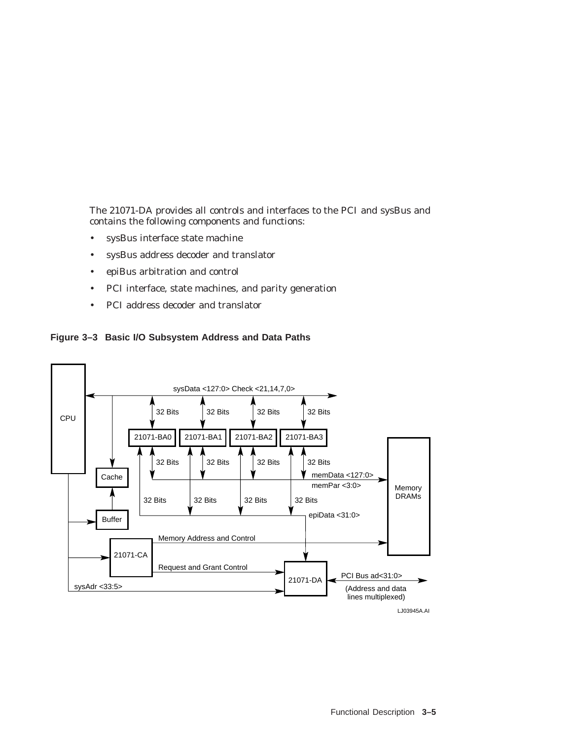The 21071-DA provides all controls and interfaces to the PCI and sysBus and contains the following components and functions:

- sysBus interface state machine
- sysBus address decoder and translator
- epiBus arbitration and control
- PCI interface, state machines, and parity generation
- PCI address decoder and translator



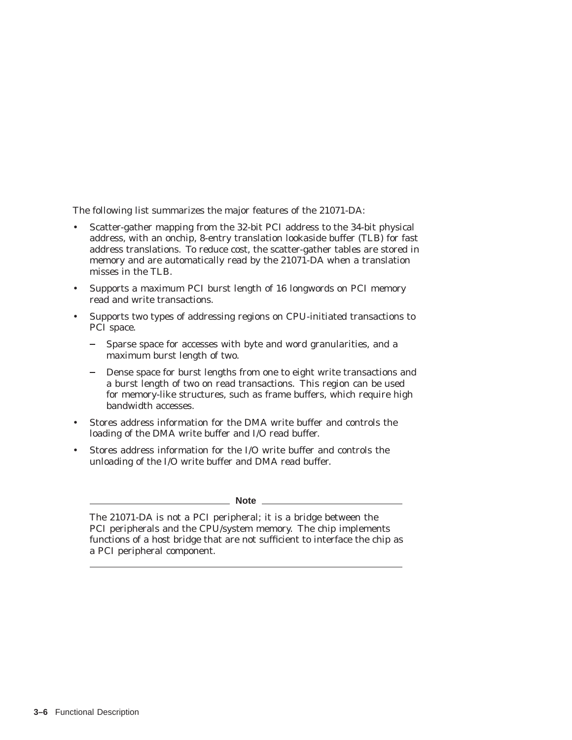The following list summarizes the major features of the 21071-DA:

- Scatter-gather mapping from the 32-bit PCI address to the 34-bit physical address, with an onchip, 8-entry translation lookaside buffer (TLB) for fast address translations. To reduce cost, the scatter-gather tables are stored in memory and are automatically read by the 21071-DA when a translation misses in the TLB.
- Supports a maximum PCI burst length of 16 longwords on PCI memory read and write transactions.
- Supports two types of addressing regions on CPU-initiated transactions to PCI space.
	- $\frac{1}{2}$ Sparse space for accesses with byte and word granularities, and a maximum burst length of two.
	- Dense space for burst lengths from one to eight write transactions and a burst length of two on read transactions. This region can be used for memory-like structures, such as frame buffers, which require high bandwidth accesses.
- Stores address information for the DMA write buffer and controls the loading of the DMA write buffer and I/O read buffer.
- Stores address information for the I/O write buffer and controls the unloading of the I/O write buffer and DMA read buffer.

**Note**

The 21071-DA is not a PCI peripheral; it is a bridge between the PCI peripherals and the CPU/system memory. The chip implements functions of a host bridge that are not sufficient to interface the chip as a PCI peripheral component.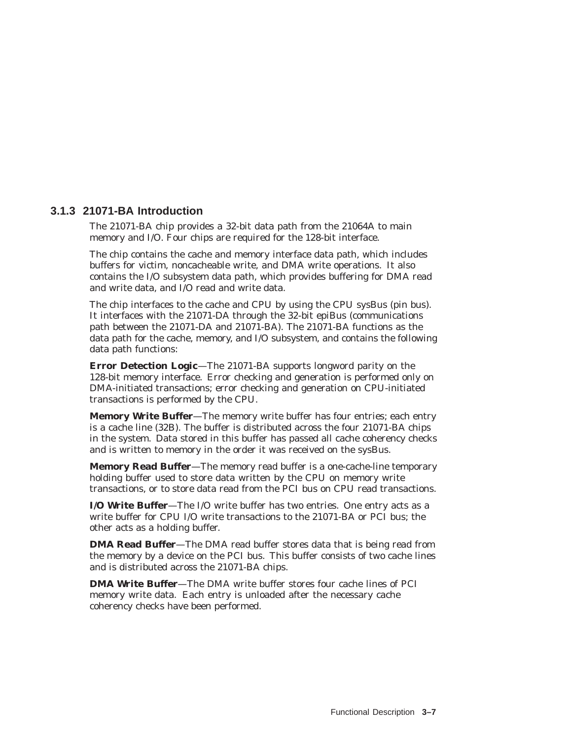# **3.1.3 21071-BA Introduction**

The 21071-BA chip provides a 32-bit data path from the 21064A to main memory and I/O. Four chips are required for the 128-bit interface.

The chip contains the cache and memory interface data path, which includes buffers for victim, noncacheable write, and DMA write operations. It also contains the I/O subsystem data path, which provides buffering for DMA read and write data, and I/O read and write data.

The chip interfaces to the cache and CPU by using the CPU sysBus (pin bus). It interfaces with the 21071-DA through the 32-bit epiBus (communications path between the 21071-DA and 21071-BA). The 21071-BA functions as the data path for the cache, memory, and I/O subsystem, and contains the following data path functions:

**Error Detection Logic**—The 21071-BA supports longword parity on the 128-bit memory interface. Error checking and generation is performed only on DMA-initiated transactions; error checking and generation on CPU-initiated transactions is performed by the CPU.

**Memory Write Buffer**—The memory write buffer has four entries; each entry is a cache line (32B). The buffer is distributed across the four 21071-BA chips in the system. Data stored in this buffer has passed all cache coherency checks and is written to memory in the order it was received on the sysBus.

**Memory Read Buffer**—The memory read buffer is a one-cache-line temporary holding buffer used to store data written by the CPU on memory write transactions, or to store data read from the PCI bus on CPU read transactions.

**I/O Write Buffer**—The I/O write buffer has two entries. One entry acts as a write buffer for CPU I/O write transactions to the 21071-BA or PCI bus; the other acts as a holding buffer.

**DMA Read Buffer**—The DMA read buffer stores data that is being read from the memory by a device on the PCI bus. This buffer consists of two cache lines and is distributed across the 21071-BA chips.

**DMA Write Buffer**—The DMA write buffer stores four cache lines of PCI memory write data. Each entry is unloaded after the necessary cache coherency checks have been performed.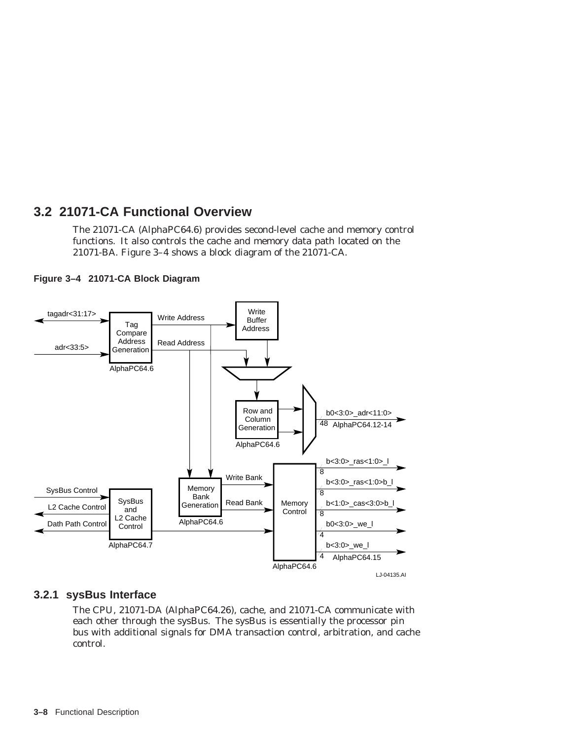# **3.2 21071-CA Functional Overview**

The 21071-CA (*AlphaPC64.6*) provides second-level cache and memory control functions. It also controls the cache and memory data path located on the 21071-BA. Figure 3–4 shows a block diagram of the 21071-CA.



#### **Figure 3–4 21071-CA Block Diagram**

# **3.2.1 sysBus Interface**

The CPU, 21071-DA (*AlphaPC64.26*), cache, and 21071-CA communicate with each other through the sysBus. The sysBus is essentially the processor pin bus with additional signals for DMA transaction control, arbitration, and cache control.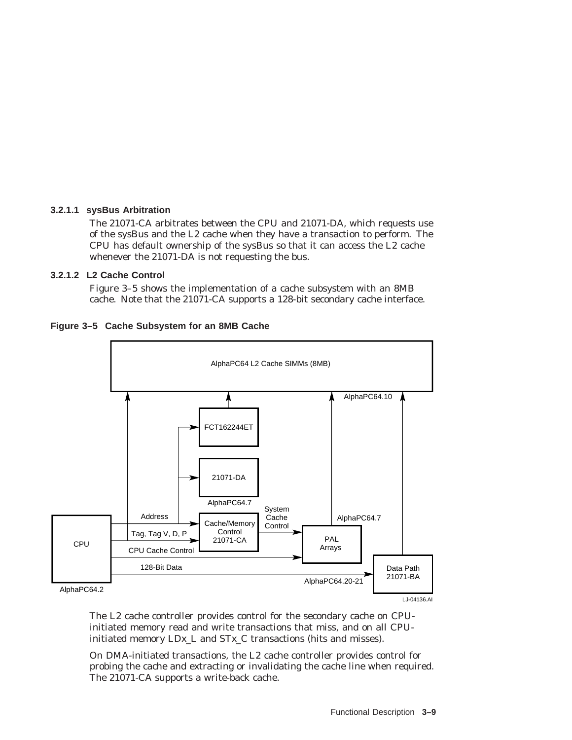#### **3.2.1.1 sysBus Arbitration**

The 21071-CA arbitrates between the CPU and 21071-DA, which requests use of the sysBus and the L2 cache when they have a transaction to perform. The CPU has default ownership of the sysBus so that it can access the L2 cache whenever the 21071-DA is not requesting the bus.

#### **3.2.1.2 L2 Cache Control**

Figure 3–5 shows the implementation of a cache subsystem with an 8MB cache. Note that the 21071-CA supports a 128-bit secondary cache interface.





The L2 cache controller provides control for the secondary cache on CPUinitiated memory read and write transactions that miss, and on all CPUinitiated memory LD*x*\_L and ST*x*\_C transactions (hits and misses).

On DMA-initiated transactions, the L2 cache controller provides control for probing the cache and extracting or invalidating the cache line when required. The 21071-CA supports a write-back cache.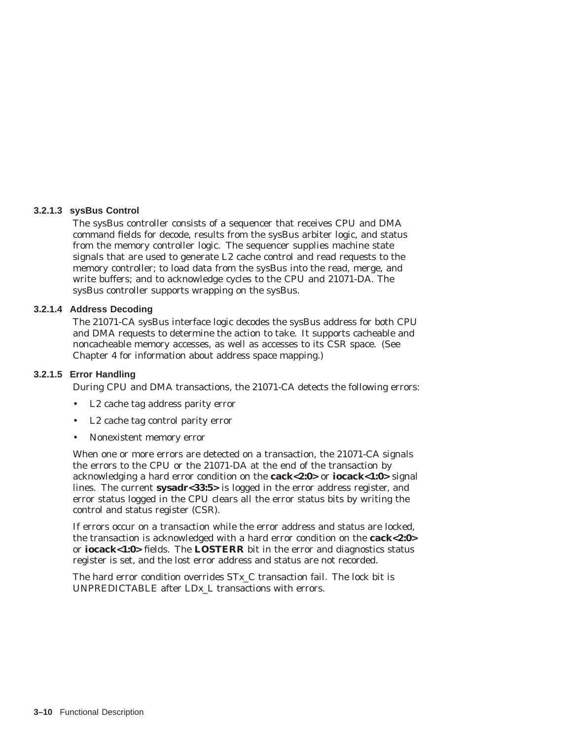#### **3.2.1.3 sysBus Control**

The sysBus controller consists of a sequencer that receives CPU and DMA command fields for decode, results from the sysBus arbiter logic, and status from the memory controller logic. The sequencer supplies machine state signals that are used to generate L2 cache control and read requests to the memory controller; to load data from the sysBus into the read, merge, and write buffers; and to acknowledge cycles to the CPU and 21071-DA. The sysBus controller supports wrapping on the sysBus.

#### **3.2.1.4 Address Decoding**

The 21071-CA sysBus interface logic decodes the sysBus address for both CPU and DMA requests to determine the action to take. It supports cacheable and noncacheable memory accesses, as well as accesses to its CSR space. (See Chapter 4 for information about address space mapping.)

#### **3.2.1.5 Error Handling**

During CPU and DMA transactions, the 21071-CA detects the following errors:

- L<sub>2</sub> cache tag address parity error
- L2 cache tag control parity error
- Nonexistent memory error

When one or more errors are detected on a transaction, the 21071-CA signals the errors to the CPU or the 21071-DA at the end of the transaction by acknowledging a hard error condition on the **cack<2:0>** or **iocack<1:0>** signal lines. The current **sysadr<33:5>** is logged in the error address register, and error status logged in the CPU clears all the error status bits by writing the control and status register (CSR).

If errors occur on a transaction while the error address and status are locked, the transaction is acknowledged with a hard error condition on the **cack<2:0>** or **iocack<1:0>** fields. The **LOSTERR** bit in the error and diagnostics status register is set, and the lost error address and status are not recorded.

The hard error condition overrides ST*x*\_C transaction fail. The lock bit is UNPREDICTABLE after LD*x*\_L transactions with errors.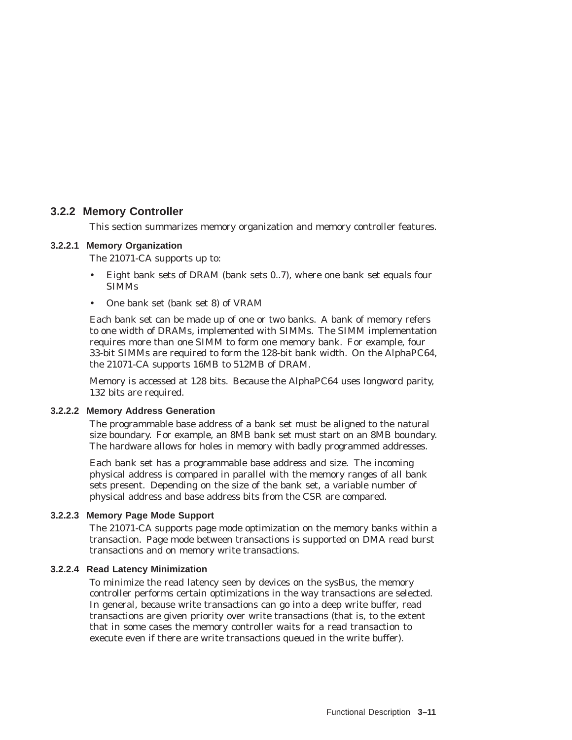# **3.2.2 Memory Controller**

This section summarizes memory organization and memory controller features.

#### **3.2.2.1 Memory Organization**

The 21071-CA supports up to:

- Eight bank sets of DRAM (bank sets 0..7), where one bank set equals four SIMMs
- One bank set (bank set 8) of VRAM

Each bank set can be made up of one or two banks. A bank of memory refers to one width of DRAMs, implemented with SIMMs. The SIMM implementation requires more than one SIMM to form one memory bank. For example, four 33-bit SIMMs are required to form the 128-bit bank width. On the AlphaPC64, the 21071-CA supports 16MB to 512MB of DRAM.

Memory is accessed at 128 bits. Because the AlphaPC64 uses longword parity, 132 bits are required.

#### **3.2.2.2 Memory Address Generation**

The programmable base address of a bank set must be aligned to the natural size boundary. For example, an 8MB bank set must start on an 8MB boundary. The hardware allows for holes in memory with badly programmed addresses.

Each bank set has a programmable base address and size. The incoming physical address is compared in parallel with the memory ranges of all bank sets present. Depending on the size of the bank set, a variable number of physical address and base address bits from the CSR are compared.

#### **3.2.2.3 Memory Page Mode Support**

The 21071-CA supports page mode optimization on the memory banks within a transaction. Page mode between transactions is supported on DMA read burst transactions and on memory write transactions.

#### **3.2.2.4 Read Latency Minimization**

To minimize the read latency seen by devices on the sysBus, the memory controller performs certain optimizations in the way transactions are selected. In general, because write transactions can go into a deep write buffer, read transactions are given priority over write transactions (that is, to the extent that in some cases the memory controller waits for a read transaction to execute even if there are write transactions queued in the write buffer).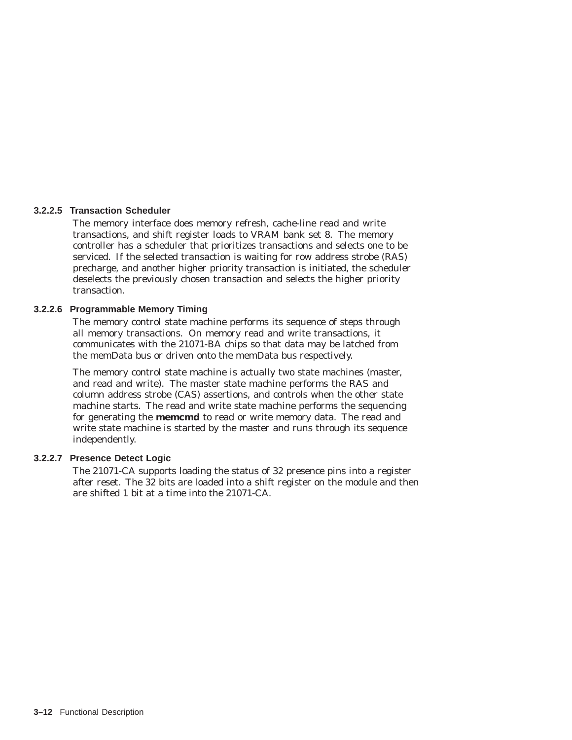#### **3.2.2.5 Transaction Scheduler**

The memory interface does memory refresh, cache-line read and write transactions, and shift register loads to VRAM bank set 8. The memory controller has a scheduler that prioritizes transactions and selects one to be serviced. If the selected transaction is waiting for row address strobe (RAS) precharge, and another higher priority transaction is initiated, the scheduler deselects the previously chosen transaction and selects the higher priority transaction.

#### **3.2.2.6 Programmable Memory Timing**

The memory control state machine performs its sequence of steps through all memory transactions. On memory read and write transactions, it communicates with the 21071-BA chips so that data may be latched from the memData bus or driven onto the memData bus respectively.

The memory control state machine is actually two state machines (master, and read and write). The master state machine performs the RAS and column address strobe (CAS) assertions, and controls when the other state machine starts. The read and write state machine performs the sequencing for generating the **memcmd** to read or write memory data. The read and write state machine is started by the master and runs through its sequence independently.

#### **3.2.2.7 Presence Detect Logic**

The 21071-CA supports loading the status of 32 presence pins into a register after reset. The 32 bits are loaded into a shift register on the module and then are shifted 1 bit at a time into the 21071-CA.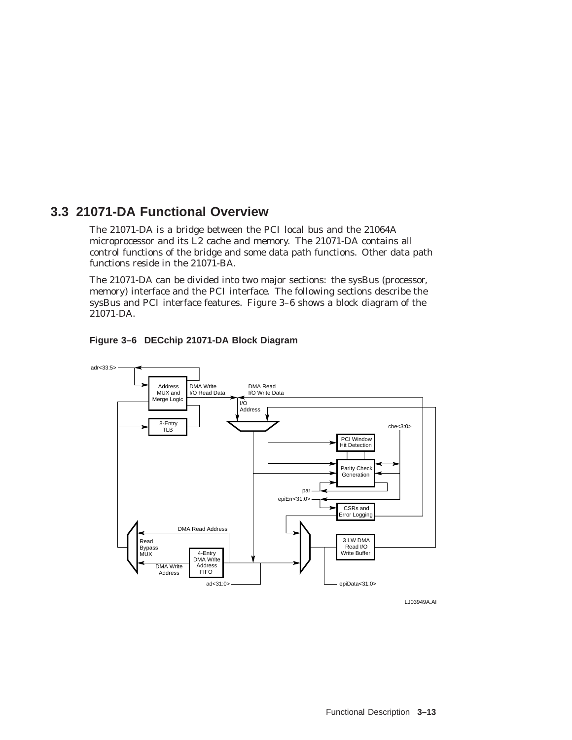# **3.3 21071-DA Functional Overview**

The 21071-DA is a bridge between the PCI local bus and the 21064A microprocessor and its L2 cache and memory. The 21071-DA contains all control functions of the bridge and some data path functions. Other data path functions reside in the 21071-BA.

The 21071-DA can be divided into two major sections: the sysBus (processor, memory) interface and the PCI interface. The following sections describe the sysBus and PCI interface features. Figure 3–6 shows a block diagram of the 21071-DA.





LJ03949A.AI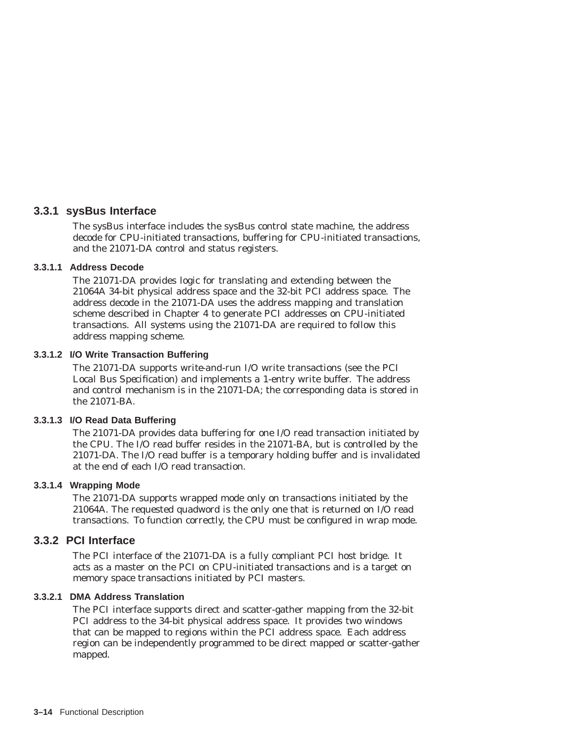# **3.3.1 sysBus Interface**

The sysBus interface includes the sysBus control state machine, the address decode for CPU-initiated transactions, buffering for CPU-initiated transactions, and the 21071-DA control and status registers.

# **3.3.1.1 Address Decode**

The 21071-DA provides logic for translating and extending between the 21064A 34-bit physical address space and the 32-bit PCI address space. The address decode in the 21071-DA uses the address mapping and translation scheme described in Chapter 4 to generate PCI addresses on CPU-initiated transactions. All systems using the 21071-DA are required to follow this address mapping scheme.

#### **3.3.1.2 I/O Write Transaction Buffering**

The 21071-DA supports *write-and-run* I/O write transactions (see the *PCI Local Bus Specification*) and implements a 1-entry write buffer. The address and control mechanism is in the 21071-DA; the corresponding data is stored in the 21071-BA.

#### **3.3.1.3 I/O Read Data Buffering**

The 21071-DA provides data buffering for one I/O read transaction initiated by the CPU. The I/O read buffer resides in the 21071-BA, but is controlled by the 21071-DA. The I/O read buffer is a temporary holding buffer and is invalidated at the end of each I/O read transaction.

# **3.3.1.4 Wrapping Mode**

The 21071-DA supports wrapped mode only on transactions initiated by the 21064A. The requested quadword is the only one that is returned on I/O read transactions. To function correctly, the CPU must be configured in wrap mode.

# **3.3.2 PCI Interface**

The PCI interface of the 21071-DA is a fully compliant PCI host bridge. It acts as a master on the PCI on CPU-initiated transactions and is a target on memory space transactions initiated by PCI masters.

# **3.3.2.1 DMA Address Translation**

The PCI interface supports direct and scatter-gather mapping from the 32-bit PCI address to the 34-bit physical address space. It provides two windows that can be mapped to regions within the PCI address space. Each address region can be independently programmed to be direct mapped or scatter-gather mapped.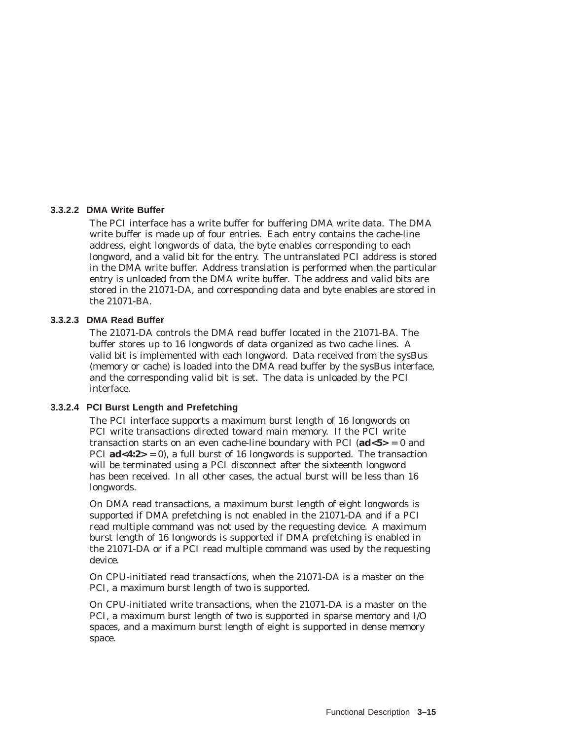#### **3.3.2.2 DMA Write Buffer**

The PCI interface has a write buffer for buffering DMA write data. The DMA write buffer is made up of four entries. Each entry contains the cache-line address, eight longwords of data, the byte enables corresponding to each longword, and a valid bit for the entry. The untranslated PCI address is stored in the DMA write buffer. Address translation is performed when the particular entry is unloaded from the DMA write buffer. The address and valid bits are stored in the 21071-DA, and corresponding data and byte enables are stored in the 21071-BA.

### **3.3.2.3 DMA Read Buffer**

The 21071-DA controls the DMA read buffer located in the 21071-BA. The buffer stores up to 16 longwords of data organized as two cache lines. A valid bit is implemented with each longword. Data received from the sysBus (memory or cache) is loaded into the DMA read buffer by the sysBus interface, and the corresponding valid bit is set. The data is unloaded by the PCI interface.

#### **3.3.2.4 PCI Burst Length and Prefetching**

The PCI interface supports a maximum burst length of 16 longwords on PCI write transactions directed toward main memory. If the PCI write transaction starts on an even cache-line boundary with PCI (**ad<5>** = 0 and PCI  $ad < 4:2> = 0$ , a full burst of 16 longwords is supported. The transaction will be terminated using a PCI disconnect after the sixteenth longword has been received. In all other cases, the actual burst will be less than 16 longwords.

On DMA read transactions, a maximum burst length of eight longwords is supported if DMA prefetching is not enabled in the 21071-DA and if a PCI read multiple command was not used by the requesting device. A maximum burst length of 16 longwords is supported if DMA prefetching is enabled in the 21071-DA or if a PCI read multiple command was used by the requesting device.

On CPU-initiated read transactions, when the 21071-DA is a master on the PCI, a maximum burst length of two is supported.

On CPU-initiated write transactions, when the 21071-DA is a master on the PCI, a maximum burst length of two is supported in sparse memory and I/O spaces, and a maximum burst length of eight is supported in dense memory space.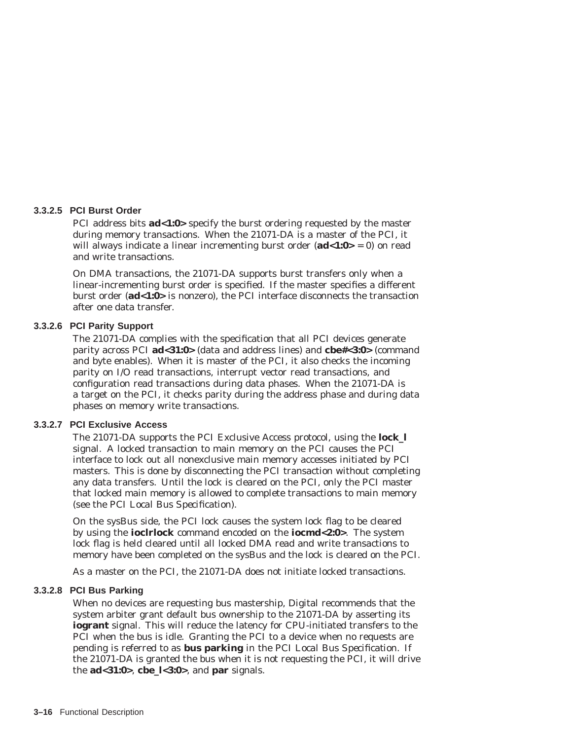#### **3.3.2.5 PCI Burst Order**

PCI address bits **ad<1:0>** specify the burst ordering requested by the master during memory transactions. When the 21071-DA is a master of the PCI, it will always indicate a linear incrementing burst order (**ad<1:0>** = 0) on read and write transactions.

On DMA transactions, the 21071-DA supports burst transfers only when a linear-incrementing burst order is specified. If the master specifies a different burst order (**ad<1:0>** is nonzero), the PCI interface disconnects the transaction after one data transfer.

#### **3.3.2.6 PCI Parity Support**

The 21071-DA complies with the specification that all PCI devices generate parity across PCI **ad<31:0>** (data and address lines) and **cbe#<3:0>** (command and byte enables). When it is master of the PCI, it also checks the incoming parity on I/O read transactions, interrupt vector read transactions, and configuration read transactions during data phases. When the 21071-DA is a target on the PCI, it checks parity during the address phase and during data phases on memory write transactions.

#### **3.3.2.7 PCI Exclusive Access**

The 21071-DA supports the PCI Exclusive Access protocol, using the **lock\_l** signal. A locked transaction to main memory on the PCI causes the PCI interface to lock out all nonexclusive main memory accesses initiated by PCI masters. This is done by disconnecting the PCI transaction without completing any data transfers. Until the lock is cleared on the PCI, only the PCI master that locked main memory is allowed to complete transactions to main memory (see the *PCI Local Bus Specification*).

On the sysBus side, the PCI lock causes the system lock flag to be cleared by using the **ioclrlock** command encoded on the **iocmd<2:0>**. The system lock flag is held cleared until all locked DMA read and write transactions to memory have been completed on the sysBus and the lock is cleared on the PCI.

As a master on the PCI, the 21071-DA does not initiate locked transactions.

#### **3.3.2.8 PCI Bus Parking**

When no devices are requesting bus mastership, Digital recommends that the system arbiter grant default bus ownership to the 21071-DA by asserting its **iogrant** signal. This will reduce the latency for CPU-initiated transfers to the PCI when the bus is idle. Granting the PCI to a device when no requests are pending is referred to as **bus parking** in the *PCI Local Bus Specification*. If the 21071-DA is granted the bus when it is not requesting the PCI, it will drive the **ad<31:0>**, **cbe\_l<3:0>**, and **par** signals.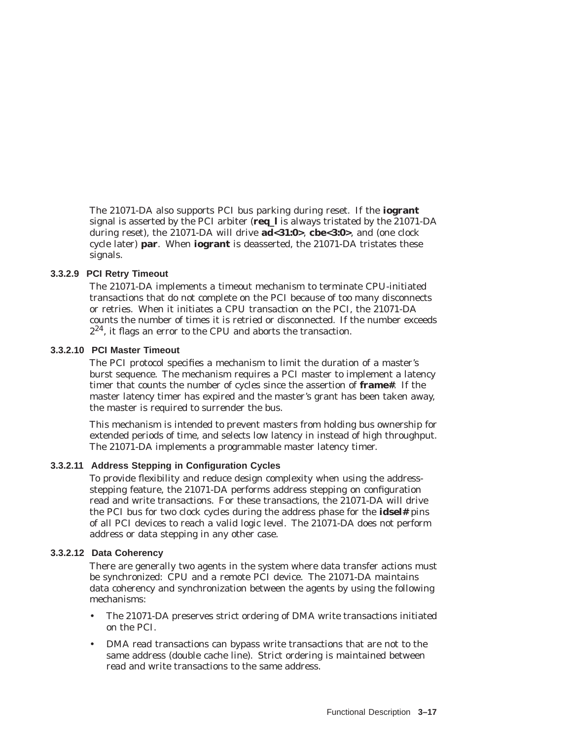The 21071-DA also supports PCI bus parking during reset. If the **iogrant** signal is asserted by the PCI arbiter (**req\_l** is always tristated by the 21071-DA during reset), the 21071-DA will drive **ad<31:0>**, **cbe<3:0>**, and (one clock cycle later) **par**. When **iogrant** is deasserted, the 21071-DA tristates these signals.

#### **3.3.2.9 PCI Retry Timeout**

The 21071-DA implements a timeout mechanism to terminate CPU-initiated transactions that do not complete on the PCI because of too many disconnects or retries. When it initiates a CPU transaction on the PCI, the 21071-DA counts the number of times it is retried or disconnected. If the number exceeds  $2^{24}$ , it flags an error to the CPU and aborts the transaction.

#### **3.3.2.10 PCI Master Timeout**

The PCI protocol specifies a mechanism to limit the duration of a master's burst sequence. The mechanism requires a PCI master to implement a latency timer that counts the number of cycles since the assertion of **frame#**. If the master latency timer has expired and the master's grant has been taken away, the master is required to surrender the bus.

This mechanism is intended to prevent masters from holding bus ownership for extended periods of time, and selects low latency in instead of high throughput. The 21071-DA implements a programmable master latency timer.

# **3.3.2.11 Address Stepping in Configuration Cycles**

To provide flexibility and reduce design complexity when using the addressstepping feature, the 21071-DA performs address stepping on configuration read and write transactions. For these transactions, the 21071-DA will drive the PCI bus for two clock cycles during the address phase for the **idsel#** pins of all PCI devices to reach a valid logic level. The 21071-DA does not perform address or data stepping in any other case.

#### **3.3.2.12 Data Coherency**

There are generally two agents in the system where data transfer actions must be synchronized: CPU and a remote PCI device. The 21071-DA maintains data coherency and synchronization between the agents by using the following mechanisms:

- The 21071-DA preserves strict ordering of DMA write transactions initiated on the PCI.
- DMA read transactions can bypass write transactions that are not to the same address (double cache line). Strict ordering is maintained between read and write transactions to the same address.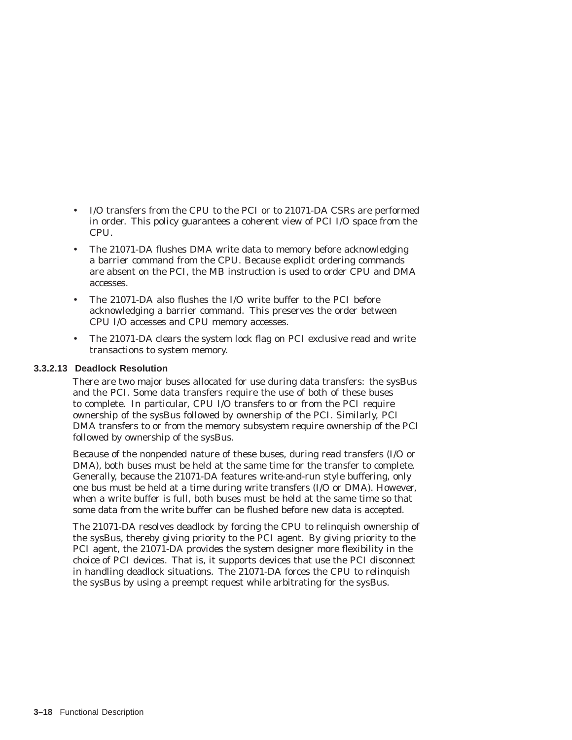- I/O transfers from the CPU to the PCI or to 21071-DA CSRs are performed in order. This policy guarantees a coherent view of PCI I/O space from the CPU.
- The 21071-DA flushes DMA write data to memory before acknowledging a barrier command from the CPU. Because explicit ordering commands are absent on the PCI, the MB instruction is used to order CPU and DMA accesses.
- The 21071-DA also flushes the I/O write buffer to the PCI before acknowledging a barrier command. This preserves the order between CPU I/O accesses and CPU memory accesses.
- The 21071-DA clears the system lock flag on PCI exclusive read and write transactions to system memory.

#### **3.3.2.13 Deadlock Resolution**

There are two major buses allocated for use during data transfers: the sysBus and the PCI. Some data transfers require the use of both of these buses to complete. In particular, CPU I/O transfers to or from the PCI require ownership of the sysBus followed by ownership of the PCI. Similarly, PCI DMA transfers to or from the memory subsystem require ownership of the PCI followed by ownership of the sysBus.

Because of the nonpended nature of these buses, during read transfers (I/O or DMA), both buses must be held at the same time for the transfer to complete. Generally, because the 21071-DA features write-and-run style buffering, only one bus must be held at a time during write transfers (I/O or DMA). However, when a write buffer is full, both buses must be held at the same time so that some data from the write buffer can be flushed before new data is accepted.

The 21071-DA resolves deadlock by forcing the CPU to relinquish ownership of the sysBus, thereby giving priority to the PCI agent. By giving priority to the PCI agent, the 21071-DA provides the system designer more flexibility in the choice of PCI devices. That is, it supports devices that use the PCI disconnect in handling deadlock situations. The 21071-DA forces the CPU to relinquish the sysBus by using a preempt request while arbitrating for the sysBus.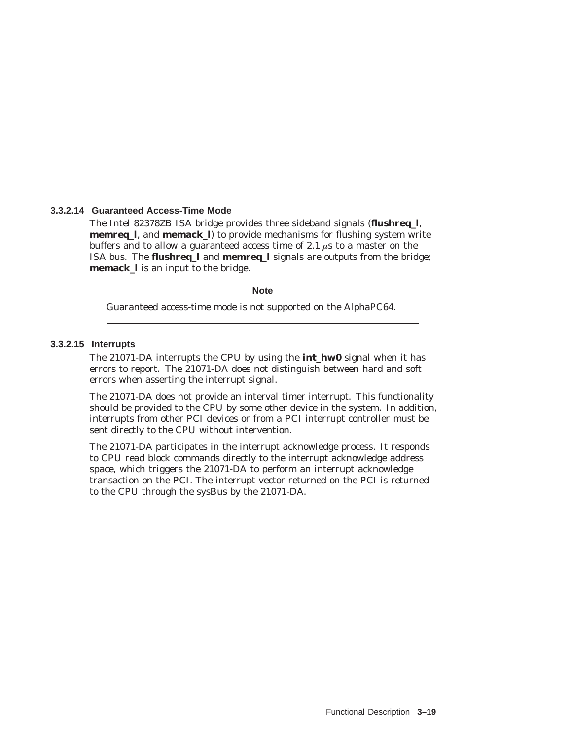#### **3.3.2.14 Guaranteed Access-Time Mode**

The Intel 82378ZB ISA bridge provides three sideband signals (**flushreq\_l**, **memreq\_l**, and **memack\_l**) to provide mechanisms for flushing system write buffers and to allow a guaranteed access time of 2.1  $\mu$ s to a master on the ISA bus. The **flushreq\_l** and **memreq\_l** signals are outputs from the bridge; **memack l** is an input to the bridge.

**Note** 2008

Guaranteed access-time mode is not supported on the AlphaPC64.

# **3.3.2.15 Interrupts**

The 21071-DA interrupts the CPU by using the **int\_hw0** signal when it has errors to report. The 21071-DA does not distinguish between hard and soft errors when asserting the interrupt signal.

The 21071-DA does not provide an interval timer interrupt. This functionality should be provided to the CPU by some other device in the system. In addition, interrupts from other PCI devices or from a PCI interrupt controller must be sent directly to the CPU without intervention.

The 21071-DA participates in the interrupt acknowledge process. It responds to CPU read block commands directly to the interrupt acknowledge address space, which triggers the 21071-DA to perform an interrupt acknowledge transaction on the PCI. The interrupt vector returned on the PCI is returned to the CPU through the sysBus by the 21071-DA.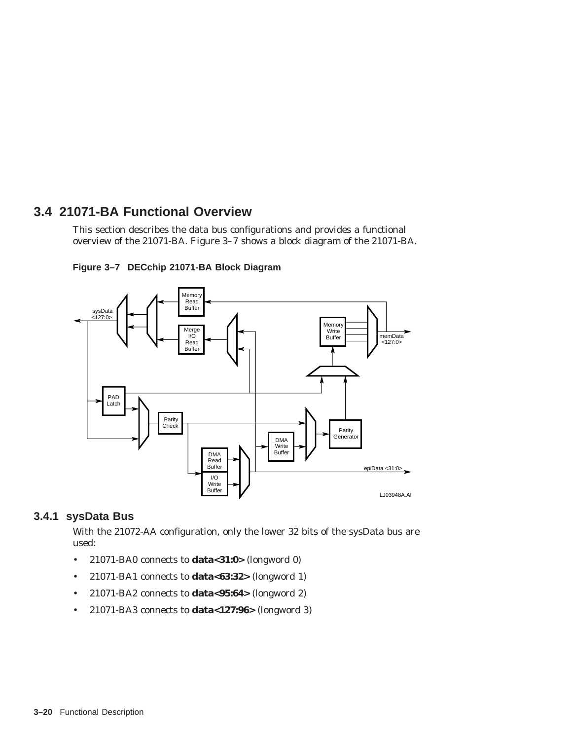# **3.4 21071-BA Functional Overview**

This section describes the data bus configurations and provides a functional overview of the 21071-BA. Figure 3–7 shows a block diagram of the 21071-BA.



**Figure 3–7 DECchip 21071-BA Block Diagram**

# **3.4.1 sysData Bus**

With the 21072-AA configuration, only the lower 32 bits of the sysData bus are used:

- 21071-BA0 connects to **data<31:0>** (longword 0)
- 21071-BA1 connects to **data<63:32>** (longword 1)
- 21071-BA2 connects to **data<95:64>** (longword 2)
- 21071-BA3 connects to **data<127:96>** (longword 3)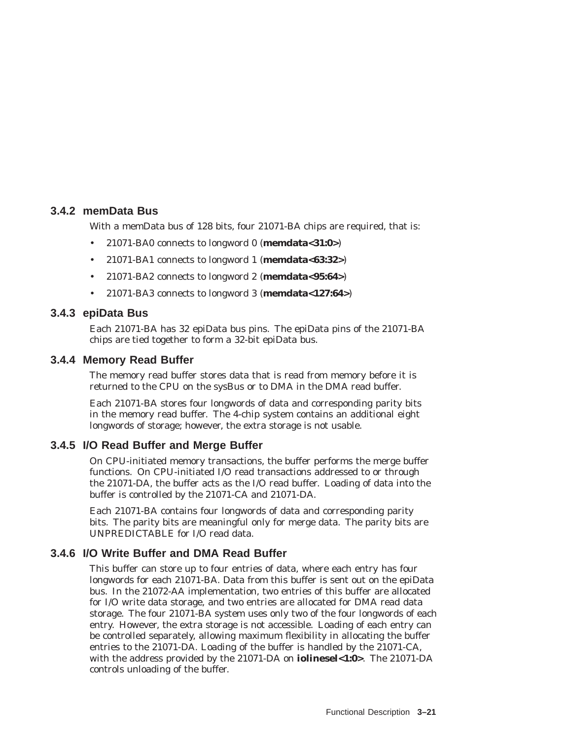# **3.4.2 memData Bus**

With a memData bus of 128 bits, four 21071-BA chips are required, that is:

- 21071-BA0 connects to longword 0 (**memdata<31:0>**)
- 21071-BA1 connects to longword 1 (**memdata<63:32>**)
- 21071-BA2 connects to longword 2 (**memdata<95:64>**)
- 21071-BA3 connects to longword 3 (**memdata<127:64>**)

# **3.4.3 epiData Bus**

Each 21071-BA has 32 epiData bus pins. The epiData pins of the 21071-BA chips are tied together to form a 32-bit epiData bus.

# **3.4.4 Memory Read Buffer**

The memory read buffer stores data that is read from memory before it is returned to the CPU on the sysBus or to DMA in the DMA read buffer.

Each 21071-BA stores four longwords of data and corresponding parity bits in the memory read buffer. The 4-chip system contains an additional eight longwords of storage; however, the extra storage is not usable.

# **3.4.5 I/O Read Buffer and Merge Buffer**

On CPU-initiated memory transactions, the buffer performs the merge buffer functions. On CPU-initiated I/O read transactions addressed to or through the 21071-DA, the buffer acts as the I/O read buffer. Loading of data into the buffer is controlled by the 21071-CA and 21071-DA.

Each 21071-BA contains four longwords of data and corresponding parity bits. The parity bits are meaningful only for merge data. The parity bits are UNPREDICTABLE for I/O read data.

# **3.4.6 I/O Write Buffer and DMA Read Buffer**

This buffer can store up to four entries of data, where each entry has four longwords for each 21071-BA. Data from this buffer is sent out on the epiData bus. In the 21072-AA implementation, two entries of this buffer are allocated for I/O write data storage, and two entries are allocated for DMA read data storage. The four 21071-BA system uses only two of the four longwords of each entry. However, the extra storage is not accessible. Loading of each entry can be controlled separately, allowing maximum flexibility in allocating the buffer entries to the 21071-DA. Loading of the buffer is handled by the 21071-CA, with the address provided by the 21071-DA on **iolinesel<1:0>**. The 21071-DA controls unloading of the buffer.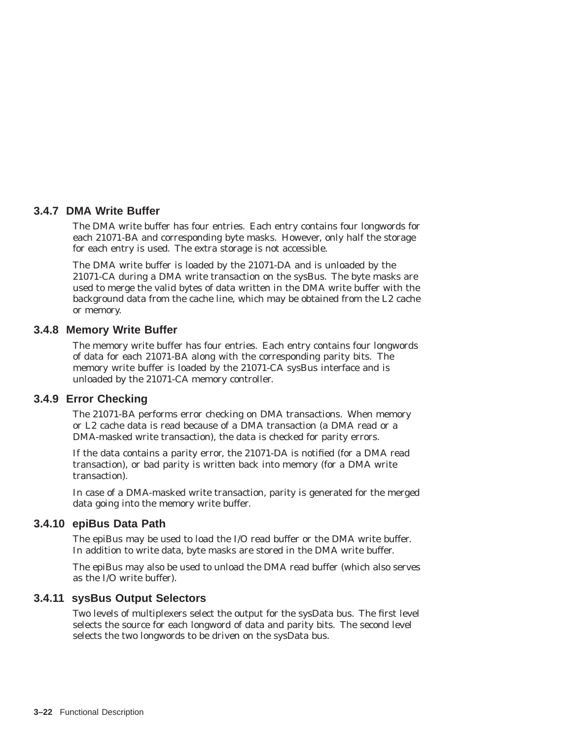# **3.4.7 DMA Write Buffer**

The DMA write buffer has four entries. Each entry contains four longwords for each 21071-BA and corresponding byte masks. However, only half the storage for each entry is used. The extra storage is not accessible.

The DMA write buffer is loaded by the 21071-DA and is unloaded by the 21071-CA during a DMA write transaction on the sysBus. The byte masks are used to merge the valid bytes of data written in the DMA write buffer with the background data from the cache line, which may be obtained from the L2 cache or memory.

#### **3.4.8 Memory Write Buffer**

The memory write buffer has four entries. Each entry contains four longwords of data for each 21071-BA along with the corresponding parity bits. The memory write buffer is loaded by the 21071-CA sysBus interface and is unloaded by the 21071-CA memory controller.

# **3.4.9 Error Checking**

The 21071-BA performs error checking on DMA transactions. When memory or L2 cache data is read because of a DMA transaction (a DMA read or a DMA-masked write transaction), the data is checked for parity errors.

If the data contains a parity error, the 21071-DA is notified (for a DMA read transaction), or bad parity is written back into memory (for a DMA write transaction).

In case of a DMA-masked write transaction, parity is generated for the merged data going into the memory write buffer.

#### **3.4.10 epiBus Data Path**

The epiBus may be used to load the I/O read buffer or the DMA write buffer. In addition to write data, byte masks are stored in the DMA write buffer.

The epiBus may also be used to unload the DMA read buffer (which also serves as the I/O write buffer).

# **3.4.11 sysBus Output Selectors**

Two levels of multiplexers select the output for the sysData bus. The first level selects the source for each longword of data and parity bits. The second level selects the two longwords to be driven on the sysData bus.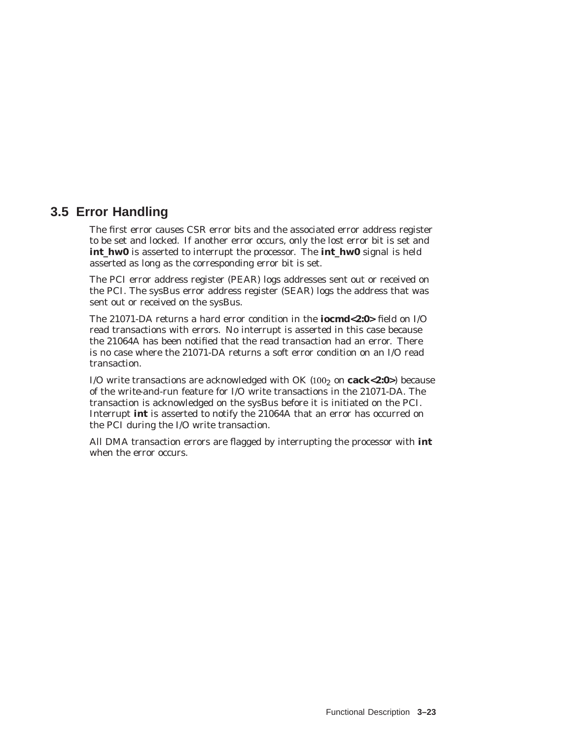# **3.5 Error Handling**

The first error causes CSR error bits and the associated error address register to be set and locked. If another error occurs, only the lost error bit is set and **int\_hw0** is asserted to interrupt the processor. The **int\_hw0** signal is held asserted as long as the corresponding error bit is set.

The PCI error address register (PEAR) logs addresses sent out or received on the PCI. The sysBus error address register (SEAR) logs the address that was sent out or received on the sysBus.

The 21071-DA returns a hard error condition in the **iocmd<2:0>** field on I/O read transactions with errors. No interrupt is asserted in this case because the 21064A has been notified that the read transaction had an error. There is no case where the 21071-DA returns a soft error condition on an I/O read transaction.

I/O write transactions are acknowledged with OK (100<sub>2</sub> on **cack<2:0**>) because of the *write-and-run* feature for I/O write transactions in the 21071-DA. The transaction is acknowledged on the sysBus before it is initiated on the PCI. Interrupt **int** is asserted to notify the 21064A that an error has occurred on the PCI during the I/O write transaction.

All DMA transaction errors are flagged by interrupting the processor with **int** when the error occurs.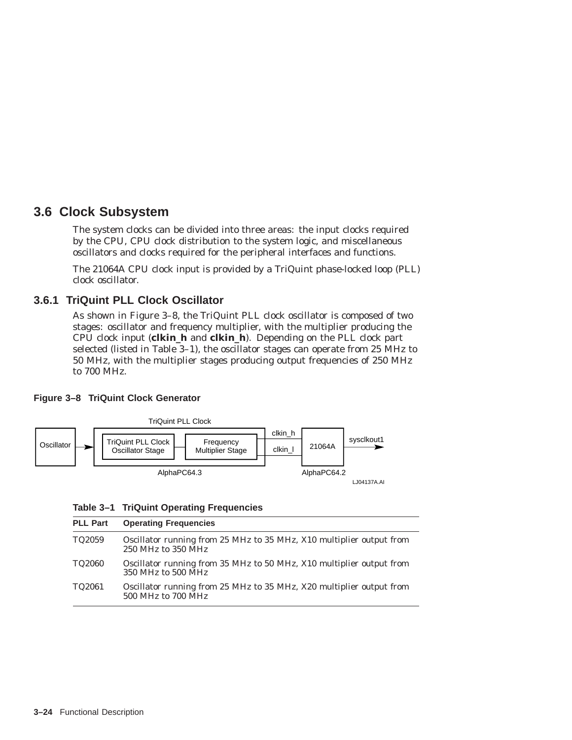# **3.6 Clock Subsystem**

The system clocks can be divided into three areas: the input clocks required by the CPU, CPU clock distribution to the system logic, and miscellaneous oscillators and clocks required for the peripheral interfaces and functions.

The 21064A CPU clock input is provided by a TriQuint phase-locked loop (PLL) clock oscillator.

# **3.6.1 TriQuint PLL Clock Oscillator**

As shown in Figure 3–8, the TriQuint PLL clock oscillator is composed of two stages: oscillator and frequency multiplier, with the multiplier producing the CPU clock input (**clkin\_h** and **clkin\_h**). Depending on the PLL clock part selected (listed in Table 3–1), the oscillator stages can operate from 25 MHz to 50 MHz, with the multiplier stages producing output frequencies of 250 MHz to 700 MHz.

#### **Figure 3–8 TriQuint Clock Generator**



#### **Table 3–1 TriQuint Operating Frequencies**

| <b>PLL Part</b> | <b>Operating Frequencies</b>                                                               |
|-----------------|--------------------------------------------------------------------------------------------|
| TQ2059          | Oscillator running from 25 MHz to 35 MHz, X10 multiplier output from<br>250 MHz to 350 MHz |
| TQ2060          | Oscillator running from 35 MHz to 50 MHz, X10 multiplier output from<br>350 MHz to 500 MHz |
| TQ2061          | Oscillator running from 25 MHz to 35 MHz, X20 multiplier output from<br>500 MHz to 700 MHz |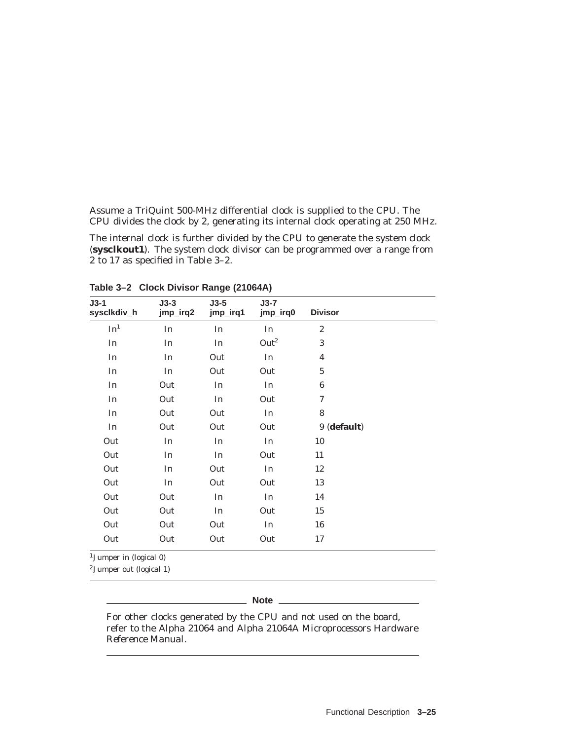Assume a TriQuint 500-MHz differential clock is supplied to the CPU. The CPU divides the clock by 2, generating its internal clock operating at 250 MHz.

The internal clock is further divided by the CPU to generate the system clock (**sysclkout1**). The system clock divisor can be programmed over a range from 2 to 17 as specified in Table 3–2.

| $J3-1$<br>syscikdiv_h                 | $J3-3$<br>jmp_irq2 | $J3-5$<br>jmp_irq1 | $J3-7$<br>jmp_irq0 | <b>Divisor</b>   |
|---------------------------------------|--------------------|--------------------|--------------------|------------------|
| ${\rm In}^1$                          | In                 | In                 | In                 | $\boldsymbol{2}$ |
| In                                    | In                 | In                 | Out <sup>2</sup>   | 3                |
| In                                    | In                 | Out                | In                 | $\boldsymbol{4}$ |
| In                                    | In                 | Out                | Out                | $\bf 5$          |
| In                                    | Out                | In                 | In                 | $\bf 6$          |
| In                                    | Out                | In                 | Out                | 7                |
| In                                    | Out                | Out                | In                 | $\bf 8$          |
| In                                    | Out                | Out                | Out                | 9 (default)      |
| Out                                   | In                 | In                 | In                 | 10               |
| Out                                   | In                 | In                 | Out                | 11               |
| Out                                   | In                 | Out                | In                 | 12               |
| Out                                   | In                 | Out                | Out                | 13               |
| Out                                   | Out                | In                 | In                 | 14               |
| Out                                   | Out                | In                 | Out                | 15               |
| Out                                   | Out                | Out                | In                 | 16               |
| Out                                   | Out                | Out                | Out                | 17               |
| <sup>1</sup> Jumper in (logical $0$ ) |                    |                    |                    |                  |

**Table 3–2 Clock Divisor Range (21064A)**

2Jumper out (logical 1)

#### **Note**

For other clocks generated by the CPU and not used on the board, refer to the *Alpha 21064 and Alpha 21064A Microprocessors Hardware Reference Manual*.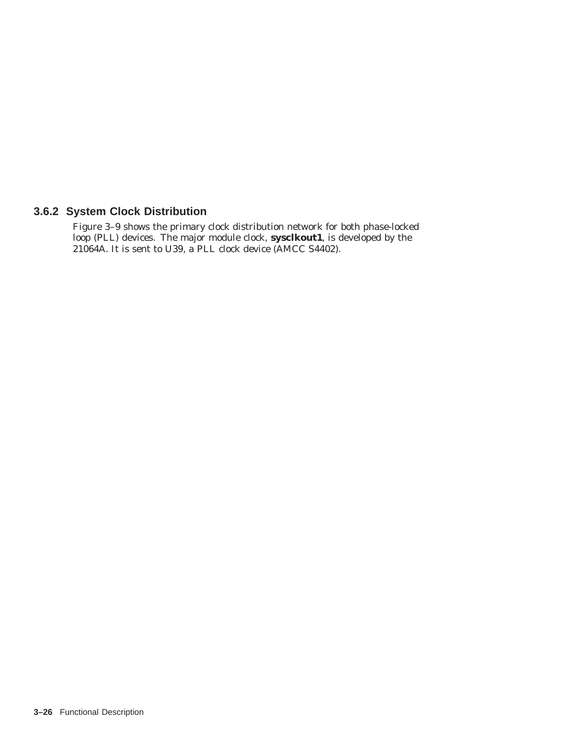# **3.6.2 System Clock Distribution**

Figure 3–9 shows the primary clock distribution network for both phase-locked loop (PLL) devices. The major module clock, **sysclkout1**, is developed by the 21064A. It is sent to U39, a PLL clock device (AMCC S4402).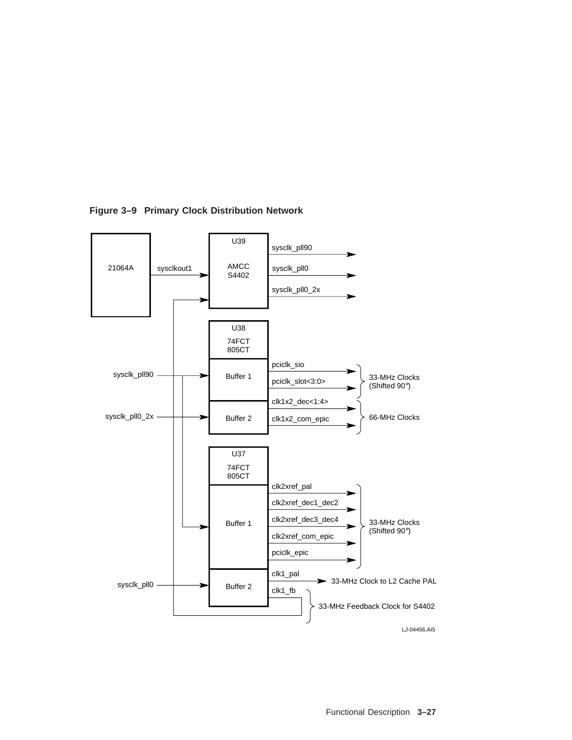

**Figure 3–9 Primary Clock Distribution Network**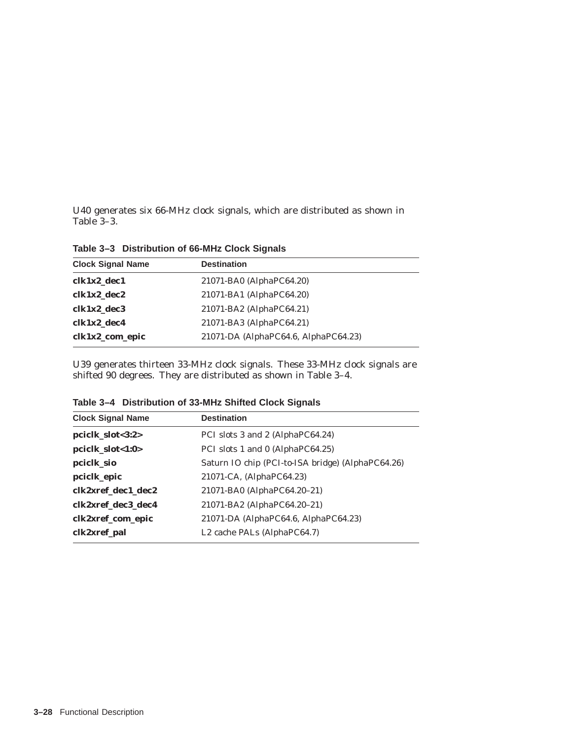U40 generates six 66-MHz clock signals, which are distributed as shown in Table 3–3.

**Table 3–3 Distribution of 66-MHz Clock Signals**

| <b>Clock Signal Name</b> | <b>Destination</b>                   |
|--------------------------|--------------------------------------|
| clk1x2 dec1              | 21071-BA0 (AlphaPC64.20)             |
| clk1x2 dec2              | 21071-BA1 (AlphaPC64.20)             |
| clk1x2 dec3              | 21071-BA2 (AlphaPC64.21)             |
| clk1x2 dec4              | 21071-BA3 (AlphaPC64.21)             |
| clk1x2_com_epic          | 21071-DA (AlphaPC64.6, AlphaPC64.23) |

U39 generates thirteen 33-MHz clock signals. These 33-MHz clock signals are shifted 90 degrees. They are distributed as shown in Table 3–4.

|  |  | Table 3-4 Distribution of 33-MHz Shifted Clock Signals |
|--|--|--------------------------------------------------------|
|  |  |                                                        |

| <b>Clock Signal Name</b> | <b>Destination</b>                                |
|--------------------------|---------------------------------------------------|
| pciclk_slot<3:2>         | PCI slots 3 and 2 (AlphaPC64.24)                  |
| pciclk_slot<1:0>         | PCI slots 1 and 0 (AlphaPC64.25)                  |
| pciclk_sio               | Saturn IO chip (PCI-to-ISA bridge) (AlphaPC64.26) |
| pciclk_epic              | 21071-CA, (AlphaPC64.23)                          |
| clk2xref dec1 dec2       | 21071-BA0 (AlphaPC64.20-21)                       |
| clk2xref dec3 dec4       | 21071-BA2 (AlphaPC64.20-21)                       |
| clk2xref_com_epic        | 21071-DA (AlphaPC64.6, AlphaPC64.23)              |
| clk2xref_pal             | L <sub>2</sub> cache PALs (AlphaPC64.7)           |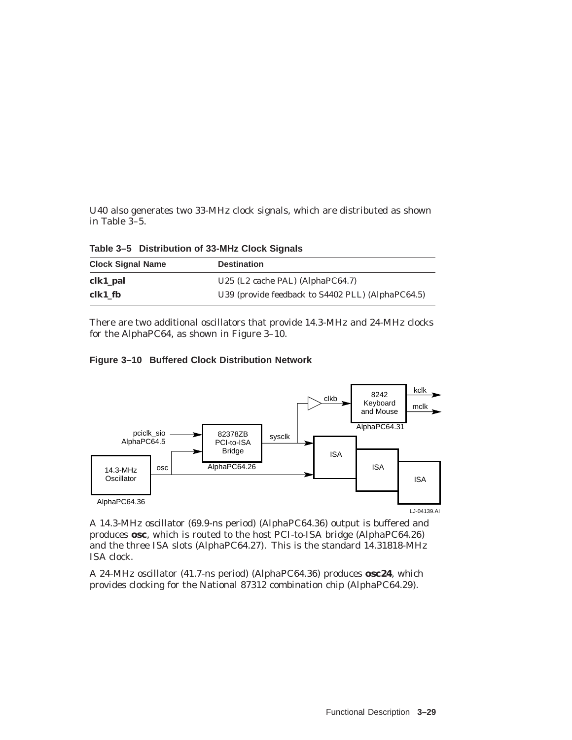U40 also generates two 33-MHz clock signals, which are distributed as shown in Table 3–5.

**Table 3–5 Distribution of 33-MHz Clock Signals**

| <b>Clock Signal Name</b> | <b>Destination</b>                                |
|--------------------------|---------------------------------------------------|
| clk1_pal                 | U25 (L2 cache PAL) $(A1phaPC64.7)$                |
| clk1 fb                  | U39 (provide feedback to S4402 PLL) (AlphaPC64.5) |

There are two additional oscillators that provide 14.3-MHz and 24-MHz clocks for the AlphaPC64, as shown in Figure 3–10.

#### **Figure 3–10 Buffered Clock Distribution Network**



A 14.3-MHz oscillator (69.9-ns period) (*AlphaPC64.36*) output is buffered and produces **osc**, which is routed to the host PCI-to-ISA bridge (*AlphaPC64.26*) and the three ISA slots (*AlphaPC64.27*). This is the standard 14.31818-MHz ISA clock.

A 24-MHz oscillator (41.7-ns period) (*AlphaPC64.36*) produces **osc24**, which provides clocking for the National 87312 combination chip (*AlphaPC64.29*).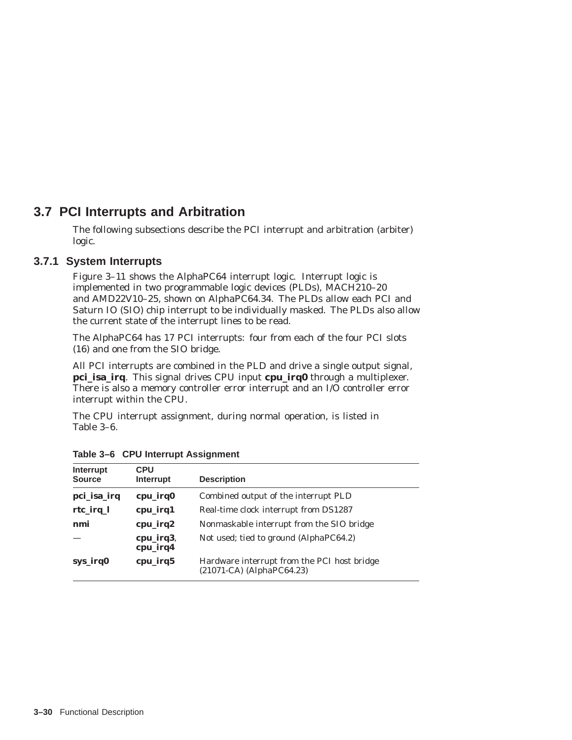# **3.7 PCI Interrupts and Arbitration**

The following subsections describe the PCI interrupt and arbitration (arbiter) logic.

# **3.7.1 System Interrupts**

Figure 3–11 shows the AlphaPC64 interrupt logic. Interrupt logic is implemented in two programmable logic devices (PLDs), MACH210–20 and AMD22V10–25, shown on *AlphaPC64.34*. The PLDs allow each PCI and Saturn IO (SIO) chip interrupt to be individually masked. The PLDs also allow the current state of the interrupt lines to be read.

The AlphaPC64 has 17 PCI interrupts: four from each of the four PCI slots (16) and one from the SIO bridge.

All PCI interrupts are combined in the PLD and drive a single output signal, **pci\_isa\_irq**. This signal drives CPU input **cpu\_irq0** through a multiplexer. There is also a memory controller error interrupt and an I/O controller error interrupt within the CPU.

The CPU interrupt assignment, during normal operation, is listed in Table 3–6.

| Interrupt<br><b>Source</b> | <b>CPU</b><br>Interrupt | <b>Description</b>                                                       |
|----------------------------|-------------------------|--------------------------------------------------------------------------|
| pci_isa_irq                | cpu_irq0                | Combined output of the interrupt PLD                                     |
| rtc_irq_l                  | cpu_irq1                | Real-time clock interrupt from DS1287                                    |
| nmi                        | cpu_irq2                | Nonmaskable interrupt from the SIO bridge                                |
|                            | cpu_irq3,<br>cpu_irq4   | Not used; tied to ground (AlphaPC64.2)                                   |
| sys_irq0                   | cpu_irq5                | Hardware interrupt from the PCI host bridge<br>(21071-CA) (AlphaPC64.23) |

**Table 3–6 CPU Interrupt Assignment**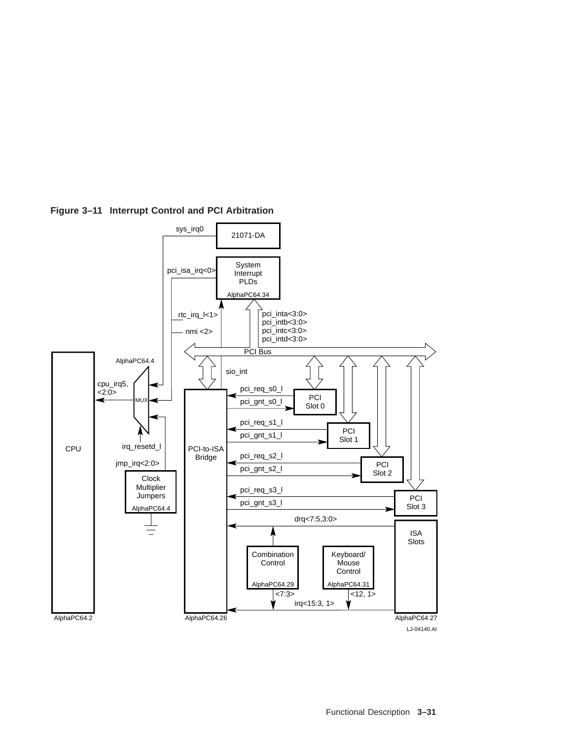

**Figure 3–11 Interrupt Control and PCI Arbitration**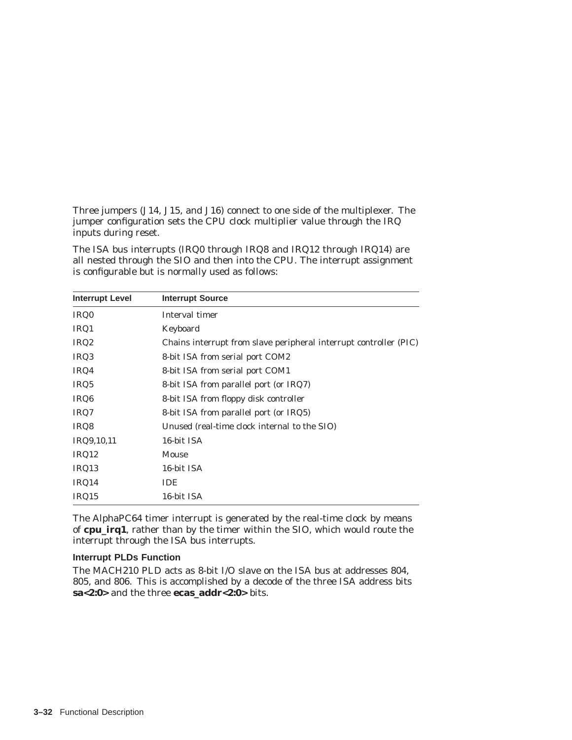Three jumpers (J14, J15, and J16) connect to one side of the multiplexer. The jumper configuration sets the CPU clock multiplier value through the IRQ inputs during reset.

The ISA bus interrupts (IRQ0 through IRQ8 and IRQ12 through IRQ14) are all nested through the SIO and then into the CPU. The interrupt assignment is configurable but is normally used as follows:

| <b>Interrupt Level</b> | <b>Interrupt Source</b>                                           |
|------------------------|-------------------------------------------------------------------|
| IRQ0                   | Interval timer                                                    |
| IRQ1                   | Keyboard                                                          |
| IRQ <sub>2</sub>       | Chains interrupt from slave peripheral interrupt controller (PIC) |
| IRQ3                   | 8-bit ISA from serial port COM2                                   |
| IRQ4                   | 8-bit ISA from serial port COM1                                   |
| IRQ5                   | 8-bit ISA from parallel port (or IRQ7)                            |
| IRQ <sub>6</sub>       | 8-bit ISA from floppy disk controller                             |
| IRQ7                   | 8-bit ISA from parallel port (or IRQ5)                            |
| IRQ8                   | Unused (real-time clock internal to the SIO)                      |
| IRQ9,10,11             | 16-bit ISA                                                        |
| IRQ12                  | Mouse                                                             |
| IRQ13                  | 16-bit ISA                                                        |
| IRQ14                  | <b>IDE</b>                                                        |
| IRQ15                  | 16-bit ISA                                                        |

The AlphaPC64 timer interrupt is generated by the real-time clock by means of **cpu\_irq1**, rather than by the timer within the SIO, which would route the interrupt through the ISA bus interrupts.

#### **Interrupt PLDs Function**

The MACH210 PLD acts as 8-bit I/O slave on the ISA bus at addresses 804, 805, and 806. This is accomplished by a decode of the three ISA address bits **sa<2:0>** and the three **ecas\_addr<2:0>** bits.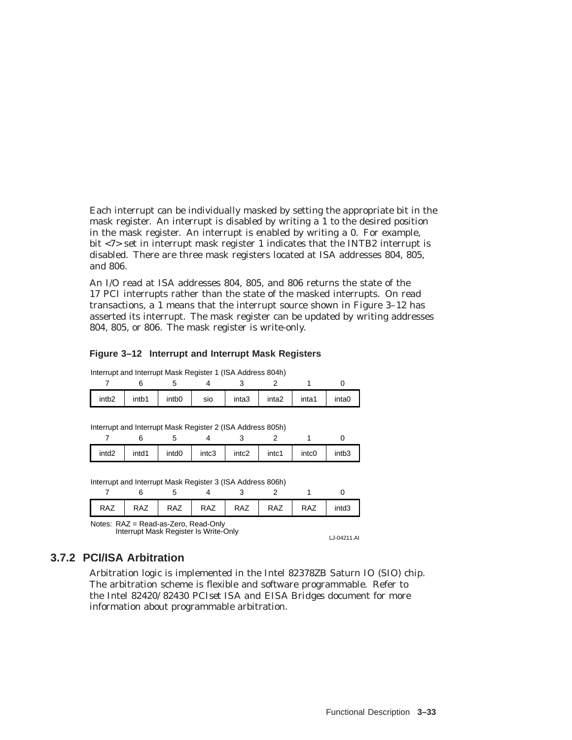Each interrupt can be individually masked by setting the appropriate bit in the mask register. An interrupt is disabled by writing a 1 to the desired position in the mask register. An interrupt is enabled by writing a 0. For example, bit <7> set in interrupt mask register 1 indicates that the INTB2 interrupt is disabled. There are three mask registers located at ISA addresses 804, 805, and 806.

An I/O read at ISA addresses 804, 805, and 806 returns the state of the 17 PCI interrupts rather than the state of the masked interrupts. On read transactions, a 1 means that the interrupt source shown in Figure 3–12 has asserted its interrupt. The mask register can be updated by writing addresses 804, 805, or 806. The mask register is write-only.

#### **Figure 3–12 Interrupt and Interrupt Mask Registers**

Interrupt and Interrupt Mask Register 1 (ISA Address 804h)

| . .               |       |                   | . . |       |       |       |       |
|-------------------|-------|-------------------|-----|-------|-------|-------|-------|
| intb <sub>2</sub> | intb1 | intb <sub>0</sub> | sio | inta3 | inta2 | inta1 | inta0 |

Interrupt and Interrupt Mask Register 2 (ISA Address 805h)

| intd <sub>2</sub> | intd1 | intd0 | intc3 | intc2 | intc1 | intc0 | intb <sub>3</sub> |
|-------------------|-------|-------|-------|-------|-------|-------|-------------------|

Interrupt and Interrupt Mask Register 3 (ISA Address 806h)

| RA7                                  | RAZ                                   | RA7 | RA7 | RA7 | RA7 | RAZ | intd3       |
|--------------------------------------|---------------------------------------|-----|-----|-----|-----|-----|-------------|
| Notes: RAZ = Read-as-Zero, Read-Only | Interrupt Mask Register Is Write-Only |     |     |     |     |     | LJ-04211.AI |

# **3.7.2 PCI/ISA Arbitration**

Arbitration logic is implemented in the Intel 82378ZB Saturn IO (SIO) chip. The arbitration scheme is flexible and software programmable. Refer to the Intel *82420/82430 PCIset ISA and EISA Bridges* document for more information about programmable arbitration.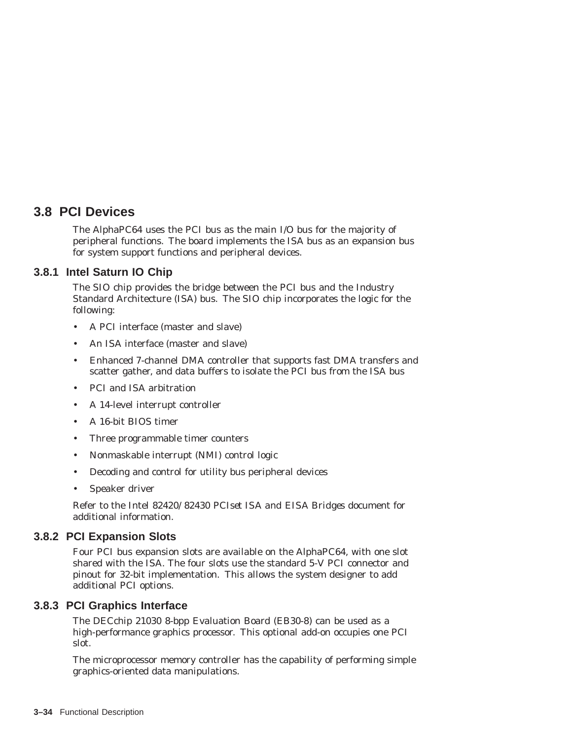# **3.8 PCI Devices**

The AlphaPC64 uses the PCI bus as the main I/O bus for the majority of peripheral functions. The board implements the ISA bus as an expansion bus for system support functions and peripheral devices.

# **3.8.1 Intel Saturn IO Chip**

The SIO chip provides the bridge between the PCI bus and the Industry Standard Architecture (ISA) bus. The SIO chip incorporates the logic for the following:

- A PCI interface (master and slave)
- An ISA interface (master and slave)
- Enhanced 7-channel DMA controller that supports fast DMA transfers and scatter gather, and data buffers to isolate the PCI bus from the ISA bus
- PCI and ISA arbitration
- A 14-level interrupt controller
- A 16-bit BIOS timer
- Three programmable timer counters
- Nonmaskable interrupt (NMI) control logic
- Decoding and control for utility bus peripheral devices
- Speaker driver

Refer to the Intel *82420/82430 PCIset ISA and EISA Bridges* document for additional information.

# **3.8.2 PCI Expansion Slots**

Four PCI bus expansion slots are available on the AlphaPC64, with one slot shared with the ISA. The four slots use the standard 5-V PCI connector and pinout for 32-bit implementation. This allows the system designer to add additional PCI options.

# **3.8.3 PCI Graphics Interface**

The DECchip 21030 8-bpp Evaluation Board (EB30-8) can be used as a high-performance graphics processor. This optional add-on occupies one PCI slot.

The microprocessor memory controller has the capability of performing simple graphics-oriented data manipulations.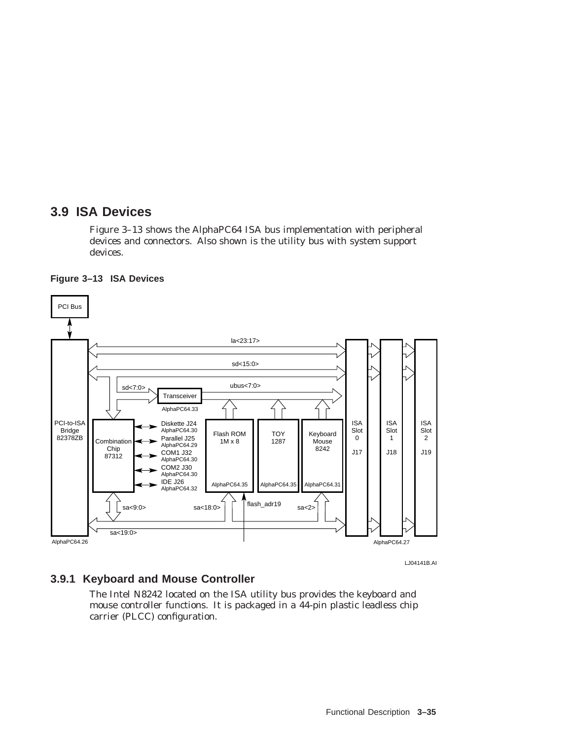# **3.9 ISA Devices**

Figure 3–13 shows the AlphaPC64 ISA bus implementation with peripheral devices and connectors. Also shown is the utility bus with system support devices.





LJ04141B.AI

# **3.9.1 Keyboard and Mouse Controller**

The Intel N8242 located on the ISA utility bus provides the keyboard and mouse controller functions. It is packaged in a 44-pin plastic leadless chip carrier (PLCC) configuration.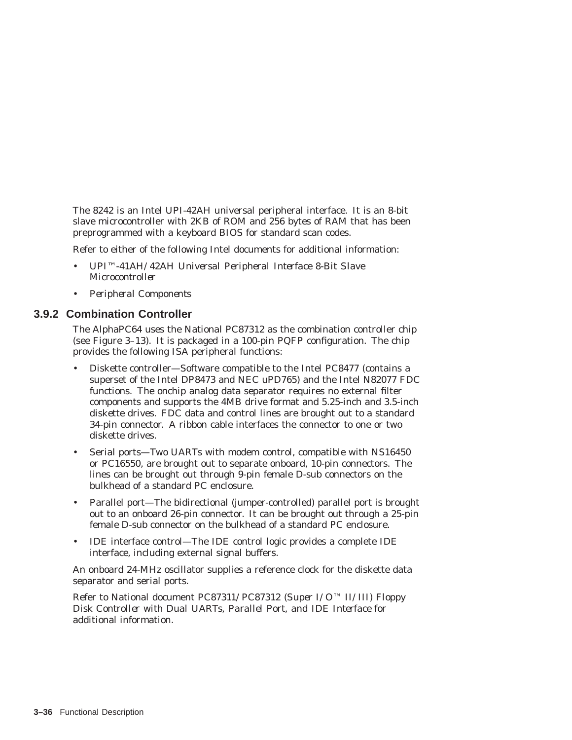The 8242 is an Intel UPI-42AH universal peripheral interface. It is an 8-bit slave microcontroller with 2KB of ROM and 256 bytes of RAM that has been preprogrammed with a keyboard BIOS for standard scan codes.

Refer to either of the following Intel documents for additional information:

- *UPI™-41AH/42AH Universal Peripheral Interface 8-Bit Slave Microcontroller*
- *Peripheral Components*

# **3.9.2 Combination Controller**

The AlphaPC64 uses the National PC87312 as the combination controller chip (see Figure 3–13). It is packaged in a 100-pin PQFP configuration. The chip provides the following ISA peripheral functions:

- Diskette controller—Software compatible to the Intel PC8477 (contains a superset of the Intel DP8473 and NEC *u*PD765) and the Intel N82077 FDC functions. The onchip analog data separator requires no external filter components and supports the 4MB drive format and 5.25-inch and 3.5-inch diskette drives. FDC data and control lines are brought out to a standard 34-pin connector. A ribbon cable interfaces the connector to one or two diskette drives.
- Serial ports—Two UARTs with modem control, compatible with NS16450 or PC16550, are brought out to separate onboard, 10-pin connectors. The lines can be brought out through 9-pin female D-sub connectors on the bulkhead of a standard PC enclosure.
- Parallel port—The bidirectional (jumper-controlled) parallel port is brought out to an onboard 26-pin connector. It can be brought out through a 25-pin female D-sub connector on the bulkhead of a standard PC enclosure.
- IDE interface control—The IDE control logic provides a complete IDE interface, including external signal buffers.

An onboard 24-MHz oscillator supplies a reference clock for the diskette data separator and serial ports.

Refer to National document *PC87311/PC87312 (Super I/O™ II/III) Floppy Disk Controller with Dual UARTs, Parallel Port, and IDE Interface* for additional information.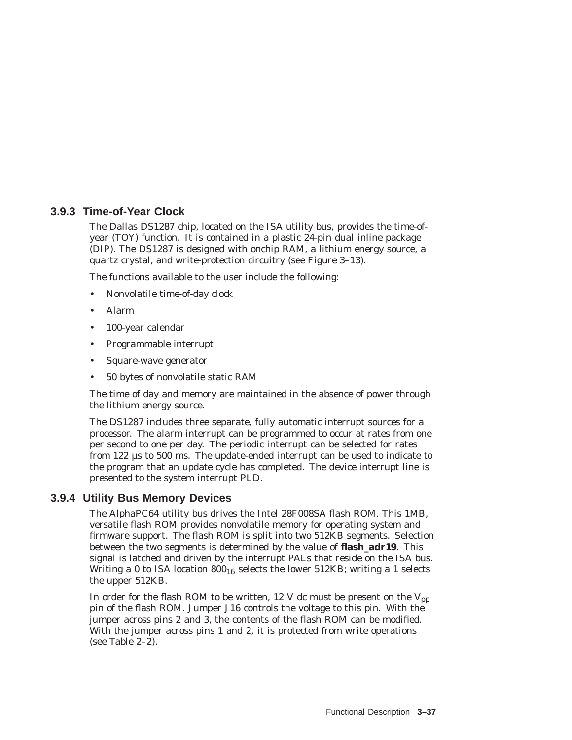## **3.9.3 Time-of-Year Clock**

The Dallas DS1287 chip, located on the ISA utility bus, provides the time-ofyear (TOY) function. It is contained in a plastic 24-pin dual inline package (DIP). The DS1287 is designed with onchip RAM, a lithium energy source, a quartz crystal, and write-protection circuitry (see Figure 3–13).

The functions available to the user include the following:

- Nonvolatile time-of-day clock
- Alarm
- 100-year calendar
- Programmable interrupt
- Square-wave generator
- 50 bytes of nonvolatile static RAM

The time of day and memory are maintained in the absence of power through the lithium energy source.

The DS1287 includes three separate, fully automatic interrupt sources for a processor. The alarm interrupt can be programmed to occur at rates from one per second to one per day. The periodic interrupt can be selected for rates from 122 µs to 500 ms. The update-ended interrupt can be used to indicate to the program that an update cycle has completed. The device interrupt line is presented to the system interrupt PLD.

#### **3.9.4 Utility Bus Memory Devices**

The AlphaPC64 utility bus drives the Intel 28F008SA flash ROM. This 1MB, versatile flash ROM provides nonvolatile memory for operating system and firmware support. The flash ROM is split into two 512KB segments. Selection between the two segments is determined by the value of **flash\_adr19**. This signal is latched and driven by the interrupt PALs that reside on the ISA bus. Writing a 0 to ISA location  $800_{16}$  selects the lower 512KB; writing a 1 selects the upper 512KB.

In order for the flash ROM to be written, 12 V dc must be present on the  $V_{\text{DD}}$ pin of the flash ROM. Jumper J16 controls the voltage to this pin. With the jumper across pins 2 and 3, the contents of the flash ROM can be modified. With the jumper across pins 1 and 2, it is protected from write operations (see Table  $2-\overline{2}$ ).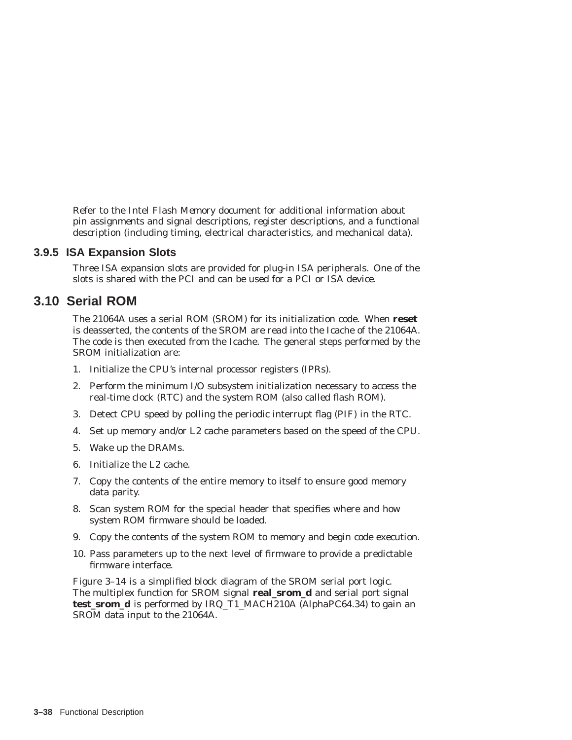Refer to the Intel *Flash Memory* document for additional information about pin assignments and signal descriptions, register descriptions, and a functional description (including timing, electrical characteristics, and mechanical data).

#### **3.9.5 ISA Expansion Slots**

Three ISA expansion slots are provided for plug-in ISA peripherals. One of the slots is shared with the PCI and can be used for a PCI or ISA device.

## **3.10 Serial ROM**

The 21064A uses a serial ROM (SROM) for its initialization code. When **reset** is deasserted, the contents of the SROM are read into the Icache of the 21064A. The code is then executed from the Icache. The general steps performed by the SROM initialization are:

- 1. Initialize the CPU's internal processor registers (IPRs).
- 2. Perform the minimum I/O subsystem initialization necessary to access the real-time clock (RTC) and the system ROM (also called flash ROM).
- 3. Detect CPU speed by polling the periodic interrupt flag (PIF) in the RTC.
- 4. Set up memory and/or L2 cache parameters based on the speed of the CPU.
- 5. Wake up the DRAMs.
- 6. Initialize the L2 cache.
- 7. Copy the contents of the entire memory to itself to ensure good memory data parity.
- 8. Scan system ROM for the special header that specifies where and how system ROM firmware should be loaded.
- 9. Copy the contents of the system ROM to memory and begin code execution.
- 10. Pass parameters up to the next level of firmware to provide a predictable firmware interface.

Figure 3–14 is a simplified block diagram of the SROM serial port logic. The multiplex function for SROM signal **real\_srom\_d** and serial port signal **test\_srom\_d** is performed by IRQ\_T1\_MACH210A (*AlphaPC64.34*) to gain an SROM data input to the 21064A.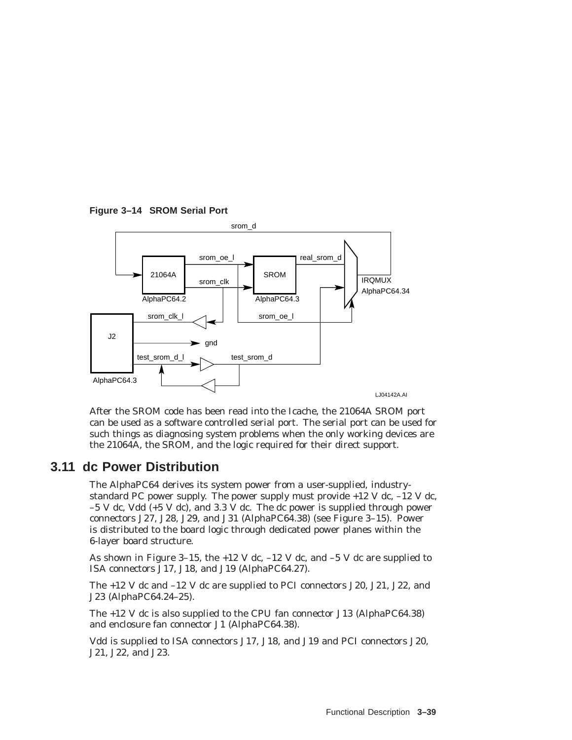

**Figure 3–14 SROM Serial Port**

After the SROM code has been read into the Icache, the 21064A SROM port can be used as a software controlled serial port. The serial port can be used for such things as diagnosing system problems when the only working devices are the 21064A, the SROM, and the logic required for their direct support.

## **3.11 dc Power Distribution**

The AlphaPC64 derives its system power from a user-supplied, industrystandard PC power supply. The power supply must provide +12 V dc, –12 V dc,  $-5$  V dc, Vdd (+5 V dc), and 3.3 V dc. The dc power is supplied through power connectors J27, J28, J29, and J31 (*AlphaPC64.38*) (see Figure 3–15). Power is distributed to the board logic through dedicated power planes within the 6-layer board structure.

As shown in Figure 3–15, the  $+12$  V dc,  $-12$  V dc, and  $-5$  V dc are supplied to ISA connectors J17, J18, and J19 (*AlphaPC64.27*).

The +12 V dc and –12 V dc are supplied to PCI connectors J20, J21, J22, and J23 (*AlphaPC64.24–25*).

The +12 V dc is also supplied to the CPU fan connector J13 (*AlphaPC64.38*) and enclosure fan connector J1 (*AlphaPC64.38*).

Vdd is supplied to ISA connectors J17, J18, and J19 and PCI connectors J20, J21, J22, and J23.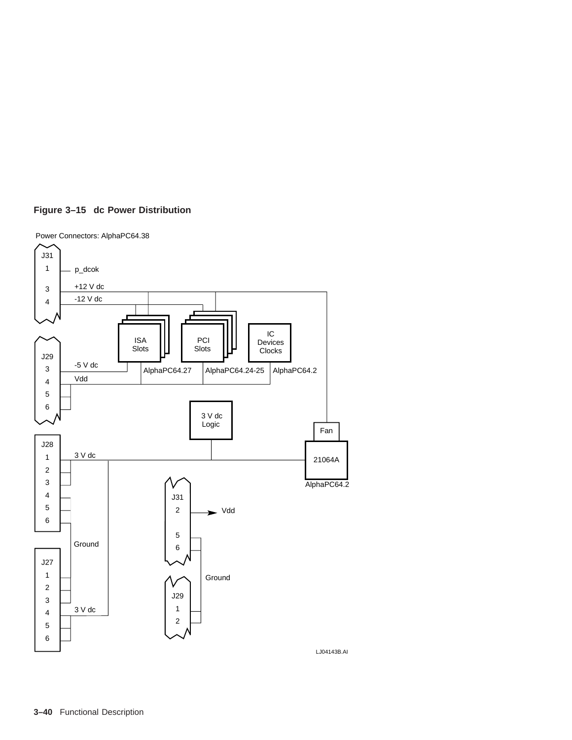



Power Connectors: AlphaPC64.38

LJ04143B.AI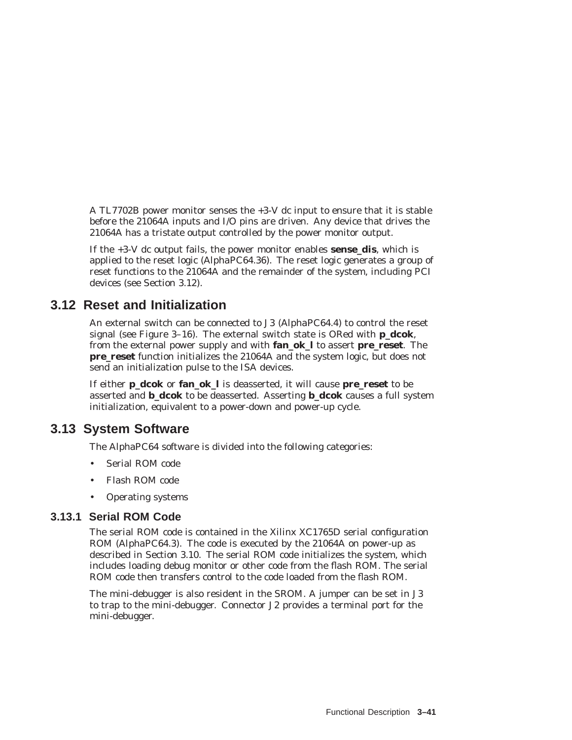A TL7702B power monitor senses the +3-V dc input to ensure that it is stable before the 21064A inputs and I/O pins are driven. Any device that drives the 21064A has a tristate output controlled by the power monitor output.

If the +3-V dc output fails, the power monitor enables **sense\_dis**, which is applied to the reset logic (*AlphaPC64.36*). The reset logic generates a group of reset functions to the 21064A and the remainder of the system, including PCI devices (see Section 3.12).

## **3.12 Reset and Initialization**

An external switch can be connected to J3 (*AlphaPC64.4*) to control the reset signal (see Figure 3–16). The external switch state is ORed with **p\_dcok**, from the external power supply and with **fan\_ok\_l** to assert **pre\_reset**. The **pre\_reset** function initializes the 21064A and the system logic, but does not send an initialization pulse to the ISA devices.

If either **p\_dcok** or **fan\_ok\_l** is deasserted, it will cause **pre\_reset** to be asserted and **b\_dcok** to be deasserted. Asserting **b\_dcok** causes a full system initialization, equivalent to a power-down and power-up cycle.

## **3.13 System Software**

The AlphaPC64 software is divided into the following categories:

- Serial ROM code
- Flash ROM code
- Operating systems

## **3.13.1 Serial ROM Code**

The serial ROM code is contained in the Xilinx XC1765D serial configuration ROM (*AlphaPC64.3*). The code is executed by the 21064A on power-up as described in Section 3.10. The serial ROM code initializes the system, which includes loading debug monitor or other code from the flash ROM. The serial ROM code then transfers control to the code loaded from the flash ROM.

The mini-debugger is also resident in the SROM. A jumper can be set in J3 to trap to the mini-debugger. Connector J2 provides a terminal port for the mini-debugger.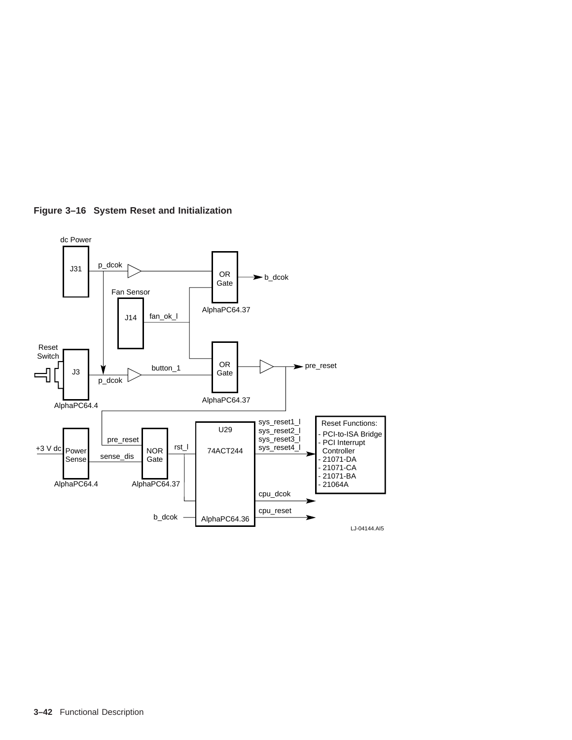

**Figure 3–16 System Reset and Initialization**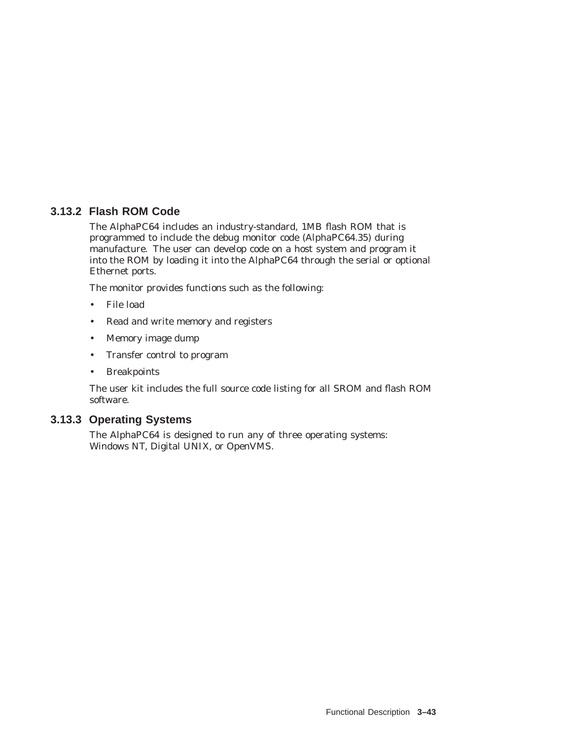## **3.13.2 Flash ROM Code**

The AlphaPC64 includes an industry-standard, 1MB flash ROM that is programmed to include the debug monitor code (*AlphaPC64.35*) during manufacture. The user can develop code on a host system and program it into the ROM by loading it into the AlphaPC64 through the serial or optional Ethernet ports.

The monitor provides functions such as the following:

- File load
- Read and write memory and registers
- Memory image dump
- Transfer control to program
- Breakpoints

The user kit includes the full source code listing for all SROM and flash ROM software.

## **3.13.3 Operating Systems**

The AlphaPC64 is designed to run any of three operating systems: Windows NT, Digital UNIX, or OpenVMS.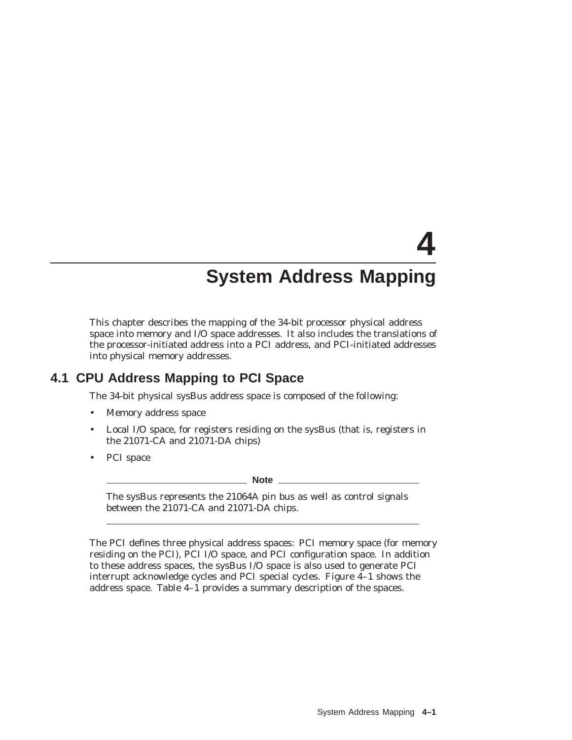## **4 System Address Mapping**

This chapter describes the mapping of the 34-bit processor physical address space into memory and I/O space addresses. It also includes the translations of the processor-initiated address into a PCI address, and PCI-initiated addresses into physical memory addresses.

## **4.1 CPU Address Mapping to PCI Space**

The 34-bit physical sysBus address space is composed of the following:

- Memory address space
- Local I/O space, for registers residing on the sysBus (that is, registers in the 21071-CA and 21071-DA chips)
- PCI space

**Note**

The sysBus represents the 21064A pin bus as well as control signals between the 21071-CA and 21071-DA chips.

The PCI defines three physical address spaces: PCI memory space (for memory residing on the PCI), PCI I/O space, and PCI configuration space. In addition to these address spaces, the sysBus I/O space is also used to generate PCI interrupt acknowledge cycles and PCI special cycles. Figure 4–1 shows the address space. Table 4–1 provides a summary description of the spaces.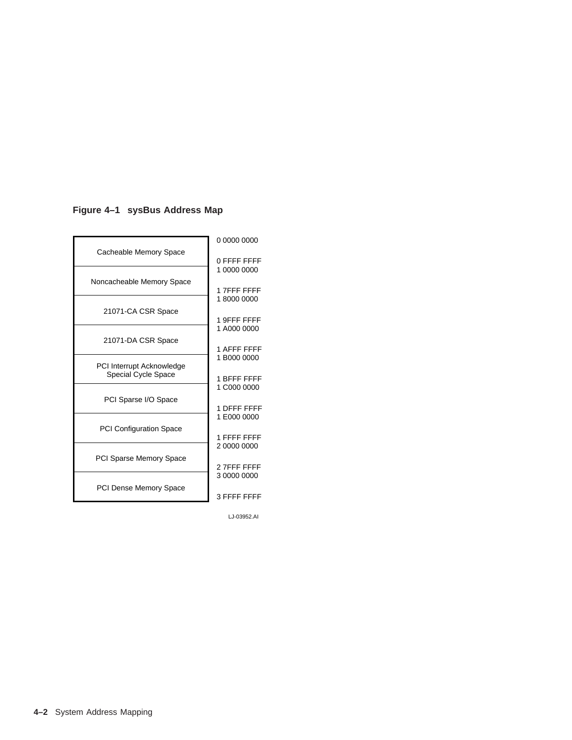## **Figure 4–1 sysBus Address Map**

|                                | 0 0000 0000                |
|--------------------------------|----------------------------|
| Cacheable Memory Space         |                            |
|                                | 0 FFFF FFFF<br>1 0000 0000 |
|                                |                            |
| Noncacheable Memory Space      | 17FFFFFFFF                 |
|                                | 180000000                  |
| 21071-CA CSR Space             |                            |
|                                | 1 9FFF FFFF                |
|                                | 1 A000 0000                |
| 21071-DA CSR Space             |                            |
|                                | 1 AFFF FFFF                |
| PCI Interrupt Acknowledge      | 1 B000 0000                |
| Special Cycle Space            |                            |
|                                | 1 BFFF FFFF<br>1 C000 0000 |
|                                |                            |
| PCI Sparse I/O Space           | 1 DFFF FFFF                |
|                                | 1 E000 0000                |
| <b>PCI Configuration Space</b> |                            |
|                                | 1 FFFF FFFF                |
|                                | 2 0000 0000                |
| <b>PCI Sparse Memory Space</b> |                            |
|                                | 27FFFFFFFF                 |
|                                | 3 0000 0000                |
| <b>PCI Dense Memory Space</b>  |                            |
|                                | 3 FFFF FFFF                |

LJ-03952.AI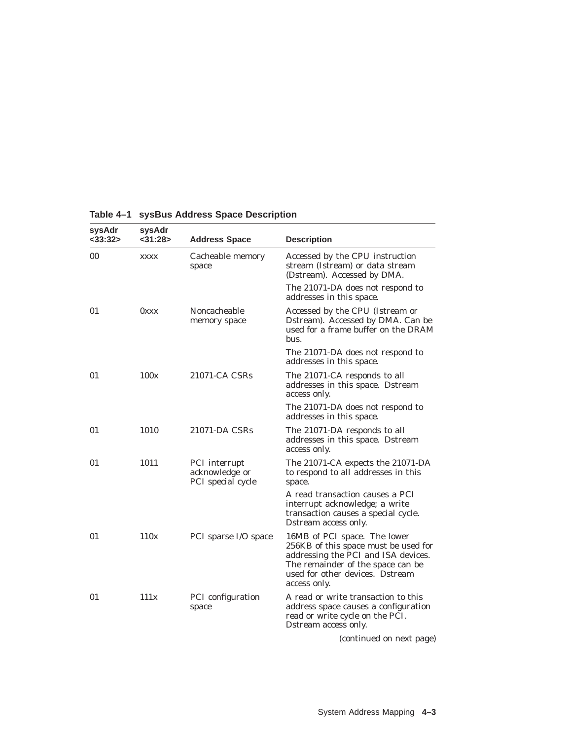| sysAdr<br>$<$ 33:32 $>$ | sysAdr<br><31:28> | <b>Address Space</b>                                 | <b>Description</b>                                                                                                                                                                                  |
|-------------------------|-------------------|------------------------------------------------------|-----------------------------------------------------------------------------------------------------------------------------------------------------------------------------------------------------|
| $00\,$                  | <b>XXXX</b>       | Cacheable memory<br>space                            | Accessed by the CPU instruction<br>stream (Istream) or data stream<br>(Dstream). Accessed by DMA.                                                                                                   |
|                         |                   |                                                      | The 21071-DA does not respond to<br>addresses in this space.                                                                                                                                        |
| 01                      | 0xxx              | Noncacheable<br>memory space                         | Accessed by the CPU (Istream or<br>Dstream). Accessed by DMA. Can be<br>used for a frame buffer on the DRAM<br>bus.                                                                                 |
|                         |                   |                                                      | The 21071-DA does not respond to<br>addresses in this space.                                                                                                                                        |
| 01                      | 100x              | 21071-CA CSRs                                        | The 21071-CA responds to all<br>addresses in this space. Dstream<br>access only.                                                                                                                    |
|                         |                   |                                                      | The 21071-DA does not respond to<br>addresses in this space.                                                                                                                                        |
| 01                      | 1010              | 21071-DA CSRs                                        | The 21071-DA responds to all<br>addresses in this space. Dstream<br>access only.                                                                                                                    |
| 01                      | 1011              | PCI interrupt<br>acknowledge or<br>PCI special cycle | The 21071-CA expects the 21071-DA<br>to respond to all addresses in this<br>space.                                                                                                                  |
|                         |                   |                                                      | A read transaction causes a PCI<br>interrupt acknowledge; a write<br>transaction causes a special cycle.<br>Dstream access only.                                                                    |
| 01                      | 110x              | PCI sparse I/O space                                 | 16MB of PCI space. The lower<br>256KB of this space must be used for<br>addressing the PCI and ISA devices.<br>The remainder of the space can be<br>used for other devices. Dstream<br>access only. |
| 01                      | 111x              | PCI configuration<br>space                           | A read or write transaction to this<br>address space causes a configuration<br>read or write cycle on the PCI.<br>Dstream access only.                                                              |

## **Table 4–1 sysBus Address Space Description**

(continued on next page)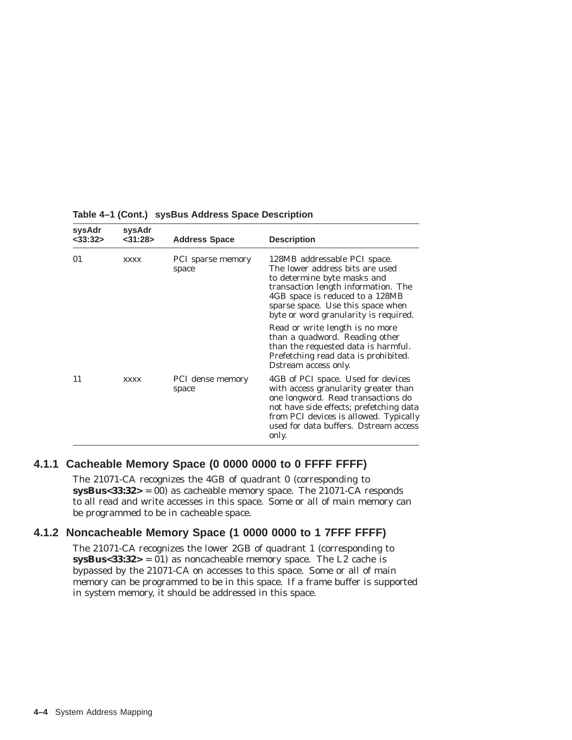| sysAdr<br>$<$ 33:32 $>$ | sysAdr<br>$<$ 31:28 $>$ | <b>Address Space</b>              | <b>Description</b>                                                                                                                                                                                                                                      |
|-------------------------|-------------------------|-----------------------------------|---------------------------------------------------------------------------------------------------------------------------------------------------------------------------------------------------------------------------------------------------------|
| 01                      | <b>XXXX</b>             | <b>PCI</b> sparse memory<br>space | 128MB addressable PCI space.<br>The lower address bits are used<br>to determine byte masks and<br>transaction length information. The<br>4GB space is reduced to a 128MB<br>sparse space. Use this space when<br>byte or word granularity is required.  |
|                         |                         |                                   | Read or write length is no more<br>than a quadword. Reading other<br>than the requested data is harmful.<br>Prefetching read data is prohibited.<br>Dstream access only.                                                                                |
| 11                      | <b>XXXX</b>             | PCI dense memory<br>space         | 4GB of PCI space. Used for devices<br>with access granularity greater than<br>one longword. Read transactions do<br>not have side effects; prefetching data<br>from PCI devices is allowed. Typically<br>used for data buffers. Dstream access<br>only. |

#### **Table 4–1 (Cont.) sysBus Address Space Description**

#### **4.1.1 Cacheable Memory Space (0 0000 0000 to 0 FFFF FFFF)**

The 21071-CA recognizes the 4GB of quadrant 0 (corresponding to **sysBus**<33:32 $>$  = 00) as cacheable memory space. The 21071-CA responds to all read and write accesses in this space. Some or all of main memory can be programmed to be in cacheable space.

#### **4.1.2 Noncacheable Memory Space (1 0000 0000 to 1 7FFF FFFF)**

The 21071-CA recognizes the lower 2GB of quadrant 1 (corresponding to  $sysBus < 33:32 > = 01$  as noncacheable memory space. The L2 cache is bypassed by the 21071-CA on accesses to this space. Some or all of main memory can be programmed to be in this space. If a frame buffer is supported in system memory, it should be addressed in this space.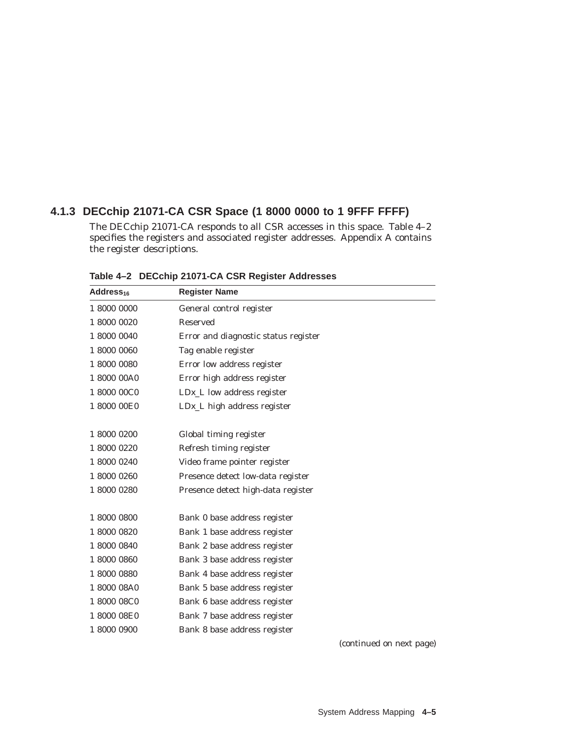## **4.1.3 DECchip 21071-CA CSR Space (1 8000 0000 to 1 9FFF FFFF)**

The DECchip 21071-CA responds to all CSR accesses in this space. Table 4–2 specifies the registers and associated register addresses. Appendix A contains the register descriptions.

| Address <sub>16</sub> | <b>Register Name</b>                 |
|-----------------------|--------------------------------------|
| 1 8000 0000           | General control register             |
| 1 8000 0020           | Reserved                             |
| 1 8000 0040           | Error and diagnostic status register |
| 1 8000 0060           | Tag enable register                  |
| 1 8000 0080           | Error low address register           |
| 1 8000 00A0           | Error high address register          |
| 1 8000 00C0           | $LDx_L$ low address register         |
| 1 8000 00E0           | $LDx_L$ high address register        |
|                       |                                      |
| 1 8000 0200           | Global timing register               |
| 1 8000 0220           | Refresh timing register              |
| 1 8000 0240           | Video frame pointer register         |
| 1 8000 0260           | Presence detect low-data register    |
| 1 8000 0280           | Presence detect high-data register   |
|                       |                                      |
| 1 8000 0800           | Bank 0 base address register         |
| 1 8000 0820           | Bank 1 base address register         |
| 1 8000 0840           | Bank 2 base address register         |
| 1 8000 0860           | Bank 3 base address register         |
| 1 8000 0880           | Bank 4 base address register         |
| 1 8000 08A0           | Bank 5 base address register         |
| 1 8000 08C0           | Bank 6 base address register         |
| 1 8000 08E0           | Bank 7 base address register         |
| 1 8000 0900           | Bank 8 base address register         |

**Table 4–2 DECchip 21071-CA CSR Register Addresses**

(continued on next page)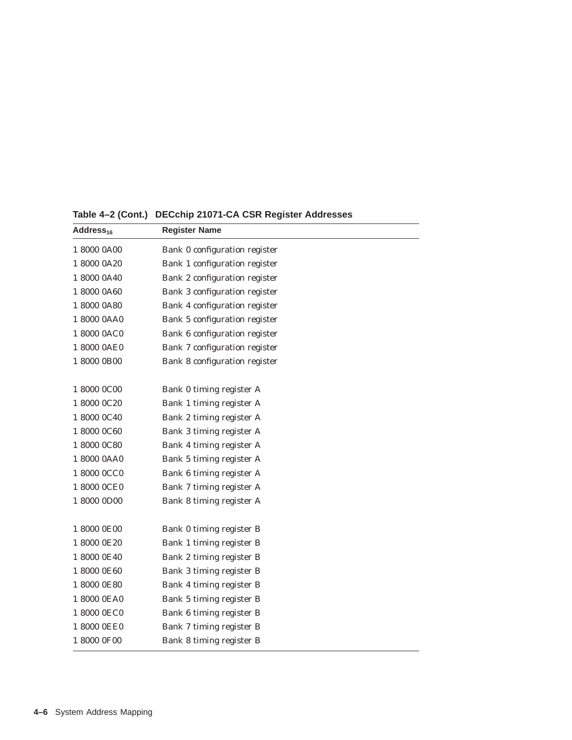| Address <sub>16</sub> | <b>Register Name</b>          |
|-----------------------|-------------------------------|
| 1 8000 0A00           | Bank 0 configuration register |
| 1 8000 0A20           | Bank 1 configuration register |
| 1 8000 0A40           | Bank 2 configuration register |
| 1 8000 0A60           | Bank 3 configuration register |
| 1 8000 0A80           | Bank 4 configuration register |
| 1 8000 0AA0           | Bank 5 configuration register |
| 1 8000 0AC0           | Bank 6 configuration register |
| 1 8000 0AE0           | Bank 7 configuration register |
| 1 8000 0B00           | Bank 8 configuration register |
|                       |                               |
| 1 8000 0C00           | Bank 0 timing register A      |
| 1 8000 0C20           | Bank 1 timing register A      |
| 1 8000 0C40           | Bank 2 timing register A      |
| 1 8000 0C60           | Bank 3 timing register A      |
| 1 8000 0C80           | Bank 4 timing register A      |
| 1 8000 0AA0           | Bank 5 timing register A      |
| 1 8000 0CC0           | Bank 6 timing register A      |
| 1 8000 0CE0           | Bank 7 timing register A      |
| 1 8000 0D00           | Bank 8 timing register A      |
| 1 8000 0E00           | Bank 0 timing register B      |
| 1 8000 0E20           | Bank 1 timing register B      |
| 1 8000 0E40           | Bank 2 timing register B      |
| 1 8000 0E60           | Bank 3 timing register B      |
| 1 8000 0E80           | Bank 4 timing register B      |
| 1 8000 0EA0           | Bank 5 timing register B      |
| 1 8000 0EC0           | Bank 6 timing register B      |
| 1 8000 0EE0           | Bank 7 timing register B      |
| 1 8000 0F00           | Bank 8 timing register B      |
|                       |                               |

## **Table 4–2 (Cont.) DECchip 21071-CA CSR Register Addresses**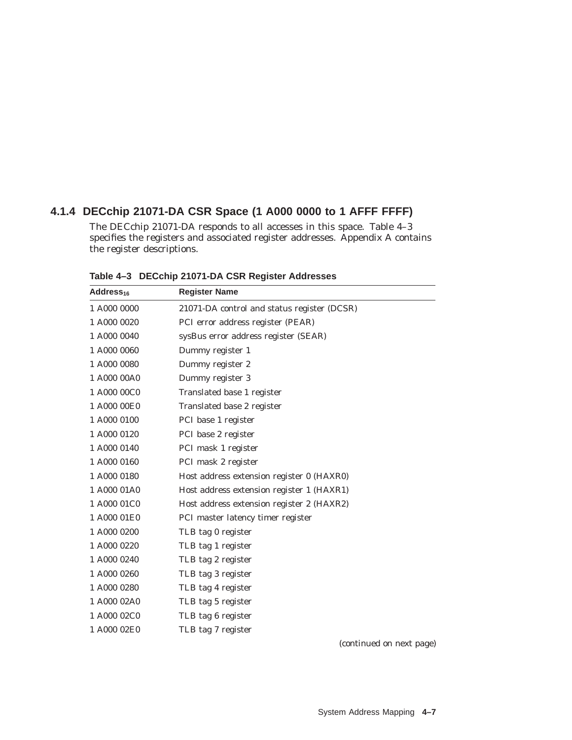## **4.1.4 DECchip 21071-DA CSR Space (1 A000 0000 to 1 AFFF FFFF)**

The DECchip 21071-DA responds to all accesses in this space. Table 4–3 specifies the registers and associated register addresses. Appendix A contains the register descriptions.

| Address <sub>16</sub> | <b>Register Name</b>                        |
|-----------------------|---------------------------------------------|
| 1 A000 0000           | 21071-DA control and status register (DCSR) |
| 1 A000 0020           | PCI error address register (PEAR)           |
| 1 A000 0040           | sysBus error address register (SEAR)        |
| 1 A000 0060           | Dummy register 1                            |
| 1 A000 0080           | Dummy register 2                            |
| 1 A000 00A0           | Dummy register 3                            |
| 1 A000 00C0           | Translated base 1 register                  |
| 1 A000 00E0           | Translated base 2 register                  |
| 1 A000 0100           | PCI base 1 register                         |
| 1 A000 0120           | PCI base 2 register                         |
| 1 A000 0140           | PCI mask 1 register                         |
| 1 A000 0160           | PCI mask 2 register                         |
| 1 A000 0180           | Host address extension register 0 (HAXR0)   |
| 1 A000 01A0           | Host address extension register 1 (HAXR1)   |
| 1 A000 01C0           | Host address extension register 2 (HAXR2)   |
| 1 A000 01E0           | PCI master latency timer register           |
| 1 A000 0200           | TLB tag 0 register                          |
| 1 A000 0220           | TLB tag 1 register                          |
| 1 A000 0240           | TLB tag 2 register                          |
| 1 A000 0260           | TLB tag 3 register                          |
| 1 A000 0280           | TLB tag 4 register                          |
| 1 A000 02A0           | TLB tag 5 register                          |
| 1 A000 02C0           | TLB tag 6 register                          |
| 1 A000 02E0           | TLB tag 7 register                          |

**Table 4–3 DECchip 21071-DA CSR Register Addresses**

(continued on next page)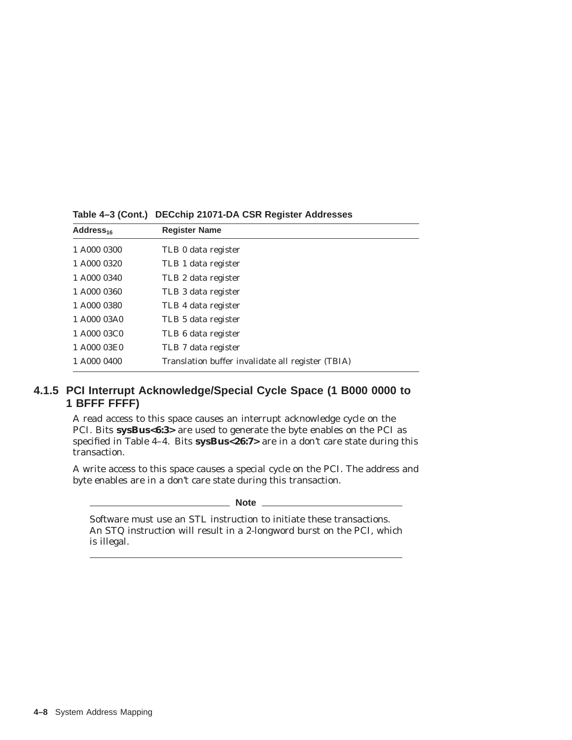| Address <sub>16</sub> | <b>Register Name</b>                              |
|-----------------------|---------------------------------------------------|
| 1 A000 0300           | TLB 0 data register                               |
| 1 A000 0320           | TLB 1 data register                               |
| 1 A000 0340           | TLB 2 data register                               |
| 1 A000 0360           | TLB 3 data register                               |
| 1 A000 0380           | TLB 4 data register                               |
| 1 A000 03A0           | TLB 5 data register                               |
| 1 A000 03C0           | TLB 6 data register                               |
| 1 A000 03E0           | TLB 7 data register                               |
| 1 A000 0400           | Translation buffer invalidate all register (TBIA) |

**Table 4–3 (Cont.) DECchip 21071-DA CSR Register Addresses**

## **4.1.5 PCI Interrupt Acknowledge/Special Cycle Space (1 B000 0000 to 1 BFFF FFFF)**

A read access to this space causes an interrupt acknowledge cycle on the PCI. Bits **sysBus<6:3>** are used to generate the byte enables on the PCI as specified in Table 4–4. Bits **sysBus<26:7>** are in a don't care state during this transaction.

A write access to this space causes a special cycle on the PCI. The address and byte enables are in a don't care state during this transaction.

#### **Note** \_\_\_\_

Software must use an STL instruction to initiate these transactions. An STQ instruction will result in a 2-longword burst on the PCI, which is illegal.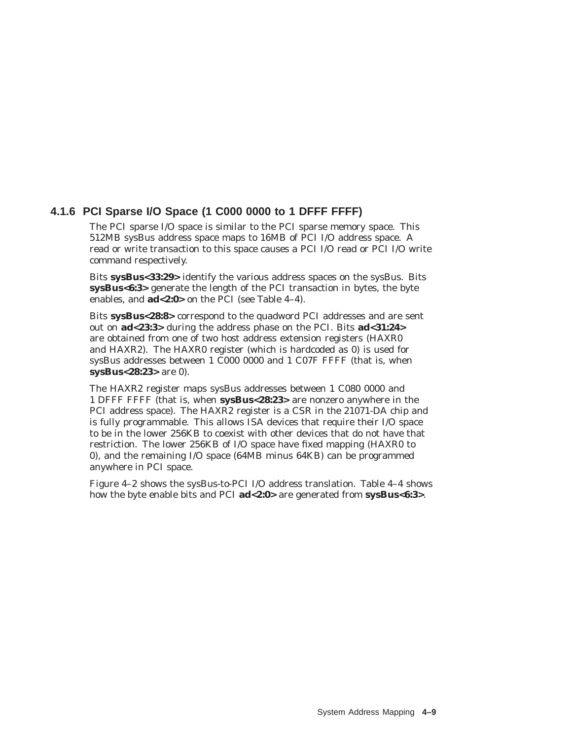## **4.1.6 PCI Sparse I/O Space (1 C000 0000 to 1 DFFF FFFF)**

The PCI sparse I/O space is similar to the PCI sparse memory space. This 512MB sysBus address space maps to 16MB of PCI I/O address space. A read or write transaction to this space causes a PCI I/O read or PCI I/O write command respectively.

Bits **sysBus<33:29>** identify the various address spaces on the sysBus. Bits **sysBus<6:3>** generate the length of the PCI transaction in bytes, the byte enables, and **ad<2:0>** on the PCI (see Table 4–4).

Bits **sysBus<28:8>** correspond to the quadword PCI addresses and are sent out on **ad<23:3>** during the address phase on the PCI. Bits **ad<31:24>** are obtained from one of two host address extension registers (HAXR0 and HAXR2). The HAXR0 register (which is hardcoded as 0) is used for sysBus addresses between 1 C000 0000 and 1 C07F FFFF (that is, when **sysBus<28:23>** are 0).

The HAXR2 register maps sysBus addresses between 1 C080 0000 and 1 DFFF FFFF (that is, when **sysBus<28:23>** are nonzero anywhere in the PCI address space). The HAXR2 register is a CSR in the 21071-DA chip and is fully programmable. This allows ISA devices that require their I/O space to be in the lower 256KB to coexist with other devices that do not have that restriction. The lower 256KB of I/O space have fixed mapping (HAXR0 to 0), and the remaining I/O space (64MB minus 64KB) can be programmed anywhere in PCI space.

Figure 4–2 shows the sysBus-to-PCI I/O address translation. Table 4–4 shows how the byte enable bits and PCI **ad<2:0>** are generated from **sysBus<6:3>**.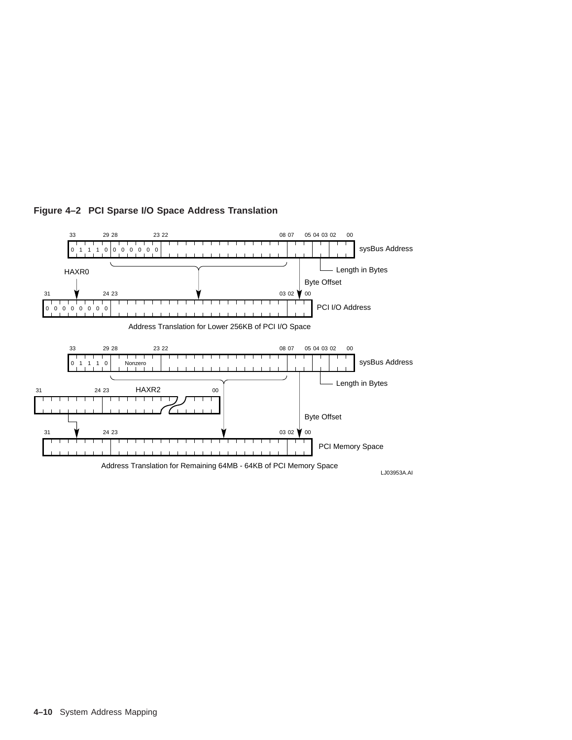

## **Figure 4–2 PCI Sparse I/O Space Address Translation**

**4–10** System Address Mapping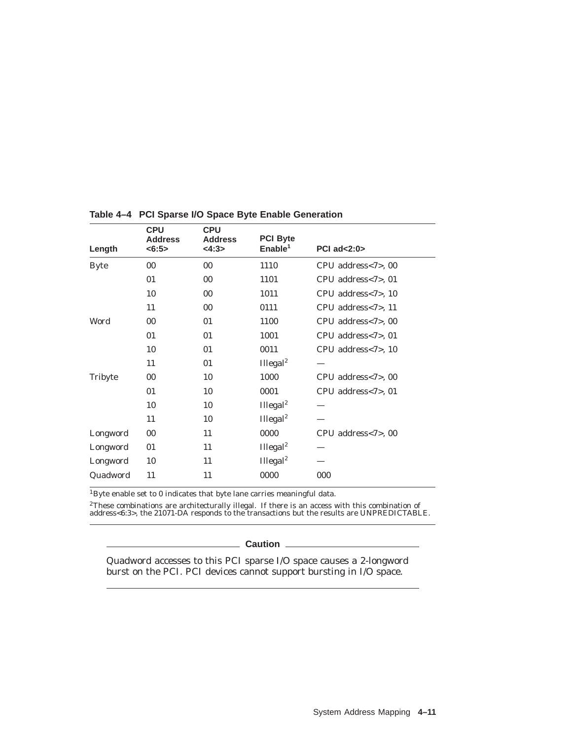| Length      | <b>CPU</b><br><b>Address</b><br><6:5> | <b>CPU</b><br><b>Address</b><br><4:3> | <b>PCI Byte</b><br>Enable <sup>1</sup> | <b>PCI ad&lt;2:0&gt;</b> |
|-------------|---------------------------------------|---------------------------------------|----------------------------------------|--------------------------|
| <b>Byte</b> | $00\,$                                | $00\,$                                | 1110                                   | CPU address<7>, 00       |
|             | 01                                    | 00                                    | 1101                                   | CPU address<7>, 01       |
|             | 10                                    | 00                                    | 1011                                   | CPU address<7>, 10       |
|             | 11                                    | 00                                    | 0111                                   | CPU address<7>, 11       |
| Word        | $00\,$                                | 01                                    | 1100                                   | CPU address<7>, 00       |
|             | 01                                    | 01                                    | 1001                                   | CPU address<7>, 01       |
|             | 10                                    | 01                                    | 0011                                   | CPU address<7>, 10       |
|             | 11                                    | 01                                    | Illegal <sup>2</sup>                   |                          |
| Tribyte     | $00\,$                                | 10                                    | 1000                                   | CPU address<7>, 00       |
|             | 01                                    | 10                                    | 0001                                   | CPU address<7>, 01       |
|             | 10                                    | 10                                    | Illegal <sup>2</sup>                   |                          |
|             | 11                                    | 10                                    | Illegal <sup>2</sup>                   |                          |
| Longword    | $00\,$                                | 11                                    | 0000                                   | CPU address<7>, 00       |
| Longword    | 01                                    | 11                                    | Illegal <sup>2</sup>                   |                          |
| Longword    | 10                                    | 11                                    | Illegal $^2$                           |                          |
| Quadword    | 11                                    | 11                                    | 0000                                   | 000                      |
|             |                                       |                                       |                                        |                          |

#### **Table 4–4 PCI Sparse I/O Space Byte Enable Generation**

 ${}^{1}\mathrm{Byte}$  enable set to 0 indicates that byte lane carries meaningful data.

 $^{2}$ These combinations are architecturally illegal. If there is an access with this combination of address<6:3>, the 21071-DA responds to the transactions but the results are UNPREDICTABLE.

#### **Caution**

Quadword accesses to this PCI sparse I/O space causes a 2-longword burst on the PCI. PCI devices cannot support bursting in I/O space.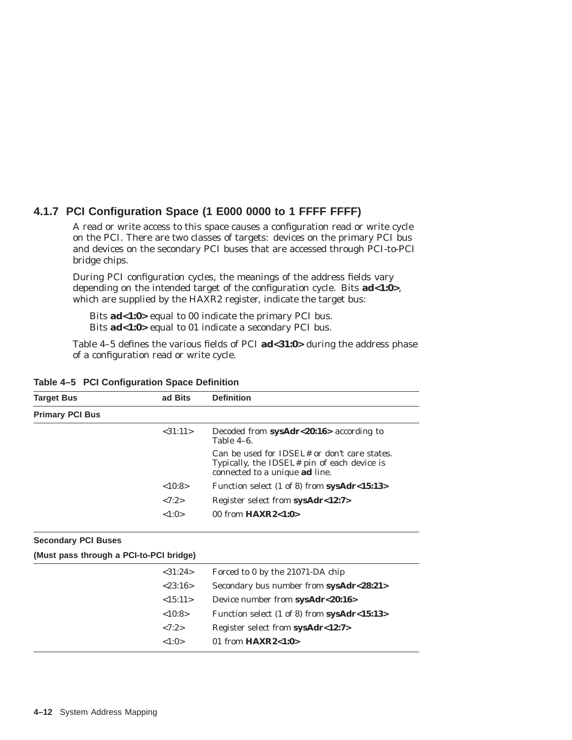## **4.1.7 PCI Configuration Space (1 E000 0000 to 1 FFFF FFFF)**

A read or write access to this space causes a configuration read or write cycle on the PCI. There are two classes of targets: devices on the primary PCI bus and devices on the secondary PCI buses that are accessed through PCI-to-PCI bridge chips.

During PCI configuration cycles, the meanings of the address fields vary depending on the intended target of the configuration cycle. Bits **ad<1:0>**, which are supplied by the HAXR2 register, indicate the target bus:

Bits **ad<1:0>** equal to 00 indicate the primary PCI bus. Bits **ad<1:0>** equal to 01 indicate a secondary PCI bus.

Table 4–5 defines the various fields of PCI **ad<31:0>** during the address phase of a configuration read or write cycle.

| <b>Target Bus</b>                       | ad Bits  | <b>Definition</b>                                                                                                                    |
|-----------------------------------------|----------|--------------------------------------------------------------------------------------------------------------------------------------|
| <b>Primary PCI Bus</b>                  |          |                                                                                                                                      |
|                                         | < 31:11> | Decoded from sysAdr<20:16> according to<br>Table 4-6.                                                                                |
|                                         |          | Can be used for IDSEL# or don't care states.<br>Typically, the IDSEL# pin of each device is<br>connected to a unique <b>ad</b> line. |
|                                         | <10:8>   | Function select $(1 \text{ of } 8)$ from sysAdr<15:13>                                                                               |
|                                         | <7:2>    | Register select from sysAdr<12:7>                                                                                                    |
|                                         | <1:0>    | 00 from $HAXR2<1:0>$                                                                                                                 |
| <b>Secondary PCI Buses</b>              |          |                                                                                                                                      |
| (Must pass through a PCI-to-PCI bridge) |          |                                                                                                                                      |
|                                         | <31:24>  | Forced to 0 by the 21071-DA chip                                                                                                     |
|                                         | < 23:16> | Secondary bus number from sysAdr<28:21>                                                                                              |
|                                         | <15:11>  | Device number from sysAdr<20:16>                                                                                                     |
|                                         | <10:8>   | Function select $(1 \text{ of } 8)$ from sysAdr<15:13>                                                                               |
|                                         | <7:2>    | Register select from sysAdr<12:7>                                                                                                    |
|                                         | <1:0>    | 01 from $HAXR2<1:0>$                                                                                                                 |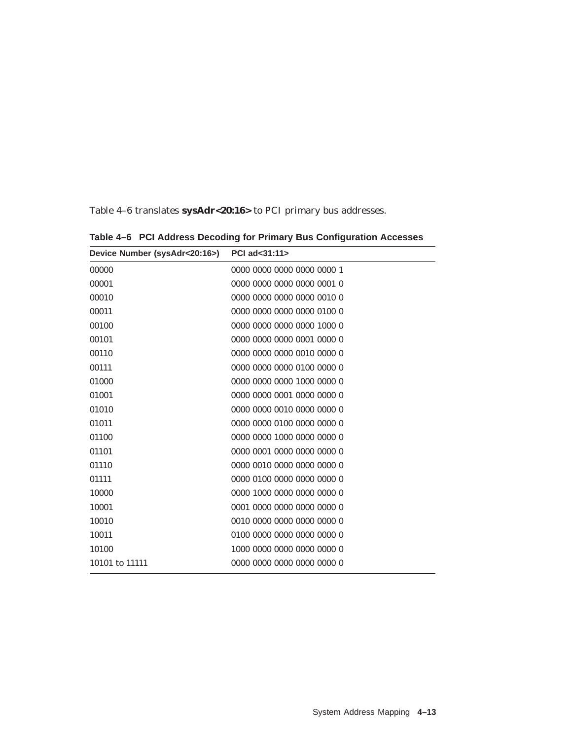Table 4–6 translates **sysAdr<20:16>** to PCI primary bus addresses.

| Device Number (sysAdr<20:16>) | PCI ad<31:11>              |
|-------------------------------|----------------------------|
| 00000                         | 0000 0000 0000 0000 0000 1 |
| 00001                         | 0000 0000 0000 0000 0001 0 |
| 00010                         | 0000 0000 0000 0000 0010 0 |
| 00011                         | 0000 0000 0000 0000 0100 0 |
| 00100                         | 0000 0000 0000 0000 1000 0 |
| 00101                         | 0000 0000 0000 0001 0000 0 |
| 00110                         | 0000 0000 0000 0010 0000 0 |
| 00111                         | 0000 0000 0000 0100 0000 0 |
| 01000                         | 0000 0000 0000 1000 0000 0 |
| 01001                         | 0000 0000 0001 0000 0000 0 |
| 01010                         | 0000 0000 0010 0000 0000 0 |
| 01011                         | 0000 0000 0100 0000 0000 0 |
| 01100                         | 0000 0000 1000 0000 0000 0 |
| 01101                         | 0000 0001 0000 0000 0000 0 |
| 01110                         | 0000 0010 0000 0000 0000 0 |
| 01111                         | 0000 0100 0000 0000 0000 0 |
| 10000                         | 0000 1000 0000 0000 0000 0 |
| 10001                         | 0001 0000 0000 0000 0000 0 |
| 10010                         | 0010 0000 0000 0000 0000 0 |
| 10011                         | 0100 0000 0000 0000 0000 0 |
| 10100                         | 1000 0000 0000 0000 0000 0 |
| 10101 to 11111                | 0000 0000 0000 0000 0000 0 |
|                               |                            |

**Table 4–6 PCI Address Decoding for Primary Bus Configuration Accesses**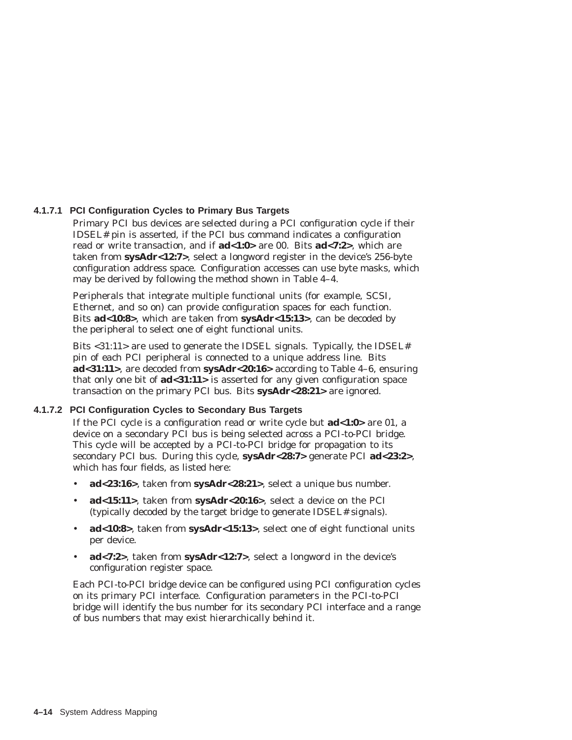#### **4.1.7.1 PCI Configuration Cycles to Primary Bus Targets**

Primary PCI bus devices are selected during a PCI configuration cycle if their IDSEL# pin is asserted, if the PCI bus command indicates a configuration read or write transaction, and if **ad<1:0>** are 00. Bits **ad<7:2>**, which are taken from **sysAdr<12:7>**, select a longword register in the device's 256-byte configuration address space. Configuration accesses can use byte masks, which may be derived by following the method shown in Table 4–4.

Peripherals that integrate multiple functional units (for example, SCSI, Ethernet, and so on) can provide configuration spaces for each function. Bits **ad<10:8>**, which are taken from **sysAdr<15:13>**, can be decoded by the peripheral to select one of eight functional units.

Bits <31:11> are used to generate the IDSEL signals. Typically, the IDSEL# pin of each PCI peripheral is connected to a unique address line. Bits **ad<31:11>**, are decoded from **sysAdr<20:16>** according to Table 4–6, ensuring that only one bit of **ad<31:11>** is asserted for any given configuration space transaction on the primary PCI bus. Bits **sysAdr<28:21>** are ignored.

#### **4.1.7.2 PCI Configuration Cycles to Secondary Bus Targets**

If the PCI cycle is a configuration read or write cycle but **ad<1:0>** are 01, a device on a secondary PCI bus is being selected across a PCI-to-PCI bridge. This cycle will be accepted by a PCI-to-PCI bridge for propagation to its secondary PCI bus. During this cycle, **sysAdr<28:7>** generate PCI **ad<23:2>**, which has four fields, as listed here:

- **ad<23:16>**, taken from **sysAdr<28:21>**, select a unique bus number.
- **ad<15:11>**, taken from **sysAdr<20:16>**, select a device on the PCI (typically decoded by the target bridge to generate IDSEL# signals).
- **ad<10:8>**, taken from **sysAdr<15:13>**, select one of eight functional units per device.
- **ad<7:2>**, taken from **sysAdr<12:7>**, select a longword in the device's configuration register space.

Each PCI-to-PCI bridge device can be configured using PCI configuration cycles on its primary PCI interface. Configuration parameters in the PCI-to-PCI bridge will identify the bus number for its secondary PCI interface and a range of bus numbers that may exist hierarchically behind it.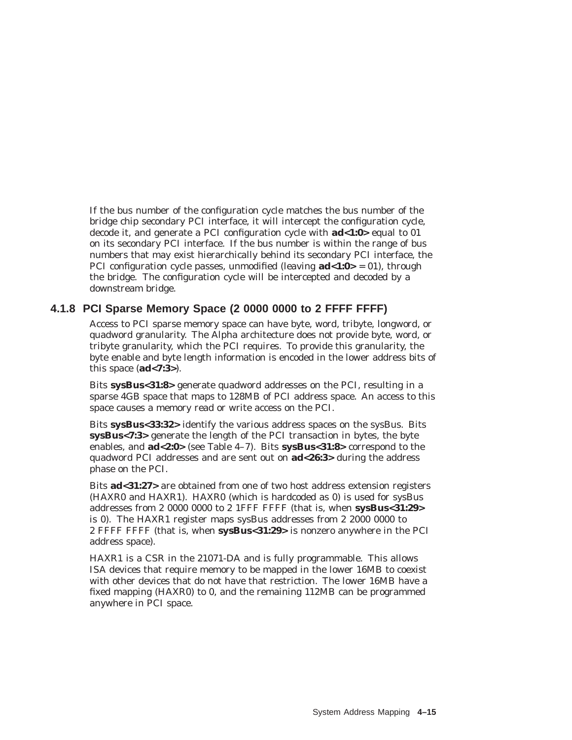If the bus number of the configuration cycle matches the bus number of the bridge chip secondary PCI interface, it will intercept the configuration cycle, decode it, and generate a PCI configuration cycle with **ad<1:0>** equal to 01 on its secondary PCI interface. If the bus number is within the range of bus numbers that may exist hierarchically behind its secondary PCI interface, the PCI configuration cycle passes, unmodified (leaving **ad**<1:0> = 01), through the bridge. The configuration cycle will be intercepted and decoded by a downstream bridge.

## **4.1.8 PCI Sparse Memory Space (2 0000 0000 to 2 FFFF FFFF)**

Access to PCI sparse memory space can have byte, word, tribyte, longword, or quadword granularity. The Alpha architecture does not provide byte, word, or tribyte granularity, which the PCI requires. To provide this granularity, the byte enable and byte length information is encoded in the lower address bits of this space (**ad<7:3>**).

Bits **sysBus<31:8>** generate quadword addresses on the PCI, resulting in a sparse 4GB space that maps to 128MB of PCI address space. An access to this space causes a memory read or write access on the PCI.

Bits **sysBus<33:32>** identify the various address spaces on the sysBus. Bits **sysBus<7:3>** generate the length of the PCI transaction in bytes, the byte enables, and **ad<2:0>** (see Table 4–7). Bits **sysBus<31:8>** correspond to the quadword PCI addresses and are sent out on **ad<26:3>** during the address phase on the PCI.

Bits **ad<31:27>** are obtained from one of two host address extension registers (HAXR0 and HAXR1). HAXR0 (which is hardcoded as 0) is used for sysBus addresses from 2 0000 0000 to 2 1FFF FFFF (that is, when **sysBus<31:29>** is 0). The HAXR1 register maps sysBus addresses from 2 2000 0000 to 2 FFFF FFFF (that is, when **sysBus<31:29>** is nonzero anywhere in the PCI address space).

HAXR1 is a CSR in the 21071-DA and is fully programmable. This allows ISA devices that require memory to be mapped in the lower 16MB to coexist with other devices that do not have that restriction. The lower 16MB have a fixed mapping (HAXR0) to 0, and the remaining 112MB can be programmed anywhere in PCI space.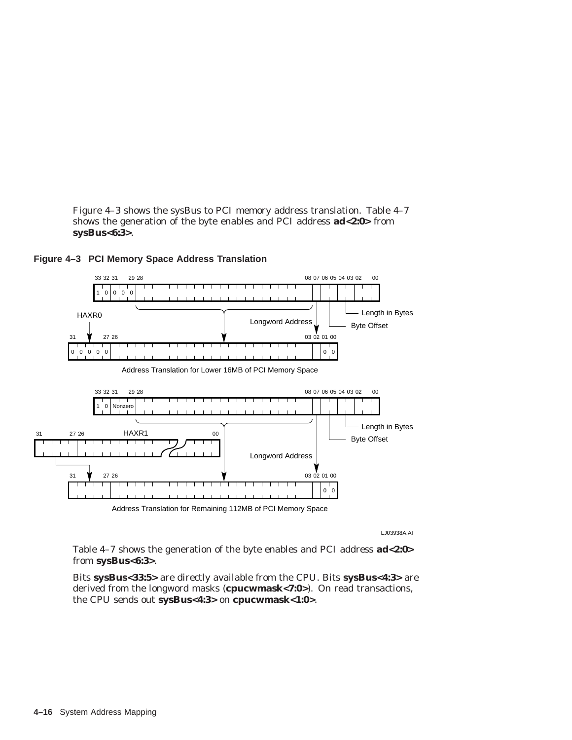Figure 4–3 shows the sysBus to PCI memory address translation. Table 4–7 shows the generation of the byte enables and PCI address **ad<2:0>** from **sysBus<6:3>**.





LJ03938A.AI

Table 4–7 shows the generation of the byte enables and PCI address **ad<2:0>** from **sysBus<6:3>**.

Bits **sysBus<33:5>** are directly available from the CPU. Bits **sysBus<4:3>** are derived from the longword masks (**cpucwmask<7:0>**). On read transactions, the CPU sends out **sysBus<4:3>** on **cpucwmask<1:0>**.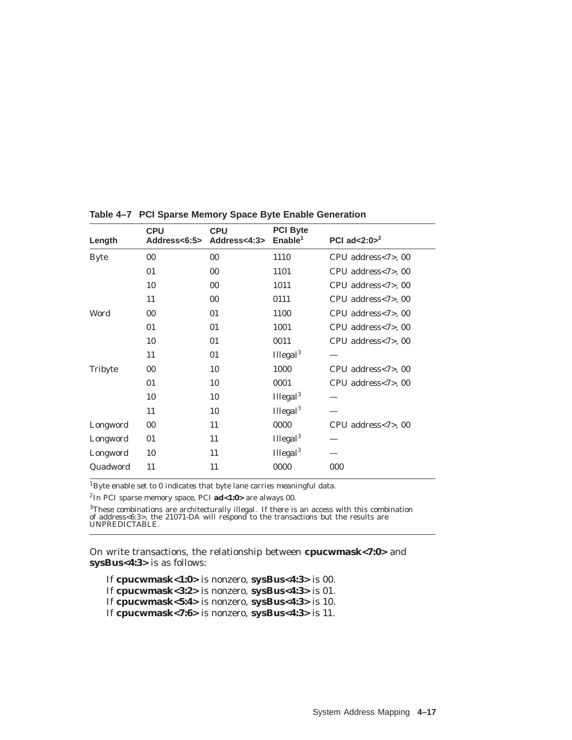| Length      | <b>CPU</b><br>Address<6:5> | <b>CPU</b><br>Address<4:3> | <b>PCI Byte</b><br>Enable <sup>1</sup> | PCI ad<2:0 $>^2$   |
|-------------|----------------------------|----------------------------|----------------------------------------|--------------------|
| <b>Byte</b> | $00\,$                     | 00                         | 1110                                   | CPU address<7>, 00 |
|             | 01                         | 00                         | 1101                                   | CPU address<7>, 00 |
|             | 10                         | 00                         | 1011                                   | CPU address<7>, 00 |
|             | 11                         | 00                         | 0111                                   | CPU address<7>, 00 |
| Word        | 00                         | 01                         | 1100                                   | CPU address<7>, 00 |
|             | 01                         | 01                         | 1001                                   | CPU address<7>, 00 |
|             | 10                         | 01                         | 0011                                   | CPU address<7>, 00 |
|             | 11                         | 01                         | Illegal <sup>3</sup>                   |                    |
| Tribyte     | 00                         | 10                         | 1000                                   | CPU address<7>, 00 |
|             | 01                         | 10                         | 0001                                   | CPU address<7>, 00 |
|             | 10                         | 10                         | Illegal $3$                            |                    |
|             | 11                         | 10                         | Illegal $3$                            |                    |
| Longword    | 00                         | 11                         | 0000                                   | CPU address<7>, 00 |
| Longword    | 01                         | 11                         | Illegal $3$                            |                    |
| Longword    | 10                         | 11                         | Illegal $3$                            |                    |
| Quadword    | 11                         | 11                         | 0000                                   | 000                |

**Table 4–7 PCI Sparse Memory Space Byte Enable Generation**

 ${}^{1}\mathrm{Byte}$  enable set to 0 indicates that byte lane carries meaningful data.

2In PCI sparse memory space, PCI **ad<1:0>** are always 00.

3These combinations are architecturally illegal. If there is an access with this combination of address<6:3>, the 21071-DA will respond to the transactions but the results are UNPREDICTABLE.

On write transactions, the relationship between **cpucwmask<7:0>** and **sysBus<4:3>** is as follows:

If **cpucwmask<1:0>** is nonzero, **sysBus<4:3>** is 00.

If **cpucwmask<3:2>** is nonzero, **sysBus<4:3>** is 01.

If **cpucwmask<5:4>** is nonzero, **sysBus<4:3>** is 10.

If **cpucwmask<7:6>** is nonzero, **sysBus<4:3>** is 11.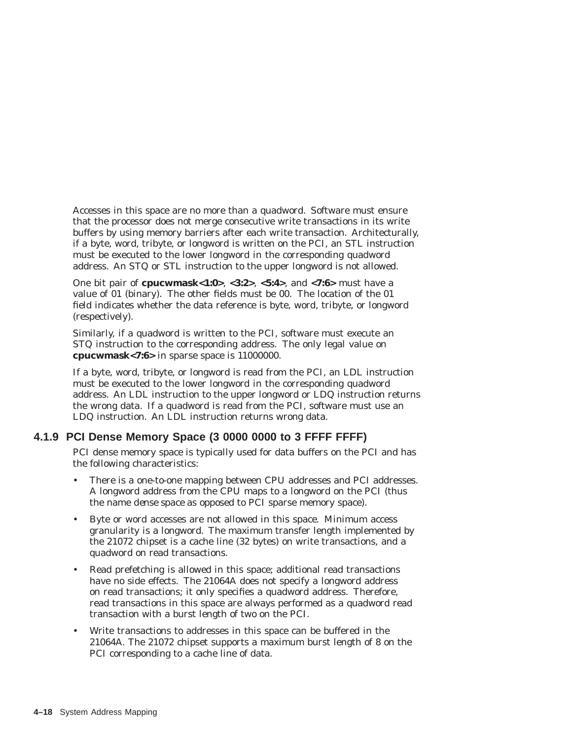Accesses in this space are no more than a quadword. Software must ensure that the processor does not merge consecutive write transactions in its write buffers by using memory barriers after each write transaction. Architecturally, if a byte, word, tribyte, or longword is written on the PCI, an STL instruction must be executed to the lower longword in the corresponding quadword address. An STQ or STL instruction to the upper longword is not allowed.

One bit pair of **cpucwmask<1:0>**, **<3:2>**, **<5:4>**, and **<7:6>** must have a value of 01 (binary). The other fields must be 00. The location of the 01 field indicates whether the data reference is byte, word, tribyte, or longword (respectively).

Similarly, if a quadword is written to the PCI, software must execute an STQ instruction to the corresponding address. The only legal value on **cpucwmask<7:6>** in sparse space is 11000000.

If a byte, word, tribyte, or longword is read from the PCI, an LDL instruction must be executed to the lower longword in the corresponding quadword address. An LDL instruction to the upper longword or LDQ instruction returns the wrong data. If a quadword is read from the PCI, software must use an LDQ instruction. An LDL instruction returns wrong data.

## **4.1.9 PCI Dense Memory Space (3 0000 0000 to 3 FFFF FFFF)**

PCI dense memory space is typically used for data buffers on the PCI and has the following characteristics:

- There is a one-to-one mapping between CPU addresses and PCI addresses. A longword address from the CPU maps to a longword on the PCI (thus the name *dense space* as opposed to PCI sparse memory space).
- Byte or word accesses are not allowed in this space. Minimum access granularity is a longword. The maximum transfer length implemented by the 21072 chipset is a cache line (32 bytes) on write transactions, and a quadword on read transactions.
- Read prefetching is allowed in this space; additional read transactions have no side effects. The 21064A does not specify a longword address on read transactions; it only specifies a quadword address. Therefore, read transactions in this space are always performed as a quadword read transaction with a burst length of two on the PCI.
- Write transactions to addresses in this space can be buffered in the 21064A. The 21072 chipset supports a maximum burst length of 8 on the PCI corresponding to a cache line of data.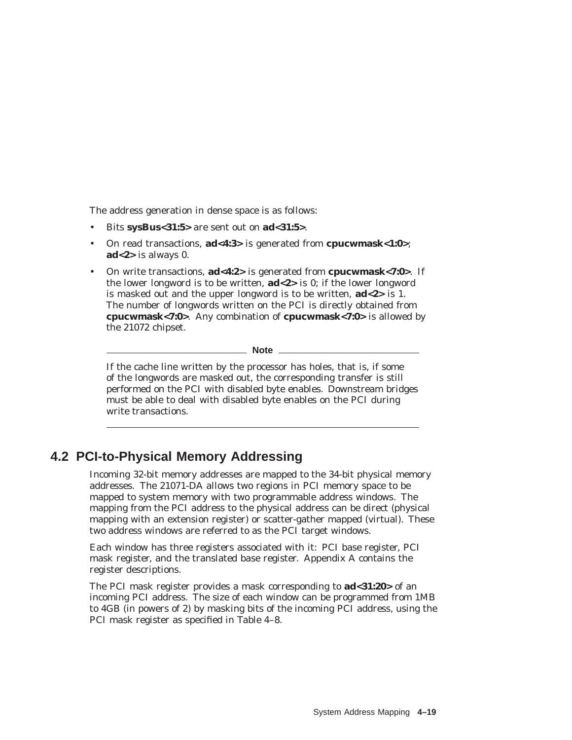The address generation in dense space is as follows:

- Bits **sysBus<31:5>** are sent out on **ad<31:5>**.
- On read transactions, **ad<4:3>** is generated from **cpucwmask<1:0>**; **ad<2>** is always 0.
- On write transactions, **ad<4:2>** is generated from **cpucwmask<7:0>**. If the lower longword is to be written, **ad<2>** is 0; if the lower longword is masked out and the upper longword is to be written, **ad<2>** is 1. The number of longwords written on the PCI is directly obtained from **cpucwmask<7:0>**. Any combination of **cpucwmask<7:0>** is allowed by the 21072 chipset.

**Note** \_

If the cache line written by the processor has holes, that is, if some of the longwords are masked out, the corresponding transfer is still performed on the PCI with disabled byte enables. Downstream bridges must be able to deal with disabled byte enables on the PCI during write transactions.

## **4.2 PCI-to-Physical Memory Addressing**

Incoming 32-bit memory addresses are mapped to the 34-bit physical memory addresses. The 21071-DA allows two regions in PCI memory space to be mapped to system memory with two programmable address windows. The mapping from the PCI address to the physical address can be direct (physical mapping with an extension register) or scatter-gather mapped (virtual). These two address windows are referred to as the PCI target windows.

Each window has three registers associated with it: PCI base register, PCI mask register, and the translated base register. Appendix A contains the register descriptions.

The PCI mask register provides a mask corresponding to **ad<31:20>** of an incoming PCI address. The size of each window can be programmed from 1MB to 4GB (in powers of 2) by masking bits of the incoming PCI address, using the PCI mask register as specified in Table 4–8.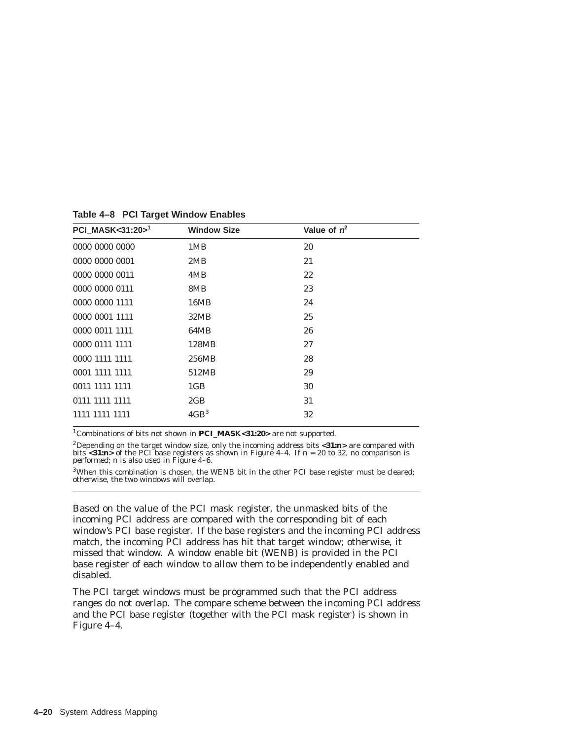| <b>Window Size</b> | Value of $n^2$ |  |
|--------------------|----------------|--|
| 1MB                | 20             |  |
| 2MB                | 21             |  |
| 4MB                | $22\,$         |  |
| 8MB                | 23             |  |
| 16MB               | 24             |  |
| 32MB               | 25             |  |
| <b>64MB</b>        | 26             |  |
| 128MB              | 27             |  |
| 256MB              | 28             |  |
| 512MB              | 29             |  |
| 1GB                | 30             |  |
| 2GB                | 31             |  |
| 4GB <sup>3</sup>   | 32             |  |
|                    |                |  |

**Table 4–8 PCI Target Window Enables**

1Combinations of bits not shown in **PCI\_MASK<31:20>** are not supported.

2Depending on the target window size, only the incoming address bits **<31:***n***>** are compared with bits  $\lt 31: n \gt 0$  of the PCI base registers as shown in Figure 4–4. If  $n = 20$  to 32, no comparison is performed; *n* is also used in Figure 4–6.

 $3$ When this combination is chosen, the WENB bit in the other PCI base register must be cleared; otherwise, the two windows will overlap.

Based on the value of the PCI mask register, the unmasked bits of the incoming PCI address are compared with the corresponding bit of each window's PCI base register. If the base registers and the incoming PCI address match, the incoming PCI address has hit that target window; otherwise, it missed that window. A window enable bit (WENB) is provided in the PCI base register of each window to allow them to be independently enabled and disabled.

The PCI target windows must be programmed such that the PCI address ranges do not overlap. The compare scheme between the incoming PCI address and the PCI base register (together with the PCI mask register) is shown in Figure 4–4.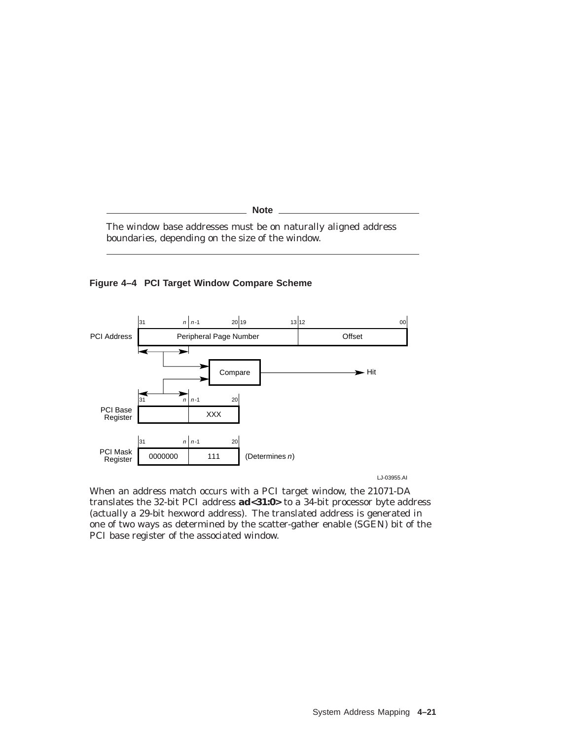**Note**

The window base addresses must be on naturally aligned address boundaries, depending on the size of the window.





LJ-03955.AI

When an address match occurs with a PCI target window, the 21071-DA translates the 32-bit PCI address **ad<31:0>** to a 34-bit processor byte address (actually a 29-bit hexword address). The translated address is generated in one of two ways as determined by the scatter-gather enable (SGEN) bit of the PCI base register of the associated window.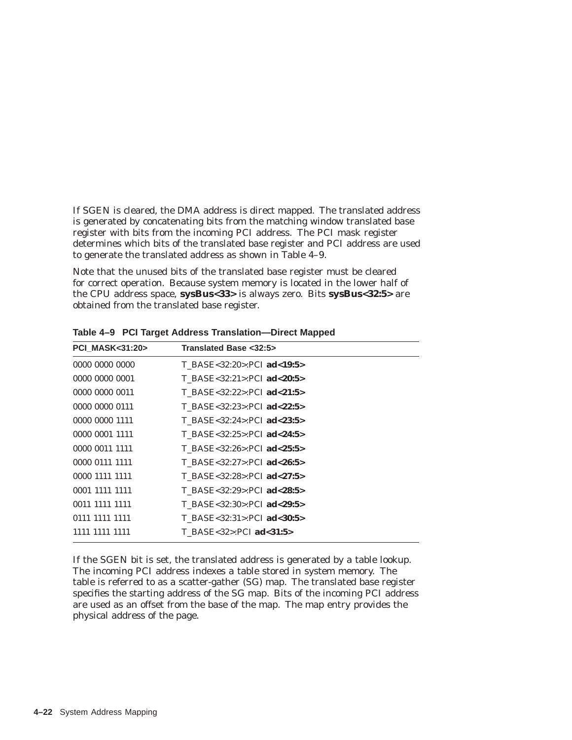If SGEN is cleared, the DMA address is direct mapped. The translated address is generated by concatenating bits from the matching window translated base register with bits from the incoming PCI address. The PCI mask register determines which bits of the translated base register and PCI address are used to generate the translated address as shown in Table 4–9.

Note that the unused bits of the translated base register must be cleared for correct operation. Because system memory is located in the lower half of the CPU address space, **sysBus<33>** is always zero. Bits **sysBus<32:5>** are obtained from the translated base register.

| <b>PCI MASK&lt;31:20&gt;</b> | Translated Base <32:5>     |
|------------------------------|----------------------------|
| 0000 0000 0000               | T BASE<32:20>:PCI ad<19:5> |
| 0000 0000 0001               | T BASE<32:21>:PCI ad<20:5> |
| 0000 0000 0011               | T BASE<32:22>:PCI ad<21:5> |
| 0000 0000 0111               | T BASE<32:23>:PCI ad<22:5> |
| 0000 0000 1111               | T BASE<32:24>:PCI ad<23:5> |
| 0000 0001 1111               | T BASE<32:25>:PCI ad<24:5> |
| 0000 0011 1111               | T BASE<32:26>:PCI ad<25:5> |
| 0000 0111 1111               | T BASE<32:27>:PCI ad<26:5> |
| 0000 1111 1111               | T BASE<32:28>:PCI ad<27:5> |
| 0001 1111 1111               | T BASE<32:29>:PCI ad<28:5> |
| 0011 1111 1111               | T BASE<32:30>:PCI ad<29:5> |
| 0111 1111 1111               | T BASE<32:31>:PCI ad<30:5> |
| 1111 1111 1111               | T BASE<32>:PCI ad<31:5>    |

**Table 4–9 PCI Target Address Translation—Direct Mapped**

If the SGEN bit is set, the translated address is generated by a table lookup. The incoming PCI address indexes a table stored in system memory. The table is referred to as a scatter-gather (SG) map. The translated base register specifies the starting address of the SG map. Bits of the incoming PCI address are used as an offset from the base of the map. The map entry provides the physical address of the page.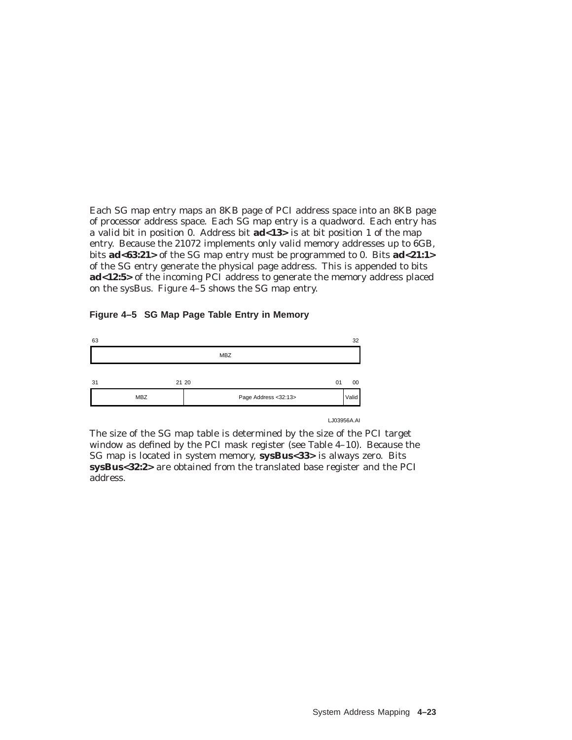Each SG map entry maps an 8KB page of PCI address space into an 8KB page of processor address space. Each SG map entry is a quadword. Each entry has a valid bit in position 0. Address bit **ad<13>** is at bit position 1 of the map entry. Because the 21072 implements only valid memory addresses up to 6GB, bits **ad<63:21>** of the SG map entry must be programmed to 0. Bits **ad<21:1>** of the SG entry generate the physical page address. This is appended to bits **ad<12:5>** of the incoming PCI address to generate the memory address placed on the sysBus. Figure 4–5 shows the SG map entry.

#### **Figure 4–5 SG Map Page Table Entry in Memory**



LJ03956A.AI

The size of the SG map table is determined by the size of the PCI target window as defined by the PCI mask register (see Table 4–10). Because the SG map is located in system memory, **sysBus<33>** is always zero. Bits **sysBus<32:2>** are obtained from the translated base register and the PCI address.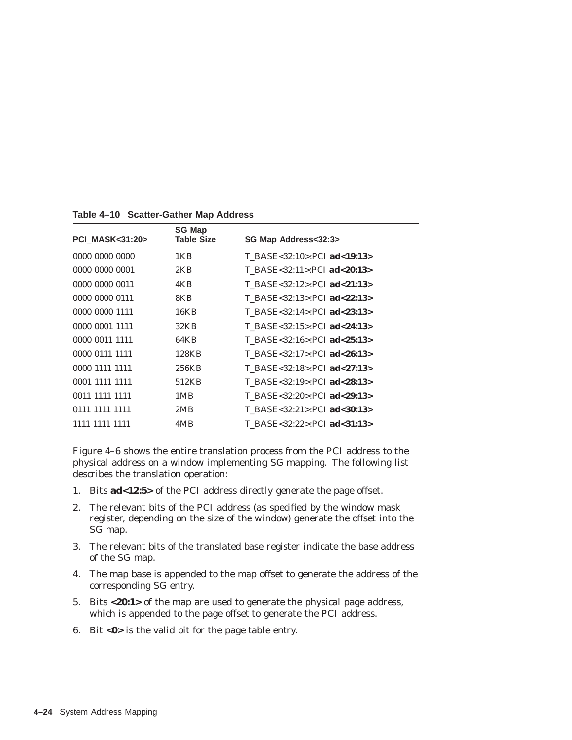|                              | <b>SG Map</b>     |                             |
|------------------------------|-------------------|-----------------------------|
| <b>PCI MASK&lt;31:20&gt;</b> | <b>Table Size</b> | SG Map Address<32:3>        |
| 0000 0000 0000               | 1KB               | T BASE<32:10>:PCI ad<19:13> |
| 0000 0000 0001               | 2KB               | T BASE<32:11>:PCI ad<20:13> |
| 0000 0000 0011               | 4KB               | T BASE<32:12>:PCI ad<21:13> |
| 0000 0000 0111               | 8KB               | T BASE<32:13>:PCI ad<22:13> |
| 0000 0000 1111               | 16KB              | T BASE<32:14>:PCI ad<23:13> |
| 0000 0001 1111               | 32KB              | T BASE<32:15>:PCI ad<24:13> |
| 0000 0011 1111               | 64KB              | T BASE<32:16>:PCI ad<25:13> |
| 0000 0111 1111               | 128KB             | T BASE<32:17>:PCI ad<26:13> |
| 0000 1111 1111               | 256KB             | T_BASE<32:18>:PCI ad<27:13> |
| 0001 1111 1111               | 512KB             | T BASE<32:19>:PCI ad<28:13> |
| 0011 1111 1111               | 1MB               | T BASE<32:20>:PCI ad<29:13> |
| 0111 1111 1111               | 2MB               | T BASE<32:21>:PCI ad<30:13> |
| 1111 1111 1111               | 4MB               | T BASE<32:22>:PCI ad<31:13> |

**Table 4–10 Scatter-Gather Map Address**

Figure 4–6 shows the entire translation process from the PCI address to the physical address on a window implementing SG mapping. The following list describes the translation operation:

- 1. Bits **ad<12:5>** of the PCI address directly generate the page offset.
- 2. The relevant bits of the PCI address (as specified by the window mask register, depending on the size of the window) generate the offset into the SG map.
- 3. The relevant bits of the translated base register indicate the base address of the SG map.
- 4. The map base is appended to the map offset to generate the address of the corresponding SG entry.
- 5. Bits **<20:1>** of the map are used to generate the physical page address, which is appended to the page offset to generate the PCI address.
- 6. Bit **<0>** is the valid bit for the page table entry.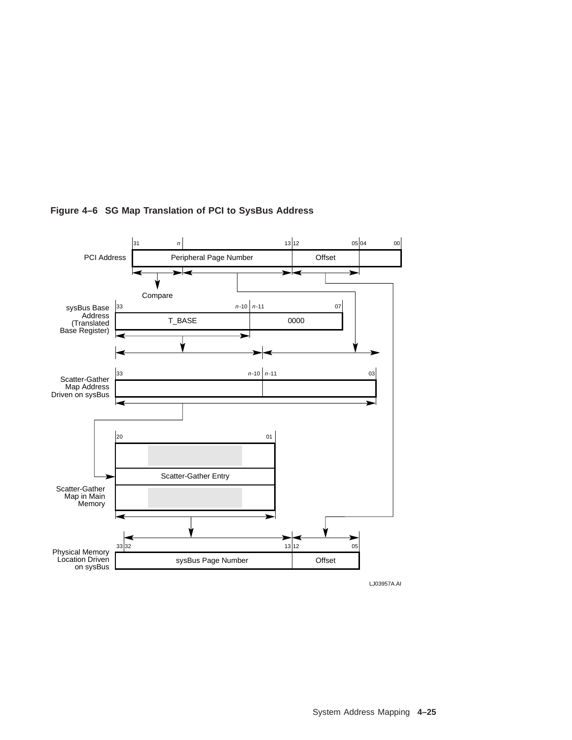

#### **Figure 4–6 SG Map Translation of PCI to SysBus Address**

LJ03957A.AI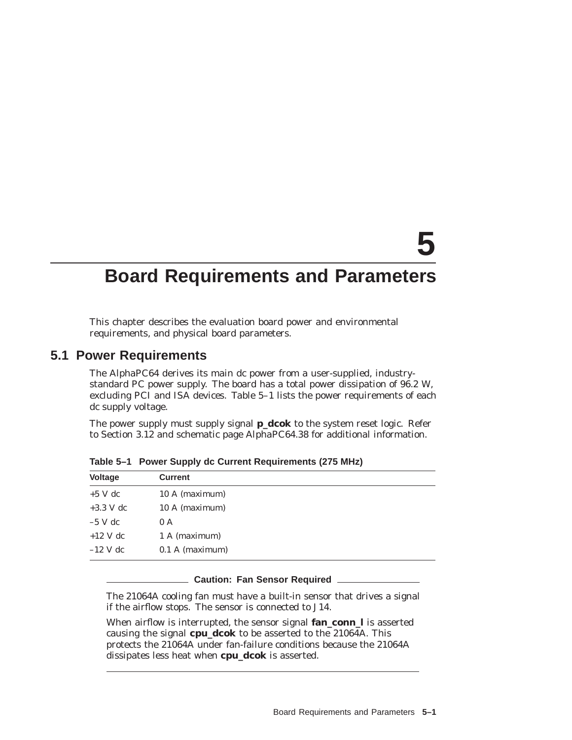# **5**

## **Board Requirements and Parameters**

This chapter describes the evaluation board power and environmental requirements, and physical board parameters.

## **5.1 Power Requirements**

The AlphaPC64 derives its main dc power from a user-supplied, industrystandard PC power supply. The board has a total power dissipation of 96.2 W, excluding PCI and ISA devices. Table 5–1 lists the power requirements of each dc supply voltage.

The power supply must supply signal **p\_dcok** to the system reset logic. Refer to Section 3.12 and schematic page *AlphaPC64.38* for additional information.

| <b>Current</b>    |
|-------------------|
| 10 A (maximum)    |
| 10 A (maximum)    |
| 0A                |
| 1 A (maximum)     |
| $0.1$ A (maximum) |
|                   |

**Table 5–1 Power Supply dc Current Requirements (275 MHz)**

#### **Caution: Fan Sensor Required**

The 21064A cooling fan *must* have a built-in sensor that drives a signal if the airflow stops. The sensor is connected to J14.

When airflow is interrupted, the sensor signal **fan\_conn\_l** is asserted causing the signal **cpu\_dcok** to be asserted to the 21064A. This protects the 21064A under fan-failure conditions because the 21064A dissipates less heat when **cpu\_dcok** is asserted.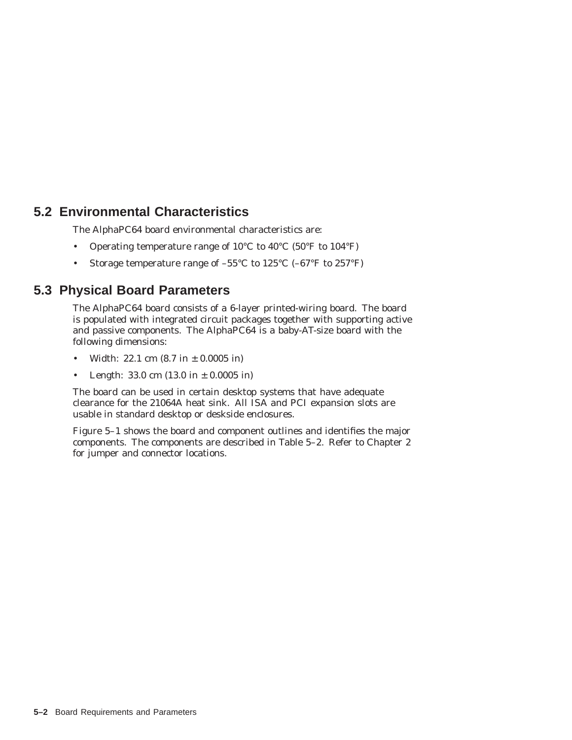## **5.2 Environmental Characteristics**

The AlphaPC64 board environmental characteristics are:

- Operating temperature range of 10°C to 40°C (50°F to 104°F)
- Storage temperature range of  $-55^{\circ}$ C to  $125^{\circ}$ C ( $-67^{\circ}$ F to  $257^{\circ}$ F)

## **5.3 Physical Board Parameters**

The AlphaPC64 board consists of a 6-layer printed-wiring board. The board is populated with integrated circuit packages together with supporting active and passive components. The AlphaPC64 is a baby-AT-size board with the following dimensions:

- Width: 22.1 cm  $(8.7 \text{ in } \pm 0.0005 \text{ in})$
- Length:  $33.0 \text{ cm} (13.0 \text{ in } \pm 0.0005 \text{ in})$

The board can be used in certain desktop systems that have adequate clearance for the 21064A heat sink. All ISA and PCI expansion slots are usable in standard desktop or deskside enclosures.

Figure 5–1 shows the board and component outlines and identifies the major components. The components are described in Table 5–2. Refer to Chapter 2 for jumper and connector locations.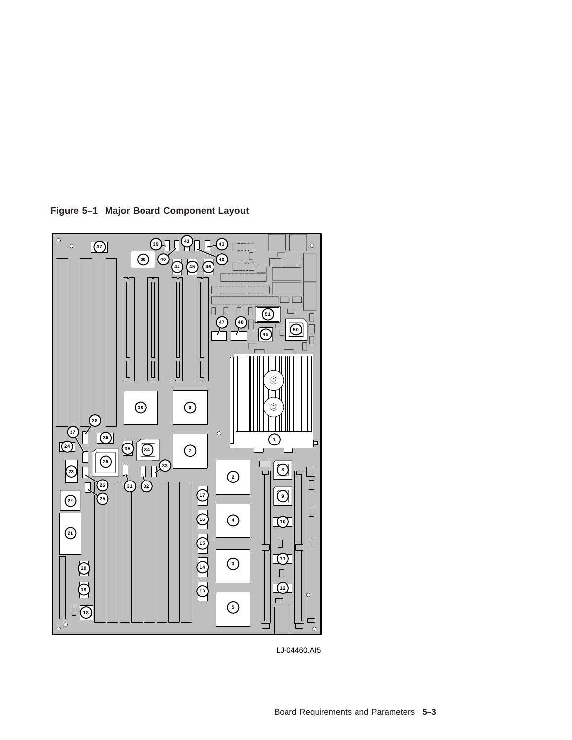



LJ-04460.AI5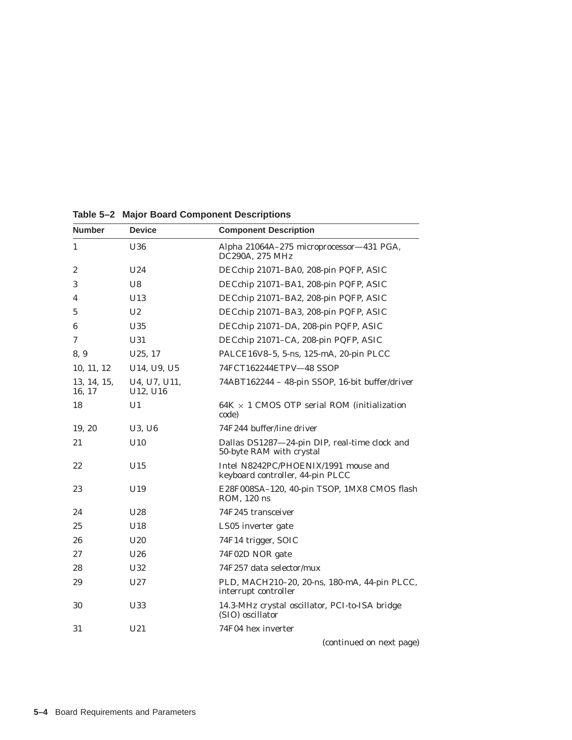| <b>Number</b>         | <b>Device</b>            | <b>Component Description</b>                                              |
|-----------------------|--------------------------|---------------------------------------------------------------------------|
| $\mathbf{1}$          | U36                      | Alpha 21064A-275 microprocessor-431 PGA,<br>DC290A, 275 MHz               |
| $\boldsymbol{2}$      | U <sub>24</sub>          | DECchip 21071–BA0, 208-pin PQFP, ASIC                                     |
| 3                     | U8                       | DECchip 21071-BA1, 208-pin PQFP, ASIC                                     |
| 4                     | U13                      | DECchip 21071-BA2, 208-pin PQFP, ASIC                                     |
| 5                     | U <sub>2</sub>           | DECchip 21071-BA3, 208-pin PQFP, ASIC                                     |
| 6                     | U35                      | DECchip 21071–DA, 208-pin PQFP, ASIC                                      |
| 7                     | U31                      | DECchip 21071–CA, 208-pin PQFP, ASIC                                      |
| 8, 9                  | U25, 17                  | PALCE16V8-5, 5-ns, 125-mA, 20-pin PLCC                                    |
| 10, 11, 12            | U14, U9, U5              | 74FCT162244ETPV-48 SSOP                                                   |
| 13, 14, 15,<br>16, 17 | U4, U7, U11,<br>U12, U16 | 74ABT162244 - 48-pin SSOP, 16-bit buffer/driver                           |
| 18                    | U1                       | $64K \times 1$ CMOS OTP serial ROM (initialization<br>code)               |
| 19, 20                | U3, U6                   | 74F244 buffer/line driver                                                 |
| 21                    | U10                      | Dallas DS1287-24-pin DIP, real-time clock and<br>50-byte RAM with crystal |
| 22                    | U15                      | Intel N8242PC/PHOENIX/1991 mouse and<br>keyboard controller, 44-pin PLCC  |
| 23                    | U19                      | E28F008SA-120, 40-pin TSOP, 1MX8 CMOS flash<br>ROM, 120 ns                |
| 24                    | U <sub>28</sub>          | 74F245 transceiver                                                        |
| 25                    | U18                      | LS05 inverter gate                                                        |
| 26                    | U20                      | 74F14 trigger, SOIC                                                       |
| 27                    | U26                      | 74F02D NOR gate                                                           |
| 28                    | U32                      | 74F257 data selector/mux                                                  |
| 29                    | U27                      | PLD, MACH210-20, 20-ns, 180-mA, 44-pin PLCC,<br>interrupt controller      |
| 30                    | U <sub>33</sub>          | 14.3-MHz crystal oscillator, PCI-to-ISA bridge<br>(SIO) oscillator        |
| 31                    | U21                      | 74F04 hex inverter                                                        |
|                       |                          | (continued on next page)                                                  |

**Table 5–2 Major Board Component Descriptions**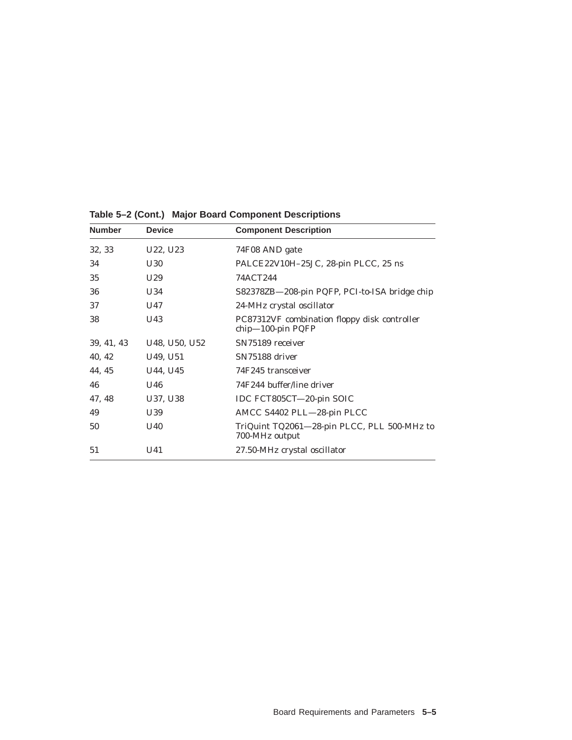| <b>Number</b> | <b>Device</b>                     | <b>Component Description</b>                                      |
|---------------|-----------------------------------|-------------------------------------------------------------------|
| 32, 33        | U22, U23                          | 74F08 AND gate                                                    |
| 34            | U30                               | PALCE22V10H-25JC, 28-pin PLCC, 25 ns                              |
| 35            | U29                               | 74ACT244                                                          |
| 36            | U34                               | S82378ZB—208-pin PQFP, PCI-to-ISA bridge chip                     |
| 37            | U47                               | 24-MHz crystal oscillator                                         |
| 38            | U43                               | PC87312VF combination floppy disk controller<br>chip-100-pin PQFP |
| 39, 41, 43    | U48, U50, U52                     | SN75189 receiver                                                  |
| 40, 42        | U <sub>49</sub> , U <sub>51</sub> | SN75188 driver                                                    |
| 44, 45        | U44, U45                          | 74F245 transceiver                                                |
| 46            | U46                               | 74F244 buffer/line driver                                         |
| 47, 48        | U37, U38                          | IDC FCT805CT-20-pin SOIC                                          |
| 49            | U39                               | AMCC S4402 PLL-28-pin PLCC                                        |
| 50            | U40                               | TriQuint TQ2061—28-pin PLCC, PLL 500-MHz to<br>700-MHz output     |
| 51            | U41                               | 27.50-MHz crystal oscillator                                      |

**Table 5–2 (Cont.) Major Board Component Descriptions**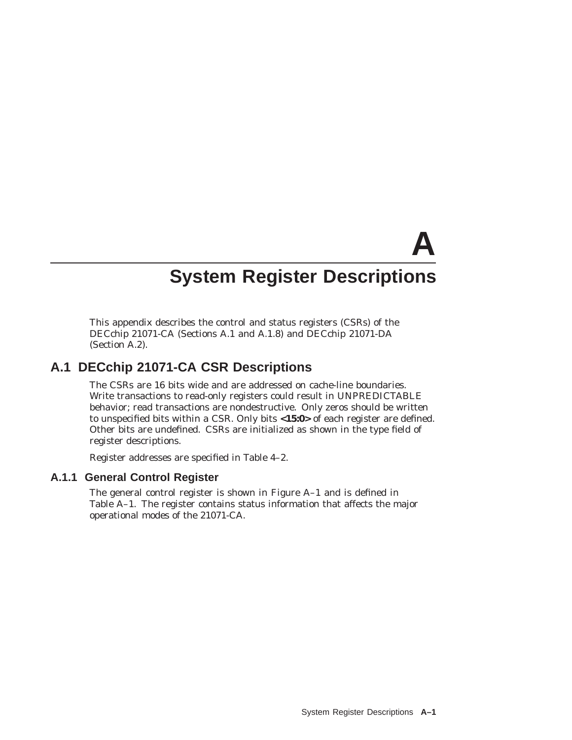# **A System Register Descriptions**

This appendix describes the control and status registers (CSRs) of the DECchip 21071-CA (Sections A.1 and A.1.8) and DECchip 21071-DA (Section A.2).

# **A.1 DECchip 21071-CA CSR Descriptions**

The CSRs are 16 bits wide and are addressed on cache-line boundaries. Write transactions to read-only registers could result in UNPREDICTABLE behavior; read transactions are nondestructive. Only zeros should be written to unspecified bits within a CSR. Only bits **<15:0>** of each register are defined. Other bits are undefined. CSRs are initialized as shown in the type field of register descriptions.

Register addresses are specified in Table 4–2.

## **A.1.1 General Control Register**

The general control register is shown in Figure A–1 and is defined in Table A–1. The register contains status information that affects the major operational modes of the 21071-CA.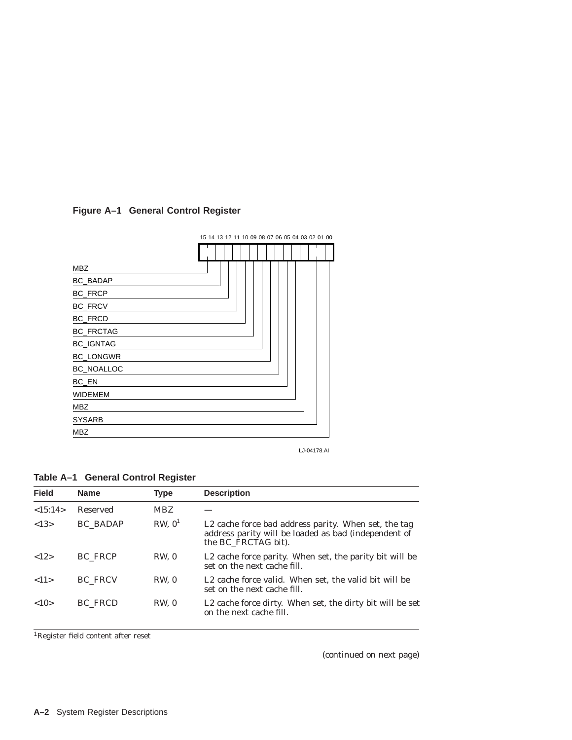## **Figure A–1 General Control Register**



LJ-04178.AI

| Table A-1 General Control Register |  |  |  |
|------------------------------------|--|--|--|
|------------------------------------|--|--|--|

| <b>Field</b> | <b>Name</b>     | <b>Type</b>        | <b>Description</b>                                                                                                                  |
|--------------|-----------------|--------------------|-------------------------------------------------------------------------------------------------------------------------------------|
| <15:14>      | Reserved        | <b>MBZ</b>         |                                                                                                                                     |
| <13>         | <b>BC BADAP</b> | RW. 0 <sup>1</sup> | L2 cache force bad address parity. When set, the tag<br>address parity will be loaded as bad (independent of<br>the BC_FRCTAG bit). |
| <12>         | <b>BC FRCP</b>  | RW. 0              | L2 cache force parity. When set, the parity bit will be<br>set on the next cache fill.                                              |
| <11>         | <b>BC FRCV</b>  | RW. 0              | L <sub>2</sub> cache force valid. When set, the valid bit will be<br>set on the next cache fill.                                    |
| <10>         | BC FRCD         | RW. 0              | L2 cache force dirty. When set, the dirty bit will be set<br>on the next cache fill.                                                |

1Register field content after reset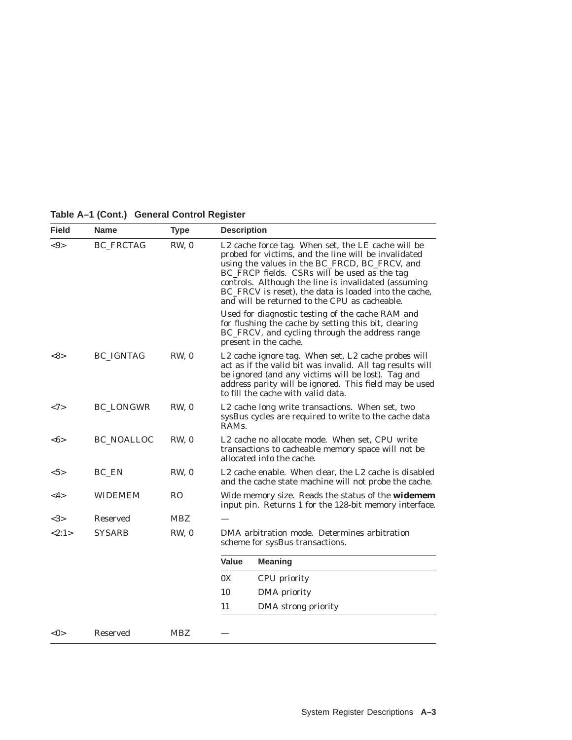| Field         | <b>Name</b>      | <b>Type</b>    | <b>Description</b> |                                                                                                                                                                                                                                                                                                                                                                               |
|---------------|------------------|----------------|--------------------|-------------------------------------------------------------------------------------------------------------------------------------------------------------------------------------------------------------------------------------------------------------------------------------------------------------------------------------------------------------------------------|
| $< \!\!9$     | BC_FRCTAG        | RW, 0          |                    | L2 cache force tag. When set, the LE cache will be<br>probed for victims, and the line will be invalidated<br>using the values in the BC_FRCD, BC_FRCV, and<br>BC_FRCP fields. CSRs will be used as the tag<br>controls. Although the line is invalidated (assuming<br>BC_FRCV is reset), the data is loaded into the cache,<br>and will be returned to the CPU as cacheable. |
|               |                  |                |                    | Used for diagnostic testing of the cache RAM and<br>for flushing the cache by setting this bit, clearing<br>BC_FRCV, and cycling through the address range<br>present in the cache.                                                                                                                                                                                           |
| <8>           | <b>BC_IGNTAG</b> | RW, 0          |                    | L2 cache ignore tag. When set, L2 cache probes will<br>act as if the valid bit was invalid. All tag results will<br>be ignored (and any victims will be lost). Tag and<br>address parity will be ignored. This field may be used<br>to fill the cache with valid data.                                                                                                        |
| <7>           | <b>BC_LONGWR</b> | RW, 0          | RAM <sub>s</sub> . | L2 cache long write transactions. When set, two<br>sysBus cycles are required to write to the cache data                                                                                                                                                                                                                                                                      |
| $<\!\!6\!\!>$ | BC_NOALLOC       | RW, 0          |                    | L2 cache no allocate mode. When set, CPU write<br>transactions to cacheable memory space will not be<br>allocated into the cache.                                                                                                                                                                                                                                             |
| $5>$          | BC EN            | RW, 0          |                    | L2 cache enable. When clear, the L2 cache is disabled<br>and the cache state machine will not probe the cache.                                                                                                                                                                                                                                                                |
| $<$ 4 $>$     | <b>WIDEMEM</b>   | R <sub>O</sub> |                    | Wide memory size. Reads the status of the <b>widemem</b><br>input pin. Returns 1 for the 128-bit memory interface.                                                                                                                                                                                                                                                            |
| <3>           | <b>Reserved</b>  | <b>MBZ</b>     |                    |                                                                                                                                                                                                                                                                                                                                                                               |
| <2:1>         | <b>SYSARB</b>    | RW, 0          |                    | DMA arbitration mode. Determines arbitration<br>scheme for sysBus transactions.                                                                                                                                                                                                                                                                                               |
|               |                  |                | Value              | <b>Meaning</b>                                                                                                                                                                                                                                                                                                                                                                |
|               |                  |                | 0X                 | CPU priority                                                                                                                                                                                                                                                                                                                                                                  |
|               |                  |                | 10                 | DMA priority                                                                                                                                                                                                                                                                                                                                                                  |
|               |                  |                | 11                 | DMA strong priority                                                                                                                                                                                                                                                                                                                                                           |
| $<$ 0 $>$     | <b>Reserved</b>  | <b>MBZ</b>     |                    |                                                                                                                                                                                                                                                                                                                                                                               |

**Table A–1 (Cont.) General Control Register**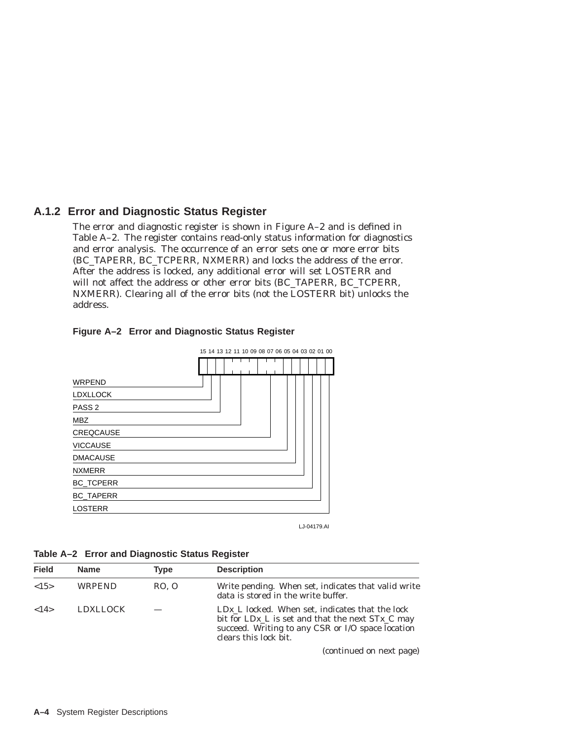## **A.1.2 Error and Diagnostic Status Register**

The error and diagnostic register is shown in Figure A–2 and is defined in Table A–2. The register contains read-only status information for diagnostics and error analysis. The occurrence of an error sets one or more error bits (BC\_TAPERR, BC\_TCPERR, NXMERR) and locks the address of the error. After the address is locked, any additional error will set LOSTERR and will not affect the address or other error bits (BC\_TAPERR, BC\_TCPERR, NXMERR). Clearing all of the error bits (not the LOSTERR bit) unlocks the address.



#### **Figure A–2 Error and Diagnostic Status Register**

LJ-04179.AI

| Table A-2 Error and Diagnostic Status Register |  |  |  |  |
|------------------------------------------------|--|--|--|--|
|------------------------------------------------|--|--|--|--|

| <b>Field</b> | <b>Name</b>     | Type  | <b>Description</b>                                                                                                                                                                      |
|--------------|-----------------|-------|-----------------------------------------------------------------------------------------------------------------------------------------------------------------------------------------|
| <15>         | <b>WRPEND</b>   | RO. O | Write pending. When set, indicates that valid write<br>data is stored in the write buffer.                                                                                              |
| <14>         | <b>LDXLLOCK</b> |       | $LDx$ L locked. When set, indicates that the lock<br>bit for $LDx_L$ is set and that the next $STx_C$ may<br>succeed. Writing to any CSR or I/O space location<br>clears this lock bit. |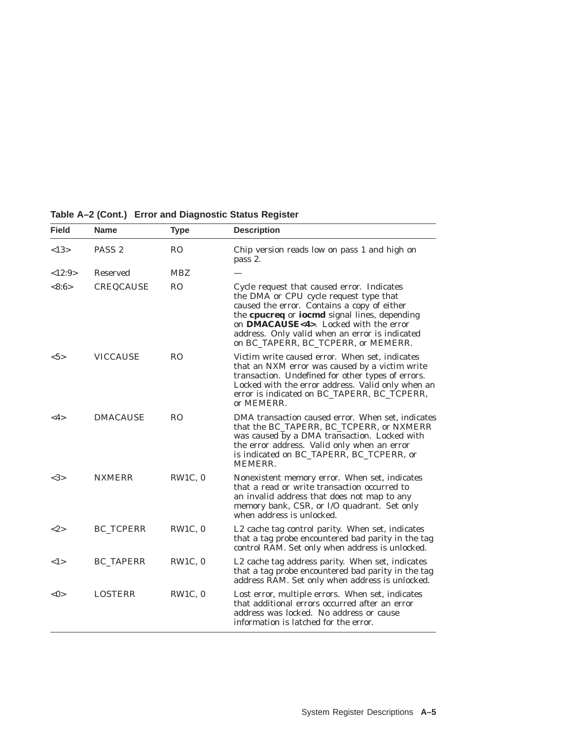| <b>Field</b>  | <b>Name</b>       | <b>Type</b>    | <b>Description</b>                                                                                                                                                                                                                                                                                                            |
|---------------|-------------------|----------------|-------------------------------------------------------------------------------------------------------------------------------------------------------------------------------------------------------------------------------------------------------------------------------------------------------------------------------|
| <13>          | PASS <sub>2</sub> | RO.            | Chip version reads low on pass 1 and high on<br>pass 2.                                                                                                                                                                                                                                                                       |
| <12:9>        | Reserved          | <b>MBZ</b>     |                                                                                                                                                                                                                                                                                                                               |
| <8:6>         | CREQCAUSE         | <b>RO</b>      | Cycle request that caused error. Indicates<br>the DMA or CPU cycle request type that<br>caused the error. Contains a copy of either<br>the cpucreq or iocmd signal lines, depending<br>on <b>DMACAUSE</b> <4>. Locked with the error<br>address. Only valid when an error is indicated<br>on BC_TAPERR, BC_TCPERR, or MEMERR. |
| $5>$          | <b>VICCAUSE</b>   | R <sub>O</sub> | Victim write caused error. When set, indicates<br>that an NXM error was caused by a victim write<br>transaction. Undefined for other types of errors.<br>Locked with the error address. Valid only when an<br>error is indicated on BC_TAPERR, BC_TCPERR,<br>or MEMERR.                                                       |
| $<$ 4 $>$     | <b>DMACAUSE</b>   | R <sub>O</sub> | DMA transaction caused error. When set, indicates<br>that the BC_TAPERR, BC_TCPERR, or NXMERR<br>was caused by a DMA transaction. Locked with<br>the error address. Valid only when an error<br>is indicated on BC_TAPERR, BC_TCPERR, or<br><b>MEMERR.</b>                                                                    |
| <3>           | <b>NXMERR</b>     | RW1C, 0        | Nonexistent memory error. When set, indicates<br>that a read or write transaction occurred to<br>an invalid address that does not map to any<br>memory bank, CSR, or I/O quadrant. Set only<br>when address is unlocked.                                                                                                      |
| <2>           | <b>BC_TCPERR</b>  | RW1C, 0        | L2 cache tag control parity. When set, indicates<br>that a tag probe encountered bad parity in the tag<br>control RAM. Set only when address is unlocked.                                                                                                                                                                     |
| 1>            | <b>BC TAPERR</b>  | RW1C, 0        | L2 cache tag address parity. When set, indicates<br>that a tag probe encountered bad parity in the tag<br>address RAM. Set only when address is unlocked.                                                                                                                                                                     |
| $<\!\!0\!\!>$ | <b>LOSTERR</b>    | RW1C, 0        | Lost error, multiple errors. When set, indicates<br>that additional errors occurred after an error<br>address was locked. No address or cause<br>information is latched for the error.                                                                                                                                        |

**Table A–2 (Cont.) Error and Diagnostic Status Register**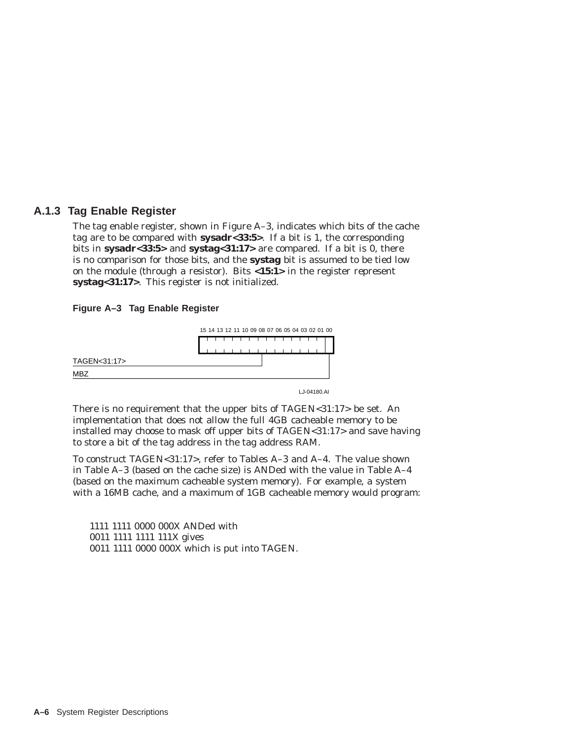## **A.1.3 Tag Enable Register**

The tag enable register, shown in Figure A–3, indicates which bits of the cache tag are to be compared with **sysadr<33:5>**. If a bit is 1, the corresponding bits in **sysadr<33:5>** and **systag<31:17>** are compared. If a bit is 0, there is no comparison for those bits, and the **systag** bit is assumed to be tied low on the module (through a resistor). Bits **<15:1>** in the register represent **systag<31:17>**. This register is not initialized.

#### **Figure A–3 Tag Enable Register**



LJ-04180.AI

There is no requirement that the upper bits of TAGEN<31:17> be set. An implementation that does not allow the full 4GB cacheable memory to be installed may choose to mask off upper bits of TAGEN<31:17> and save having to store a bit of the tag address in the tag address RAM.

To construct TAGEN<31:17>, refer to Tables A–3 and A–4. The value shown in Table A–3 (based on the cache size) is ANDed with the value in Table A–4 (based on the maximum cacheable system memory). For example, a system with a 16MB cache, and a maximum of 1GB cacheable memory would program:

1111 1111 0000 000X ANDed with 0011 1111 1111 111X gives 0011 1111 0000 000X which is put into TAGEN.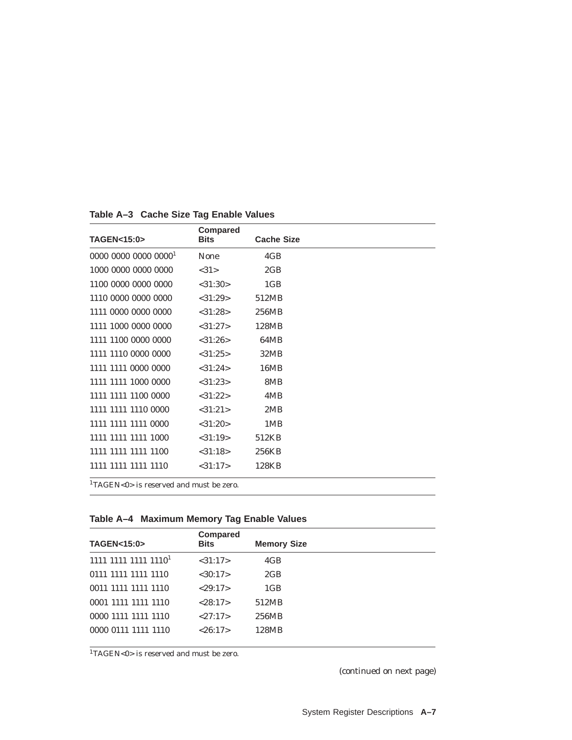| TAGEN<15:0>                      | <b>Compared</b><br><b>Bits</b> | <b>Cache Size</b> |
|----------------------------------|--------------------------------|-------------------|
| 0000 0000 0000 0000 <sup>1</sup> | <b>None</b>                    | 4GB               |
| 1000 0000 0000 0000              | <31>                           | 2GB               |
| 1100 0000 0000 0000              | $<$ 31:30 $>$                  | 1 <sub>GB</sub>   |
| 1110 0000 0000 0000              | $<$ 31:29>                     | 512MB             |
| 1111 0000 0000 0000              | $<$ 31:28>                     | 256MB             |
| 1111 1000 0000 0000              | <31:27>                        | 128MB             |
| 1111 1100 0000 0000              | $<$ 31:26 $>$                  | 64MB              |
| 1111 1110 0000 0000              | $<$ 31:25>                     | 32MB              |
| 1111 1111 0000 0000              | $<$ 31:24 $>$                  | 16MB              |
| 1111 1111 1000 0000              | $<$ 31:23>                     | 8MB               |
| 1111 1111 1100 0000              | $<$ 31:22>                     | 4MB               |
| 1111 1111 1110 0000              | < 31:21>                       | 2MB               |
| 1111 1111 1111 0000              | < 31:20>                       | 1MB               |
| 1111 1111 1111 1000              | < 31:19>                       | 512KB             |
| 1111 1111 1111 1100              | < 31:18>                       | 256KB             |
| 1111 1111 1111 1110              | <31:17>                        | 128KB             |
|                                  |                                |                   |

**Table A–3 Cache Size Tag Enable Values**

 $^1\mathsf{TAGEN}\text{<}0\text{>}$  is reserved and must be zero.

| Table A-4 Maximum Memory Tag Enable Values |  |  |  |  |  |
|--------------------------------------------|--|--|--|--|--|
|--------------------------------------------|--|--|--|--|--|

|                                  | <b>Compared</b> |                    |
|----------------------------------|-----------------|--------------------|
| <b>TAGEN&lt;15:0&gt;</b>         | Bits            | <b>Memory Size</b> |
| 1111 1111 1111 1110 <sup>1</sup> | <31:17>         | 4GB                |
| 0111 1111 1111 1110              | < 30:17>        | 2GB                |
| 0011 1111 1111 1110              | < 29:17>        | 1 <sub>GB</sub>    |
| 0001 1111 1111 1110              | < 28:17>        | 512MB              |
| 0000 1111 1111 1110              | <27:17>         | 256MB              |
| 0000 0111 1111 1110              | <26:17>         | 128MB              |
|                                  |                 |                    |

1TAGEN<0> is reserved and must be zero.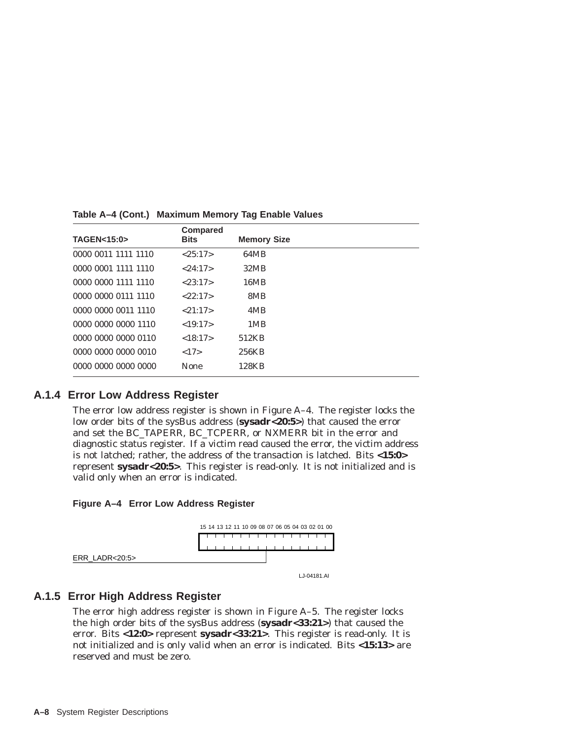| <b>Compared</b><br><b>Bits</b> | <b>Memory Size</b> |
|--------------------------------|--------------------|
| <25:17>                        | 64MB               |
| < 24:17>                       | 32MB               |
| < 23:17>                       | 16MB               |
| <22:17>                        | 8MB                |
| < 21:17>                       | 4MB                |
| <19:17>                        | 1MB                |
| <18:17>                        | 512KB              |
| <17>                           | 256KB              |
| <b>None</b>                    | 128KB              |
|                                |                    |

**Table A–4 (Cont.) Maximum Memory Tag Enable Values**

## **A.1.4 Error Low Address Register**

The error low address register is shown in Figure A–4. The register locks the low order bits of the sysBus address (**sysadr<20:5>**) that caused the error and set the BC\_TAPERR, BC\_TCPERR, or NXMERR bit in the error and diagnostic status register. If a victim read caused the error, the victim address is not latched; rather, the address of the transaction is latched. Bits **<15:0>** represent **sysadr<20:5>**. This register is read-only. It is not initialized and is valid only when an error is indicated.





## **A.1.5 Error High Address Register**

The error high address register is shown in Figure A–5. The register locks the high order bits of the sysBus address (**sysadr<33:21>**) that caused the error. Bits **<12:0>** represent **sysadr<33:21>**. This register is read-only. It is not initialized and is only valid when an error is indicated. Bits **<15:13>** are reserved and must be zero.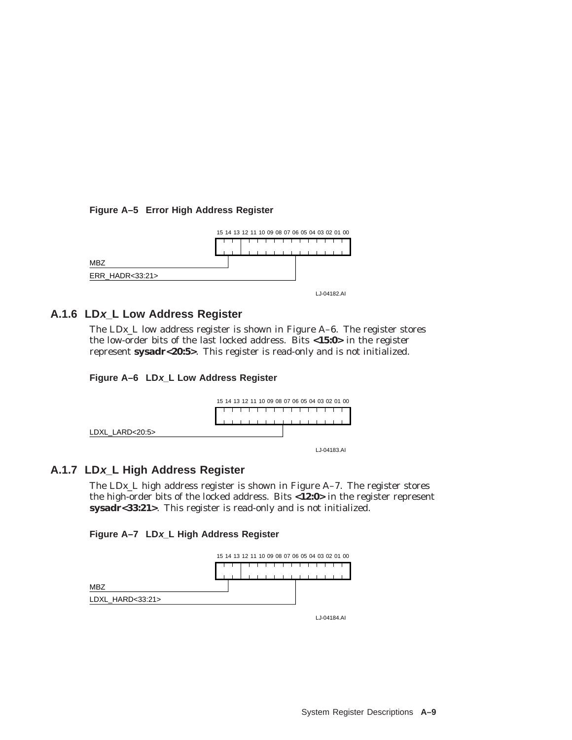## **Figure A–5 Error High Address Register**



LJ-04182.AI

## **A.1.6 LDx\_L Low Address Register**

The LD*x*\_L low address register is shown in Figure A–6. The register stores the low-order bits of the last locked address. Bits **<15:0>** in the register represent **sysadr<20:5>**. This register is read-only and is not initialized.

## **Figure A–6 LDx\_L Low Address Register**



# **A.1.7 LDx\_L High Address Register**

The LD*x*\_L high address register is shown in Figure A–7. The register stores the high-order bits of the locked address. Bits **<12:0>** in the register represent **sysadr<33:21>**. This register is read-only and is not initialized.

#### **Figure A–7 LDx\_L High Address Register**



LJ-04184.AI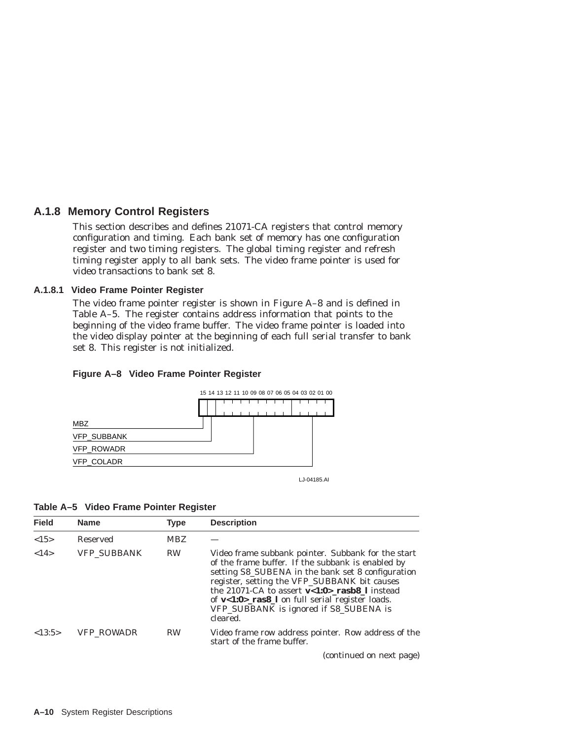## **A.1.8 Memory Control Registers**

This section describes and defines 21071-CA registers that control memory configuration and timing. Each bank set of memory has one configuration register and two timing registers. The global timing register and refresh timing register apply to all bank sets. The video frame pointer is used for video transactions to bank set 8.

#### **A.1.8.1 Video Frame Pointer Register**

The video frame pointer register is shown in Figure A–8 and is defined in Table A–5. The register contains address information that points to the beginning of the video frame buffer. The video frame pointer is loaded into the video display pointer at the beginning of each full serial transfer to bank set 8. This register is not initialized.



#### **Figure A–8 Video Frame Pointer Register**

LJ-04185.AI

**Table A–5 Video Frame Pointer Register**

| <b>Field</b> | <b>Name</b>        | <b>Type</b> | <b>Description</b>                                                                                                                                                                                                                                                                                                                                                     |
|--------------|--------------------|-------------|------------------------------------------------------------------------------------------------------------------------------------------------------------------------------------------------------------------------------------------------------------------------------------------------------------------------------------------------------------------------|
| <15>         | Reserved           | <b>MBZ</b>  |                                                                                                                                                                                                                                                                                                                                                                        |
| <14>         | <b>VFP SUBBANK</b> | <b>RW</b>   | Video frame subbank pointer. Subbank for the start<br>of the frame buffer. If the subbank is enabled by<br>setting S8_SUBENA in the bank set 8 configuration<br>register, setting the VFP_SUBBANK bit causes<br>the 21071-CA to assert v<1:0>_rasb8_l instead<br>of v<1:0>_ras8_l on full serial register loads.<br>VFP_SUBBANK is ignored if S8_SUBENA is<br>cleared. |
| <13:5>       | <b>VFP ROWADR</b>  | <b>RW</b>   | Video frame row address pointer. Row address of the<br>start of the frame buffer.                                                                                                                                                                                                                                                                                      |
|              |                    |             | (continued on next page)                                                                                                                                                                                                                                                                                                                                               |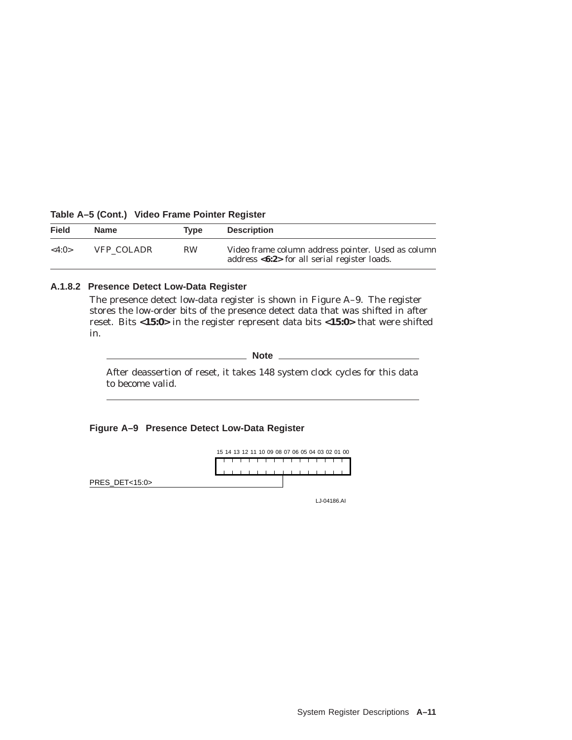| Field                   | <b>Name</b> | Tvpe      | <b>Description</b>                                                                                   |  |  |  |
|-------------------------|-------------|-----------|------------------------------------------------------------------------------------------------------|--|--|--|
| $<\!\!\pm 4:\!\!0\!\!>$ | VFP COLADR  | <b>RW</b> | Video frame column address pointer. Used as column<br>address $<6:2>$ for all serial register loads. |  |  |  |

#### **Table A–5 (Cont.) Video Frame Pointer Register**

#### **A.1.8.2 Presence Detect Low-Data Register**

The presence detect low-data register is shown in Figure A–9. The register stores the low-order bits of the presence detect data that was shifted in after reset. Bits **<15:0>** in the register represent data bits **<15:0>** that were shifted in.

**Note** 2008

After deassertion of reset, it takes 148 system clock cycles for this data to become valid.

#### **Figure A–9 Presence Detect Low-Data Register**



LJ-04186.AI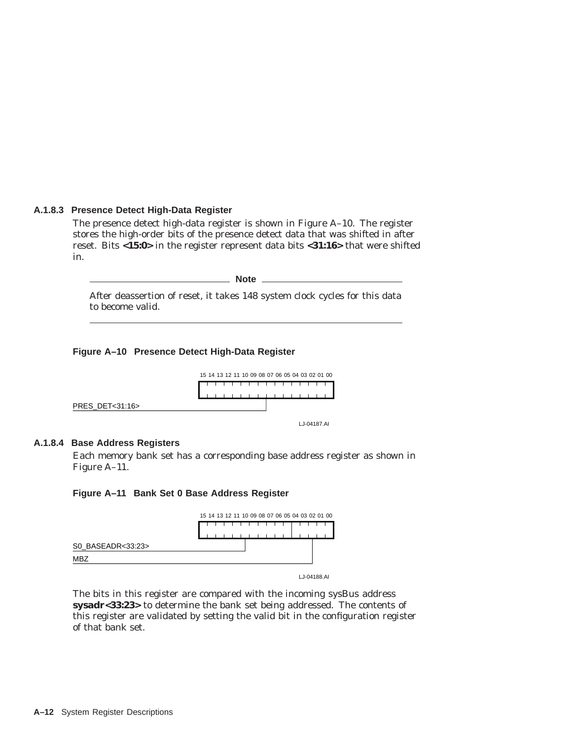## **A.1.8.3 Presence Detect High-Data Register**

The presence detect high-data register is shown in Figure A–10. The register stores the high-order bits of the presence detect data that was shifted in after reset. Bits **<15:0>** in the register represent data bits **<31:16>** that were shifted in.

**Note**

After deassertion of reset, it takes 148 system clock cycles for this data to become valid.

#### **Figure A–10 Presence Detect High-Data Register**



#### **A.1.8.4 Base Address Registers**

Each memory bank set has a corresponding base address register as shown in Figure A–11.

#### **Figure A–11 Bank Set 0 Base Address Register**



The bits in this register are compared with the incoming sysBus address **sysadr<33:23>** to determine the bank set being addressed. The contents of this register are validated by setting the valid bit in the configuration register of that bank set.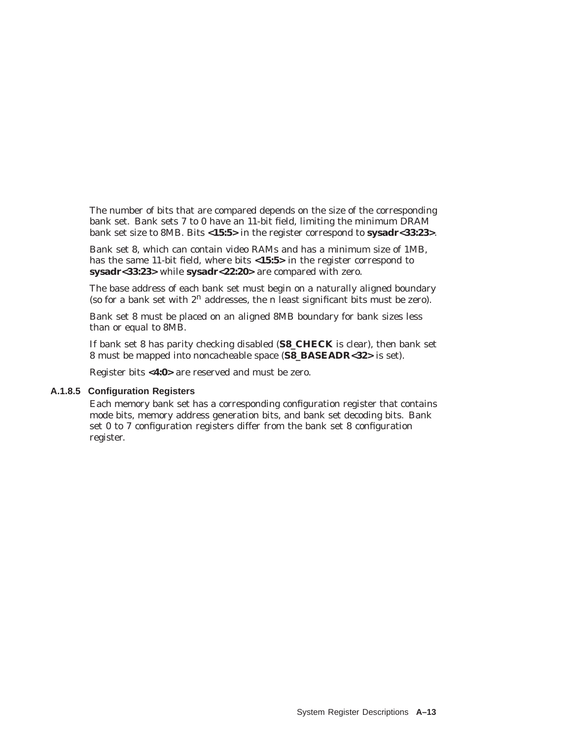The number of bits that are compared depends on the size of the corresponding bank set. Bank sets 7 to 0 have an 11-bit field, limiting the minimum DRAM bank set size to 8MB. Bits **<15:5>** in the register correspond to **sysadr<33:23>**.

Bank set 8, which can contain video RAMs and has a minimum size of 1MB, has the same 11-bit field, where bits **<15:5>** in the register correspond to **sysadr<33:23>** while **sysadr<22:20>** are compared with zero.

The base address of each bank set must begin on a naturally aligned boundary (so for a bank set with 2*<sup>n</sup>* addresses, the *n* least significant bits must be zero).

Bank set 8 must be placed on an aligned 8MB boundary for bank sizes less than or equal to 8MB.

If bank set 8 has parity checking disabled (**S8\_CHECK** is clear), then bank set 8 must be mapped into noncacheable space (**S8\_BASEADR<32>** is set).

Register bits **<4:0>** are reserved and must be zero.

#### **A.1.8.5 Configuration Registers**

Each memory bank set has a corresponding configuration register that contains mode bits, memory address generation bits, and bank set decoding bits. Bank set 0 to 7 configuration registers differ from the bank set 8 configuration register.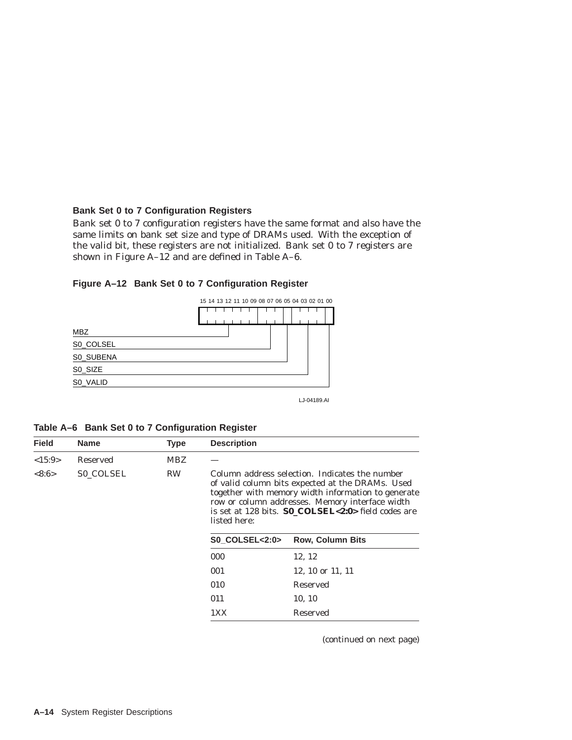## **Bank Set 0 to 7 Configuration Registers**

Bank set 0 to 7 configuration registers have the same format and also have the same limits on bank set size and type of DRAMs used. With the exception of the valid bit, these registers are not initialized. Bank set 0 to 7 registers are shown in Figure A–12 and are defined in Table A–6.





LJ-04189.AI

**Table A–6 Bank Set 0 to 7 Configuration Register**

| <b>Field</b> | <b>Name</b>      | <b>Type</b> | <b>Description</b> |                                                                                                                                                                                                                                                                   |  |  |  |
|--------------|------------------|-------------|--------------------|-------------------------------------------------------------------------------------------------------------------------------------------------------------------------------------------------------------------------------------------------------------------|--|--|--|
| <15:9>       | Reserved         | MBZ         |                    |                                                                                                                                                                                                                                                                   |  |  |  |
| <8:6>        | <b>SO COLSEL</b> | <b>RW</b>   | listed here:       | Column address selection. Indicates the number<br>of valid column bits expected at the DRAMs. Used<br>together with memory width information to generate<br>row or column addresses. Memory interface width<br>is set at 128 bits. SO_COLSEL<2:0> field codes are |  |  |  |
|              |                  |             | SO COLSEL<2:0>     | <b>Row, Column Bits</b>                                                                                                                                                                                                                                           |  |  |  |
|              |                  |             | 000                | 12, 12                                                                                                                                                                                                                                                            |  |  |  |
|              |                  |             | 001                | 12, 10 or 11, 11                                                                                                                                                                                                                                                  |  |  |  |
|              |                  |             | 010                | Reserved                                                                                                                                                                                                                                                          |  |  |  |
|              |                  |             | 011                | 10, 10                                                                                                                                                                                                                                                            |  |  |  |
|              |                  |             | 1XX                | Reserved                                                                                                                                                                                                                                                          |  |  |  |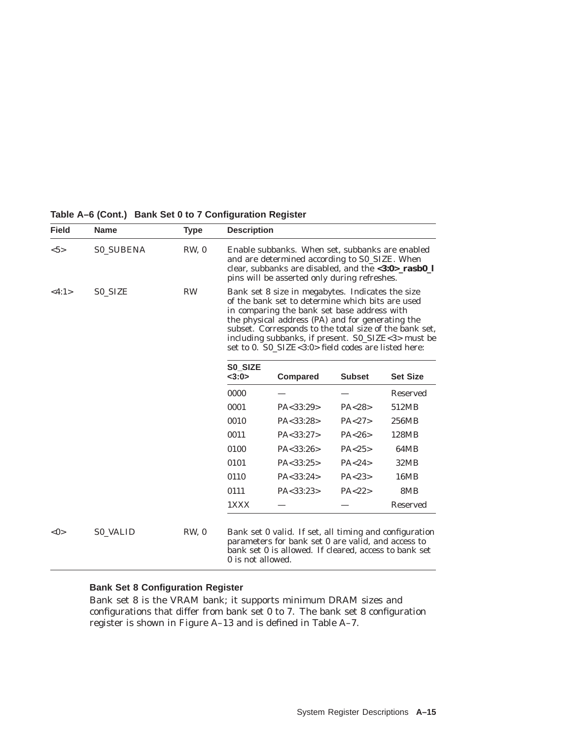| <b>Field</b>  | <b>Name</b>      | <b>Type</b> | <b>Description</b>                                                                                                                                                                                                                                                                                                                                                             |                 |               |                 |  |  |  |  |
|---------------|------------------|-------------|--------------------------------------------------------------------------------------------------------------------------------------------------------------------------------------------------------------------------------------------------------------------------------------------------------------------------------------------------------------------------------|-----------------|---------------|-----------------|--|--|--|--|
| $5>$          | <b>S0_SUBENA</b> | RW, 0       | Enable subbanks. When set, subbanks are enabled<br>and are determined according to SO_SIZE. When<br>clear, subbanks are disabled, and the $\langle 3:0 \rangle$ rasbo 1<br>pins will be asserted only during refreshes.                                                                                                                                                        |                 |               |                 |  |  |  |  |
| <4:1>         | <b>SO SIZE</b>   | <b>RW</b>   | Bank set 8 size in megabytes. Indicates the size<br>of the bank set to determine which bits are used<br>in comparing the bank set base address with<br>the physical address (PA) and for generating the<br>subset. Corresponds to the total size of the bank set,<br>including subbanks, if present. S0_SIZE<3> must be<br>set to 0. S0_SIZE<3:0> field codes are listed here: |                 |               |                 |  |  |  |  |
|               |                  |             | S0_SIZE<br><3:0>                                                                                                                                                                                                                                                                                                                                                               | <b>Compared</b> | <b>Subset</b> | <b>Set Size</b> |  |  |  |  |
|               |                  |             | 0000                                                                                                                                                                                                                                                                                                                                                                           |                 |               | Reserved        |  |  |  |  |
|               |                  |             | 0001                                                                                                                                                                                                                                                                                                                                                                           | PA < 33:29      | PA < 28       | 512MB           |  |  |  |  |
|               |                  |             | 0010                                                                                                                                                                                                                                                                                                                                                                           | PA < 33:28>     | PA < 27       | 256MB           |  |  |  |  |
|               |                  |             | 0011                                                                                                                                                                                                                                                                                                                                                                           | PA < 33:27>     | PA < 26       | 128MB           |  |  |  |  |
|               |                  |             | 0100                                                                                                                                                                                                                                                                                                                                                                           | PA < 33:26      | PA < 25       | 64MB            |  |  |  |  |
|               |                  |             | 0101                                                                                                                                                                                                                                                                                                                                                                           | PA < 33:25      | PA < 24       | 32MB            |  |  |  |  |
|               |                  |             | 0110                                                                                                                                                                                                                                                                                                                                                                           | PA < 33:24>     | PA < 23       | 16MB            |  |  |  |  |
|               |                  |             | 0111                                                                                                                                                                                                                                                                                                                                                                           | PA < 33:23>     | PA < 22       | 8MB             |  |  |  |  |
|               |                  |             | 1XXX                                                                                                                                                                                                                                                                                                                                                                           |                 |               | <b>Reserved</b> |  |  |  |  |
| $<\!\!0\!\!>$ | <b>SO VALID</b>  | RW, 0       | Bank set 0 valid. If set, all timing and configuration<br>parameters for bank set 0 are valid, and access to<br>bank set 0 is allowed. If cleared, access to bank set<br>0 is not allowed.                                                                                                                                                                                     |                 |               |                 |  |  |  |  |

**Table A–6 (Cont.) Bank Set 0 to 7 Configuration Register**

## **Bank Set 8 Configuration Register**

Bank set 8 is the VRAM bank; it supports minimum DRAM sizes and configurations that differ from bank set 0 to 7. The bank set 8 configuration register is shown in Figure A–13 and is defined in Table A–7.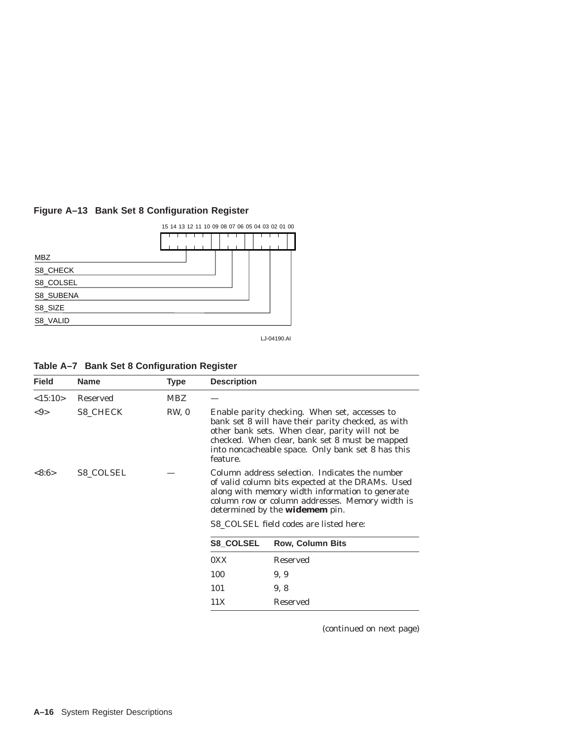## **Figure A–13 Bank Set 8 Configuration Register**



LJ-04190.AI

| Field                  | <b>Name</b>      | <b>Type</b> | <b>Description</b>                                                                                                                                                                                                                                                        |                                        |  |  |  |
|------------------------|------------------|-------------|---------------------------------------------------------------------------------------------------------------------------------------------------------------------------------------------------------------------------------------------------------------------------|----------------------------------------|--|--|--|
| <15:10>                | Reserved         | <b>MBZ</b>  |                                                                                                                                                                                                                                                                           |                                        |  |  |  |
| $< \hspace{-0.5mm}9 >$ | <b>S8 CHECK</b>  | RW, 0       | Enable parity checking. When set, accesses to<br>bank set 8 will have their parity checked, as with<br>other bank sets. When clear, parity will not be<br>checked. When clear, bank set 8 must be mapped<br>into noncacheable space. Only bank set 8 has this<br>feature. |                                        |  |  |  |
| <8:6>                  | <b>S8 COLSEL</b> |             | Column address selection. Indicates the number<br>of valid column bits expected at the DRAMs. Used<br>along with memory width information to generate<br>column row or column addresses. Memory width is<br>determined by the <b>widemem</b> pin.                         |                                        |  |  |  |
|                        |                  |             |                                                                                                                                                                                                                                                                           | S8 COLSEL field codes are listed here: |  |  |  |
|                        |                  |             | <b>S8_COLSEL</b>                                                                                                                                                                                                                                                          | <b>Row, Column Bits</b>                |  |  |  |
|                        |                  |             | 0XX                                                                                                                                                                                                                                                                       | Reserved                               |  |  |  |
|                        |                  |             | 100                                                                                                                                                                                                                                                                       | 9, 9                                   |  |  |  |
|                        |                  |             | 101                                                                                                                                                                                                                                                                       | 9, 8                                   |  |  |  |
|                        |                  |             | 11X                                                                                                                                                                                                                                                                       | Reserved                               |  |  |  |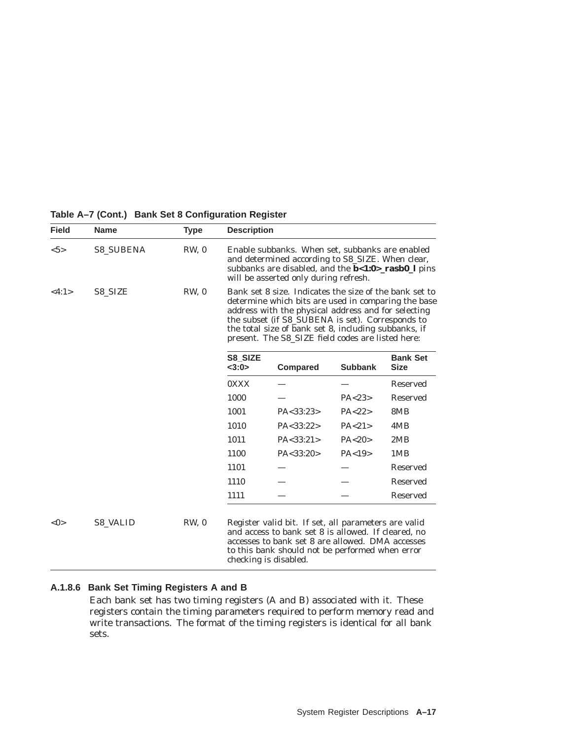| <b>Field</b>  | <b>Name</b>      | <b>Type</b> | <b>Description</b>                                                                                                                                                                                         |                                                                                                                                                                                                                                                                                                                                       |                |                                |  |  |  |
|---------------|------------------|-------------|------------------------------------------------------------------------------------------------------------------------------------------------------------------------------------------------------------|---------------------------------------------------------------------------------------------------------------------------------------------------------------------------------------------------------------------------------------------------------------------------------------------------------------------------------------|----------------|--------------------------------|--|--|--|
| $5>$          | <b>S8_SUBENA</b> | RW, 0       | Enable subbanks. When set, subbanks are enabled<br>and determined according to S8_SIZE. When clear,<br>subbanks are disabled, and the <b>b</b> <1:0>_rasb0_l pins<br>will be asserted only during refresh. |                                                                                                                                                                                                                                                                                                                                       |                |                                |  |  |  |
| <4:1>         | RW, 0<br>S8 SIZE |             |                                                                                                                                                                                                            | Bank set 8 size. Indicates the size of the bank set to<br>determine which bits are used in comparing the base<br>address with the physical address and for selecting<br>the subset (if S8_SUBENA is set). Corresponds to<br>the total size of bank set 8, including subbanks, if<br>present. The S8_SIZE field codes are listed here: |                |                                |  |  |  |
|               |                  |             | S8 SIZE<br><3:0>                                                                                                                                                                                           | <b>Compared</b>                                                                                                                                                                                                                                                                                                                       | <b>Subbank</b> | <b>Bank Set</b><br><b>Size</b> |  |  |  |
|               |                  |             | 0XXX                                                                                                                                                                                                       |                                                                                                                                                                                                                                                                                                                                       |                | <b>Reserved</b>                |  |  |  |
|               |                  |             | 1000                                                                                                                                                                                                       |                                                                                                                                                                                                                                                                                                                                       | PA < 23        | Reserved                       |  |  |  |
|               |                  |             | 1001                                                                                                                                                                                                       | PA < 33:23>                                                                                                                                                                                                                                                                                                                           | PA < 22        | 8MB                            |  |  |  |
|               |                  |             | 1010                                                                                                                                                                                                       | PA < 33:22>                                                                                                                                                                                                                                                                                                                           | PA < 21        | 4MB                            |  |  |  |
|               |                  |             | 1011                                                                                                                                                                                                       | PA < 33:21                                                                                                                                                                                                                                                                                                                            | PA < 20        | 2MB                            |  |  |  |
|               |                  |             | 1100                                                                                                                                                                                                       | PA < 33:20>                                                                                                                                                                                                                                                                                                                           | PA < 19        | 1MB                            |  |  |  |
|               |                  |             | 1101                                                                                                                                                                                                       |                                                                                                                                                                                                                                                                                                                                       |                | <b>Reserved</b>                |  |  |  |
|               |                  |             | 1110                                                                                                                                                                                                       |                                                                                                                                                                                                                                                                                                                                       |                | Reserved                       |  |  |  |
|               |                  |             | 1111                                                                                                                                                                                                       |                                                                                                                                                                                                                                                                                                                                       |                | Reserved                       |  |  |  |
| $<\!\!0\!\!>$ | <b>S8 VALID</b>  | RW, 0       | checking is disabled.                                                                                                                                                                                      | Register valid bit. If set, all parameters are valid<br>and access to bank set 8 is allowed. If cleared, no<br>accesses to bank set 8 are allowed. DMA accesses<br>to this bank should not be performed when error                                                                                                                    |                |                                |  |  |  |

**Table A–7 (Cont.) Bank Set 8 Configuration Register**

## **A.1.8.6 Bank Set Timing Registers A and B**

Each bank set has two timing registers (A and B) associated with it. These registers contain the timing parameters required to perform memory read and write transactions. The format of the timing registers is identical for all bank sets.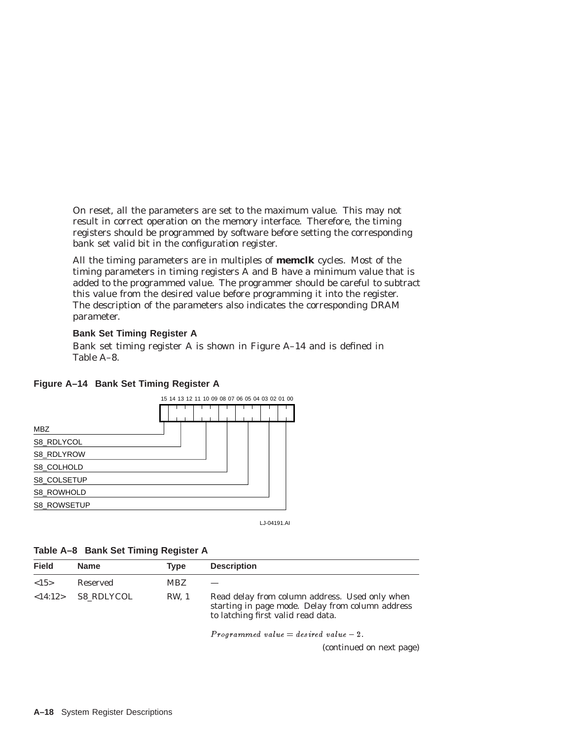On reset, all the parameters are set to the maximum value. This may not result in correct operation on the memory interface. Therefore, the timing registers should be programmed by software before setting the corresponding bank set valid bit in the configuration register.

All the timing parameters are in multiples of **memclk** cycles. Most of the timing parameters in timing registers A and B have a minimum value that is added to the programmed value. The programmer should be careful to subtract this value from the desired value before programming it into the register. The description of the parameters also indicates the corresponding DRAM parameter.

#### **Bank Set Timing Register A**

Bank set timing register A is shown in Figure A–14 and is defined in Table A–8.

## **Figure A–14 Bank Set Timing Register A**

|             |  |  |  |  |  |  |  | 15 14 13 12 11 10 09 08 07 06 05 04 03 02 01 00 |
|-------------|--|--|--|--|--|--|--|-------------------------------------------------|
|             |  |  |  |  |  |  |  |                                                 |
| <b>MBZ</b>  |  |  |  |  |  |  |  |                                                 |
| S8_RDLYCOL  |  |  |  |  |  |  |  |                                                 |
| S8 RDLYROW  |  |  |  |  |  |  |  |                                                 |
| S8_COLHOLD  |  |  |  |  |  |  |  |                                                 |
| S8 COLSETUP |  |  |  |  |  |  |  |                                                 |
| S8 ROWHOLD  |  |  |  |  |  |  |  |                                                 |
| S8 ROWSETUP |  |  |  |  |  |  |  |                                                 |
|             |  |  |  |  |  |  |  |                                                 |

LJ-04191.AI

|  | Table A-8 Bank Set Timing Register A |  |  |  |
|--|--------------------------------------|--|--|--|
|--|--------------------------------------|--|--|--|

| <b>Field</b> | <b>Name</b>                        | <b>Type</b> | <b>Description</b>                                                                                                                       |
|--------------|------------------------------------|-------------|------------------------------------------------------------------------------------------------------------------------------------------|
| ${<}15$      | Reserved                           | <b>MBZ</b>  |                                                                                                                                          |
|              | $\langle 14:12 \rangle$ S8 RDLYCOL | RW. 1       | Read delay from column address. Used only when<br>starting in page mode. Delay from column address<br>to latching first valid read data. |

Programmed value  $=$  desired value  $-2$ .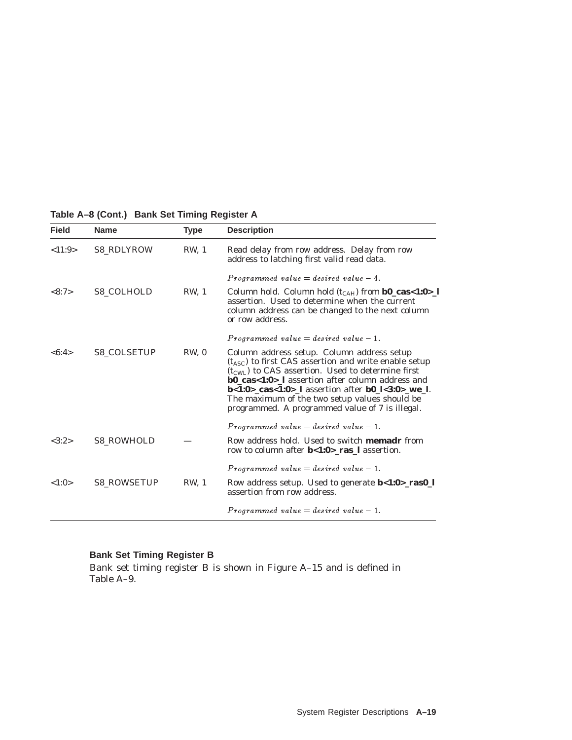| <b>Field</b> | <b>Name</b>        | <b>Type</b>  | <b>Description</b>                                                                                                                                                                                                                                                                                                                                                                                                       |
|--------------|--------------------|--------------|--------------------------------------------------------------------------------------------------------------------------------------------------------------------------------------------------------------------------------------------------------------------------------------------------------------------------------------------------------------------------------------------------------------------------|
| <11:9>       | <b>S8 RDLYROW</b>  | <b>RW.</b> 1 | Read delay from row address. Delay from row<br>address to latching first valid read data.                                                                                                                                                                                                                                                                                                                                |
|              |                    |              | $Programmed value = desired value - 4.$                                                                                                                                                                                                                                                                                                                                                                                  |
| <8:7>        | <b>S8 COLHOLD</b>  | <b>RW, 1</b> | Column hold. Column hold $(t_{CAH})$ from <b>b0_cas</b> <1:0>_1<br>assertion. Used to determine when the current<br>column address can be changed to the next column<br>or row address.                                                                                                                                                                                                                                  |
|              |                    |              | $Programmed value = desired value - 1.$                                                                                                                                                                                                                                                                                                                                                                                  |
| <6:4>        | <b>S8 COLSETUP</b> | RW. 0        | Column address setup. Column address setup<br>$(t_{\text{ASC}})$ to first CAS assertion and write enable setup<br>(t <sub>CWL</sub> ) to CAS assertion. Used to determine first<br><b>b0_cas&lt;1:0&gt;_l</b> assertion after column address and<br><b>b</b> <1:0> cas<1:0> l assertion after <b>b0</b> l<3:0> we l.<br>The maximum of the two setup values should be<br>programmed. A programmed value of 7 is illegal. |
|              |                    |              | $Programmed value = desired value - 1.$                                                                                                                                                                                                                                                                                                                                                                                  |
| <3:2>        | <b>S8 ROWHOLD</b>  |              | Row address hold. Used to switch <b>memadr</b> from<br>row to column after $b < 1:0 >$ ras 1 assertion.                                                                                                                                                                                                                                                                                                                  |
|              |                    |              | Programmed value = desired value $-1$ .                                                                                                                                                                                                                                                                                                                                                                                  |
| <1:0>        | <b>S8 ROWSETUP</b> | <b>RW, 1</b> | Row address setup. Used to generate $b < 1:0 > r \text{ as } 0 \leq l$<br>assertion from row address.                                                                                                                                                                                                                                                                                                                    |
|              |                    |              | Programmed value = desired value $-1$ .                                                                                                                                                                                                                                                                                                                                                                                  |

# **Table A–8 (Cont.) Bank Set Timing Register A**

## **Bank Set Timing Register B**

Bank set timing register B is shown in Figure A–15 and is defined in Table A–9.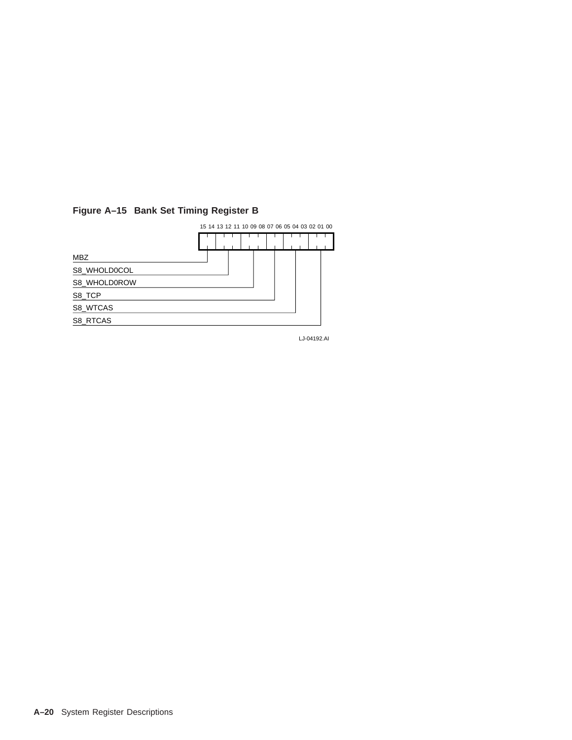## **Figure A–15 Bank Set Timing Register B**



LJ-04192.AI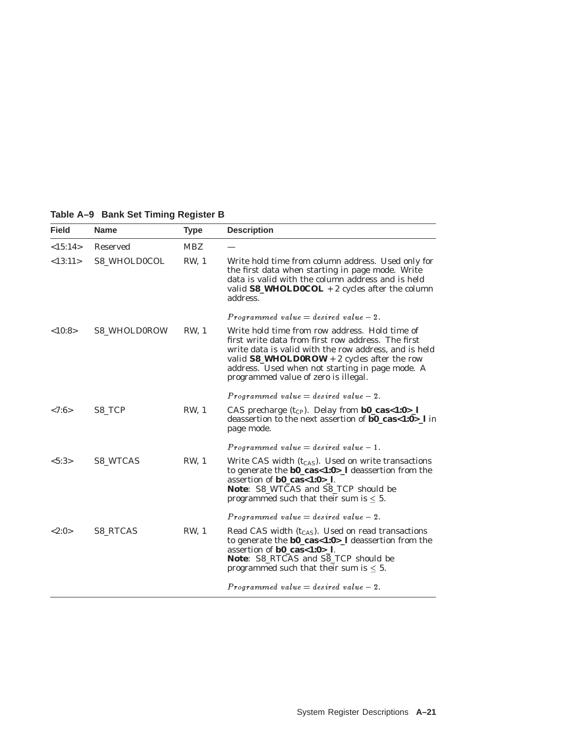| <b>Field</b>    | <b>Name</b>         | <b>Type</b>  | <b>Description</b>                                                                                                                                                                                                                                                                                         |
|-----------------|---------------------|--------------|------------------------------------------------------------------------------------------------------------------------------------------------------------------------------------------------------------------------------------------------------------------------------------------------------------|
| <15:14>         | <b>Reserved</b>     | <b>MBZ</b>   |                                                                                                                                                                                                                                                                                                            |
| <13:11>         | S8_WHOLD0COL        | RW, 1        | Write hold time from column address. Used only for<br>the first data when starting in page mode. Write<br>data is valid with the column address and is held<br>valid $S8$ _WHOLD0COL + 2 cycles after the column<br>address.                                                                               |
|                 |                     |              | $Programmed value = desired value - 2.$                                                                                                                                                                                                                                                                    |
| <10:8>          | <b>S8_WHOLD0ROW</b> | <b>RW, 1</b> | Write hold time from row address. Hold time of<br>first write data from first row address. The first<br>write data is valid with the row address, and is held<br>valid $S8$ _WHOLD0ROW + 2 cycles after the row<br>address. Used when not starting in page mode. A<br>programmed value of zero is illegal. |
|                 |                     |              | $Programmed value = desired value - 2.$                                                                                                                                                                                                                                                                    |
| < 7:6>          | S8 TCP              | <b>RW, 1</b> | CAS precharge $(t_{CP})$ . Delay from <b>b0_cas</b> <1:0>_1<br>deassertion to the next assertion of <b>b0_cas</b> <1:0>_1 in<br>page mode.                                                                                                                                                                 |
|                 |                     |              | $Programmed value = desired value - 1.$                                                                                                                                                                                                                                                                    |
| $<\!\!5:3\!\!>$ | <b>S8 WTCAS</b>     | <b>RW.</b> 1 | Write CAS width $(t_{CAS})$ . Used on write transactions<br>to generate the <b>b0_cas</b> <1:0>_I deassertion from the<br>assertion of <b>b0_cas</b> <1:0>_1.<br>Note: S8_WTCAS and S8_TCP should be<br>programmed such that their sum is $\leq$ 5.                                                        |
|                 |                     |              | $Programmed value = desired value - 2.$                                                                                                                                                                                                                                                                    |
| <2:0>           | <b>S8 RTCAS</b>     | <b>RW, 1</b> | Read CAS width $(t_{CAS})$ . Used on read transactions<br>to generate the <b>b0_cas&lt;1:0&gt;_l</b> deassertion from the<br>assertion of <b>b0_cas</b> <1:0>_1.<br>Note: S8_RTCAS and S8_TCP should be<br>programmed such that their sum is $\leq$ 5.                                                     |
|                 |                     |              | $Programmed value = desired value - 2.$                                                                                                                                                                                                                                                                    |

**Table A–9 Bank Set Timing Register B**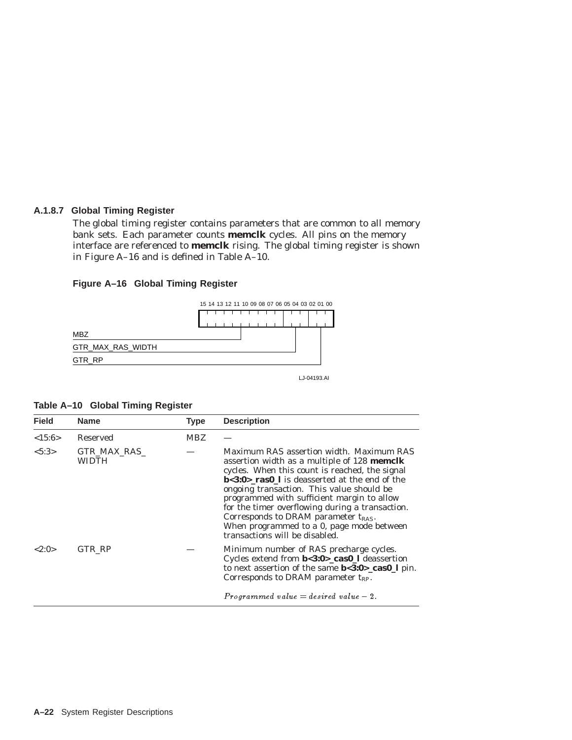#### **A.1.8.7 Global Timing Register**

The global timing register contains parameters that are common to all memory bank sets. Each parameter counts **memclk** cycles. All pins on the memory interface are referenced to **memclk** rising. The global timing register is shown in Figure A–16 and is defined in Table A–10.





LJ-04193.AI

**Table A–10 Global Timing Register**

| <b>Field</b> | <b>Name</b>          | <b>Type</b> | <b>Description</b>                                                                                                                                                                                                                                                                                                                                                                                                                                                         |
|--------------|----------------------|-------------|----------------------------------------------------------------------------------------------------------------------------------------------------------------------------------------------------------------------------------------------------------------------------------------------------------------------------------------------------------------------------------------------------------------------------------------------------------------------------|
| <15:6>       | Reserved             | <b>MBZ</b>  |                                                                                                                                                                                                                                                                                                                                                                                                                                                                            |
| < 5:3>       | GTR MAX RAS<br>WIDTH |             | Maximum RAS assertion width. Maximum RAS<br>assertion width as a multiple of 128 memclk<br>cycles. When this count is reached, the signal<br>$b < 3:0$ ras $0$ l is deasserted at the end of the<br>ongoing transaction. This value should be<br>programmed with sufficient margin to allow<br>for the timer overflowing during a transaction.<br>Corresponds to DRAM parameter $t_{RAS}$ .<br>When programmed to a 0, page mode between<br>transactions will be disabled. |
| <2:0>        | GTR RP               |             | Minimum number of RAS precharge cycles.<br>Cycles extend from <b>b</b> <3:0>_cas0_l deassertion<br>to next assertion of the same $b < 3:0 > \cosh l$ pin.<br>Corresponds to DRAM parameter $t_{RP}$ .<br>$Programmed value = desired value - 2.$                                                                                                                                                                                                                           |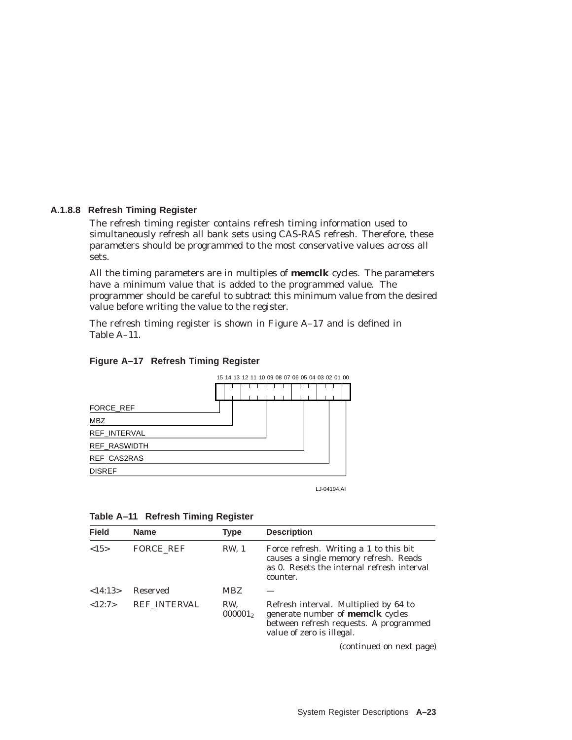#### **A.1.8.8 Refresh Timing Register**

The refresh timing register contains refresh timing information used to simultaneously refresh all bank sets using CAS-RAS refresh. Therefore, these parameters should be programmed to the most conservative values across all sets.

All the timing parameters are in multiples of **memclk** cycles. The parameters have a minimum value that is added to the programmed value. The programmer should be careful to subtract this minimum value from the desired value before writing the value to the register.

The refresh timing register is shown in Figure A–17 and is defined in Table A–11.

# 15 14 13 12 11 10 09 08 07 06 05 04 03 02 01 00 FORCE\_REF MBZ REF\_INTERVAL REF\_RASWIDTH REF\_CAS2RAS DISREF

#### **Figure A–17 Refresh Timing Register**



| <b>Field</b> | <b>Name</b>         | Type              | <b>Description</b>                                                                                                                                      |
|--------------|---------------------|-------------------|---------------------------------------------------------------------------------------------------------------------------------------------------------|
| <15>         | <b>FORCE REF</b>    | <b>RW, 1</b>      | Force refresh. Writing a 1 to this bit<br>causes a single memory refresh. Reads<br>as 0. Resets the internal refresh interval<br>counter.               |
| <14:13>      | Reserved            | <b>MBZ</b>        |                                                                                                                                                         |
| <12:7>       | <b>REF INTERVAL</b> | RW.<br>$000001_2$ | Refresh interval. Multiplied by 64 to<br>generate number of <b>memclk</b> cycles<br>between refresh requests. A programmed<br>value of zero is illegal. |
|              |                     |                   | $\sqrt{1 + 1}$ $\sqrt{1 + 1}$                                                                                                                           |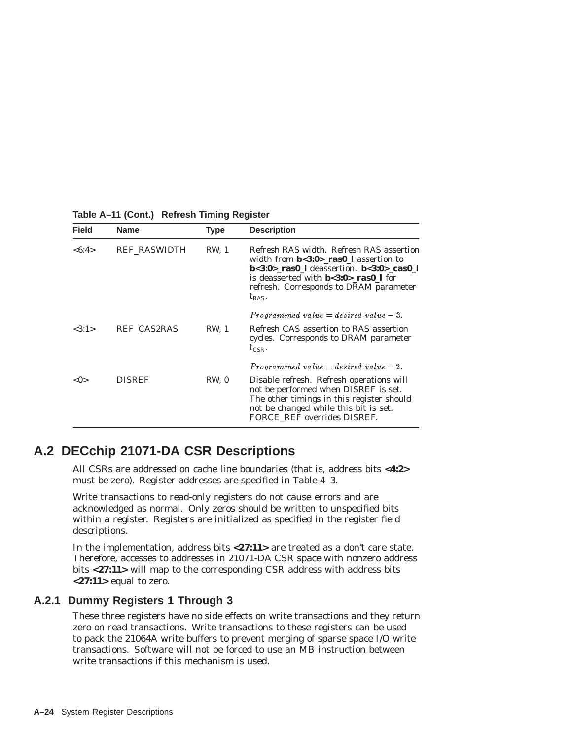| <b>Field</b>  | <b>Name</b>         | <b>Type</b>  | <b>Description</b>                                                                                                                                                                                                                            |
|---------------|---------------------|--------------|-----------------------------------------------------------------------------------------------------------------------------------------------------------------------------------------------------------------------------------------------|
| <6:4>         | <b>REF RASWIDTH</b> | <b>RW, 1</b> | Refresh RAS width. Refresh RAS assertion<br>width from $b < 3:0>$ ras0 l assertion to<br>$b<3:0>$ ras0 1 deassertion. $b<3:0>$ cas0 1<br>is deasserted with $b < 3:0>$ ras $0$ I for<br>refresh. Corresponds to DRAM parameter<br>$t_{RAS}$ . |
|               |                     |              | $Programmed value = desired value - 3.$                                                                                                                                                                                                       |
| <3:1>         | <b>REF CAS2RAS</b>  | RW, 1        | Refresh CAS assertion to RAS assertion<br>cycles. Corresponds to DRAM parameter<br>$t_{\text{CSR}}$ .                                                                                                                                         |
|               |                     |              | $Programmed value = desired value - 2.$                                                                                                                                                                                                       |
| $<\!\!0\!\!>$ | <b>DISREF</b>       | RW, 0        | Disable refresh. Refresh operations will<br>not be performed when DISREF is set.<br>The other timings in this register should<br>not be changed while this bit is set.<br>FORCE REF overrides DISREF.                                         |

**Table A–11 (Cont.) Refresh Timing Register**

# **A.2 DECchip 21071-DA CSR Descriptions**

All CSRs are addressed on cache line boundaries (that is, address bits **<4:2>** must be zero). Register addresses are specified in Table 4–3.

Write transactions to read-only registers do not cause errors and are acknowledged as normal. Only zeros should be written to unspecified bits within a register. Registers are initialized as specified in the register field descriptions.

In the implementation, address bits **<27:11>** are treated as a don't care state. Therefore, accesses to addresses in 21071-DA CSR space with nonzero address bits **<27:11>** will map to the corresponding CSR address with address bits **<27:11>** equal to zero.

## **A.2.1 Dummy Registers 1 Through 3**

These three registers have no side effects on write transactions and they return zero on read transactions. Write transactions to these registers can be used to pack the 21064A write buffers to prevent merging of sparse space I/O write transactions. Software will not be forced to use an MB instruction between write transactions if this mechanism is used.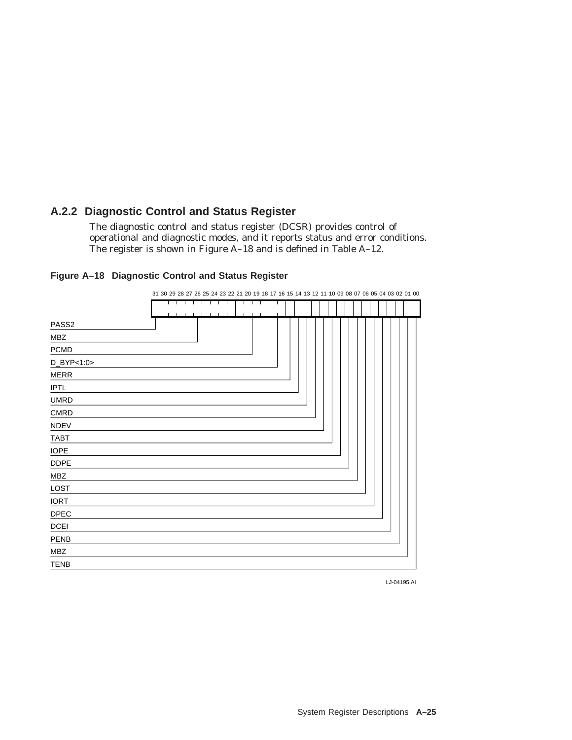# **A.2.2 Diagnostic Control and Status Register**

The diagnostic control and status register (DCSR) provides control of operational and diagnostic modes, and it reports status and error conditions. The register is shown in Figure A–18 and is defined in Table A–12.





LJ-04195.AI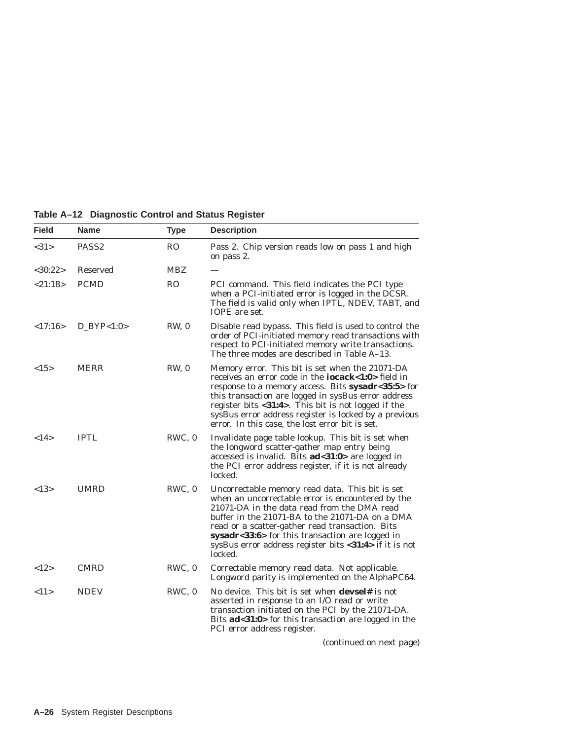| <b>Field</b> | <b>Name</b>       | <b>Type</b>    | <b>Description</b>                                                                                                                                                                                                                                                                                                                                                                                  |
|--------------|-------------------|----------------|-----------------------------------------------------------------------------------------------------------------------------------------------------------------------------------------------------------------------------------------------------------------------------------------------------------------------------------------------------------------------------------------------------|
| <31>         | PASS <sub>2</sub> | R <sub>O</sub> | Pass 2. Chip version reads low on pass 1 and high<br>on pass 2.                                                                                                                                                                                                                                                                                                                                     |
| $<$ 30:22>   | Reserved          | <b>MBZ</b>     |                                                                                                                                                                                                                                                                                                                                                                                                     |
| < 21:18>     | <b>PCMD</b>       | <b>RO</b>      | PCI command. This field indicates the PCI type<br>when a PCI-initiated error is logged in the DCSR.<br>The field is valid only when IPTL, NDEV, TABT, and<br>IOPE are set.                                                                                                                                                                                                                          |
| <17:16>      | $D_BYP<1:0>$      | RW, 0          | Disable read bypass. This field is used to control the<br>order of PCI-initiated memory read transactions with<br>respect to PCI-initiated memory write transactions.<br>The three modes are described in Table A-13.                                                                                                                                                                               |
| <15>         | <b>MERR</b>       | RW, 0          | Memory error. This bit is set when the 21071-DA<br>receives an error code in the <b>iocack&lt;1:0</b> > field in<br>response to a memory access. Bits sysadr<35:5> for<br>this transaction are logged in sysBus error address<br>register bits $<31:4>$ . This bit is not logged if the<br>sysBus error address register is locked by a previous<br>error. In this case, the lost error bit is set. |
| <14>         | <b>IPTL</b>       | RWC, 0         | Invalidate page table lookup. This bit is set when<br>the longword scatter-gather map entry being<br>accessed is invalid. Bits ad<31:0> are logged in<br>the PCI error address register, if it is not already<br>locked.                                                                                                                                                                            |
| <13>         | <b>UMRD</b>       | RWC, 0         | Uncorrectable memory read data. This bit is set<br>when an uncorrectable error is encountered by the<br>21071-DA in the data read from the DMA read<br>buffer in the 21071-BA to the 21071-DA on a DMA<br>read or a scatter-gather read transaction. Bits<br>sysadr<33:6> for this transaction are logged in<br>sysBus error address register bits <31:4> if it is not<br>locked.                   |
| <12>         | <b>CMRD</b>       | RWC, 0         | Correctable memory read data. Not applicable.<br>Longword parity is implemented on the AlphaPC64.                                                                                                                                                                                                                                                                                                   |
| <11>         | <b>NDEV</b>       | RWC, 0         | No device. This bit is set when devsel# is not<br>asserted in response to an I/O read or write<br>transaction initiated on the PCI by the 21071-DA.<br>Bits ad<31:0> for this transaction are logged in the<br>PCI error address register.                                                                                                                                                          |

**Table A–12 Diagnostic Control and Status Register**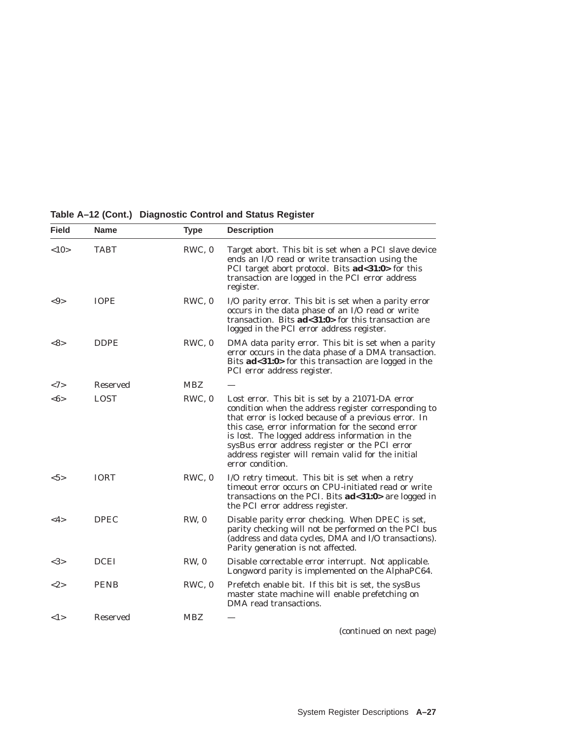| <b>Field</b>                          | <b>Name</b> | <b>Type</b> | <b>Description</b>                                                                                                                                                                                                                                                                                                                                                                                 |
|---------------------------------------|-------------|-------------|----------------------------------------------------------------------------------------------------------------------------------------------------------------------------------------------------------------------------------------------------------------------------------------------------------------------------------------------------------------------------------------------------|
| $<10$ >                               | TABT        | RWC, 0      | Target abort. This bit is set when a PCI slave device<br>ends an I/O read or write transaction using the<br>PCI target abort protocol. Bits ad<31:0> for this<br>transaction are logged in the PCI error address<br>register.                                                                                                                                                                      |
| $< \hspace{-1.5mm}9 \hspace{-1.5mm}>$ | <b>TOPE</b> | RWC, 0      | I/O parity error. This bit is set when a parity error<br>occurs in the data phase of an I/O read or write<br>transaction. Bits ad<31:0> for this transaction are<br>logged in the PCI error address register.                                                                                                                                                                                      |
| <8>                                   | <b>DDPE</b> | RWC, 0      | DMA data parity error. This bit is set when a parity<br>error occurs in the data phase of a DMA transaction.<br>Bits <b>ad</b> <31:0> for this transaction are logged in the<br>PCI error address register.                                                                                                                                                                                        |
| <7>                                   | Reserved    | <b>MBZ</b>  |                                                                                                                                                                                                                                                                                                                                                                                                    |
| <6>                                   | <b>LOST</b> | RWC, 0      | Lost error. This bit is set by a 21071-DA error<br>condition when the address register corresponding to<br>that error is locked because of a previous error. In<br>this case, error information for the second error<br>is lost. The logged address information in the<br>sysBus error address register or the PCI error<br>address register will remain valid for the initial<br>error condition. |
| $5>$                                  | <b>IORT</b> | RWC, 0      | I/O retry timeout. This bit is set when a retry<br>timeout error occurs on CPU-initiated read or write<br>transactions on the PCI. Bits ad<31:0> are logged in<br>the PCI error address register.                                                                                                                                                                                                  |
| $<$ 4 $>$                             | <b>DPEC</b> | RW, 0       | Disable parity error checking. When DPEC is set,<br>parity checking will not be performed on the PCI bus<br>(address and data cycles, DMA and I/O transactions).<br>Parity generation is not affected.                                                                                                                                                                                             |
| <3>                                   | <b>DCEI</b> | RW, 0       | Disable correctable error interrupt. Not applicable.<br>Longword parity is implemented on the AlphaPC64.                                                                                                                                                                                                                                                                                           |
| $< \! 2 \! >$                         | <b>PENB</b> | RWC, 0      | Prefetch enable bit. If this bit is set, the sysBus<br>master state machine will enable prefetching on<br>DMA read transactions.                                                                                                                                                                                                                                                                   |
| 1>                                    | Reserved    | <b>MBZ</b>  |                                                                                                                                                                                                                                                                                                                                                                                                    |
|                                       |             |             | (continued on next page)                                                                                                                                                                                                                                                                                                                                                                           |

**Table A–12 (Cont.) Diagnostic Control and Status Register**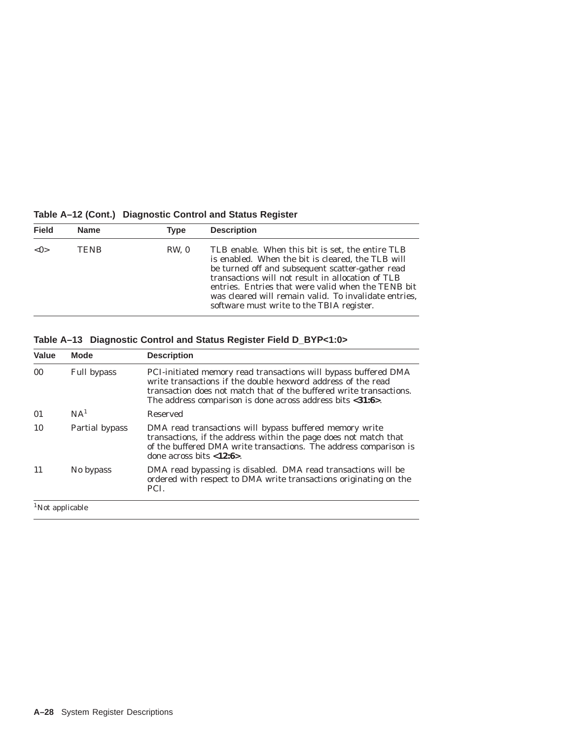| <b>Field</b> | <b>Name</b> | Type  | <b>Description</b>                                                                                                                                                                                                                                                                                                                                                         |
|--------------|-------------|-------|----------------------------------------------------------------------------------------------------------------------------------------------------------------------------------------------------------------------------------------------------------------------------------------------------------------------------------------------------------------------------|
| < 0>         | TENB        | RW, 0 | TLB enable. When this bit is set, the entire TLB<br>is enabled. When the bit is cleared, the TLB will<br>be turned off and subsequent scatter-gather read<br>transactions will not result in allocation of TLB<br>entries. Entries that were valid when the TENB bit<br>was cleared will remain valid. To invalidate entries,<br>software must write to the TBIA register. |

**Table A–12 (Cont.) Diagnostic Control and Status Register**

## **Table A–13 Diagnostic Control and Status Register Field D\_BYP<1:0>**

| Value                       | <b>Mode</b>     | <b>Description</b>                                                                                                                                                                                                                                                                    |
|-----------------------------|-----------------|---------------------------------------------------------------------------------------------------------------------------------------------------------------------------------------------------------------------------------------------------------------------------------------|
| 00 <sup>1</sup>             | Full bypass     | PCI-initiated memory read transactions will bypass buffered DMA<br>write transactions if the double hexword address of the read<br>transaction does not match that of the buffered write transactions.<br>The address comparison is done across address bits $\langle 31:6 \rangle$ . |
| 01                          | NA <sup>1</sup> | Reserved                                                                                                                                                                                                                                                                              |
| 10                          | Partial bypass  | DMA read transactions will bypass buffered memory write<br>transactions, if the address within the page does not match that<br>of the buffered DMA write transactions. The address comparison is<br>done across bits $<12:6$ .                                                        |
| 11                          | No bypass       | DMA read bypassing is disabled. DMA read transactions will be<br>ordered with respect to DMA write transactions originating on the<br>PCI.                                                                                                                                            |
| <sup>1</sup> Not applicable |                 |                                                                                                                                                                                                                                                                                       |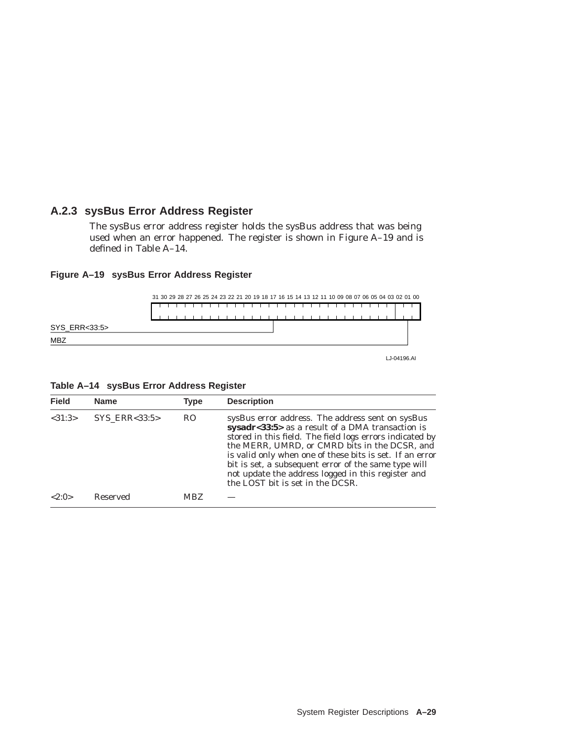# **A.2.3 sysBus Error Address Register**

The sysBus error address register holds the sysBus address that was being used when an error happened. The register is shown in Figure A–19 and is defined in Table A–14.





**Table A–14 sysBus Error Address Register**

| <b>Field</b> | <b>Name</b>         | Type           | <b>Description</b>                                                                                                                                                                                                                                                                                                                                                                                                              |
|--------------|---------------------|----------------|---------------------------------------------------------------------------------------------------------------------------------------------------------------------------------------------------------------------------------------------------------------------------------------------------------------------------------------------------------------------------------------------------------------------------------|
| <31:3>       | $SYS$ $ERR < 33:5>$ | R <sub>O</sub> | sysBus error address. The address sent on sysBus<br>sysadr<33:5> as a result of a DMA transaction is<br>stored in this field. The field logs errors indicated by<br>the MERR, UMRD, or CMRD bits in the DCSR, and<br>is valid only when one of these bits is set. If an error<br>bit is set, a subsequent error of the same type will<br>not update the address logged in this register and<br>the LOST bit is set in the DCSR. |
| < 2.0        | Reserved            | <b>MBZ</b>     |                                                                                                                                                                                                                                                                                                                                                                                                                                 |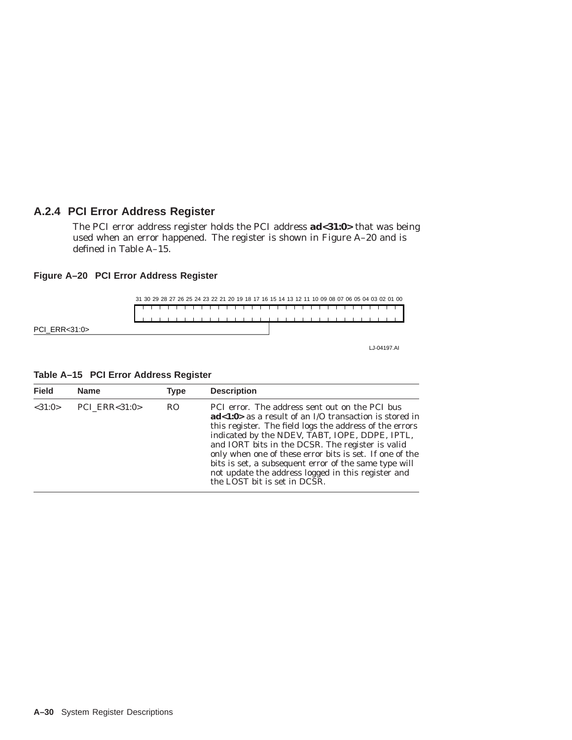# **A.2.4 PCI Error Address Register**

The PCI error address register holds the PCI address **ad<31:0>** that was being used when an error happened. The register is shown in Figure A–20 and is defined in Table A–15.

## **Figure A–20 PCI Error Address Register**



LJ-04197.AI

| <b>Field</b> | <b>Name</b>       | Type           | <b>Description</b>                                                                                                                                                                                                                                                                                                                                                                                                                                                                    |
|--------------|-------------------|----------------|---------------------------------------------------------------------------------------------------------------------------------------------------------------------------------------------------------------------------------------------------------------------------------------------------------------------------------------------------------------------------------------------------------------------------------------------------------------------------------------|
| <31:0>       | PCI $ERR < 31:0>$ | R <sub>O</sub> | PCI error. The address sent out on the PCI bus<br>$ad<1:0>$ as a result of an I/O transaction is stored in<br>this register. The field logs the address of the errors<br>indicated by the NDEV, TABT, IOPE, DDPE, IPTL,<br>and IORT bits in the DCSR. The register is valid<br>only when one of these error bits is set. If one of the<br>bits is set, a subsequent error of the same type will<br>not update the address logged in this register and<br>the LOST bit is set in DCSR. |

#### **Table A–15 PCI Error Address Register**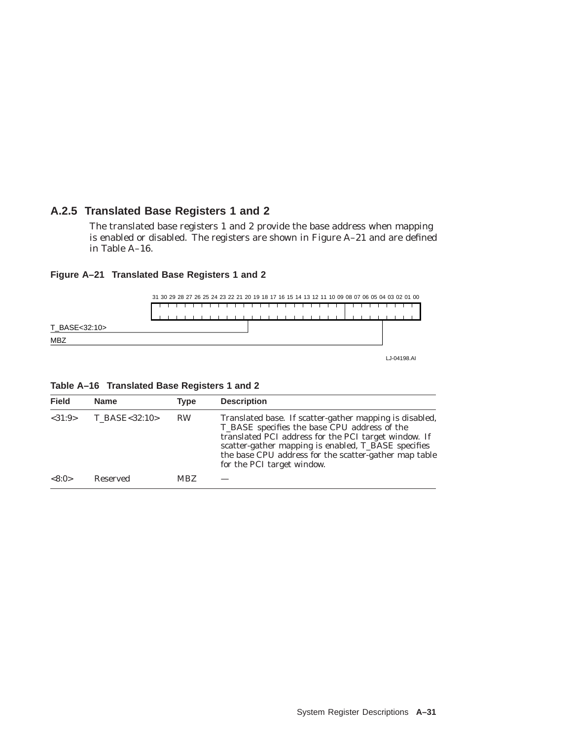# **A.2.5 Translated Base Registers 1 and 2**

The translated base registers 1 and 2 provide the base address when mapping is enabled or disabled. The registers are shown in Figure A–21 and are defined in Table A–16.



## **Figure A–21 Translated Base Registers 1 and 2**

**Table A–16 Translated Base Registers 1 and 2**

| <b>Field</b> | <b>Name</b>   | Type      | <b>Description</b>                                                                                                                                                                                                                                                                                            |
|--------------|---------------|-----------|---------------------------------------------------------------------------------------------------------------------------------------------------------------------------------------------------------------------------------------------------------------------------------------------------------------|
| <31:9>       | T_BASE<32:10> | <b>RW</b> | Translated base. If scatter-gather mapping is disabled,<br>T_BASE specifies the base CPU address of the<br>translated PCI address for the PCI target window. If<br>scatter-gather mapping is enabled, T_BASE specifies<br>the base CPU address for the scatter-gather map table<br>for the PCI target window. |
| <8:0>        | Reserved      | MBZ.      |                                                                                                                                                                                                                                                                                                               |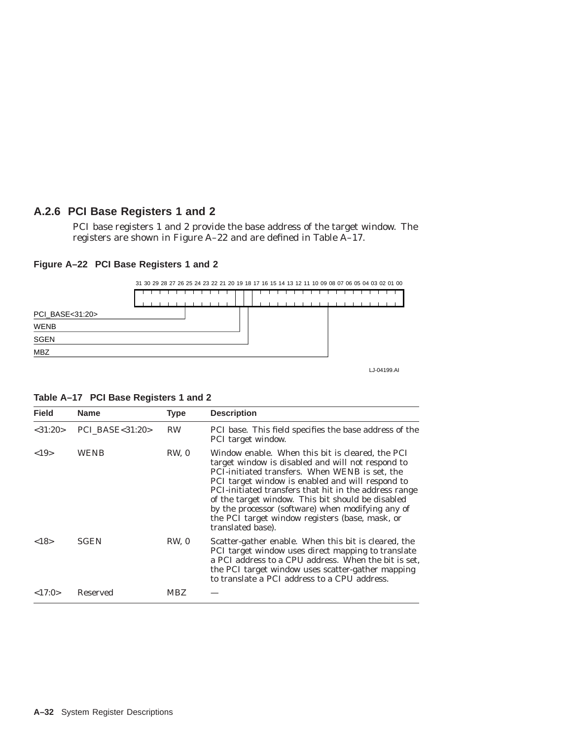# **A.2.6 PCI Base Registers 1 and 2**

PCI base registers 1 and 2 provide the base address of the target window. The registers are shown in Figure A–22 and are defined in Table A–17.

#### **Figure A–22 PCI Base Registers 1 and 2**



LJ-04199.AI

| <b>Field</b>  | <b>Name</b>                  | Type       | <b>Description</b>                                                                                                                                                                                                                                                                                                                                                                                                                                     |
|---------------|------------------------------|------------|--------------------------------------------------------------------------------------------------------------------------------------------------------------------------------------------------------------------------------------------------------------------------------------------------------------------------------------------------------------------------------------------------------------------------------------------------------|
| $<$ 31:20 $>$ | <b>PCI BASE&lt;31:20&gt;</b> | <b>RW</b>  | PCI base. This field specifies the base address of the<br>PCI target window.                                                                                                                                                                                                                                                                                                                                                                           |
| <19>          | WENB                         | RW, 0      | Window enable. When this bit is cleared, the PCI<br>target window is disabled and will not respond to<br>PCI-initiated transfers. When WENB is set, the<br>PCI target window is enabled and will respond to<br>PCI-initiated transfers that hit in the address range<br>of the target window. This bit should be disabled<br>by the processor (software) when modifying any of<br>the PCI target window registers (base, mask, or<br>translated base). |
| <18>          | <b>SGEN</b>                  | RW, 0      | Scatter-gather enable. When this bit is cleared, the<br>PCI target window uses direct mapping to translate<br>a PCI address to a CPU address. When the bit is set.<br>the PCI target window uses scatter-gather mapping<br>to translate a PCI address to a CPU address.                                                                                                                                                                                |
| <17:0>        | Reserved                     | <b>MBZ</b> |                                                                                                                                                                                                                                                                                                                                                                                                                                                        |

#### **Table A–17 PCI Base Registers 1 and 2**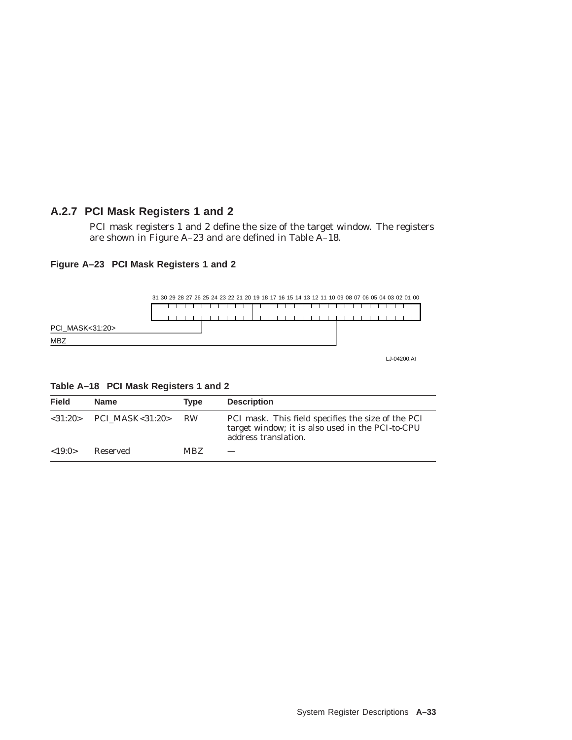# **A.2.7 PCI Mask Registers 1 and 2**

PCI mask registers 1 and 2 define the size of the target window. The registers are shown in Figure A–23 and are defined in Table A–18.

#### **Figure A–23 PCI Mask Registers 1 and 2**



**Table A–18 PCI Mask Registers 1 and 2**

| Field  | <b>Name</b>                                              | <b>Type</b> | <b>Description</b>                                                                                                             |
|--------|----------------------------------------------------------|-------------|--------------------------------------------------------------------------------------------------------------------------------|
|        | $\langle 31:20 \rangle$ PCI MASK $\langle 31:20 \rangle$ | RW          | PCI mask. This field specifies the size of the PCI<br>target window; it is also used in the PCI-to-CPU<br>address translation. |
| <19.0> | Reserved                                                 | MBZ.        |                                                                                                                                |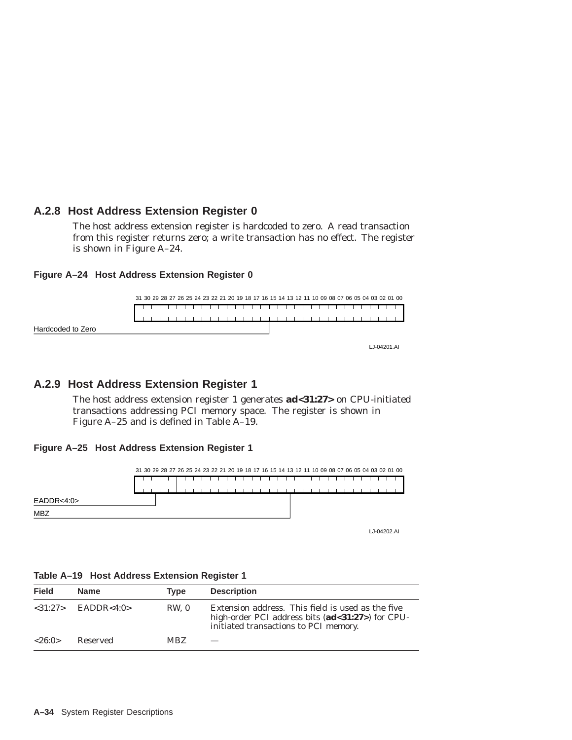# **A.2.8 Host Address Extension Register 0**

The host address extension register is hardcoded to zero. A read transaction from this register returns zero; a write transaction has no effect. The register is shown in Figure A–24.

#### **Figure A–24 Host Address Extension Register 0**



## **A.2.9 Host Address Extension Register 1**

The host address extension register 1 generates **ad<31:27>** on CPU-initiated transactions addressing PCI memory space. The register is shown in Figure A–25 and is defined in Table A–19.

#### **Figure A–25 Host Address Extension Register 1**



LJ-04202.AI

| <b>Field</b> | <b>Name</b>  | Type  | <b>Description</b>                                                                                                                             |
|--------------|--------------|-------|------------------------------------------------------------------------------------------------------------------------------------------------|
| <31:27>      | EADDR < 4:0> | RW. 0 | Extension address. This field is used as the five<br>high-order PCI address bits (ad<31:27>) for CPU-<br>initiated transactions to PCI memory. |
| < 26:0>      | Reserved     | MBZ.  |                                                                                                                                                |

#### **Table A–19 Host Address Extension Register 1**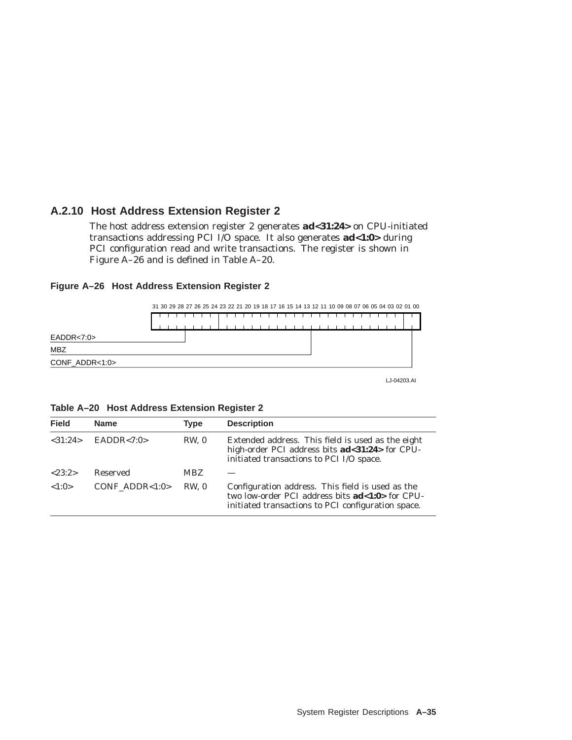# **A.2.10 Host Address Extension Register 2**

The host address extension register 2 generates **ad<31:24>** on CPU-initiated transactions addressing PCI I/O space. It also generates **ad<1:0>** during PCI configuration read and write transactions. The register is shown in Figure A–26 and is defined in Table A–20.





LJ-04203.AI

**Table A–20 Host Address Extension Register 2**

| <b>Field</b> | <b>Name</b>    | Type       | <b>Description</b>                                                                                                                                                     |
|--------------|----------------|------------|------------------------------------------------------------------------------------------------------------------------------------------------------------------------|
| <31:24>      | EADDR < 7:0>   | RW, 0      | Extended address. This field is used as the eight<br>high-order PCI address bits <b>ad</b> <31:24> for CPU-<br>initiated transactions to PCI I/O space.                |
| < 23:2>      | Reserved       | <b>MBZ</b> |                                                                                                                                                                        |
| <1:0>        | CONF ADDR<1:0> | RW. 0      | Configuration address. This field is used as the<br>two low-order PCI address bits <b>ad&lt;1:0&gt;</b> for CPU-<br>initiated transactions to PCI configuration space. |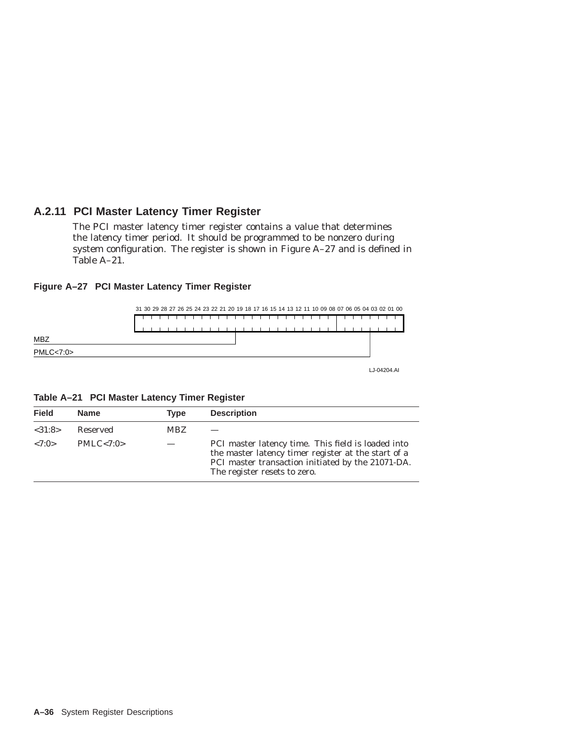# **A.2.11 PCI Master Latency Timer Register**

The PCI master latency timer register contains a value that determines the latency timer period. It should be programmed to be nonzero during system configuration. The register is shown in Figure A–27 and is defined in Table A–21.

#### **Figure A–27 PCI Master Latency Timer Register**



LJ-04204.AI

**Table A–21 PCI Master Latency Timer Register**

| <b>Field</b> | <b>Name</b> | Tvpe       | <b>Description</b>                                                                                                                                                                             |
|--------------|-------------|------------|------------------------------------------------------------------------------------------------------------------------------------------------------------------------------------------------|
| <31:8>       | Reserved    | <b>MBZ</b> |                                                                                                                                                                                                |
| < 7:0>       | PMLC < 7:0> |            | PCI master latency time. This field is loaded into<br>the master latency timer register at the start of a<br>PCI master transaction initiated by the 21071-DA.<br>The register resets to zero. |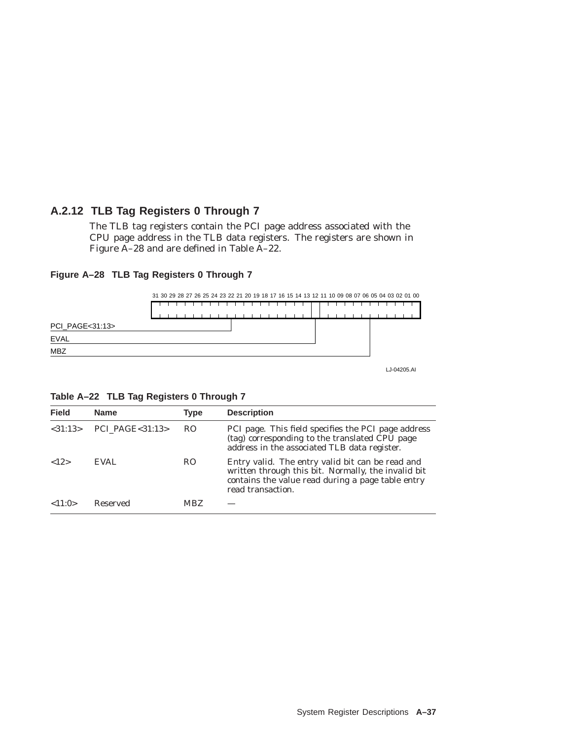# **A.2.12 TLB Tag Registers 0 Through 7**

The TLB tag registers contain the PCI page address associated with the CPU page address in the TLB data registers. The registers are shown in Figure A–28 and are defined in Table A–22.

#### 31 30 29 28 27 26 25 24 23 22 21 20 19 18 17 16 15 14 13 12 11 10 09 08 07 06 05 04 03 02 01 00 . . . . . . . . . Т ┯ т ┯ т ┰ PCI\_PAGE<31:13> EVAL MBZ

#### **Figure A–28 TLB Tag Registers 0 Through 7**



| Table A-22 TLB Tag Registers 0 Through 7 |  |  |  |
|------------------------------------------|--|--|--|
|                                          |  |  |  |

| <b>Field</b>           | <b>Name</b>                  | Type           | <b>Description</b>                                                                                                                                                                |
|------------------------|------------------------------|----------------|-----------------------------------------------------------------------------------------------------------------------------------------------------------------------------------|
| < 31:13>               | <b>PCI PAGE&lt;31:13&gt;</b> | R <sub>O</sub> | PCI page. This field specifies the PCI page address<br>(tag) corresponding to the translated CPU page<br>address in the associated TLB data register.                             |
| ${<}12$                | <b>EVAL</b>                  | R <sub>O</sub> | Entry valid. The entry valid bit can be read and<br>written through this bit. Normally, the invalid bit<br>contains the value read during a page table entry<br>read transaction. |
| $\langle 11.0 \rangle$ | Reserved                     | <b>MBZ</b>     |                                                                                                                                                                                   |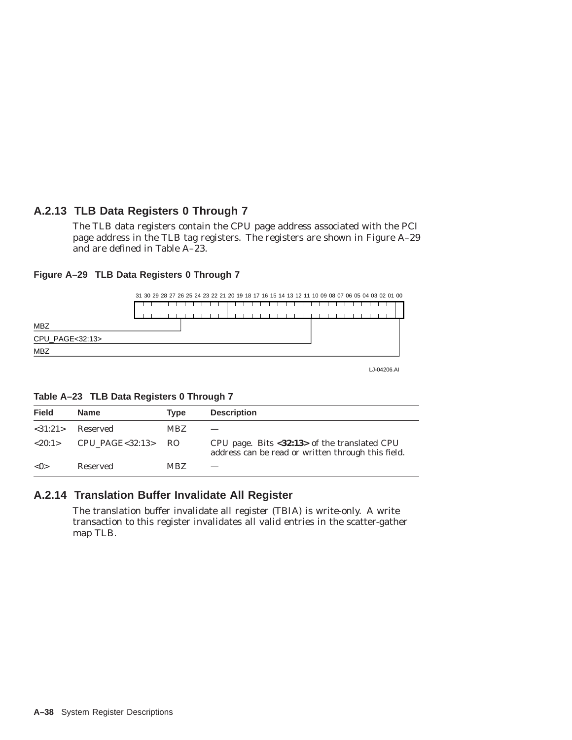# **A.2.13 TLB Data Registers 0 Through 7**

The TLB data registers contain the CPU page address associated with the PCI page address in the TLB tag registers. The registers are shown in Figure A–29 and are defined in Table A–23.



**Figure A–29 TLB Data Registers 0 Through 7**

#### LJ-04206.AI

| <b>Field</b> | <b>Name</b>             | <b>Type</b> | <b>Description</b>                                                                                                 |
|--------------|-------------------------|-------------|--------------------------------------------------------------------------------------------------------------------|
| <31:21>      | Reserved                | <b>MBZ</b>  |                                                                                                                    |
| <20:1>       | CPU PAGE $< 32:13 > RO$ |             | CPU page. Bits $\langle 32:13 \rangle$ of the translated CPU<br>address can be read or written through this field. |
| < 0>         | Reserved                | <b>MBZ</b>  |                                                                                                                    |

# **A.2.14 Translation Buffer Invalidate All Register**

The translation buffer invalidate all register (TBIA) is write-only. A write transaction to this register invalidates all valid entries in the scatter-gather map TLB.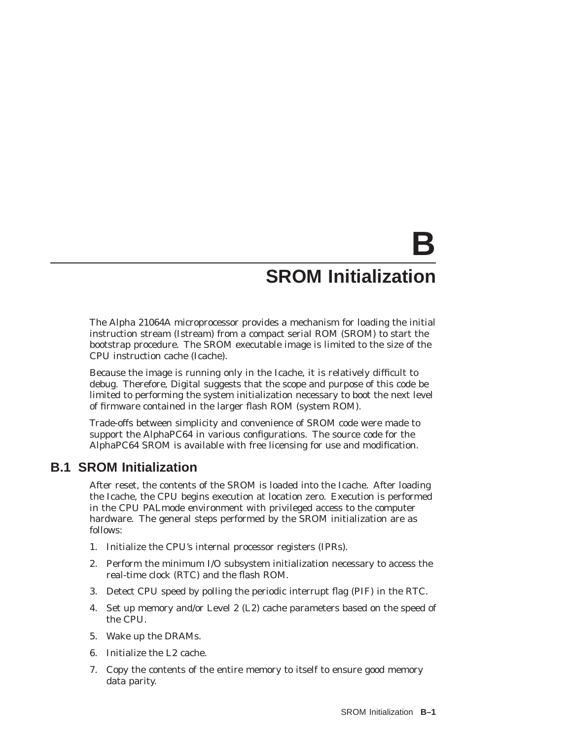# **B SROM Initialization**

The Alpha 21064A microprocessor provides a mechanism for loading the initial instruction stream (Istream) from a compact serial ROM (SROM) to start the bootstrap procedure. The SROM executable image is limited to the size of the CPU instruction cache (Icache).

Because the image is running only in the Icache, it is relatively difficult to debug. Therefore, Digital suggests that the scope and purpose of this code be limited to performing the system initialization necessary to boot the next level of firmware contained in the larger flash ROM (system ROM).

Trade-offs between simplicity and convenience of SROM code were made to support the AlphaPC64 in various configurations. The source code for the AlphaPC64 SROM is available with free licensing for use and modification.

# **B.1 SROM Initialization**

After reset, the contents of the SROM is loaded into the Icache. After loading the Icache, the CPU begins execution at location zero. Execution is performed in the CPU PALmode environment with privileged access to the computer hardware. The general steps performed by the SROM initialization are as follows:

- 1. Initialize the CPU's internal processor registers (IPRs).
- 2. Perform the minimum I/O subsystem initialization necessary to access the real-time clock (RTC) and the flash ROM.
- 3. Detect CPU speed by polling the periodic interrupt flag (PIF) in the RTC.
- 4. Set up memory and/or Level 2 (L2) cache parameters based on the speed of the CPU.
- 5. Wake up the DRAMs.
- 6. Initialize the L2 cache.
- 7. Copy the contents of the entire memory to itself to ensure good memory data parity.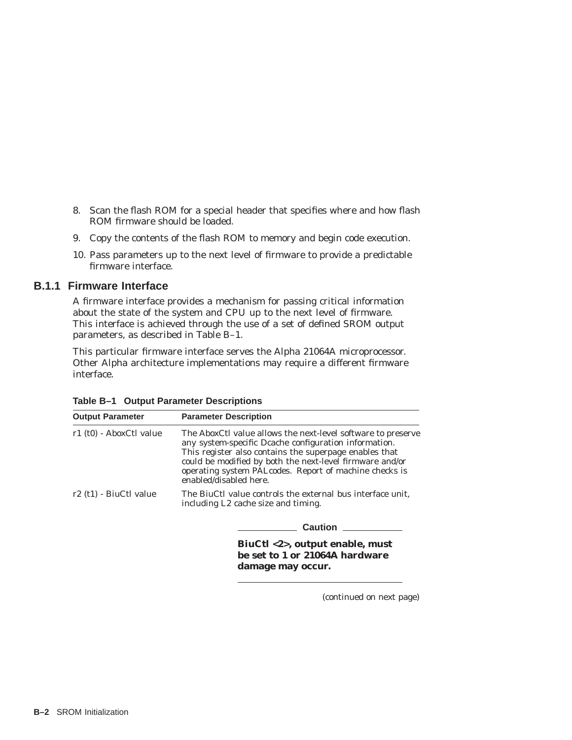- 8. Scan the flash ROM for a special header that specifies where and how flash ROM firmware should be loaded.
- 9. Copy the contents of the flash ROM to memory and begin code execution.
- 10. Pass parameters up to the next level of firmware to provide a predictable firmware interface.

#### **B.1.1 Firmware Interface**

A firmware interface provides a mechanism for passing critical information about the state of the system and CPU up to the next level of firmware. This interface is achieved through the use of a set of defined SROM output parameters, as described in Table B–1.

This particular firmware interface serves the Alpha 21064A microprocessor. Other Alpha architecture implementations may require a different firmware interface.

| <b>Output Parameter</b> | <b>Parameter Description</b><br>The AboxCtl value allows the next-level software to preserve<br>any system-specific Deache configuration information.<br>This register also contains the superpage enables that<br>could be modified by both the next-level firmware and/or<br>operating system PALcodes. Report of machine checks is<br>enabled/disabled here. |  |  |
|-------------------------|-----------------------------------------------------------------------------------------------------------------------------------------------------------------------------------------------------------------------------------------------------------------------------------------------------------------------------------------------------------------|--|--|
| r1 (t0) - AboxCtl value |                                                                                                                                                                                                                                                                                                                                                                 |  |  |
| r2 (t1) - BiuCtl value  | The BiuCtl value controls the external bus interface unit,<br>including L2 cache size and timing.                                                                                                                                                                                                                                                               |  |  |
|                         | Caution                                                                                                                                                                                                                                                                                                                                                         |  |  |
|                         | BiuCtl <2>, output enable, must<br>be set to 1 or 21064A hardware<br>damage may occur.                                                                                                                                                                                                                                                                          |  |  |

**Table B–1 Output Parameter Descriptions**

(continued on next page)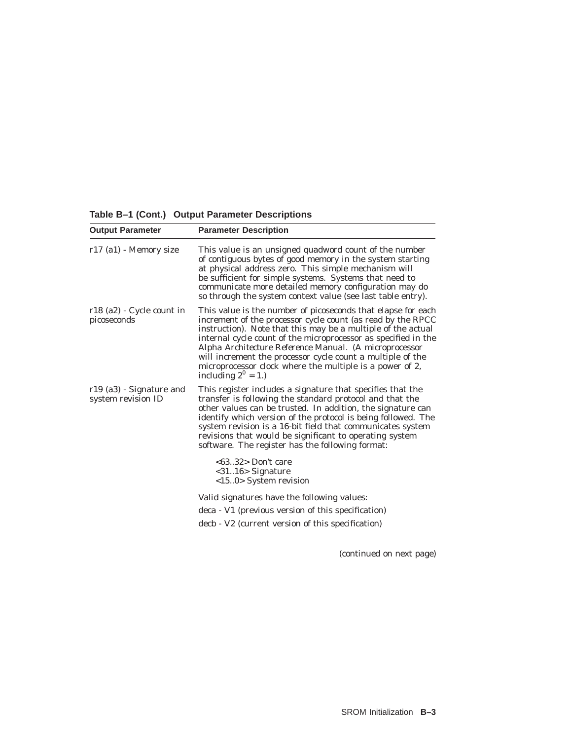| <b>Output Parameter</b>                        | <b>Parameter Description</b>                                                                                                                                                                                                                                                                                                                                                                                                                                                |  |  |  |
|------------------------------------------------|-----------------------------------------------------------------------------------------------------------------------------------------------------------------------------------------------------------------------------------------------------------------------------------------------------------------------------------------------------------------------------------------------------------------------------------------------------------------------------|--|--|--|
| r17 (a1) - Memory size                         | This value is an unsigned quadword count of the number<br>of contiguous bytes of good memory in the system starting<br>at physical address zero. This simple mechanism will<br>be sufficient for simple systems. Systems that need to<br>communicate more detailed memory configuration may do<br>so through the system context value (see last table entry).                                                                                                               |  |  |  |
| r18 (a2) - Cycle count in<br>picoseconds       | This value is the number of picoseconds that elapse for each<br>increment of the processor cycle count (as read by the RPCC<br>instruction). Note that this may be a multiple of the actual<br>internal cycle count of the microprocessor as specified in the<br>Alpha Architecture Reference Manual. (A microprocessor<br>will increment the processor cycle count a multiple of the<br>microprocessor clock where the multiple is a power of 2,<br>including $2^0 = 1$ .) |  |  |  |
| r19 (a3) - Signature and<br>system revision ID | This register includes a signature that specifies that the<br>transfer is following the standard protocol and that the<br>other values can be trusted. In addition, the signature can<br>identify which version of the protocol is being followed. The<br>system revision is a 16-bit field that communicates system<br>revisions that would be significant to operating system<br>software. The register has the following format:                                         |  |  |  |
|                                                | $<$ 6332> Don't care<br>$<$ 3116 $>$ Signature<br><150> System revision                                                                                                                                                                                                                                                                                                                                                                                                     |  |  |  |
|                                                | Valid signatures have the following values:<br>deca - V1 (previous version of this specification)<br>decb - V2 (current version of this specification)                                                                                                                                                                                                                                                                                                                      |  |  |  |

**Table B–1 (Cont.) Output Parameter Descriptions**

(continued on next page)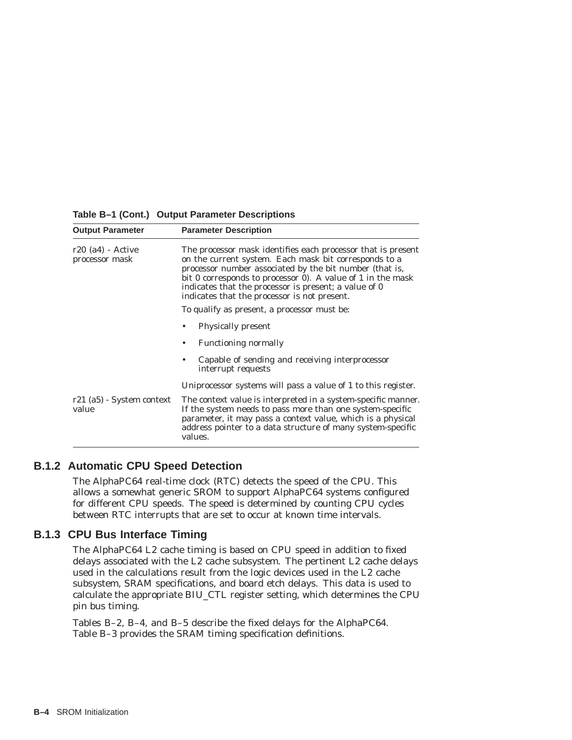| <b>Output Parameter</b>               | <b>Parameter Description</b>                                                                                                                                                                                                                                                                                                                             |  |  |  |
|---------------------------------------|----------------------------------------------------------------------------------------------------------------------------------------------------------------------------------------------------------------------------------------------------------------------------------------------------------------------------------------------------------|--|--|--|
| $r20$ (a4) - Active<br>processor mask | The processor mask identifies each processor that is present<br>on the current system. Each mask bit corresponds to a<br>processor number associated by the bit number (that is,<br>bit 0 corresponds to processor 0). A value of 1 in the mask<br>indicates that the processor is present; a value of 0<br>indicates that the processor is not present. |  |  |  |
|                                       | To qualify as present, a processor must be:                                                                                                                                                                                                                                                                                                              |  |  |  |
|                                       | <b>Physically present</b>                                                                                                                                                                                                                                                                                                                                |  |  |  |
|                                       | <b>Functioning normally</b><br>٠                                                                                                                                                                                                                                                                                                                         |  |  |  |
|                                       | Capable of sending and receiving interprocessor<br>interrupt requests                                                                                                                                                                                                                                                                                    |  |  |  |
|                                       | Uniprocessor systems will pass a value of 1 to this register.                                                                                                                                                                                                                                                                                            |  |  |  |
| r21 (a5) - System context<br>value    | The context value is interpreted in a system-specific manner.<br>If the system needs to pass more than one system-specific<br>parameter, it may pass a context value, which is a physical<br>address pointer to a data structure of many system-specific<br>values.                                                                                      |  |  |  |

**Table B–1 (Cont.) Output Parameter Descriptions**

## **B.1.2 Automatic CPU Speed Detection**

The AlphaPC64 real-time clock (RTC) detects the speed of the CPU. This allows a somewhat generic SROM to support AlphaPC64 systems configured for different CPU speeds. The speed is determined by counting CPU cycles between RTC interrupts that are set to occur at known time intervals.

## **B.1.3 CPU Bus Interface Timing**

The AlphaPC64 L2 cache timing is based on CPU speed in addition to fixed delays associated with the L2 cache subsystem. The pertinent L2 cache delays used in the calculations result from the logic devices used in the L2 cache subsystem, SRAM specifications, and board etch delays. This data is used to calculate the appropriate BIU\_CTL register setting, which determines the CPU pin bus timing.

Tables B–2, B–4, and B–5 describe the fixed delays for the AlphaPC64. Table B–3 provides the SRAM timing specification definitions.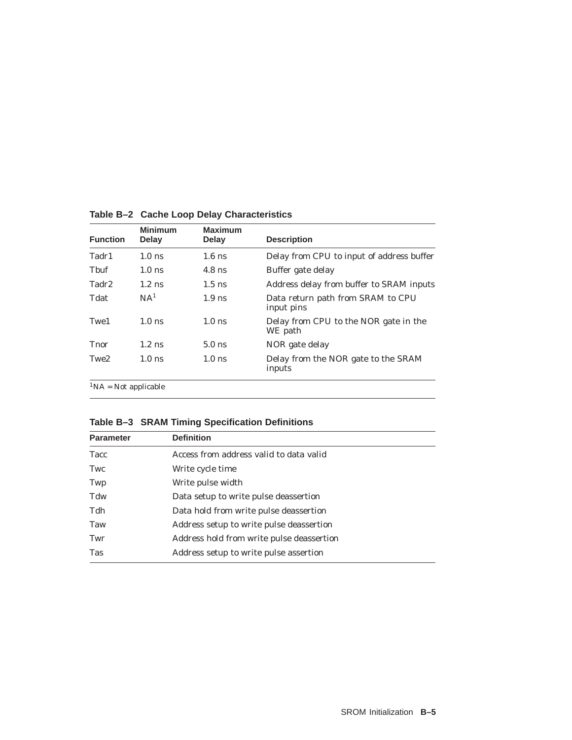| <b>Function</b>             | <b>Minimum</b><br>Delay | <b>Maximum</b><br>Delay | <b>Description</b>                               |
|-----------------------------|-------------------------|-------------------------|--------------------------------------------------|
| Tadr1                       | $1.0$ ns                | $1.6$ ns                | Delay from CPU to input of address buffer        |
| <b>Thuf</b>                 | $1.0$ ns                | $4.8$ ns                | Buffer gate delay                                |
| Tadr2                       | $1.2$ ns                | $1.5$ ns                | Address delay from buffer to SRAM inputs         |
| Tdat                        | NA <sup>1</sup>         | $1.9$ ns                | Data return path from SRAM to CPU<br>input pins  |
| Twe1                        | $1.0$ ns                | $1.0$ ns                | Delay from CPU to the NOR gate in the<br>WE path |
| <b>T</b> nor                | $1.2$ ns                | $5.0$ ns                | NOR gate delay                                   |
| Twe <sub>2</sub>            | $1.0$ ns                | $1.0$ ns                | Delay from the NOR gate to the SRAM<br>inputs    |
| ${}^{1}NA$ = Not applicable |                         |                         |                                                  |

**Table B–2 Cache Loop Delay Characteristics**

**Table B–3 SRAM Timing Specification Definitions**

| <b>Parameter</b> | <b>Definition</b>                         |  |
|------------------|-------------------------------------------|--|
| Tacc             | Access from address valid to data valid   |  |
| Twc              | Write cycle time                          |  |
| Twp              | Write pulse width                         |  |
| Tdw              | Data setup to write pulse deassertion     |  |
| Tdh              | Data hold from write pulse deassertion    |  |
| Taw              | Address setup to write pulse deassertion  |  |
| Twr              | Address hold from write pulse deassertion |  |
| <b>Tas</b>       | Address setup to write pulse assertion    |  |
|                  |                                           |  |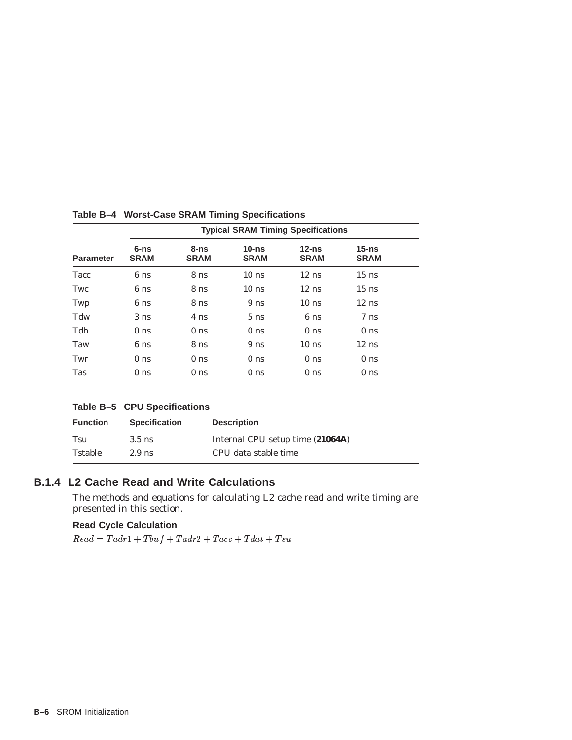|                  |                         |                         | <b>Typical SRAM Timing Specifications</b> |                          |                          |  |
|------------------|-------------------------|-------------------------|-------------------------------------------|--------------------------|--------------------------|--|
| <b>Parameter</b> | $6 - ns$<br><b>SRAM</b> | $8 - ns$<br><b>SRAM</b> | $10 - ns$<br><b>SRAM</b>                  | $12 - ns$<br><b>SRAM</b> | $15 - ns$<br><b>SRAM</b> |  |
| <b>Tacc</b>      | 6 <sub>ns</sub>         | 8 ns                    | 10 <sub>ns</sub>                          | $12$ ns                  | $15$ ns                  |  |
| Twc              | 6 ns                    | 8 <sub>ns</sub>         | 10 <sub>ns</sub>                          | $12$ ns                  | $15$ ns                  |  |
| Twp              | 6 <sub>ns</sub>         | 8 <sub>ns</sub>         | 9 <sub>ns</sub>                           | 10 <sub>ns</sub>         | $12$ ns                  |  |
| Tdw              | 3 <sub>ns</sub>         | 4 ns                    | 5 <sub>ns</sub>                           | 6 <sub>ns</sub>          | 7 <sub>ns</sub>          |  |
| Tdh              | 0 <sub>ns</sub>         | 0 <sub>ns</sub>         | 0 <sub>ns</sub>                           | 0 <sub>ns</sub>          | 0 <sub>ns</sub>          |  |
| Taw              | 6 <sub>ns</sub>         | 8 ns                    | 9 <sub>ns</sub>                           | 10 <sub>ns</sub>         | $12$ ns                  |  |
| Twr              | 0 <sub>ns</sub>         | 0 <sub>ns</sub>         | 0 <sub>ns</sub>                           | 0 <sub>ns</sub>          | 0 <sub>ns</sub>          |  |
| <b>Tas</b>       | 0 <sub>ns</sub>         | 0 <sub>ns</sub>         | 0 <sub>ns</sub>                           | 0 <sub>ns</sub>          | 0 <sub>ns</sub>          |  |

**Table B–4 Worst-Case SRAM Timing Specifications**

|  |  | Table B-5 CPU Specifications |
|--|--|------------------------------|
|--|--|------------------------------|

| <b>Function</b> | <b>Specification</b> | <b>Description</b>               |
|-----------------|----------------------|----------------------------------|
| Tsu             | $3.5$ ns             | Internal CPU setup time (21064A) |
| <b>Tstable</b>  | $2.9$ ns             | CPU data stable time             |

# **B.1.4 L2 Cache Read and Write Calculations**

The methods and equations for calculating L2 cache read and write timing are presented in this section.

#### **Read Cycle Calculation**

 $\label{eq:1} Read = Tadr1 + Tbuf + Tadr2 + Tacc + Tdat + Tsu$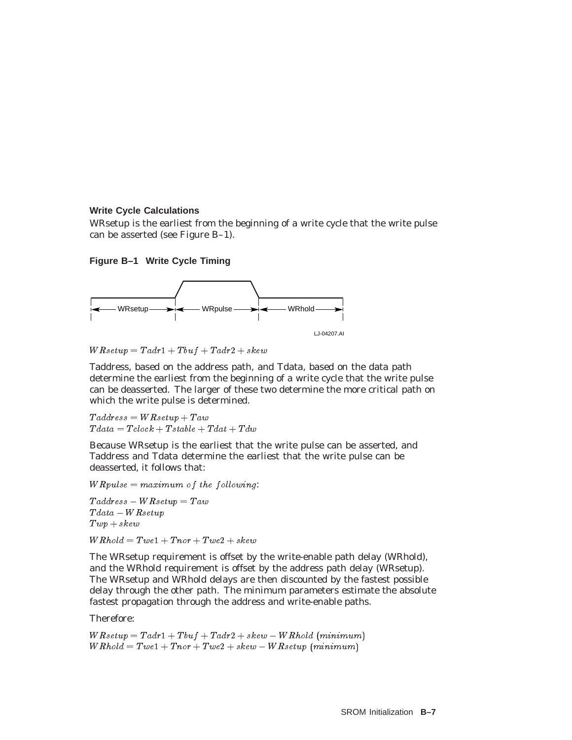#### **Write Cycle Calculations**

WRsetup is the earliest from the beginning of a write cycle that the write pulse can be asserted (see Figure B–1).

**Figure B–1 Write Cycle Timing**



 $W$ Rsetup =  $Tadr1 + Tbuf + Tadr2 + skew$ 

Taddress, based on the address path, and Tdata, based on the data path determine the earliest from the beginning of a write cycle that the write pulse can be deasserted. The larger of these two determine the more critical path on which the write pulse is determined.

 $T_{address} = W$   $R_{setup} + T_{aw}$  $T data = T clock + T stable + T data + T dw$ 

Because WRsetup is the earliest that the write pulse can be asserted, and Taddress and Tdata determine the earliest that the write pulse can be deasserted, it follows that:

 $W$ Rpulse = maximum of the following:

 $Taddress - W\,Rsetup = Taw$  $T data - W$ Rsetup  $Twp + skew$ 

 $W Rhold = Twel + Thor + Twel + skew$ 

The WRsetup requirement is offset by the write-enable path delay (WRhold), and the WRhold requirement is offset by the address path delay (WRsetup). The WRsetup and WRhold delays are then discounted by the fastest possible delay through the other path. The minimum parameters estimate the absolute fastest propagation through the address and write-enable paths.

Therefore:

 $W$ Rsetup =  $T \alpha dr 1 + T \alpha dr 1 + T \alpha dr 2 + s \kappa w - W$ Rhold (minimum)  $W Rhold = Twel + Thor + Twel + skew - W Rsetup (minimum)$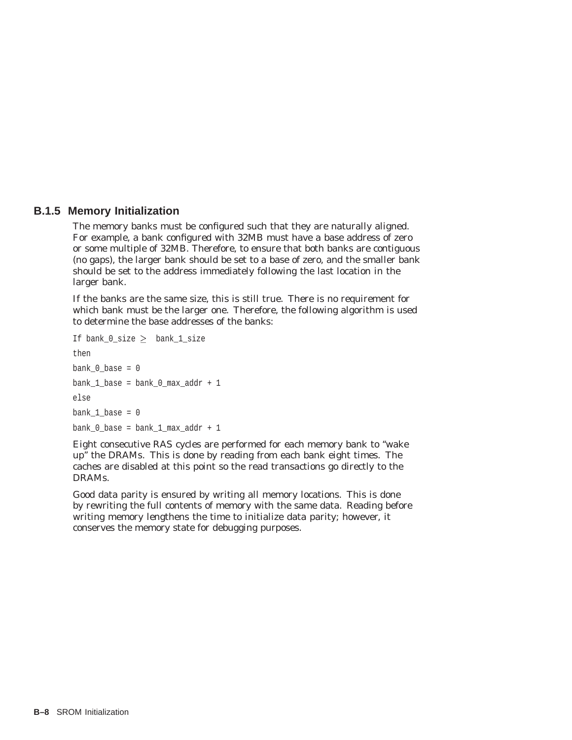#### **B.1.5 Memory Initialization**

The memory banks must be configured such that they are naturally aligned. For example, a bank configured with 32MB must have a base address of zero or some multiple of 32MB. Therefore, to ensure that both banks are contiguous (no gaps), the larger bank should be set to a base of zero, and the smaller bank should be set to the address immediately following the last location in the larger bank.

If the banks are the same size, this is still true. There is no requirement for which bank must be the larger one. Therefore, the following algorithm is used to determine the base addresses of the banks:

```
If bank_0_size \geq bank_1_size
then
bank_0_base = 0bank 1 base = bank 0 max addr + 1else
bank 1 base = 0bank_0_base = bank_1_max_addr + 1
```
Eight consecutive RAS cycles are performed for each memory bank to ''wake up'' the DRAMs. This is done by reading from each bank eight times. The caches are disabled at this point so the read transactions go directly to the DRAMs.

Good data parity is ensured by writing all memory locations. This is done by rewriting the full contents of memory with the same data. Reading before writing memory lengthens the time to initialize data parity; however, it conserves the memory state for debugging purposes.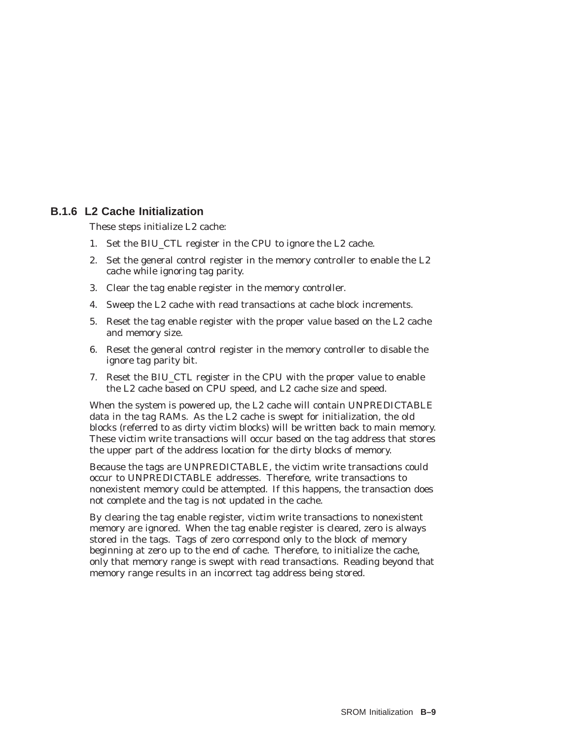## **B.1.6 L2 Cache Initialization**

These steps initialize L2 cache:

- 1. Set the BIU\_CTL register in the CPU to ignore the L2 cache.
- 2. Set the general control register in the memory controller to enable the L2 cache while ignoring tag parity.
- 3. Clear the tag enable register in the memory controller.
- 4. Sweep the L2 cache with read transactions at cache block increments.
- 5. Reset the tag enable register with the proper value based on the L2 cache and memory size.
- 6. Reset the general control register in the memory controller to disable the ignore tag parity bit.
- 7. Reset the BIU\_CTL register in the CPU with the proper value to enable the L2 cache based on CPU speed, and L2 cache size and speed.

When the system is powered up, the L2 cache will contain UNPREDICTABLE data in the tag RAMs. As the L2 cache is swept for initialization, the old blocks (referred to as dirty victim blocks) will be written back to main memory. These victim write transactions will occur based on the tag address that stores the upper part of the address location for the dirty blocks of memory.

Because the tags are UNPREDICTABLE, the victim write transactions could occur to UNPREDICTABLE addresses. Therefore, write transactions to nonexistent memory could be attempted. If this happens, the transaction does not complete and the tag is not updated in the cache.

By clearing the tag enable register, victim write transactions to nonexistent memory are ignored. When the tag enable register is cleared, zero is always stored in the tags. Tags of zero correspond only to the block of memory beginning at zero up to the end of cache. Therefore, to initialize the cache, only that memory range is swept with read transactions. Reading beyond that memory range results in an incorrect tag address being stored.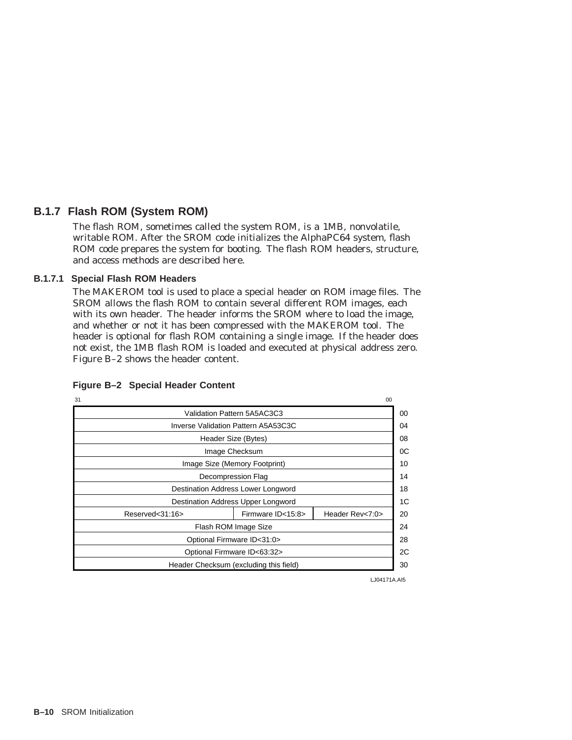# **B.1.7 Flash ROM (System ROM)**

The flash ROM, sometimes called the system ROM, is a 1MB, nonvolatile, writable ROM. After the SROM code initializes the AlphaPC64 system, flash ROM code prepares the system for booting. The flash ROM headers, structure, and access methods are described here.

#### **B.1.7.1 Special Flash ROM Headers**

The MAKEROM tool is used to place a special header on ROM image files. The SROM allows the flash ROM to contain several different ROM images, each with its own header. The header informs the SROM where to load the image, and whether or not it has been compressed with the MAKEROM tool. The header is optional for flash ROM containing a single image. If the header does not exist, the 1MB flash ROM is loaded and executed at physical address zero. Figure B–2 shows the header content.

| 31                                 |                                        | 00              |  |  |  |
|------------------------------------|----------------------------------------|-----------------|--|--|--|
|                                    | Validation Pattern 5A5AC3C3            |                 |  |  |  |
|                                    | Inverse Validation Pattern A5A53C3C    |                 |  |  |  |
|                                    | Header Size (Bytes)                    |                 |  |  |  |
|                                    | Image Checksum                         |                 |  |  |  |
|                                    | Image Size (Memory Footprint)          |                 |  |  |  |
| Decompression Flag                 |                                        |                 |  |  |  |
| Destination Address Lower Longword |                                        |                 |  |  |  |
|                                    | Destination Address Upper Longword     |                 |  |  |  |
| Reserved<31:16>                    | Firmware ID<15:8>                      | Header Rev<7:0> |  |  |  |
| Flash ROM Image Size               |                                        |                 |  |  |  |
| Optional Firmware ID<31:0>         |                                        |                 |  |  |  |
| Optional Firmware ID<63:32>        |                                        |                 |  |  |  |
|                                    | Header Checksum (excluding this field) |                 |  |  |  |

#### **Figure B–2 Special Header Content**

LJ04171A.AI5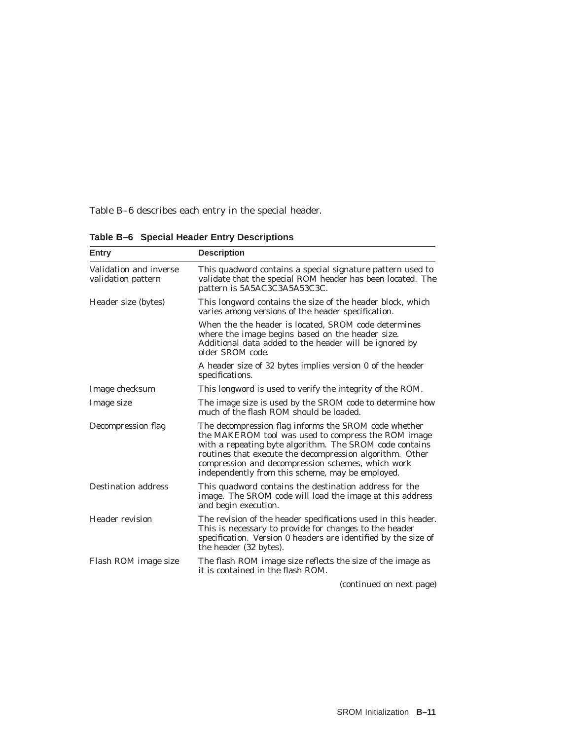Table B–6 describes each entry in the special header.

| Entry                                        | <b>Description</b>                                                                                                                                                                                                                                                                                                                          |
|----------------------------------------------|---------------------------------------------------------------------------------------------------------------------------------------------------------------------------------------------------------------------------------------------------------------------------------------------------------------------------------------------|
| Validation and inverse<br>validation pattern | This quadword contains a special signature pattern used to<br>validate that the special ROM header has been located. The<br>pattern is 5A5AC3C3A5A53C3C.                                                                                                                                                                                    |
| Header size (bytes)                          | This longword contains the size of the header block, which<br>varies among versions of the header specification.                                                                                                                                                                                                                            |
|                                              | When the the header is located, SROM code determines<br>where the image begins based on the header size.<br>Additional data added to the header will be ignored by<br>older SROM code.                                                                                                                                                      |
|                                              | A header size of 32 bytes implies version 0 of the header<br>specifications.                                                                                                                                                                                                                                                                |
| Image checksum                               | This longword is used to verify the integrity of the ROM.                                                                                                                                                                                                                                                                                   |
| Image size                                   | The image size is used by the SROM code to determine how<br>much of the flash ROM should be loaded.                                                                                                                                                                                                                                         |
| Decompression flag                           | The decompression flag informs the SROM code whether<br>the MAKEROM tool was used to compress the ROM image<br>with a repeating byte algorithm. The SROM code contains<br>routines that execute the decompression algorithm. Other<br>compression and decompression schemes, which work<br>independently from this scheme, may be employed. |
| <b>Destination address</b>                   | This quadword contains the destination address for the<br>image. The SROM code will load the image at this address<br>and begin execution.                                                                                                                                                                                                  |
| <b>Header revision</b>                       | The revision of the header specifications used in this header.<br>This is necessary to provide for changes to the header<br>specification. Version 0 headers are identified by the size of<br>the header (32 bytes).                                                                                                                        |
| Flash ROM image size                         | The flash ROM image size reflects the size of the image as<br>it is contained in the flash ROM.                                                                                                                                                                                                                                             |
|                                              | (continued on next page)                                                                                                                                                                                                                                                                                                                    |

**Table B–6 Special Header Entry Descriptions**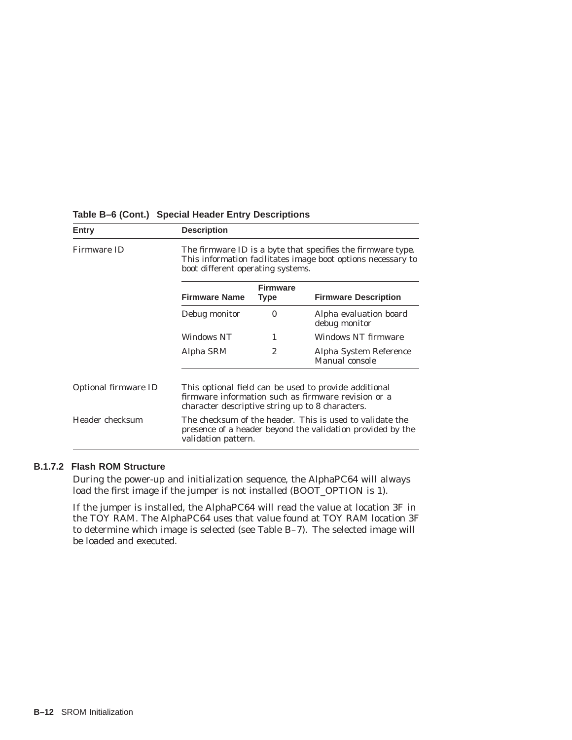| Entry                | <b>Description</b>                                                                                                                                               |                         |                                          |  |  |
|----------------------|------------------------------------------------------------------------------------------------------------------------------------------------------------------|-------------------------|------------------------------------------|--|--|
| Firmware ID          | The firmware ID is a byte that specifies the firmware type.<br>This information facilitates image boot options necessary to<br>boot different operating systems. |                         |                                          |  |  |
|                      | <b>Firmware Name</b>                                                                                                                                             | <b>Firmware</b><br>Type | <b>Firmware Description</b>              |  |  |
|                      | Debug monitor                                                                                                                                                    | $\bf{0}$                | Alpha evaluation board<br>debug monitor  |  |  |
|                      | Windows NT                                                                                                                                                       | 1                       | <b>Windows NT firmware</b>               |  |  |
|                      | Alpha SRM                                                                                                                                                        | $\overline{c}$          | Alpha System Reference<br>Manual console |  |  |
| Optional firmware ID | This optional field can be used to provide additional<br>firmware information such as firmware revision or a<br>character descriptive string up to 8 characters. |                         |                                          |  |  |
| Header checksum      | The checksum of the header. This is used to validate the<br>presence of a header beyond the validation provided by the<br>validation pattern.                    |                         |                                          |  |  |

#### **Table B–6 (Cont.) Special Header Entry Descriptions**

#### **B.1.7.2 Flash ROM Structure**

During the power-up and initialization sequence, the AlphaPC64 will always load the first image if the jumper is not installed (BOOT\_OPTION is 1).

If the jumper is installed, the AlphaPC64 will read the value at location 3F in the TOY RAM. The AlphaPC64 uses that value found at TOY RAM location 3F to determine which image is selected (see Table B–7). The selected image will be loaded and executed.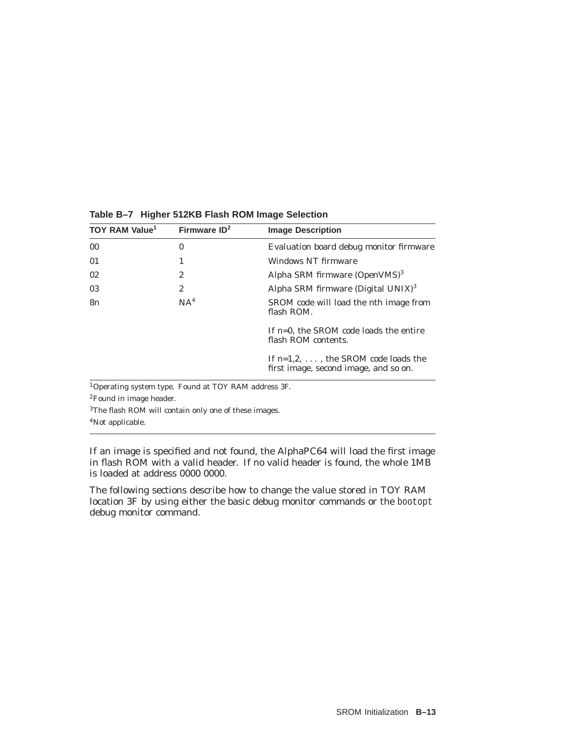| TOY RAM Value <sup>1</sup> | Firmware $ID2$  | <b>Image Description</b>                                                             |  |
|----------------------------|-----------------|--------------------------------------------------------------------------------------|--|
| 00                         | $\bf{0}$        | Evaluation board debug monitor firmware                                              |  |
| 01                         |                 | Windows NT firmware                                                                  |  |
| 02                         | 2               | Alpha SRM firmware $(OpenVMS)^3$                                                     |  |
| 03                         | 2               | Alpha SRM firmware (Digital $UNIX$ ) <sup>3</sup>                                    |  |
| 8n                         | NA <sup>4</sup> | SROM code will load the <i>n</i> th image from<br>flash ROM.                         |  |
|                            |                 | If $n=0$ , the SROM code loads the entire<br>flash ROM contents.                     |  |
|                            |                 | If $n=1,2,\ldots$ , the SROM code loads the<br>first image, second image, and so on. |  |

**Table B–7 Higher 512KB Flash ROM Image Selection**

1Operating system type. Found at TOY RAM address 3F.

2Found in image header.

 ${}^{3}\mathrm{The}$  flash ROM will contain only one of these images.

4Not applicable.

If an image is specified and not found, the AlphaPC64 will load the first image in flash ROM with a valid header. If no valid header is found, the whole 1MB is loaded at address 0000 0000.

The following sections describe how to change the value stored in TOY RAM location 3F by using either the basic debug monitor commands or the bootopt debug monitor command.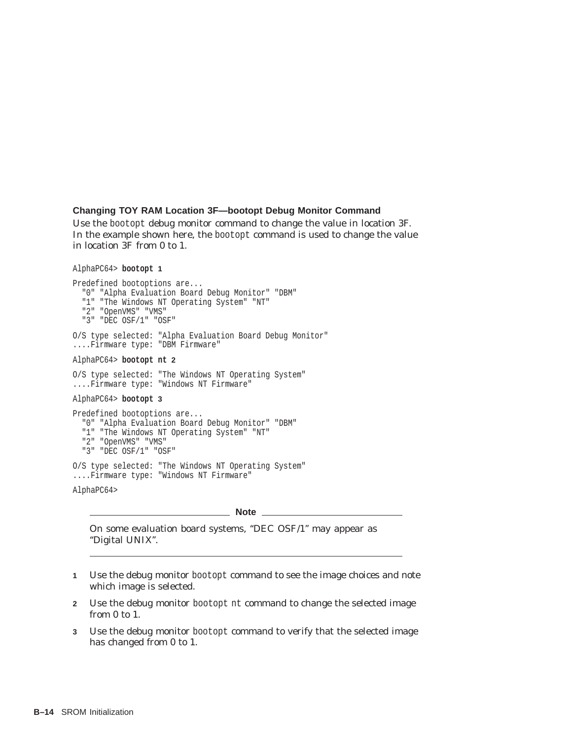#### **Changing TOY RAM Location 3F—bootopt Debug Monitor Command**

Use the bootopt debug monitor command to change the value in location 3F. In the example shown here, the bootopt command is used to change the value in location 3F from 0 to 1.

```
AlphaPC64> bootopt 1
```

```
Predefined bootoptions are...
  "0" "Alpha Evaluation Board Debug Monitor" "DBM"
  "1" "The Windows NT Operating System" "NT"
  "2" "OpenVMS" "VMS"
  "3" "DEC OSF/1" "OSF"
O/S type selected: "Alpha Evaluation Board Debug Monitor"
....Firmware type: "DBM Firmware"
AlphaPC64> bootopt nt 2
O/S type selected: "The Windows NT Operating System"
....Firmware type: "Windows NT Firmware"
AlphaPC64> bootopt 3
Predefined bootoptions are...
  "0" "Alpha Evaluation Board Debug Monitor" "DBM"
  "1" "The Windows NT Operating System" "NT"
 "2" "OpenVMS" "VMS"
 "3" "DEC OSF/1" "OSF"
O/S type selected: "The Windows NT Operating System"
....Firmware type: "Windows NT Firmware"
```
AlphaPC64>

**Note**

On some evaluation board systems, ''DEC OSF/1'' may appear as ''Digital UNIX''.

- **1** Use the debug monitor bootopt command to see the image choices and note which image is selected.
- **2** Use the debug monitor bootopt nt command to change the selected image from 0 to 1.
- **3** Use the debug monitor bootopt command to verify that the selected image has changed from 0 to 1.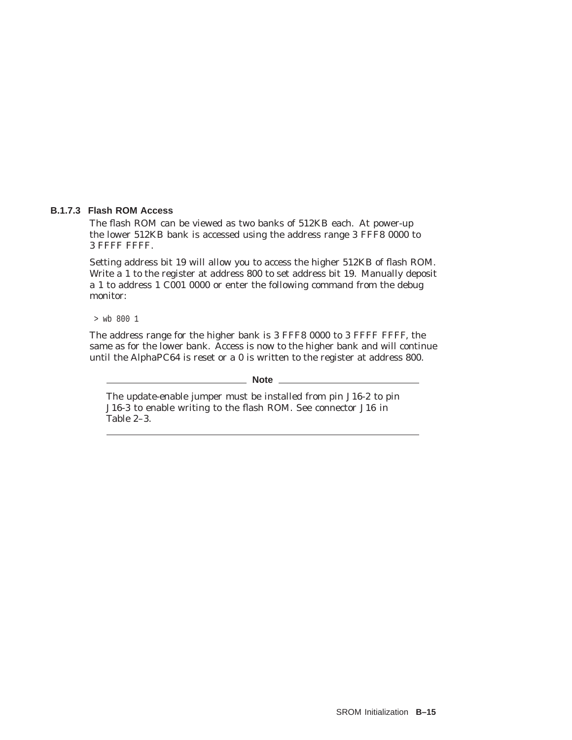#### **B.1.7.3 Flash ROM Access**

The flash ROM can be viewed as two banks of 512KB each. At power-up the lower 512KB bank is accessed using the address range 3 FFF8 0000 to 3 FFFF FFFF.

Setting address bit 19 will allow you to access the higher 512KB of flash ROM. Write a 1 to the register at address 800 to set address bit 19. Manually deposit a 1 to address 1 C001 0000 or enter the following command from the debug monitor:

> wb 800 1

The address range for the higher bank is 3 FFF8 0000 to 3 FFFF FFFF, the same as for the lower bank. Access is now to the higher bank and will continue until the AlphaPC64 is reset or a 0 is written to the register at address 800.

**Note** \_\_\_\_

The update-enable jumper must be installed from pin J16-2 to pin J16-3 to enable writing to the flash ROM. See connector J16 in Table 2–3.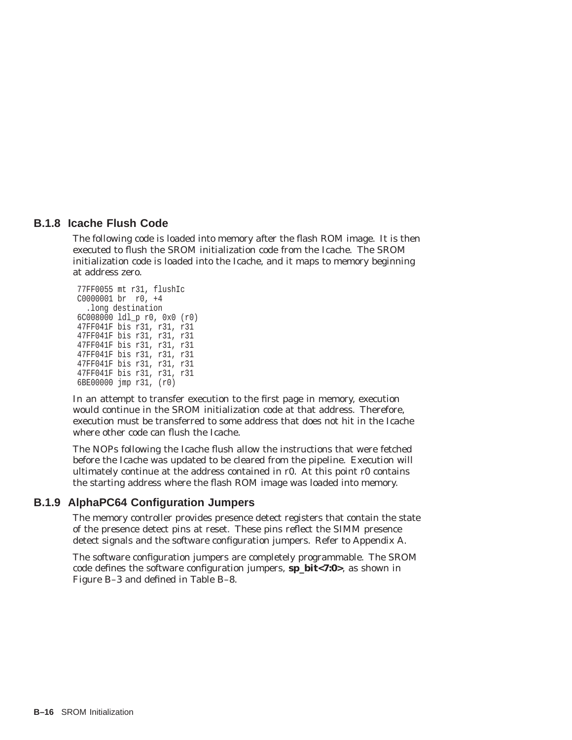### **B.1.8 Icache Flush Code**

The following code is loaded into memory after the flash ROM image. It is then executed to flush the SROM initialization code from the Icache. The SROM initialization code is loaded into the Icache, and it maps to memory beginning at address zero.

```
77FF0055 mt r31, flushIc
C0000001 br r0, +4
  .long destination
6C008000 ldl_p r0, 0x0 (r0)
47FF041F bis r31, r31, r31
47FF041F bis r31, r31, r31
47FF041F bis r31, r31, r31
47FF041F bis r31, r31, r31
47FF041F bis r31, r31, r31
47FF041F bis r31, r31, r31
6BE00000 jmp r31, (r0)
```
In an attempt to transfer execution to the first page in memory, execution would continue in the SROM initialization code at that address. Therefore, execution must be transferred to some address that does not hit in the Icache where other code can flush the Icache.

The NOPs following the Icache flush allow the instructions that were fetched before the Icache was updated to be cleared from the pipeline. Execution will ultimately continue at the address contained in r0. At this point r0 contains the starting address where the flash ROM image was loaded into memory.

## **B.1.9 AlphaPC64 Configuration Jumpers**

The memory controller provides presence detect registers that contain the state of the presence detect pins at reset. These pins reflect the SIMM presence detect signals and the software configuration jumpers. Refer to Appendix A.

The software configuration jumpers are completely programmable. The SROM code defines the software configuration jumpers, **sp\_bit<7:0>**, as shown in Figure B–3 and defined in Table B–8.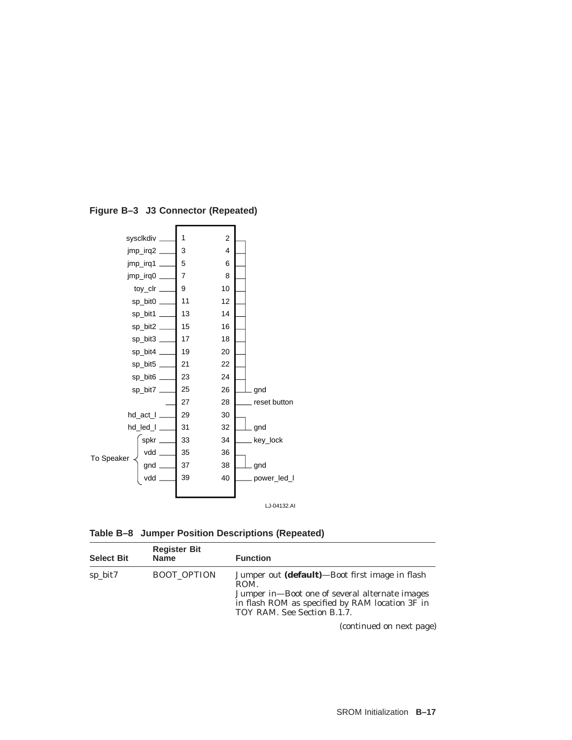



**Table B–8 Jumper Position Descriptions (Repeated)**

| <b>Select Bit</b> | <b>Register Bit</b><br><b>Name</b> | <b>Function</b>                                                                                                                                                                            |
|-------------------|------------------------------------|--------------------------------------------------------------------------------------------------------------------------------------------------------------------------------------------|
| sp_bit7           | <b>BOOT OPTION</b>                 | Jumper out (default)—Boot first image in flash<br>ROM.<br>Jumper in-Boot one of several alternate images<br>in flash ROM as specified by RAM location 3F in<br>TOY RAM. See Section B.1.7. |
|                   |                                    | (continued on nort nage)                                                                                                                                                                   |

(continued on next page)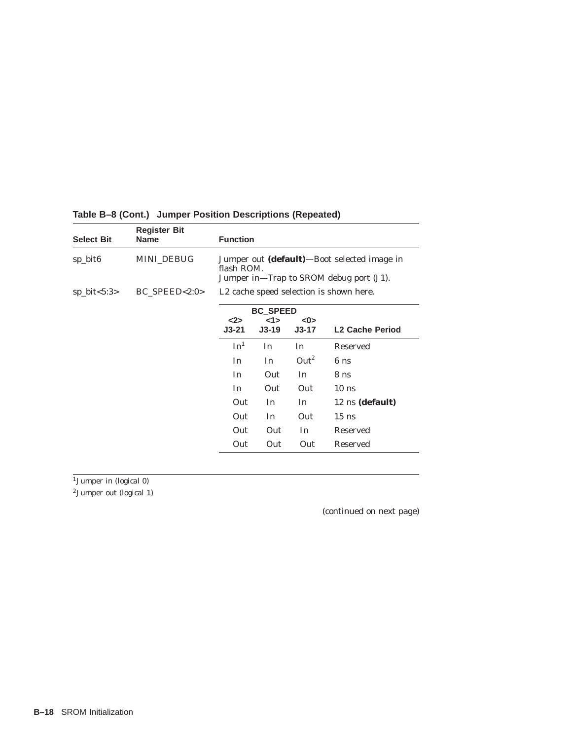| <b>Select Bit</b> | <b>Register Bit</b><br><b>Name</b> | <b>Function</b>                                                                                      |                                         |                  |                        |
|-------------------|------------------------------------|------------------------------------------------------------------------------------------------------|-----------------------------------------|------------------|------------------------|
| sp_bit6           | <b>MINL DEBUG</b>                  | Jumper out (default)-Boot selected image in<br>flash ROM.<br>Jumper in—Trap to SROM debug port (J1). |                                         |                  |                        |
| $sp\_bit < 5:3>$  | $BC\_SPEED < 2:0>$                 |                                                                                                      | L2 cache speed selection is shown here. |                  |                        |
|                   |                                    |                                                                                                      | <b>BC SPEED</b>                         |                  |                        |
|                   |                                    | $2$<br>$J3-21$                                                                                       | 1><br>$J3-19$                           | < 0<br>$J3-17$   | <b>L2 Cache Period</b> |
|                   |                                    | In <sup>1</sup>                                                                                      | In                                      | In               | Reserved               |
|                   |                                    | In                                                                                                   | In                                      | Out <sup>2</sup> | 6 <sub>ns</sub>        |
|                   |                                    | In                                                                                                   | Out                                     | In               | 8 ns                   |
|                   |                                    | In                                                                                                   | Out                                     | Out              | 10 <sub>ns</sub>       |
|                   |                                    | Out                                                                                                  | In                                      | In               | 12 ns (default)        |
|                   |                                    | Out                                                                                                  | In                                      | Out              | $15$ ns                |
|                   |                                    | Out                                                                                                  | Out                                     | In               | Reserved               |
|                   |                                    | Out                                                                                                  | Out                                     | Out              | Reserved               |

**Table B–8 (Cont.) Jumper Position Descriptions (Repeated)**

 $1$ Jumper in (logical 0)

2Jumper out (logical 1)

(continued on next page)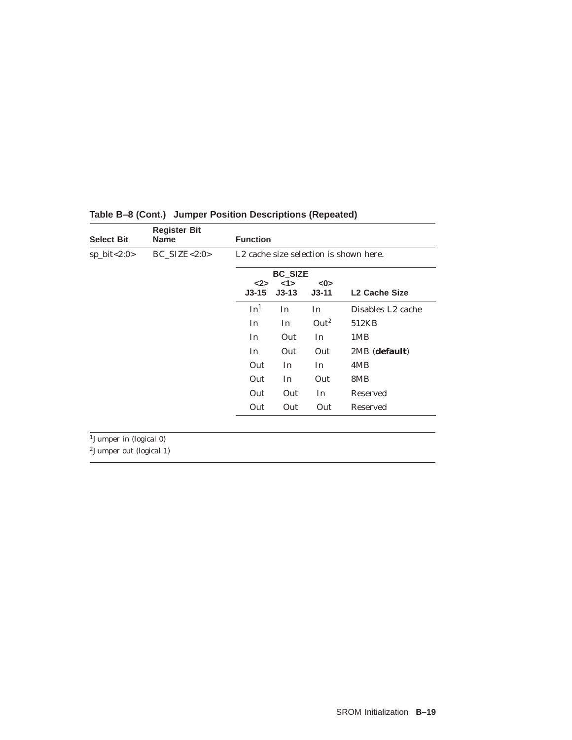| <b>Select Bit</b> | <b>Register Bit</b><br><b>Function</b><br>Name |                 |                                                    |                  |                               |  |
|-------------------|------------------------------------------------|-----------------|----------------------------------------------------|------------------|-------------------------------|--|
| $sp\_bit < 2:0 >$ | $BC$ SIZE<2:0>                                 |                 | L <sub>2</sub> cache size selection is shown here. |                  |                               |  |
|                   |                                                | $2$<br>$J3-15$  | <b>BC SIZE</b><br>1<br>$J3-13$                     | < 0<br>$J3-11$   | <b>L2 Cache Size</b>          |  |
|                   |                                                | In <sup>1</sup> | In                                                 | In               | Disables L <sub>2</sub> cache |  |
|                   |                                                | In              | In                                                 | Out <sup>2</sup> | 512KB                         |  |
|                   |                                                | In              | Out                                                | In               | 1MB                           |  |
|                   |                                                | In              | Out                                                | Out              | 2MB (default)                 |  |
|                   |                                                | Out             | In                                                 | In               | 4MB                           |  |
|                   |                                                | Out             | In                                                 | Out              | 8MB                           |  |
|                   |                                                | Out             | Out                                                | In               | <b>Reserved</b>               |  |
|                   |                                                | Out             | Out                                                | Out              | Reserved                      |  |
|                   |                                                |                 |                                                    |                  |                               |  |

# **Table B–8 (Cont.) Jumper Position Descriptions (Repeated)**

 $1$ Jumper in (logical 0)

2Jumper out (logical 1)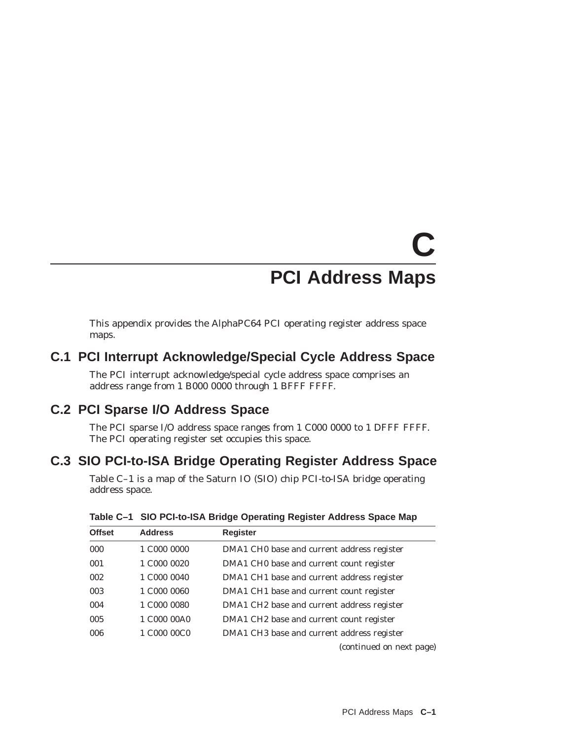# **C PCI Address Maps**

This appendix provides the AlphaPC64 PCI operating register address space maps.

# **C.1 PCI Interrupt Acknowledge/Special Cycle Address Space**

The PCI interrupt acknowledge/special cycle address space comprises an address range from 1 B000 0000 through 1 BFFF FFFF.

# **C.2 PCI Sparse I/O Address Space**

The PCI sparse I/O address space ranges from 1 C000 0000 to 1 DFFF FFFF. The PCI operating register set occupies this space.

# **C.3 SIO PCI-to-ISA Bridge Operating Register Address Space**

Table C–1 is a map of the Saturn IO (SIO) chip PCI-to-ISA bridge operating address space.

| <b>Offset</b> | <b>Address</b> | <b>Register</b>                            |
|---------------|----------------|--------------------------------------------|
| 000           | 1 C000 0000    | DMA1 CH0 base and current address register |
| 001           | 1 C000 0020    | DMA1 CH0 base and current count register   |
| 002           | 1 C000 0040    | DMA1 CH1 base and current address register |
| 003           | 1 C000 0060    | DMA1 CH1 base and current count register   |
| 004           | 1 C000 0080    | DMA1 CH2 base and current address register |
| 005           | 1 C000 00A0    | DMA1 CH2 base and current count register   |
| 006           | 1 C000 00C0    | DMA1 CH3 base and current address register |
|               |                | (continued on next page)                   |

#### **Table C–1 SIO PCI-to-ISA Bridge Operating Register Address Space Map**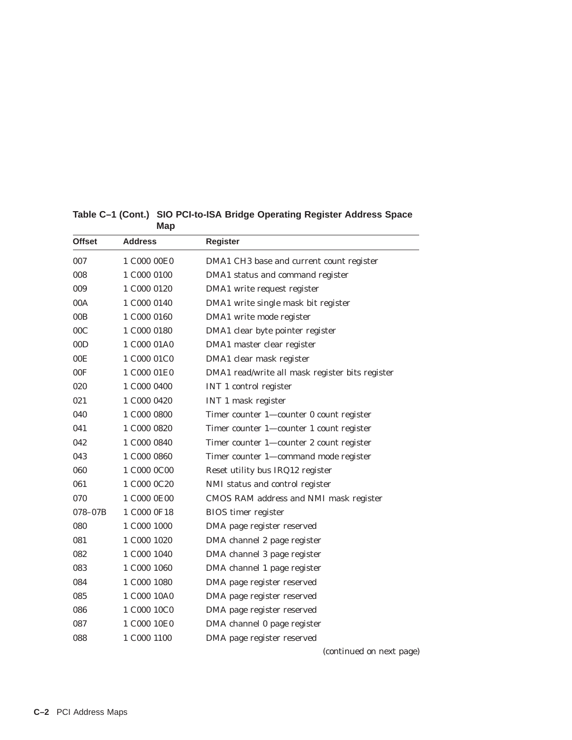| <b>Offset</b>   | <b>Address</b> | <b>Register</b>                                 |
|-----------------|----------------|-------------------------------------------------|
| 007             | 1 C000 00E0    | DMA1 CH3 base and current count register        |
| 008             | 1 C000 0100    | DMA1 status and command register                |
| 009             | 1 C000 0120    | DMA1 write request register                     |
| 00A             | 1 C000 0140    | DMA1 write single mask bit register             |
| 00B             | 1 C000 0160    | DMA1 write mode register                        |
| 00C             | 1 C000 0180    | DMA1 clear byte pointer register                |
| 00D             | 1 C000 01A0    | DMA1 master clear register                      |
| 00 <sub>E</sub> | 1 C000 01C0    | DMA1 clear mask register                        |
| 00F             | 1 C000 01E0    | DMA1 read/write all mask register bits register |
| 020             | 1 C000 0400    | <b>INT 1 control register</b>                   |
| 021             | 1 C000 0420    | INT 1 mask register                             |
| 040             | 1 C000 0800    | Timer counter 1-counter 0 count register        |
| 041             | 1 C000 0820    | Timer counter 1-counter 1 count register        |
| 042             | 1 C000 0840    | Timer counter 1—counter 2 count register        |
| 043             | 1 C000 0860    | Timer counter 1-command mode register           |
| 060             | 1 C000 0C00    | Reset utility bus IRQ12 register                |
| 061             | 1 C000 0C20    | NMI status and control register                 |
| 070             | 1 C000 0E00    | CMOS RAM address and NMI mask register          |
| 078-07B         | 1 C000 0F18    | <b>BIOS</b> timer register                      |
| 080             | 1 C000 1000    | DMA page register reserved                      |
| 081             | 1 C000 1020    | DMA channel 2 page register                     |
| 082             | 1 C000 1040    | DMA channel 3 page register                     |
| 083             | 1 C000 1060    | DMA channel 1 page register                     |
| 084             | 1 C000 1080    | DMA page register reserved                      |
| 085             | 1 C000 10A0    | DMA page register reserved                      |
| 086             | 1 C000 10C0    | DMA page register reserved                      |
| 087             | 1 C000 10E0    | DMA channel 0 page register                     |
| 088             | 1 C000 1100    | DMA page register reserved                      |
|                 |                |                                                 |

## **Table C–1 (Cont.) SIO PCI-to-ISA Bridge Operating Register Address Space Map**

(continued on next page)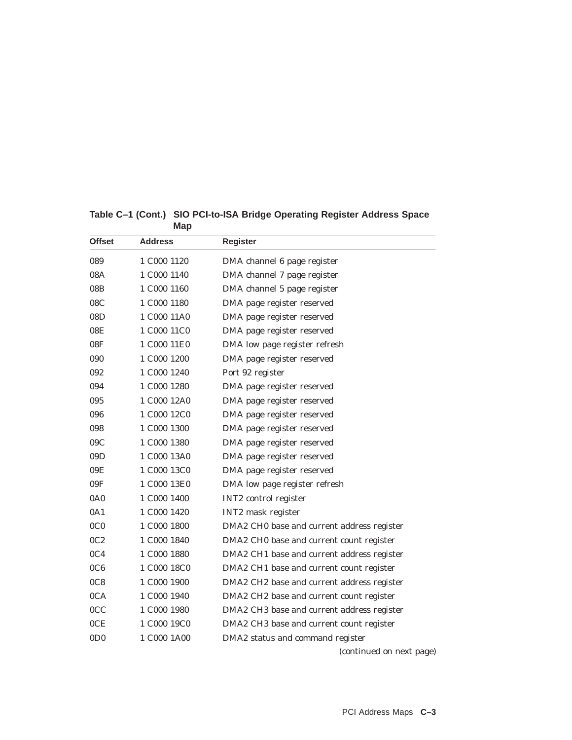| <b>Offset</b>    | <b>Address</b> | <b>Register</b>                            |
|------------------|----------------|--------------------------------------------|
| 089              | 1 C000 1120    | DMA channel 6 page register                |
| 08A              | 1 C000 1140    | DMA channel 7 page register                |
| 08 <sub>B</sub>  | 1 C000 1160    | DMA channel 5 page register                |
| 08C              | 1 C000 1180    | DMA page register reserved                 |
| 08D              | 1 C000 11A0    | DMA page register reserved                 |
| 08E              | 1 C000 11C0    | DMA page register reserved                 |
| 08F              | 1 C000 11E0    | DMA low page register refresh              |
| 090              | 1 C000 1200    | DMA page register reserved                 |
| 092              | 1 C000 1240    | Port 92 register                           |
| 094              | 1 C000 1280    | DMA page register reserved                 |
| 095              | 1 C000 12A0    | DMA page register reserved                 |
| 096              | 1 C000 12C0    | DMA page register reserved                 |
| 098              | 1 C000 1300    | DMA page register reserved                 |
| 09C              | 1 C000 1380    | DMA page register reserved                 |
| 09D              | 1 C000 13A0    | DMA page register reserved                 |
| 09E              | 1 C000 13C0    | DMA page register reserved                 |
| 09F              | 1 C000 13E0    | DMA low page register refresh              |
| 0A0              | 1 C000 1400    | INT2 control register                      |
| 0A1              | 1 C000 1420    | INT2 mask register                         |
| 0 <sub>CO</sub>  | 1 C000 1800    | DMA2 CH0 base and current address register |
| 0C2              | 1 C000 1840    | DMA2 CH0 base and current count register   |
| 0C4              | 1 C000 1880    | DMA2 CH1 base and current address register |
| 0C6              | 1 C000 18C0    | DMA2 CH1 base and current count register   |
| 0C8              | 1 C000 1900    | DMA2 CH2 base and current address register |
| 0CA              | 1 C000 1940    | DMA2 CH2 base and current count register   |
| 0 <sub>CC</sub>  | 1 C000 1980    | DMA2 CH3 base and current address register |
| 0CE              | 1 C000 19C0    | DMA2 CH3 base and current count register   |
| 0 <sub>D</sub> 0 | 1 C000 1A00    | DMA2 status and command register           |
|                  |                | (continued on next page)                   |

**Table C–1 (Cont.) SIO PCI-to-ISA Bridge Operating Register Address Space Map**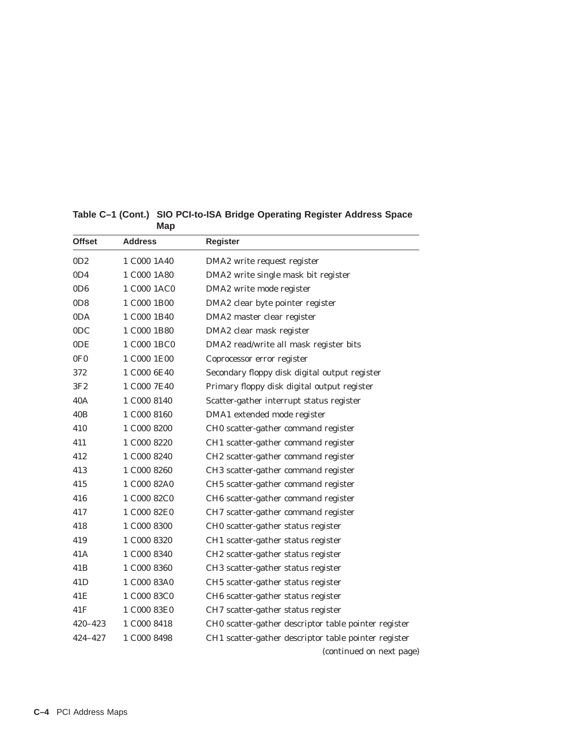| <b>Offset</b>   | <b>Address</b> | <b>Register</b>                                      |
|-----------------|----------------|------------------------------------------------------|
| 0D2             | 1 C000 1A40    | DMA2 write request register                          |
| 0D4             | 1 C000 1A80    | DMA2 write single mask bit register                  |
| 0D6             | 1 C000 1AC0    | DMA2 write mode register                             |
| 0D8             | 1 C000 1B00    | DMA2 clear byte pointer register                     |
| 0DA             | 1 C000 1B40    | DMA2 master clear register                           |
| 0DC             | 1 C000 1B80    | DMA2 clear mask register                             |
| 0DE             | 1 C000 1BC0    | DMA2 read/write all mask register bits               |
| 0F <sub>0</sub> | 1 C000 1E00    | Coprocessor error register                           |
| 372             | 1 C000 6E40    | Secondary floppy disk digital output register        |
| 3F <sub>2</sub> | 1 C000 7E40    | Primary floppy disk digital output register          |
| 40A             | 1 C000 8140    | Scatter-gather interrupt status register             |
| 40 <sub>B</sub> | 1 C000 8160    | DMA1 extended mode register                          |
| 410             | 1 C000 8200    | CH0 scatter-gather command register                  |
| 411             | 1 C000 8220    | CH1 scatter-gather command register                  |
| 412             | 1 C000 8240    | CH2 scatter-gather command register                  |
| 413             | 1 C000 8260    | CH3 scatter-gather command register                  |
| 415             | 1 C000 82A0    | CH5 scatter-gather command register                  |
| 416             | 1 C000 82C0    | CH6 scatter-gather command register                  |
| 417             | 1 C000 82E0    | CH7 scatter-gather command register                  |
| 418             | 1 C000 8300    | CH0 scatter-gather status register                   |
| 419             | 1 C000 8320    | CH1 scatter-gather status register                   |
| 41A             | 1 C000 8340    | CH2 scatter-gather status register                   |
| 41 B            | 1 C000 8360    | CH3 scatter-gather status register                   |
| 41 <sub>D</sub> | 1 C000 83A0    | CH5 scatter-gather status register                   |
| 41E             | 1 C000 83C0    | CH6 scatter-gather status register                   |
| 41F             | 1 C000 83E0    | CH7 scatter-gather status register                   |
| 420-423         | 1 C000 8418    | CH0 scatter-gather descriptor table pointer register |
| 424-427         | 1 C000 8498    | CH1 scatter-gather descriptor table pointer register |
|                 |                | (continued on next page)                             |

#### **Table C–1 (Cont.) SIO PCI-to-ISA Bridge Operating Register Address Space Map**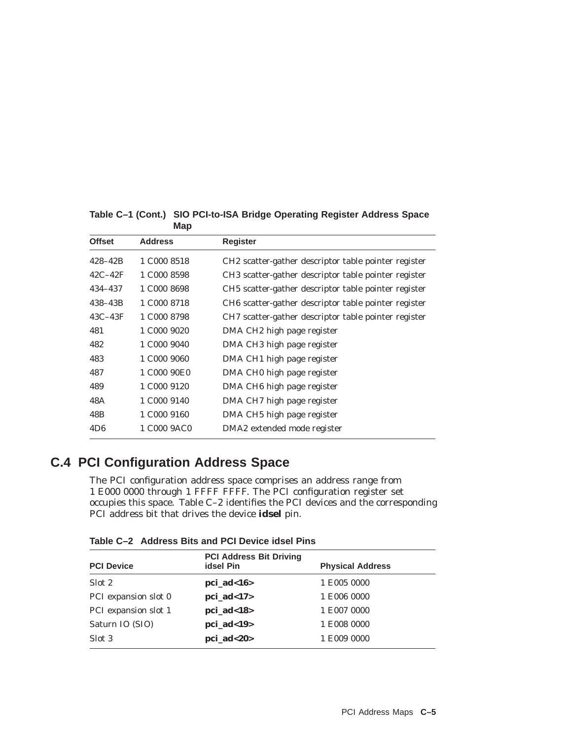| <b>Offset</b>   | <b>Address</b> | <b>Register</b>                                                  |
|-----------------|----------------|------------------------------------------------------------------|
| $428 - 42B$     | 1 C000 8518    | CH <sub>2</sub> scatter-gather descriptor table pointer register |
| $42C-42F$       | 1 C000 8598    | CH3 scatter-gather descriptor table pointer register             |
| 434-437         | 1 C000 8698    | CH5 scatter-gather descriptor table pointer register             |
| $438 - 43B$     | 1 C000 8718    | CH6 scatter-gather descriptor table pointer register             |
| $43C-43F$       | 1 C000 8798    | CH7 scatter-gather descriptor table pointer register             |
| 481             | 1 C000 9020    | DMA CH <sub>2</sub> high page register                           |
| 482             | 1 C000 9040    | DMA CH <sub>3</sub> high page register                           |
| 483             | 1 C000 9060    | DMA CH1 high page register                                       |
| 487             | 1 C000 90E0    | DMA CH0 high page register                                       |
| 489             | 1 C000 9120    | DMA CH6 high page register                                       |
| 48A             | 1 C000 9140    | DMA CH7 high page register                                       |
| 48 <sub>B</sub> | 1 C000 9160    | DMA CH <sub>5</sub> high page register                           |
| 4D6             | 1 C000 9AC0    | DMA2 extended mode register                                      |
|                 |                |                                                                  |

**Table C–1 (Cont.) SIO PCI-to-ISA Bridge Operating Register Address Space Map**

# **C.4 PCI Configuration Address Space**

The PCI configuration address space comprises an address range from 1 E000 0000 through 1 FFFF FFFF. The PCI configuration register set occupies this space. Table C–2 identifies the PCI devices and the corresponding PCI address bit that drives the device **idsel** pin.

**Table C–2 Address Bits and PCI Device idsel Pins**

| <b>PCI Device</b>    | <b>PCI Address Bit Driving</b><br><b>idsel Pin</b> | <b>Physical Address</b> |
|----------------------|----------------------------------------------------|-------------------------|
| Slot 2               | $pci\_ad<16$                                       | 1 E005 0000             |
| PCI expansion slot 0 | pci_ad<17>                                         | 1 E006 0000             |
| PCI expansion slot 1 | $pci\_ad<18$                                       | 1 E007 0000             |
| Saturn IO (SIO)      | $pci\_ad<19$                                       | 1 E008 0000             |
| Slot 3               | $pci\_ad < 20$                                     | 1 E009 0000             |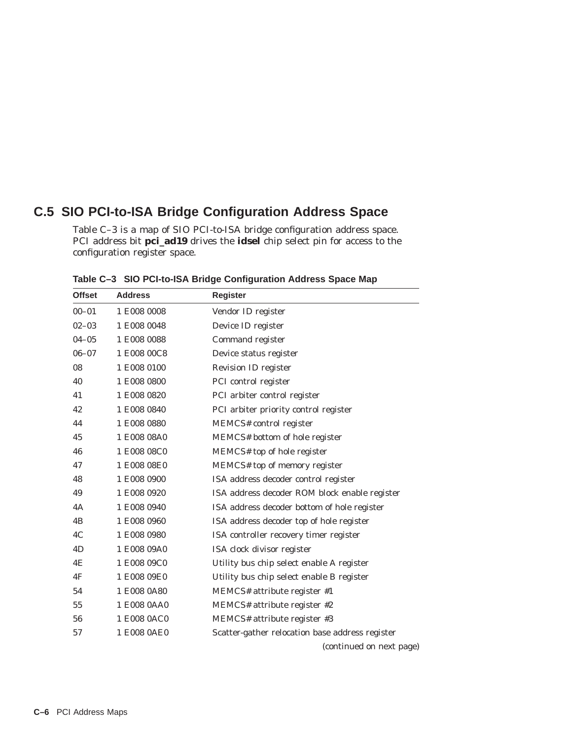# **C.5 SIO PCI-to-ISA Bridge Configuration Address Space**

Table C–3 is a map of SIO PCI-to-ISA bridge configuration address space. PCI address bit **pci\_ad19** drives the **idsel** chip select pin for access to the configuration register space.

| <b>Offset</b> | <b>Address</b> | <b>Register</b>                                 |
|---------------|----------------|-------------------------------------------------|
| $00 - 01$     | 1 E008 0008    | Vendor ID register                              |
| $02 - 03$     | 1 E008 0048    | Device ID register                              |
| $04 - 05$     | 1 E008 0088    | Command register                                |
| $06 - 07$     | 1 E008 00C8    | Device status register                          |
| 08            | 1 E008 0100    | Revision ID register                            |
| 40            | 1 E008 0800    | PCI control register                            |
| 41            | 1 E008 0820    | PCI arbiter control register                    |
| 42            | 1 E008 0840    | PCI arbiter priority control register           |
| 44            | 1 E008 0880    | MEMCS# control register                         |
| 45            | 1 E008 08A0    | MEMCS# bottom of hole register                  |
| 46            | 1 E008 08C0    | MEMCS# top of hole register                     |
| 47            | 1 E008 08E0    | MEMCS# top of memory register                   |
| 48            | 1 E008 0900    | ISA address decoder control register            |
| 49            | 1 E008 0920    | ISA address decoder ROM block enable register   |
| 4A            | 1 E008 0940    | ISA address decoder bottom of hole register     |
| 4B            | 1 E008 0960    | ISA address decoder top of hole register        |
| 4C            | 1 E008 0980    | ISA controller recovery timer register          |
| 4D            | 1 E008 09A0    | ISA clock divisor register                      |
| 4E            | 1 E008 09C0    | Utility bus chip select enable A register       |
| 4F            | 1 E008 09E0    | Utility bus chip select enable B register       |
| 54            | 1 E008 0A80    | MEMCS# attribute register #1                    |
| 55            | 1 E008 0AA0    | MEMCS# attribute register #2                    |
| 56            | 1 E008 0AC0    | MEMCS# attribute register #3                    |
| 57            | 1 E008 0AE0    | Scatter-gather relocation base address register |
|               |                | (continued on next page)                        |

**Table C–3 SIO PCI-to-ISA Bridge Configuration Address Space Map**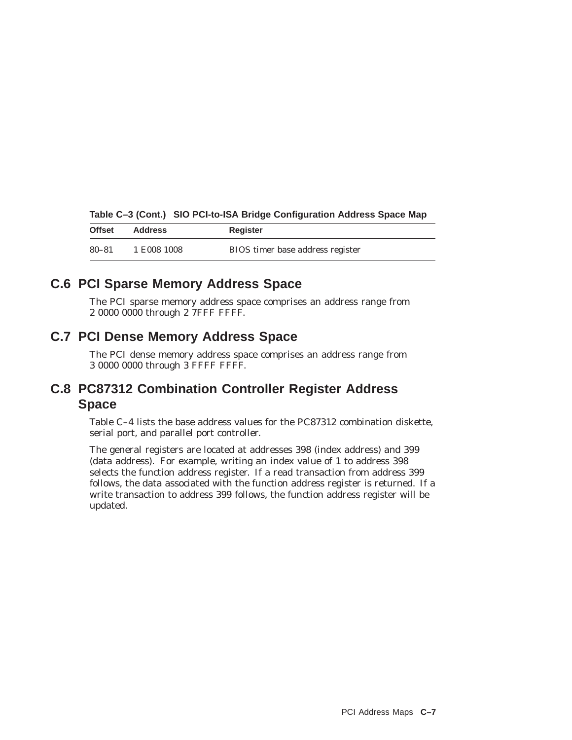**Table C–3 (Cont.) SIO PCI-to-ISA Bridge Configuration Address Space Map**

| <b>Offset</b> | <b>Address</b> | <b>Register</b>                  |
|---------------|----------------|----------------------------------|
| $80 - 81$     | 1 E008 1008    | BIOS timer base address register |

# **C.6 PCI Sparse Memory Address Space**

The PCI sparse memory address space comprises an address range from 2 0000 0000 through 2 7FFF FFFF.

# **C.7 PCI Dense Memory Address Space**

The PCI dense memory address space comprises an address range from 3 0000 0000 through 3 FFFF FFFF.

# **C.8 PC87312 Combination Controller Register Address Space**

Table C–4 lists the base address values for the PC87312 combination diskette, serial port, and parallel port controller.

The general registers are located at addresses 398 (index address) and 399 (data address). For example, writing an index value of 1 to address 398 selects the function address register. If a read transaction from address 399 follows, the data associated with the function address register is returned. If a write transaction to address 399 follows, the function address register will be updated.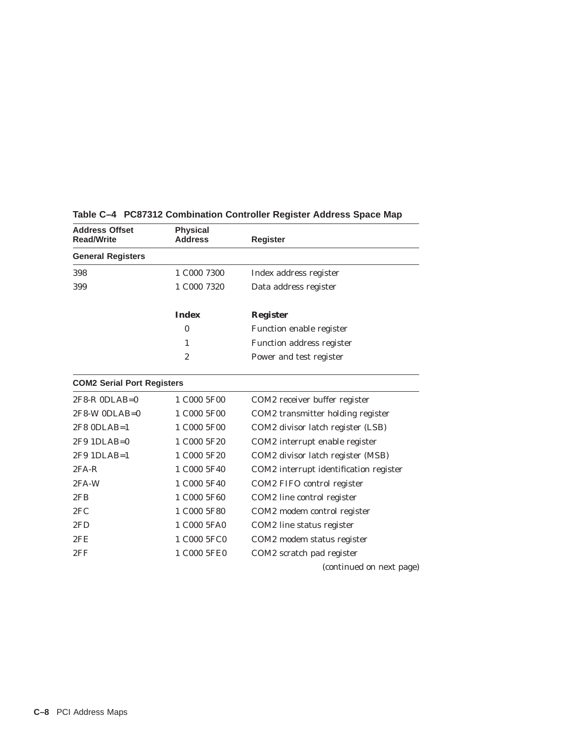| <b>Address Offset</b><br><b>Read/Write</b> | <b>Physical</b><br><b>Address</b> | <b>Register</b>                        |
|--------------------------------------------|-----------------------------------|----------------------------------------|
| <b>General Registers</b>                   |                                   |                                        |
| 398                                        | 1 C000 7300                       | Index address register                 |
| 399                                        | 1 C000 7320                       | Data address register                  |
|                                            | <b>Index</b>                      | <b>Register</b>                        |
|                                            | $\Omega$                          | Function enable register               |
|                                            | 1                                 | Function address register              |
|                                            | $\overline{2}$                    | Power and test register                |
| <b>COM2 Serial Port Registers</b>          |                                   |                                        |
| $2F8-R$ ODLAB=0                            | 1 C000 5F00                       | COM2 receiver buffer register          |
| $2F8-W$ ODLAB=0                            | 1 C000 5F00                       | COM2 transmitter holding register      |
| 2F8 0DLAB=1                                | 1 C000 5F00                       | COM2 divisor latch register (LSB)      |
| $2F9$ 1DLAB=0                              | 1 C000 5F20                       | COM2 interrupt enable register         |
| $2F9$ 1DLAB=1                              | 1 C000 5F20                       | COM2 divisor latch register (MSB)      |
| $2FA-R$                                    | 1 C000 5F40                       | COM2 interrupt identification register |
| $2FA-W$                                    | 1 C000 5F40                       | COM2 FIFO control register             |
| 2FB                                        | 1 C000 5F60                       | COM2 line control register             |
| 2FC                                        | 1 C000 5F80                       | COM2 modem control register            |
| 2FD                                        | 1 C000 5FA0                       | COM2 line status register              |
| 2FE                                        | 1 C000 5FC0                       | COM2 modem status register             |
| 2FF                                        | 1 C000 5FE0                       | COM2 scratch pad register              |
|                                            |                                   | (continued on next page)               |

# **Table C–4 PC87312 Combination Controller Register Address Space Map**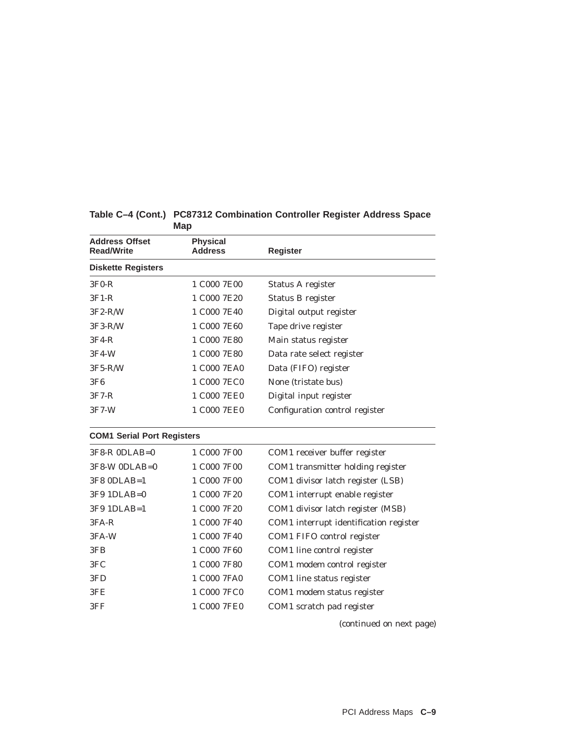| <b>Address Offset</b><br><b>Read/Write</b> | <b>Physical</b><br><b>Address</b> | <b>Register</b>                        |
|--------------------------------------------|-----------------------------------|----------------------------------------|
| <b>Diskette Registers</b>                  |                                   |                                        |
| $3F0-R$                                    | 1 C000 7E00                       | Status A register                      |
| $3F1-R$                                    | 1 C000 7E20                       | Status B register                      |
| $3F2-R/W$                                  | 1 C000 7E40                       | Digital output register                |
| $3F3-R/W$                                  | 1 C000 7E60                       | Tape drive register                    |
| 3F4-R                                      | 1 C000 7E80                       | Main status register                   |
| $3F4-W$                                    | 1 C000 7E80                       | Data rate select register              |
| $3F5-R/W$                                  | 1 C000 7EA0                       | Data (FIFO) register                   |
| 3F6                                        | 1 C000 7EC0                       | None (tristate bus)                    |
| $3F7-R$                                    | 1 C000 7EE0                       | Digital input register                 |
| $3F7-W$                                    | 1 C000 7EE0                       | Configuration control register         |
| <b>COM1 Serial Port Registers</b>          |                                   |                                        |
| $3F8-R$ $0DLAB=0$                          | 1 C000 7F00                       | COM1 receiver buffer register          |
| 3F8-W 0DLAB=0                              | 1 C000 7F00                       | COM1 transmitter holding register      |
| 3F8 0DLAB=1                                | 1 C000 7F00                       | COM1 divisor latch register (LSB)      |
| $3F9$ 1DLAB=0                              | 1 C000 7F20                       | COM1 interrupt enable register         |
| 3F9 1DLAB=1                                | 1 C000 7F20                       | COM1 divisor latch register (MSB)      |
| $3FA-R$                                    | 1 C000 7F40                       | COM1 interrupt identification register |
| 3FA-W                                      | 1 C000 7F40                       | COM1 FIFO control register             |
| 3FB                                        | 1 C000 7F60                       | COM1 line control register             |
| 3FC                                        | 1 C000 7F80                       | COM1 modem control register            |
| 3FD                                        | 1 C000 7FA0                       | COM1 line status register              |
| 3FE                                        | 1 C000 7FC0                       | COM1 modem status register             |
| 3FF                                        | 1 C000 7FE0                       | COM1 scratch pad register              |

## **Table C–4 (Cont.) PC87312 Combination Controller Register Address Space Map**

(continued on next page)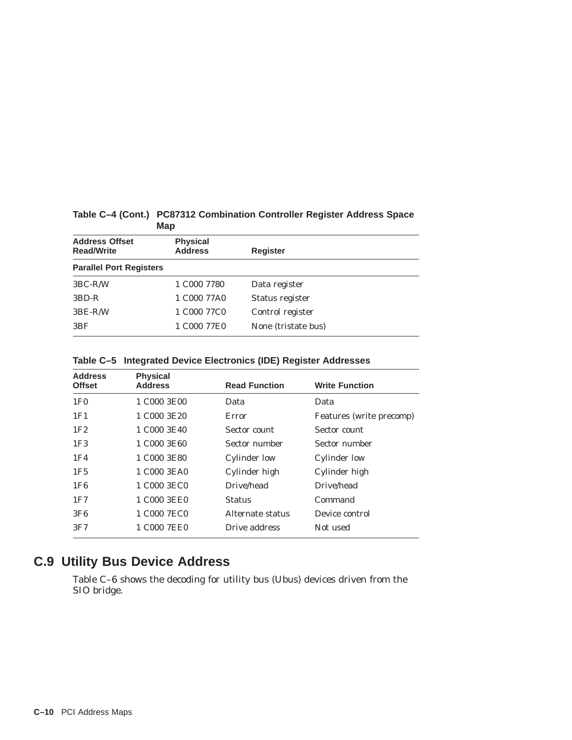| <b>Address Offset</b><br><b>Physical</b><br><b>Address</b><br><b>Read/Write</b> |                                     | <b>Register</b>     |  |
|---------------------------------------------------------------------------------|-------------------------------------|---------------------|--|
| <b>Parallel Port Registers</b>                                                  |                                     |                     |  |
| $3BC-R/W$                                                                       | 1 C000 7780                         | Data register       |  |
| $3BD-R$                                                                         | 1 C000 77A0                         | Status register     |  |
| $3BE-R/W$                                                                       | 1 C <sub>000</sub> 77C <sub>0</sub> | Control register    |  |
| 3BF                                                                             | 1 C000 77E0                         | None (tristate bus) |  |
|                                                                                 |                                     |                     |  |

## **Table C–4 (Cont.) PC87312 Combination Controller Register Address Space Map**

#### **Table C–5 Integrated Device Electronics (IDE) Register Addresses**

| <b>Address</b><br><b>Offset</b> | <b>Physical</b><br><b>Address</b> | <b>Read Function</b> | <b>Write Function</b>    |
|---------------------------------|-----------------------------------|----------------------|--------------------------|
| 1F <sub>0</sub>                 | 1 C000 3E00                       | Data                 | Data                     |
| 1F1                             | 1 C000 3E20                       | <b>Error</b>         | Features (write precomp) |
| 1F2                             | 1 C000 3E40                       | Sector count         | Sector count             |
| 1F <sub>3</sub>                 | 1 C000 3E60                       | Sector number        | Sector number            |
| 1F4                             | 1 C000 3E80                       | <b>Cylinder low</b>  | <b>Cylinder</b> low      |
| 1F <sub>5</sub>                 | 1 C000 3EA0                       | Cylinder high        | Cylinder high            |
| 1F6                             | 1 C000 3EC0                       | Drive/head           | Drive/head               |
| 1F7                             | 1 C000 3EE0                       | <b>Status</b>        | Command                  |
| 3F6                             | 1 C000 7EC0                       | Alternate status     | Device control           |
| 3F7                             | 1 C000 7EE0                       | Drive address        | Not used                 |

# **C.9 Utility Bus Device Address**

Table C–6 shows the decoding for utility bus (Ubus) devices driven from the SIO bridge.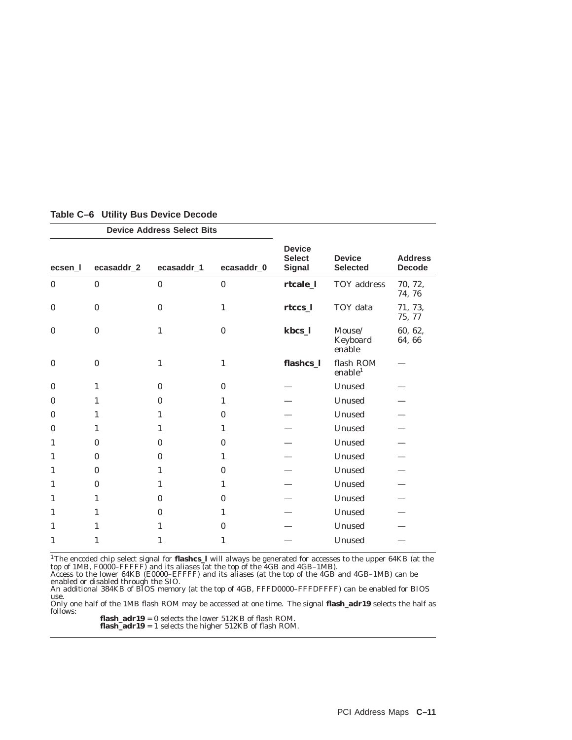| <b>Device Address Select Bits</b> |              |              |              |                                                 |                                  |                                 |
|-----------------------------------|--------------|--------------|--------------|-------------------------------------------------|----------------------------------|---------------------------------|
| ecsen_I                           | ecasaddr_2   | ecasaddr_1   | ecasaddr_0   | <b>Device</b><br><b>Select</b><br><b>Signal</b> | <b>Device</b><br><b>Selected</b> | <b>Address</b><br><b>Decode</b> |
| $\bf{0}$                          | $\bf{0}$     | $\mathbf{0}$ | $\bf{0}$     | rtcale_l                                        | <b>TOY</b> address               | 70, 72,<br>74, 76               |
| $\bf{0}$                          | $\mathbf{0}$ | $\bf{0}$     | 1            | rtccs_l                                         | TOY data                         | 71, 73,<br>75, 77               |
| $\boldsymbol{0}$                  | $\bf{0}$     | $\mathbf{1}$ | $\bf{0}$     | kbcs_l                                          | Mouse/<br>Keyboard<br>enable     | 60, 62,<br>64,66                |
| $\bf{0}$                          | $\bf{0}$     | $\mathbf{1}$ | $\mathbf{1}$ | flashcs_l                                       | flash ROM<br>enable <sup>1</sup> |                                 |
| $\bf{0}$                          | $\mathbf{1}$ | $\mathbf{0}$ | $\mathbf{0}$ |                                                 | Unused                           |                                 |
| $\bf{0}$                          | $\mathbf{1}$ | $\mathbf{0}$ | 1            |                                                 | Unused                           |                                 |
| $\bf{0}$                          | $\mathbf{1}$ | $\mathbf{1}$ | $\mathbf{0}$ |                                                 | Unused                           |                                 |
| $\bf{0}$                          | $\mathbf{1}$ | $\mathbf{1}$ | 1            |                                                 | Unused                           |                                 |
| $\mathbf{1}$                      | $\mathbf{0}$ | $\mathbf{0}$ | $\mathbf{0}$ |                                                 | Unused                           |                                 |
| $\mathbf{1}$                      | $\mathbf{0}$ | $\mathbf{0}$ | $\mathbf{1}$ |                                                 | Unused                           |                                 |
| $\mathbf{1}$                      | $\mathbf{0}$ | $\mathbf{1}$ | $\mathbf{0}$ |                                                 | Unused                           |                                 |
| $\mathbf{1}$                      | $\mathbf{0}$ | $\mathbf{1}$ | $\mathbf{1}$ |                                                 | Unused                           |                                 |
| 1                                 | 1            | $\Omega$     | $\mathbf{0}$ |                                                 | Unused                           |                                 |
| $\mathbf{1}$                      | $\mathbf{1}$ | $\mathbf{0}$ | $\mathbf{1}$ |                                                 | Unused                           |                                 |
| 1                                 | $\mathbf{1}$ | $\mathbf{1}$ | $\mathbf{0}$ |                                                 | Unused                           |                                 |
| 1                                 | 1            | 1            | 1            |                                                 | Unused                           |                                 |

#### **Table C–6 Utility Bus Device Decode**

<sup>1</sup>The encoded chip select signal for **flashcs\_l** will always be generated for accesses to the upper 64KB (at the<br>top of 1MB, F0000–FFFFF) and its aliases (at the top of the 4GB and 4GB–1MB).<br>Access to the lower 64KB (E000

enabled or disabled through the SIO. An additional 384KB of BIOS memory (at the top of 4GB, FFFD0000–FFFDFFFF) can be enabled for BIOS

use. Only one half of the 1MB flash ROM may be accessed at one time. The signal **flash\_adr19** selects the half as

follows:

**flash\_adr19** = 0 selects the lower 512KB of flash ROM. **flash\_adr19** = 1 selects the higher 512KB of flash ROM.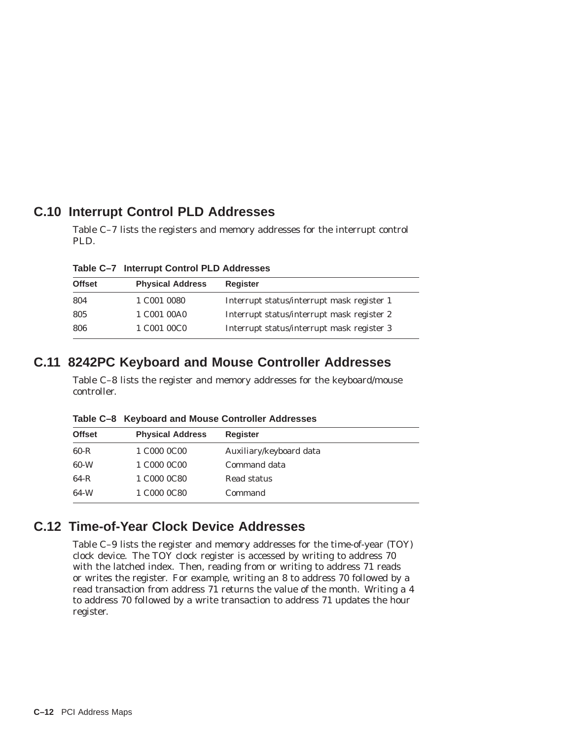#### **C.10 Interrupt Control PLD Addresses**

Table C–7 lists the registers and memory addresses for the interrupt control PLD.

| Table C-7 Interrupt Control PLD Addresses |
|-------------------------------------------|
|-------------------------------------------|

| <b>Offset</b> | <b>Physical Address</b> | <b>Register</b>                            |
|---------------|-------------------------|--------------------------------------------|
| 804           | 1 C001 0080             | Interrupt status/interrupt mask register 1 |
| 805           | 1 C001 00A0             | Interrupt status/interrupt mask register 2 |
| 806           | 1 C001 00C0             | Interrupt status/interrupt mask register 3 |

#### **C.11 8242PC Keyboard and Mouse Controller Addresses**

Table C–8 lists the register and memory addresses for the keyboard/mouse controller.

**Table C–8 Keyboard and Mouse Controller Addresses**

| <b>Offset</b> | <b>Physical Address</b> | Register                |
|---------------|-------------------------|-------------------------|
| $60-R$        | 1 C000 0C00             | Auxiliary/keyboard data |
| $60-W$        | 1 C000 0C00             | Command data            |
| $64-R$        | 1 C000 0C80             | Read status             |
| 64-W          | 1 C000 0C80             | Command                 |

#### **C.12 Time-of-Year Clock Device Addresses**

Table C–9 lists the register and memory addresses for the time-of-year (TOY) clock device. The TOY clock register is accessed by writing to address 70 with the latched index. Then, reading from or writing to address 71 reads or writes the register. For example, writing an 8 to address 70 followed by a read transaction from address 71 returns the value of the month. Writing a 4 to address 70 followed by a write transaction to address 71 updates the hour register.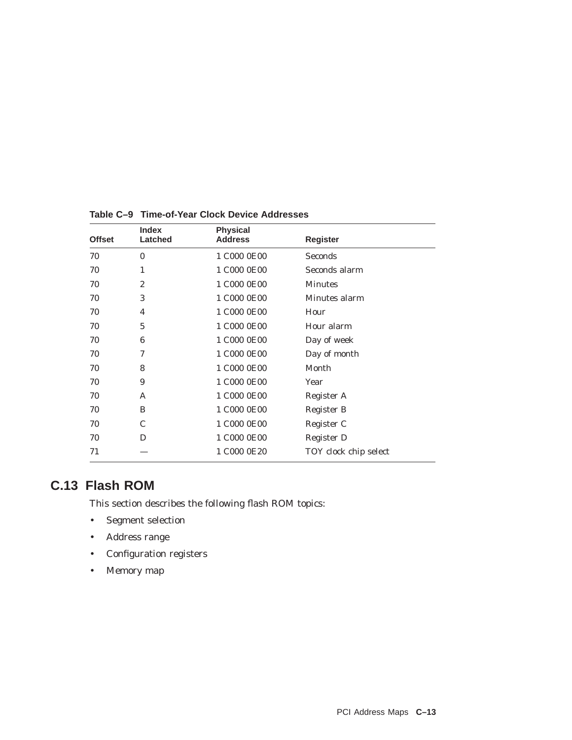| <b>Offset</b> | <b>Index</b><br>Latched | <b>Physical</b><br><b>Address</b> | <b>Register</b>       |
|---------------|-------------------------|-----------------------------------|-----------------------|
| 70            | $\mathbf{0}$            | 1 C000 0E00                       | <b>Seconds</b>        |
| 70            | 1                       | 1 C000 0E00                       | Seconds alarm         |
| 70            | $\overline{2}$          | 1 C000 0E00                       | <b>Minutes</b>        |
| 70            | 3                       | 1 C000 0E00                       | Minutes alarm         |
| 70            | 4                       | 1 C000 0E00                       | Hour                  |
| 70            | $\overline{5}$          | 1 C000 0E00                       | Hour alarm            |
| 70            | 6                       | 1 C000 0E00                       | Day of week           |
| 70            | 7                       | 1 C000 0E00                       | Day of month          |
| 70            | 8                       | 1 C000 0E00                       | Month                 |
| 70            | 9                       | 1 C000 0E00                       | Year                  |
| 70            | A                       | 1 C000 0E00                       | Register A            |
| 70            | B                       | 1 C000 0E00                       | Register B            |
| 70            | C                       | 1 C000 0E00                       | Register C            |
| 70            | D                       | 1 C000 0E00                       | <b>Register D</b>     |
| 71            |                         | 1 C000 0E20                       | TOY clock chip select |

**Table C–9 Time-of-Year Clock Device Addresses**

# **C.13 Flash ROM**

This section describes the following flash ROM topics:

- Segment selection
- Address range
- Configuration registers
- Memory map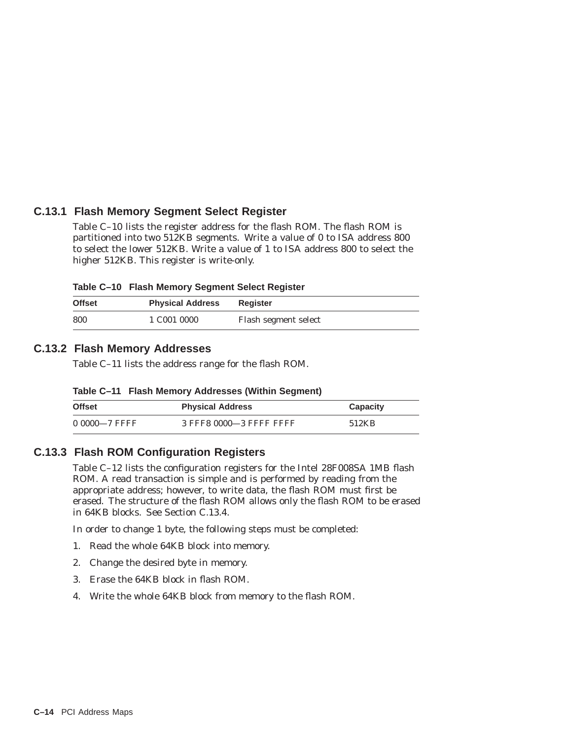#### **C.13.1 Flash Memory Segment Select Register**

Table C–10 lists the register address for the flash ROM. The flash ROM is partitioned into two 512KB segments. Write a value of 0 to ISA address 800 to select the lower 512KB. Write a value of 1 to ISA address 800 to select the higher 512KB. This register is write-only.

**Table C–10 Flash Memory Segment Select Register**

| <b>Offset</b> | <b>Physical Address</b> | Register             |
|---------------|-------------------------|----------------------|
| 800           | 1 C001 0000             | Flash segment select |

#### **C.13.2 Flash Memory Addresses**

Table C–11 lists the address range for the flash ROM.

| Table C-11 Flash Memory Addresses (Within Segment) |
|----------------------------------------------------|
|----------------------------------------------------|

| <b>Offset</b>    | <b>Physical Address</b> | Capacity |
|------------------|-------------------------|----------|
| $00000 - 7$ FFFF | 3 FFF8 0000-3 FFFF FFFF | 512KB    |

#### **C.13.3 Flash ROM Configuration Registers**

Table C–12 lists the configuration registers for the Intel 28F008SA 1MB flash ROM. A read transaction is simple and is performed by reading from the appropriate address; however, to write data, the flash ROM must first be erased. The structure of the flash ROM allows only the flash ROM to be erased in 64KB blocks. See Section C.13.4.

In order to change 1 byte, the following steps must be completed:

- 1. Read the whole 64KB block into memory.
- 2. Change the desired byte in memory.
- 3. Erase the 64KB block in flash ROM.
- 4. Write the whole 64KB block from memory to the flash ROM.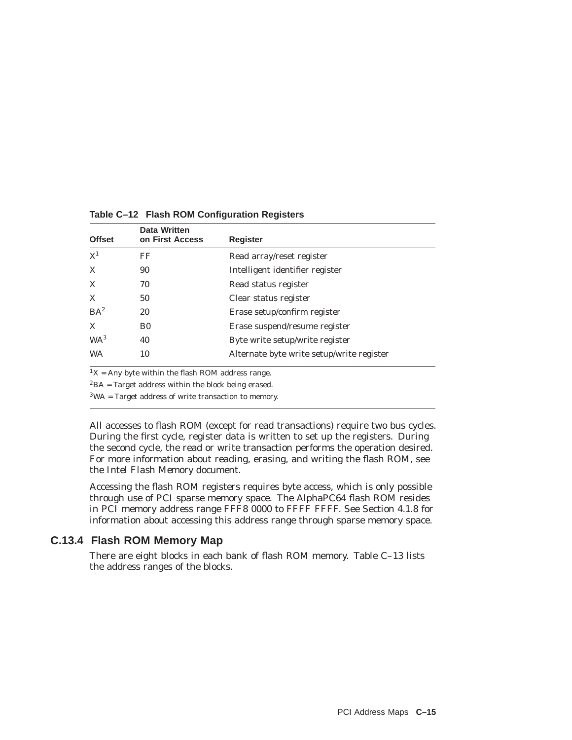| <b>Offset</b>   | <b>Data Written</b><br>on First Access | <b>Register</b>                           |
|-----------------|----------------------------------------|-------------------------------------------|
| $\mathrm{X}^1$  | FF                                     | Read array/reset register                 |
| X               | 90                                     | Intelligent identifier register           |
| X               | 70                                     | Read status register                      |
| X               | 50                                     | Clear status register                     |
| $BA^2$          | 20                                     | Erase setup/confirm register              |
| X               | B <sub>0</sub>                         | Erase suspend/resume register             |
| WA <sup>3</sup> | 40                                     | Byte write setup/write register           |
| <b>WA</b>       | 10                                     | Alternate byte write setup/write register |

#### **Table C–12 Flash ROM Configuration Registers**

 $1X = Any$  byte within the flash ROM address range.

 ${}^{2}{\rm BA}$  = Target address within the block being erased.

 $3WA = Target address of write transaction to memory.$ 

All accesses to flash ROM (except for read transactions) require two bus cycles. During the first cycle, register data is written to set up the registers. During the second cycle, the read or write transaction performs the operation desired. For more information about reading, erasing, and writing the flash ROM, see the Intel *Flash Memory* document.

Accessing the flash ROM registers requires byte access, which is only possible through use of PCI sparse memory space. The AlphaPC64 flash ROM resides in PCI memory address range FFF8 0000 to FFFF FFFF. See Section 4.1.8 for information about accessing this address range through sparse memory space.

#### **C.13.4 Flash ROM Memory Map**

There are eight blocks in each bank of flash ROM memory. Table C–13 lists the address ranges of the blocks.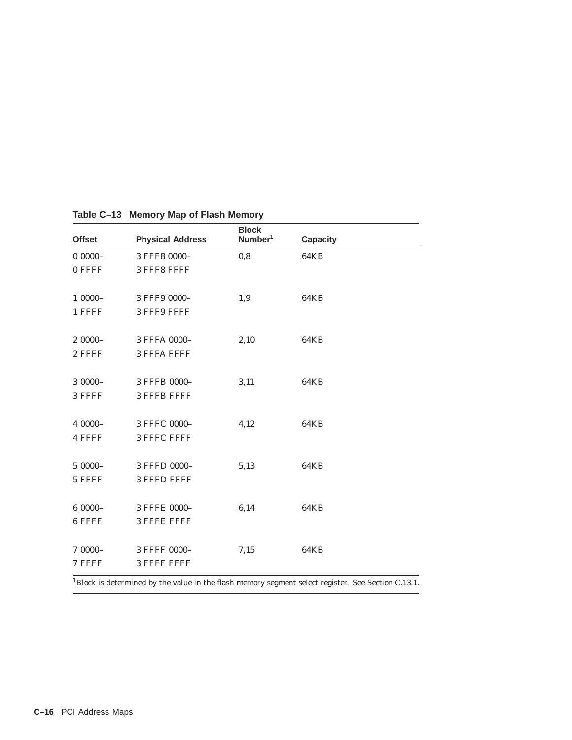| <b>Offset</b> | <b>Physical Address</b> | <b>Block</b><br>Number <sup>1</sup> | Capacity    |  |
|---------------|-------------------------|-------------------------------------|-------------|--|
| $00000 -$     | 3 FFF8 0000-            | 0,8                                 | <b>64KB</b> |  |
| 0 FFFF        | 3 FFF8 FFFF             |                                     |             |  |
| $10000 -$     | 3 FFF9 0000-            | 1,9                                 | <b>64KB</b> |  |
| 1 FFFF        | 3 FFF9 FFFF             |                                     |             |  |
| $20000 -$     | 3 FFFA 0000-            | 2,10                                | <b>64KB</b> |  |
| 2 FFFF        | 3 FFFA FFFF             |                                     |             |  |
| $30000 -$     | 3 FFFB 0000-            | 3,11                                | <b>64KB</b> |  |
| 3 FFFF        | 3 FFFB FFFF             |                                     |             |  |
| 4 0000-       | 3 FFFC 0000-            | 4,12                                | 64KB        |  |
| 4 FFFF        | 3 FFFC FFFF             |                                     |             |  |
| $50000 -$     | 3 FFFD 0000-            | 5,13                                | <b>64KB</b> |  |
| 5 FFFF        | 3 FFFD FFFF             |                                     |             |  |
| $60000 -$     | 3 FFFE 0000-            | 6,14                                | <b>64KB</b> |  |
| 6 FFFF        | 3 FFFE FFFF             |                                     |             |  |
| 7 0000-       | 3 FFFF 0000-            | 7,15                                | 64KB        |  |
| 7 FFFF        | 3 FFFF FFFF             |                                     |             |  |

#### **Table C–13 Memory Map of Flash Memory**

 $\overline{1}$ l Block is determined by the value in the flash memory segment select register. See Section C.13.1.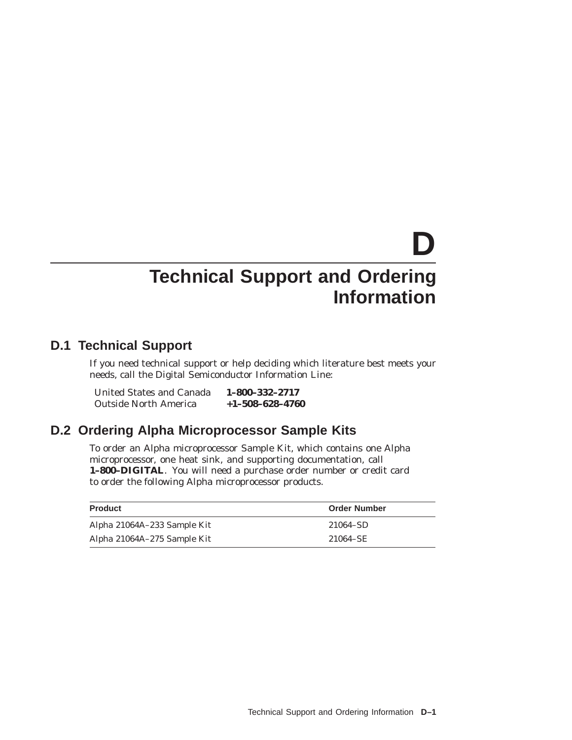# **D**

# **Technical Support and Ordering Information**

#### **D.1 Technical Support**

If you need technical support or help deciding which literature best meets your needs, call the Digital Semiconductor Information Line:

| United States and Canada     | 1-800-332-2717          |
|------------------------------|-------------------------|
| <b>Outside North America</b> | $+1 - 508 - 628 - 4760$ |

# **D.2 Ordering Alpha Microprocessor Sample Kits**

To order an Alpha microprocessor Sample Kit, which contains one Alpha microprocessor, one heat sink, and supporting documentation, call **1–800–DIGITAL**. You will need a purchase order number or credit card to order the following Alpha microprocessor products.

| <b>Product</b>              | <b>Order Number</b> |
|-----------------------------|---------------------|
| Alpha 21064A–233 Sample Kit | 21064–SD            |
| Alpha 21064A-275 Sample Kit | 21064–SE            |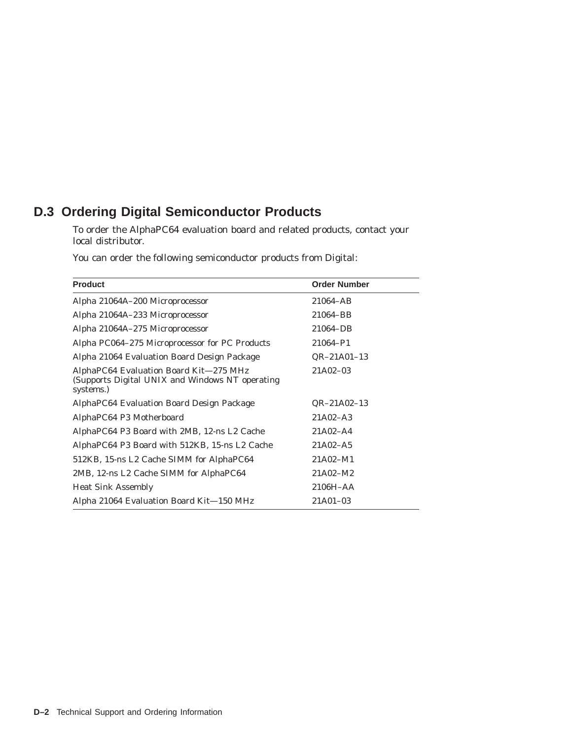# **D.3 Ordering Digital Semiconductor Products**

To order the AlphaPC64 evaluation board and related products, contact your local distributor.

You can order the following semiconductor products from Digital:

| <b>Product</b>                                                                                         | <b>Order Number</b> |
|--------------------------------------------------------------------------------------------------------|---------------------|
| Alpha 21064A–200 Microprocessor                                                                        | 21064-AB            |
| Alpha 21064A–233 Microprocessor                                                                        | 21064-BB            |
| Alpha 21064A–275 Microprocessor                                                                        | 21064-DB            |
| Alpha PC064–275 Microprocessor for PC Products                                                         | 21064-P1            |
| Alpha 21064 Evaluation Board Design Package                                                            | $QR-21A01-13$       |
| AlphaPC64 Evaluation Board Kit-275 MHz<br>(Supports Digital UNIX and Windows NT operating<br>systems.) | 21A02-03            |
| AlphaPC64 Evaluation Board Design Package                                                              | $QR-21A02-13$       |
| AlphaPC64 P3 Motherboard                                                                               | $21A02 - A3$        |
| AlphaPC64 P3 Board with 2MB, 12-ns L2 Cache                                                            | 21A02-A4            |
| AlphaPC64 P3 Board with 512KB, 15-ns L2 Cache                                                          | $21A02 - A5$        |
| 512KB, 15-ns L2 Cache SIMM for AlphaPC64                                                               | 21A02-M1            |
| 2MB, 12-ns L2 Cache SIMM for AlphaPC64                                                                 | 21A02-M2            |
| <b>Heat Sink Assembly</b>                                                                              | 2106H-AA            |
| Alpha 21064 Evaluation Board Kit-150 MHz                                                               | 21A01-03            |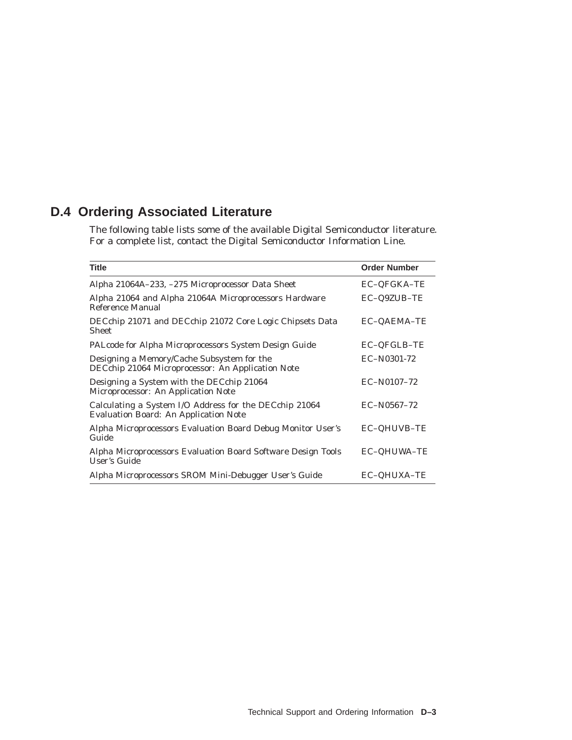# **D.4 Ordering Associated Literature**

The following table lists some of the available Digital Semiconductor literature. For a complete list, contact the Digital Semiconductor Information Line.

| <b>Title</b>                                                                                           | <b>Order Number</b> |
|--------------------------------------------------------------------------------------------------------|---------------------|
| Alpha 21064A-233, -275 Microprocessor Data Sheet                                                       | EC-QFGKA-TE         |
| Alpha 21064 and Alpha 21064A Microprocessors Hardware<br>Reference Manual                              | EC-Q9ZUB-TE         |
| DECchip 21071 and DECchip 21072 Core Logic Chipsets Data<br><b>Sheet</b>                               | EC-QAEMA-TE         |
| PALcode for Alpha Microprocessors System Design Guide                                                  | EC-QFGLB-TE         |
| Designing a Memory/Cache Subsystem for the<br>DECchip 21064 Microprocessor: An Application Note        | EC-N0301-72         |
| Designing a System with the DECchip 21064<br>Microprocessor: An Application Note                       | $EC-N0107-72$       |
| Calculating a System I/O Address for the DECchip 21064<br><b>Evaluation Board: An Application Note</b> | $EC-N0567-72$       |
| Alpha Microprocessors Evaluation Board Debug Monitor User's<br>Guide                                   | <b>EC-QHUVB-TE</b>  |
| Alpha Microprocessors Evaluation Board Software Design Tools<br>User's Guide                           | EC-QHUWA-TE         |
| Alpha Microprocessors SROM Mini-Debugger User's Guide                                                  | <b>EC-QHUXA-TE</b>  |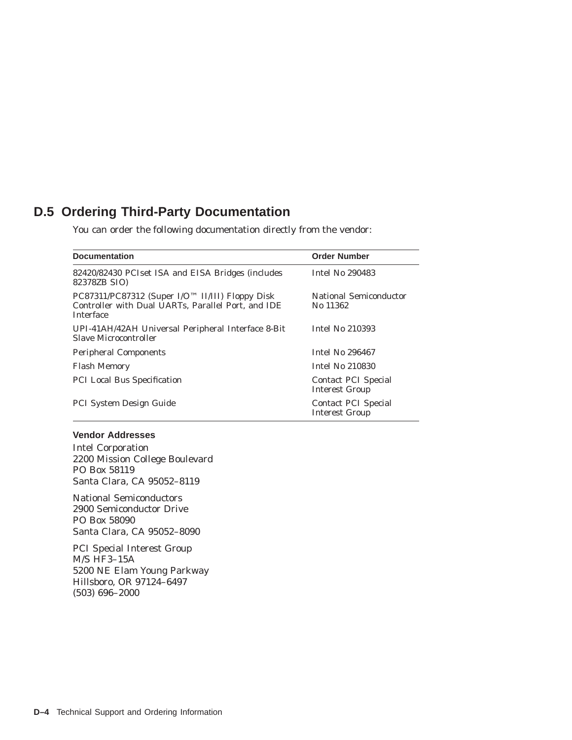# **D.5 Ordering Third-Party Documentation**

You can order the following documentation directly from the vendor:

| <b>Documentation</b>                                                                                                      | <b>Order Number</b>                                 |
|---------------------------------------------------------------------------------------------------------------------------|-----------------------------------------------------|
| 82420/82430 PCIset ISA and EISA Bridges (includes<br>82378ZB SIO)                                                         | <b>Intel No 290483</b>                              |
| PC87311/PC87312 (Super I/O™ II/III) Floppy Disk<br>Controller with Dual UARTs, Parallel Port, and IDE<br><b>Interface</b> | National Semiconductor<br>No 11362                  |
| UPI-41AH/42AH Universal Peripheral Interface 8-Bit<br>Slave Microcontroller                                               | <b>Intel No 210393</b>                              |
| <b>Peripheral Components</b>                                                                                              | <b>Intel No 296467</b>                              |
| <b>Flash Memory</b>                                                                                                       | <b>Intel No 210830</b>                              |
| <b>PCI Local Bus Specification</b>                                                                                        | <b>Contact PCI Special</b><br><b>Interest Group</b> |
| <b>PCI System Design Guide</b>                                                                                            | <b>Contact PCI Special</b><br><b>Interest Group</b> |

#### **Vendor Addresses**

Intel Corporation 2200 Mission College Boulevard PO Box 58119 Santa Clara, CA 95052–8119

National Semiconductors 2900 Semiconductor Drive PO Box 58090 Santa Clara, CA 95052–8090

PCI Special Interest Group M/S HF3–15A 5200 NE Elam Young Parkway Hillsboro, OR 97124–6497 (503) 696–2000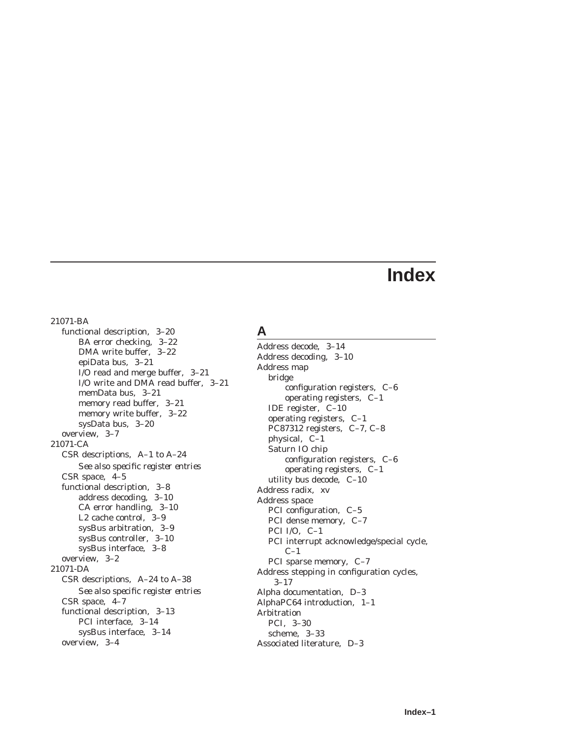# **Index**

21071-BA

functional description, 3–20 BA error checking, 3–22 DMA write buffer, 3–22 epiData bus, 3–21 I/O read and merge buffer, 3–21 I/O write and DMA read buffer, 3–21 memData bus, 3–21 memory read buffer, 3–21 memory write buffer, 3–22 sysData bus, 3–20 overview, 3–7 21071-CA CSR descriptions, A–1 to A–24 *See also specific register entries* CSR space, 4–5 functional description, 3–8 address decoding, 3–10 CA error handling, 3–10 L2 cache control, 3–9 sysBus arbitration, 3–9 sysBus controller, 3–10 sysBus interface, 3–8 overview, 3–2 21071-DA CSR descriptions, A–24 to A–38 *See also specific register entries* CSR space, 4–7 functional description, 3–13 PCI interface, 3–14 sysBus interface, 3–14 overview, 3–4

#### **A**

Address decode, 3–14 Address decoding, 3–10 Address map bridge configuration registers, C–6 operating registers, C–1 IDE register, C–10 operating registers, C–1 PC87312 registers, C–7, C–8 physical, C–1 Saturn IO chip configuration registers, C–6 operating registers, C–1 utility bus decode, C–10 Address radix, xv Address space PCI configuration, C–5 PCI dense memory, C–7 PCI I/O, C–1 PCI interrupt acknowledge/special cycle,  $C-1$ PCI sparse memory, C–7 Address stepping in configuration cycles, 3–17 Alpha documentation, D–3 AlphaPC64 introduction, 1–1 Arbitration PCI, 3–30 scheme, 3–33 Associated literature, D–3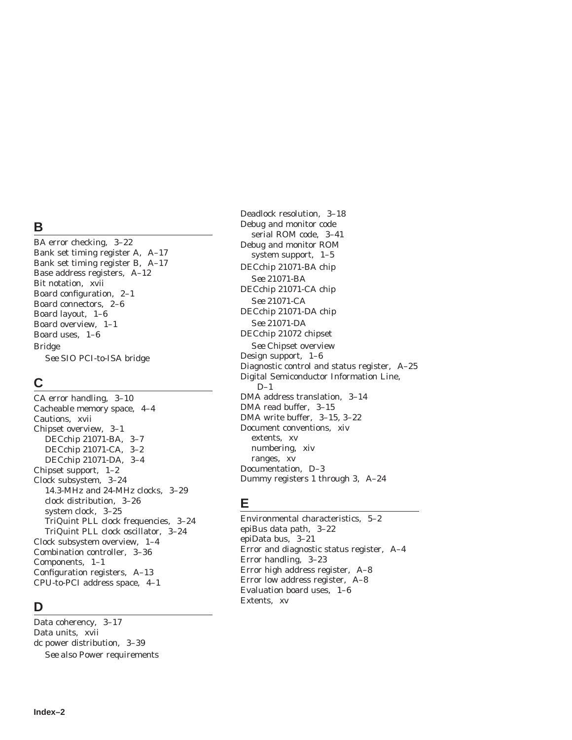#### **B**

BA error checking, 3–22 Bank set timing register A, A–17 Bank set timing register B, A–17 Base address registers, A–12 Bit notation, xvii Board configuration, 2–1 Board connectors, 2–6 Board layout, 1–6 Board overview, 1–1 Board uses, 1–6 Bridge *See* SIO PCI-to-ISA bridge

# **C**

CA error handling, 3–10 Cacheable memory space, 4–4 Cautions, xvii Chipset overview, 3–1 DECchip 21071-BA, 3–7 DECchip 21071-CA, 3–2 DECchip 21071-DA, 3–4 Chipset support, 1–2 Clock subsystem, 3–24 14.3-MHz and 24-MHz clocks, 3–29 clock distribution, 3–26 system clock, 3–25 TriQuint PLL clock frequencies, 3–24 TriQuint PLL clock oscillator, 3–24 Clock subsystem overview, 1–4 Combination controller, 3–36 Components, 1–1 Configuration registers, A–13 CPU-to-PCI address space, 4–1

# **D**

Data coherency, 3–17 Data units, xvii dc power distribution, 3–39 *See also* Power requirements Deadlock resolution, 3–18 Debug and monitor code serial ROM code, 3–41 Debug and monitor ROM system support, 1–5 DECchip 21071-BA chip *See* 21071-BA DECchip 21071-CA chip *See* 21071-CA DECchip 21071-DA chip *See* 21071-DA DECchip 21072 chipset *See* Chipset overview Design support, 1–6 Diagnostic control and status register, A–25 Digital Semiconductor Information Line,  $D-1$ DMA address translation, 3–14 DMA read buffer, 3–15 DMA write buffer, 3–15, 3–22 Document conventions, xiv extents, xv numbering, xiv ranges, xv Documentation, D–3 Dummy registers 1 through 3, A–24

# **E**

Environmental characteristics, 5–2 epiBus data path, 3–22 epiData bus, 3–21 Error and diagnostic status register, A–4 Error handling, 3–23 Error high address register, A–8 Error low address register, A–8 Evaluation board uses, 1–6 Extents, xv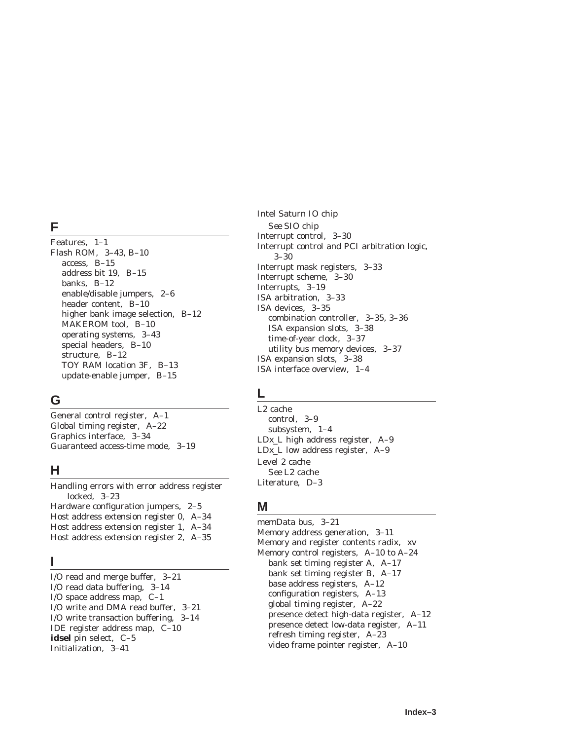#### **F**

Features, 1–1 Flash ROM, 3–43, B–10 access, B–15 address bit 19, B–15 banks, B–12 enable/disable jumpers, 2–6 header content, B–10 higher bank image selection, B–12 MAKEROM tool, B–10 operating systems, 3–43 special headers, B–10 structure, B–12 TOY RAM location 3F, B–13 update-enable jumper, B–15

# **G**

General control register, A–1 Global timing register, A–22 Graphics interface, 3–34 Guaranteed access-time mode, 3–19

#### **H**

Handling errors with error address register locked, 3–23 Hardware configuration jumpers, 2–5 Host address extension register 0, A–34 Host address extension register 1, A–34 Host address extension register 2, A–35

#### **I**

I/O read and merge buffer, 3–21 I/O read data buffering, 3–14 I/O space address map, C–1 I/O write and DMA read buffer, 3–21 I/O write transaction buffering, 3–14 IDE register address map, C–10 **idsel** pin select, C–5 Initialization, 3–41

Intel Saturn IO chip *See* SIO chip Interrupt control, 3–30 Interrupt control and PCI arbitration logic, 3–30 Interrupt mask registers, 3–33 Interrupt scheme, 3–30 Interrupts, 3–19 ISA arbitration, 3–33 ISA devices, 3–35 combination controller, 3–35, 3–36 ISA expansion slots, 3–38 time-of-year clock, 3–37 utility bus memory devices, 3–37 ISA expansion slots, 3–38 ISA interface overview, 1–4

#### **L**

L2 cache control, 3–9 subsystem, 1–4 LD*x*\_L high address register, A–9 LD*x*\_L low address register, A–9 Level 2 cache *See* L2 cache Literature, D–3

#### **M**

memData bus, 3–21 Memory address generation, 3–11 Memory and register contents radix, xv Memory control registers, A–10 to A–24 bank set timing register A, A–17 bank set timing register B, A–17 base address registers, A–12 configuration registers, A–13 global timing register, A–22 presence detect high-data register, A–12 presence detect low-data register, A–11 refresh timing register, A–23 video frame pointer register, A–10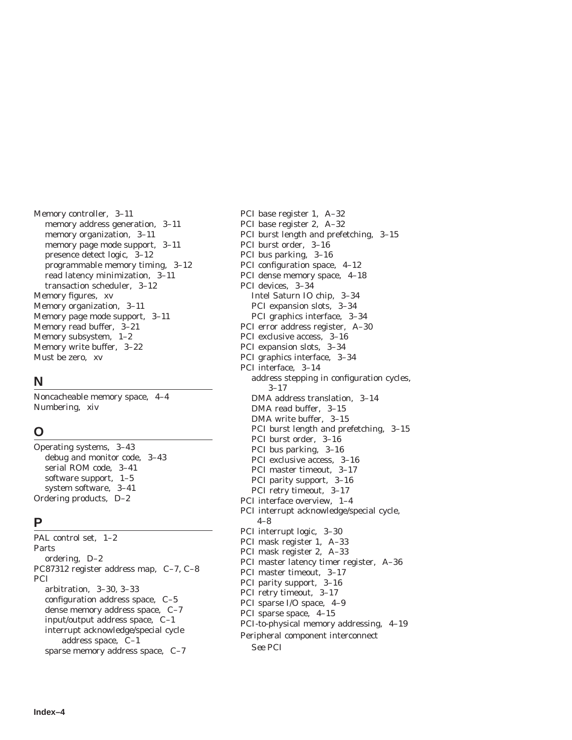Memory controller, 3–11 memory address generation, 3–11 memory organization, 3–11 memory page mode support, 3–11 presence detect logic, 3–12 programmable memory timing, 3–12 read latency minimization, 3–11 transaction scheduler, 3–12 Memory figures, xv Memory organization, 3–11 Memory page mode support, 3–11 Memory read buffer, 3–21 Memory subsystem, 1–2 Memory write buffer, 3–22 Must be zero, xv

#### **N**

Noncacheable memory space, 4–4 Numbering, xiv

# **O**

Operating systems, 3–43 debug and monitor code, 3–43 serial ROM code, 3–41 software support, 1–5 system software, 3–41 Ordering products, D–2

# **P**

PAL control set, 1–2 Parts ordering, D–2 PC87312 register address map, C–7, C–8 PCI arbitration, 3–30, 3–33 configuration address space, C–5 dense memory address space, C–7 input/output address space, C–1 interrupt acknowledge/special cycle address space, C–1 sparse memory address space, C–7

PCI base register 1, A–32 PCI base register 2, A–32 PCI burst length and prefetching, 3–15 PCI burst order, 3–16 PCI bus parking, 3–16 PCI configuration space, 4–12 PCI dense memory space, 4–18 PCI devices, 3–34 Intel Saturn IO chip, 3–34 PCI expansion slots, 3–34 PCI graphics interface, 3–34 PCI error address register, A–30 PCI exclusive access, 3–16 PCI expansion slots, 3–34 PCI graphics interface, 3–34 PCI interface, 3–14 address stepping in configuration cycles, 3–17 DMA address translation, 3–14 DMA read buffer, 3–15 DMA write buffer, 3–15 PCI burst length and prefetching, 3–15 PCI burst order, 3–16 PCI bus parking, 3–16 PCI exclusive access, 3–16 PCI master timeout, 3–17 PCI parity support, 3–16 PCI retry timeout, 3–17 PCI interface overview, 1–4 PCI interrupt acknowledge/special cycle, 4–8 PCI interrupt logic, 3–30 PCI mask register 1, A–33 PCI mask register 2, A–33 PCI master latency timer register, A–36 PCI master timeout, 3–17 PCI parity support, 3–16 PCI retry timeout, 3–17 PCI sparse I/O space, 4–9 PCI sparse space, 4–15 PCI-to-physical memory addressing, 4–19 Peripheral component interconnect *See* PCI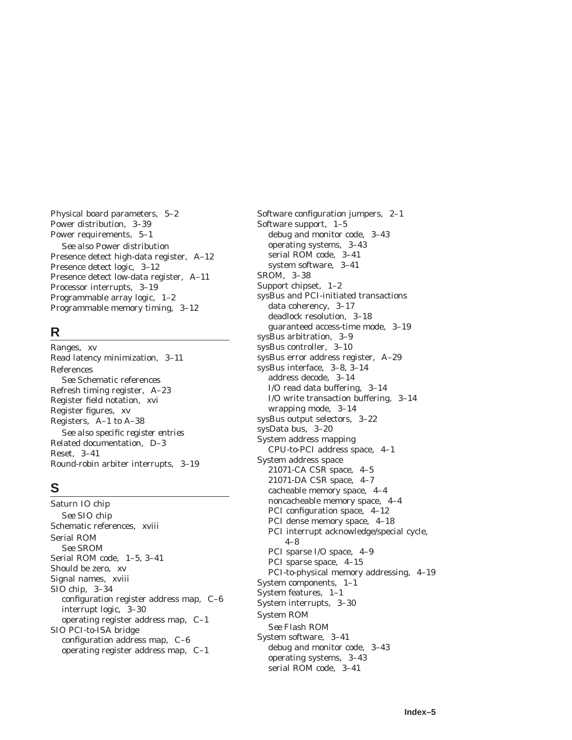Physical board parameters, 5–2 Power distribution, 3–39 Power requirements, 5–1 *See also* Power distribution Presence detect high-data register, A–12 Presence detect logic, 3–12 Presence detect low-data register, A–11 Processor interrupts, 3–19 Programmable array logic, 1–2 Programmable memory timing, 3–12

#### **R**

Ranges, xv Read latency minimization, 3–11 References *See* Schematic references Refresh timing register, A–23 Register field notation, xvi Register figures, xv Registers, A–1 to A–38 *See also specific register entries* Related documentation, D–3 Reset, 3–41 Round-robin arbiter interrupts, 3–19

# **S**

Saturn IO chip *See* SIO chip Schematic references, xviii Serial ROM *See* SROM Serial ROM code, 1–5, 3–41 Should be zero, xv Signal names, xviii SIO chip, 3–34 configuration register address map, C–6 interrupt logic, 3–30 operating register address map, C–1 SIO PCI-to-ISA bridge configuration address map, C–6 operating register address map, C–1

Software configuration jumpers, 2–1 Software support, 1–5 debug and monitor code, 3–43 operating systems, 3–43 serial ROM code, 3–41 system software, 3–41 SROM, 3–38 Support chipset, 1–2 sysBus and PCI-initiated transactions data coherency, 3–17 deadlock resolution, 3–18 guaranteed access-time mode, 3–19 sysBus arbitration, 3–9 sysBus controller, 3–10 sysBus error address register, A–29 sysBus interface, 3–8, 3–14 address decode, 3–14 I/O read data buffering, 3–14 I/O write transaction buffering, 3–14 wrapping mode, 3–14 sysBus output selectors, 3–22 sysData bus, 3–20 System address mapping CPU-to-PCI address space, 4–1 System address space 21071-CA CSR space, 4–5 21071-DA CSR space, 4–7 cacheable memory space, 4–4 noncacheable memory space, 4–4 PCI configuration space, 4–12 PCI dense memory space, 4–18 PCI interrupt acknowledge/special cycle, 4–8 PCI sparse I/O space, 4–9 PCI sparse space, 4–15 PCI-to-physical memory addressing, 4–19 System components, 1–1 System features, 1–1 System interrupts, 3–30 System ROM *See* Flash ROM System software, 3–41 debug and monitor code, 3–43 operating systems, 3–43

serial ROM code, 3–41